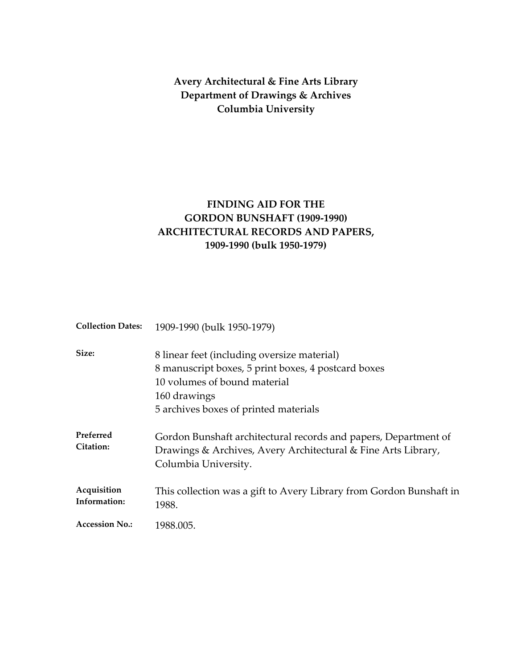**Avery Architectural & Fine Arts Library Department of Drawings & Archives Columbia University**

# **FINDING AID FOR THE GORDON BUNSHAFT (1909‐1990) ARCHITECTURAL RECORDS AND PAPERS, 1909‐1990 (bulk 1950‐1979)**

| <b>Collection Dates:</b>           | 1909-1990 (bulk 1950-1979)                                                                                                                                                                  |
|------------------------------------|---------------------------------------------------------------------------------------------------------------------------------------------------------------------------------------------|
| Size:                              | 8 linear feet (including oversize material)<br>8 manuscript boxes, 5 print boxes, 4 postcard boxes<br>10 volumes of bound material<br>160 drawings<br>5 archives boxes of printed materials |
| Preferred<br><b>Citation:</b>      | Gordon Bunshaft architectural records and papers, Department of<br>Drawings & Archives, Avery Architectural & Fine Arts Library,<br>Columbia University.                                    |
| <b>Acquisition</b><br>Information: | This collection was a gift to Avery Library from Gordon Bunshaft in<br>1988.                                                                                                                |
| <b>Accession No.:</b>              | 1988.005.                                                                                                                                                                                   |
|                                    |                                                                                                                                                                                             |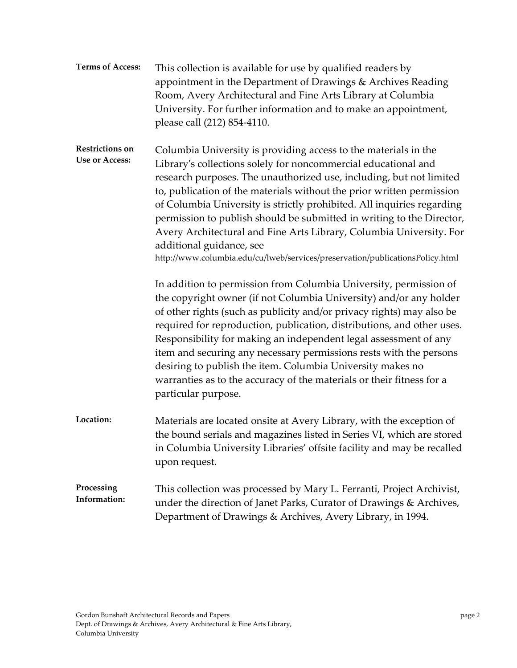| <b>Terms of Access:</b>                         | This collection is available for use by qualified readers by<br>appointment in the Department of Drawings & Archives Reading<br>Room, Avery Architectural and Fine Arts Library at Columbia<br>University. For further information and to make an appointment,<br>please call (212) 854-4110.                                                                                                                                                                                                                                                                                                                            |
|-------------------------------------------------|--------------------------------------------------------------------------------------------------------------------------------------------------------------------------------------------------------------------------------------------------------------------------------------------------------------------------------------------------------------------------------------------------------------------------------------------------------------------------------------------------------------------------------------------------------------------------------------------------------------------------|
| <b>Restrictions on</b><br><b>Use or Access:</b> | Columbia University is providing access to the materials in the<br>Library's collections solely for noncommercial educational and<br>research purposes. The unauthorized use, including, but not limited<br>to, publication of the materials without the prior written permission<br>of Columbia University is strictly prohibited. All inquiries regarding<br>permission to publish should be submitted in writing to the Director,<br>Avery Architectural and Fine Arts Library, Columbia University. For<br>additional guidance, see<br>http://www.columbia.edu/cu/lweb/services/preservation/publicationsPolicy.html |
|                                                 | In addition to permission from Columbia University, permission of<br>the copyright owner (if not Columbia University) and/or any holder<br>of other rights (such as publicity and/or privacy rights) may also be<br>required for reproduction, publication, distributions, and other uses.<br>Responsibility for making an independent legal assessment of any<br>item and securing any necessary permissions rests with the persons<br>desiring to publish the item. Columbia University makes no<br>warranties as to the accuracy of the materials or their fitness for a<br>particular purpose.                       |
| Location:                                       | Materials are located onsite at Avery Library, with the exception of<br>the bound serials and magazines listed in Series VI, which are stored<br>in Columbia University Libraries' offsite facility and may be recalled<br>upon request.                                                                                                                                                                                                                                                                                                                                                                                 |
| Processing<br>Information:                      | This collection was processed by Mary L. Ferranti, Project Archivist,<br>under the direction of Janet Parks, Curator of Drawings & Archives,<br>Department of Drawings & Archives, Avery Library, in 1994.                                                                                                                                                                                                                                                                                                                                                                                                               |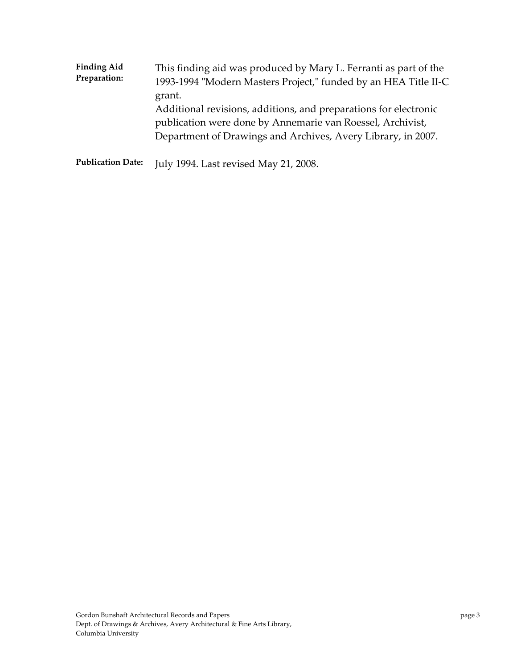| <b>Finding Aid</b> | This finding aid was produced by Mary L. Ferranti as part of the                                                                                                                                         |
|--------------------|----------------------------------------------------------------------------------------------------------------------------------------------------------------------------------------------------------|
| Preparation:       | 1993-1994 "Modern Masters Project," funded by an HEA Title II-C                                                                                                                                          |
|                    | grant.<br>Additional revisions, additions, and preparations for electronic<br>publication were done by Annemarie van Roessel, Archivist,<br>Department of Drawings and Archives, Avery Library, in 2007. |

**Publication Date:** July 1994. Last revised May 21, 2008.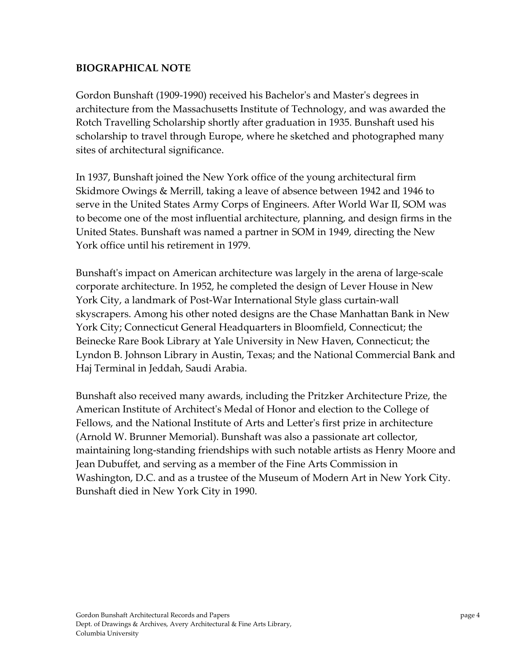#### **BIOGRAPHICAL NOTE**

Gordon Bunshaft (1909‐1990) received his Bachelorʹs and Masterʹs degrees in architecture from the Massachusetts Institute of Technology, and was awarded the Rotch Travelling Scholarship shortly after graduation in 1935. Bunshaft used his scholarship to travel through Europe, where he sketched and photographed many sites of architectural significance.

In 1937, Bunshaft joined the New York office of the young architectural firm Skidmore Owings & Merrill, taking a leave of absence between 1942 and 1946 to serve in the United States Army Corps of Engineers. After World War II, SOM was to become one of the most influential architecture, planning, and design firms in the United States. Bunshaft was named a partner in SOM in 1949, directing the New York office until his retirement in 1979.

Bunshaft's impact on American architecture was largely in the arena of large-scale corporate architecture. In 1952, he completed the design of Lever House in New York City, a landmark of Post‐War International Style glass curtain‐wall skyscrapers. Among his other noted designs are the Chase Manhattan Bank in New York City; Connecticut General Headquarters in Bloomfield, Connecticut; the Beinecke Rare Book Library at Yale University in New Haven, Connecticut; the Lyndon B. Johnson Library in Austin, Texas; and the National Commercial Bank and Haj Terminal in Jeddah, Saudi Arabia.

Bunshaft also received many awards, including the Pritzker Architecture Prize, the American Institute of Architectʹs Medal of Honor and election to the College of Fellows, and the National Institute of Arts and Letterʹs first prize in architecture (Arnold W. Brunner Memorial). Bunshaft was also a passionate art collector, maintaining long‐standing friendships with such notable artists as Henry Moore and Jean Dubuffet, and serving as a member of the Fine Arts Commission in Washington, D.C. and as a trustee of the Museum of Modern Art in New York City. Bunshaft died in New York City in 1990.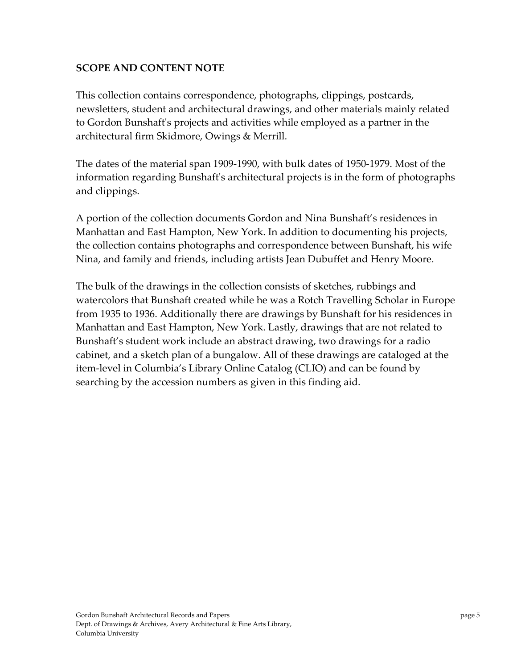## **SCOPE AND CONTENT NOTE**

This collection contains correspondence, photographs, clippings, postcards, newsletters, student and architectural drawings, and other materials mainly related to Gordon Bunshaftʹs projects and activities while employed as a partner in the architectural firm Skidmore, Owings & Merrill.

The dates of the material span 1909‐1990, with bulk dates of 1950‐1979. Most of the information regarding Bunshaftʹs architectural projects is in the form of photographs and clippings.

A portion of the collection documents Gordon and Nina Bunshaft's residences in Manhattan and East Hampton, New York. In addition to documenting his projects, the collection contains photographs and correspondence between Bunshaft, his wife Nina, and family and friends, including artists Jean Dubuffet and Henry Moore.

The bulk of the drawings in the collection consists of sketches, rubbings and watercolors that Bunshaft created while he was a Rotch Travelling Scholar in Europe from 1935 to 1936. Additionally there are drawings by Bunshaft for his residences in Manhattan and East Hampton, New York. Lastly, drawings that are not related to Bunshaft's student work include an abstract drawing, two drawings for a radio cabinet, and a sketch plan of a bungalow. All of these drawings are cataloged at the item‐level in Columbia's Library Online Catalog (CLIO) and can be found by searching by the accession numbers as given in this finding aid.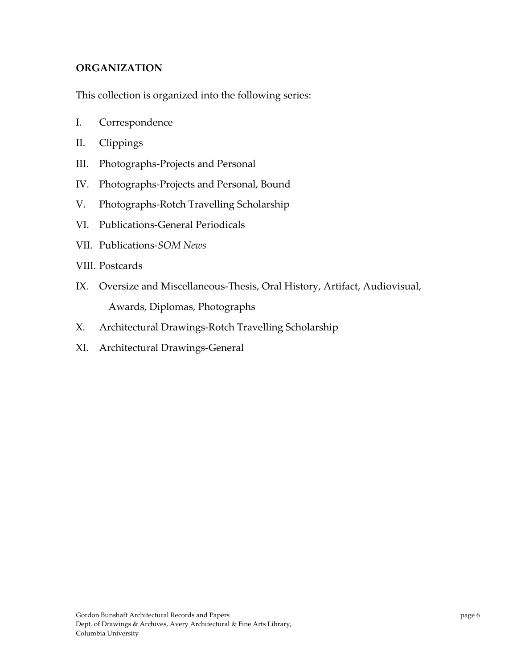#### **ORGANIZATION**

This collection is organized into the following series:

- I. Correspondence
- II. Clippings
- III. Photographs‐Projects and Personal
- IV. Photographs‐Projects and Personal, Bound
- V. Photographs‐Rotch Travelling Scholarship
- VI. Publications‐General Periodicals
- VII. Publications‐*SOM News*
- VIII. Postcards
- IX. Oversize and Miscellaneous‐Thesis, Oral History, Artifact, Audiovisual, Awards, Diplomas, Photographs
- X. Architectural Drawings‐Rotch Travelling Scholarship
- XI. Architectural Drawings‐General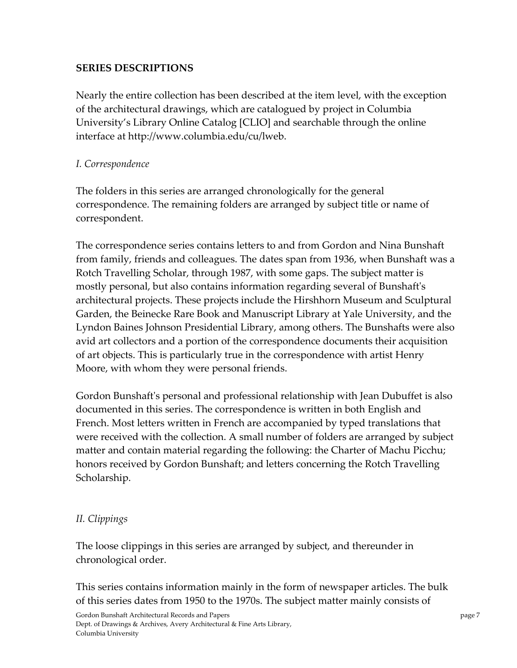## **SERIES DESCRIPTIONS**

Nearly the entire collection has been described at the item level, with the exception of the architectural drawings, which are catalogued by project in Columbia University's Library Online Catalog [CLIO] and searchable through the online interface at http://www.columbia.edu/cu/lweb.

## *I. Correspondence*

The folders in this series are arranged chronologically for the general correspondence. The remaining folders are arranged by subject title or name of correspondent.

The correspondence series contains letters to and from Gordon and Nina Bunshaft from family, friends and colleagues. The dates span from 1936, when Bunshaft was a Rotch Travelling Scholar, through 1987, with some gaps. The subject matter is mostly personal, but also contains information regarding several of Bunshaftʹs architectural projects. These projects include the Hirshhorn Museum and Sculptural Garden, the Beinecke Rare Book and Manuscript Library at Yale University, and the Lyndon Baines Johnson Presidential Library, among others. The Bunshafts were also avid art collectors and a portion of the correspondence documents their acquisition of art objects. This is particularly true in the correspondence with artist Henry Moore, with whom they were personal friends.

Gordon Bunshaftʹs personal and professional relationship with Jean Dubuffet is also documented in this series. The correspondence is written in both English and French. Most letters written in French are accompanied by typed translations that were received with the collection. A small number of folders are arranged by subject matter and contain material regarding the following: the Charter of Machu Picchu; honors received by Gordon Bunshaft; and letters concerning the Rotch Travelling Scholarship.

# *II. Clippings*

The loose clippings in this series are arranged by subject, and thereunder in chronological order.

This series contains information mainly in the form of newspaper articles. The bulk of this series dates from 1950 to the 1970s. The subject matter mainly consists of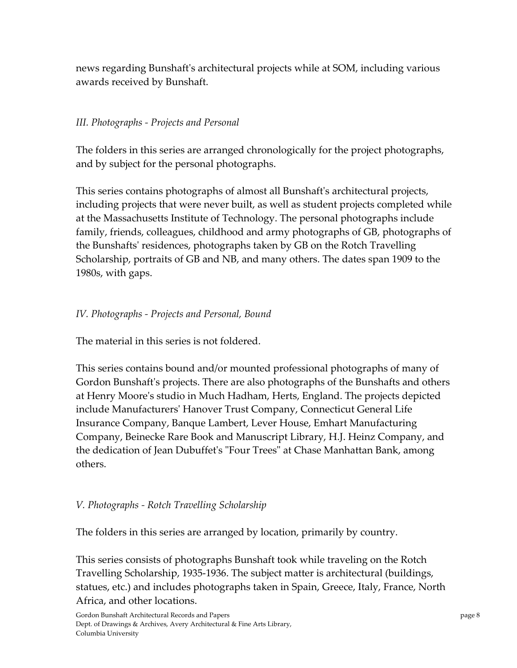news regarding Bunshaftʹs architectural projects while at SOM, including various awards received by Bunshaft.

## *III. Photographs ‐ Projects and Personal*

The folders in this series are arranged chronologically for the project photographs, and by subject for the personal photographs.

This series contains photographs of almost all Bunshaftʹs architectural projects, including projects that were never built, as well as student projects completed while at the Massachusetts Institute of Technology. The personal photographs include family, friends, colleagues, childhood and army photographs of GB, photographs of the Bunshaftsʹ residences, photographs taken by GB on the Rotch Travelling Scholarship, portraits of GB and NB, and many others. The dates span 1909 to the 1980s, with gaps.

## *IV. Photographs ‐ Projects and Personal, Bound*

The material in this series is not foldered.

This series contains bound and/or mounted professional photographs of many of Gordon Bunshaftʹs projects. There are also photographs of the Bunshafts and others at Henry Mooreʹs studio in Much Hadham, Herts, England. The projects depicted include Manufacturersʹ Hanover Trust Company, Connecticut General Life Insurance Company, Banque Lambert, Lever House, Emhart Manufacturing Company, Beinecke Rare Book and Manuscript Library, H.J. Heinz Company, and the dedication of Jean Dubuffet's "Four Trees" at Chase Manhattan Bank, among others.

## *V. Photographs ‐ Rotch Travelling Scholarship*

The folders in this series are arranged by location, primarily by country.

This series consists of photographs Bunshaft took while traveling on the Rotch Travelling Scholarship, 1935‐1936. The subject matter is architectural (buildings, statues, etc.) and includes photographs taken in Spain, Greece, Italy, France, North Africa, and other locations.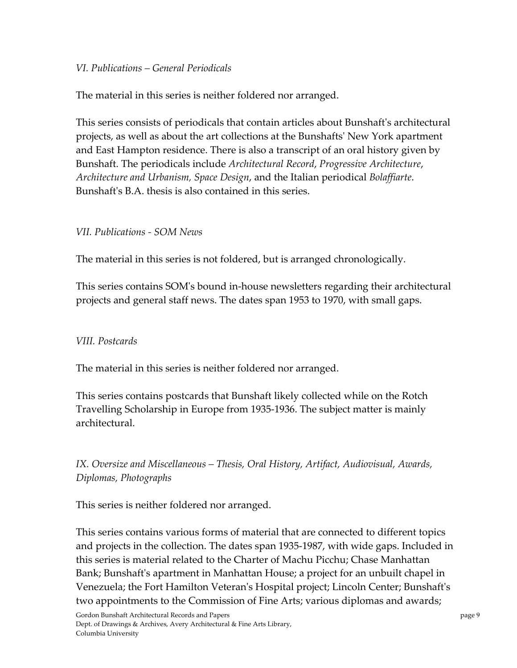#### *VI. Publications – General Periodicals*

The material in this series is neither foldered nor arranged.

This series consists of periodicals that contain articles about Bunshaftʹs architectural projects, as well as about the art collections at the Bunshaftsʹ New York apartment and East Hampton residence. There is also a transcript of an oral history given by Bunshaft. The periodicals include *Architectural Record*, *Progressive Architecture*, *Architecture and Urbanism, Space Design*, and the Italian periodical *Bolaffiarte*. Bunshaft's B.A. thesis is also contained in this series.

#### *VII. Publications ‐ SOM News*

The material in this series is not foldered, but is arranged chronologically.

This series contains SOMʹs bound in‐house newsletters regarding their architectural projects and general staff news. The dates span 1953 to 1970, with small gaps.

## *VIII. Postcards*

The material in this series is neither foldered nor arranged.

This series contains postcards that Bunshaft likely collected while on the Rotch Travelling Scholarship in Europe from 1935‐1936. The subject matter is mainly architectural.

*IX. Oversize and Miscellaneous – Thesis, Oral History, Artifact, Audiovisual, Awards, Diplomas, Photographs*

This series is neither foldered nor arranged.

This series contains various forms of material that are connected to different topics and projects in the collection. The dates span 1935‐1987, with wide gaps. Included in this series is material related to the Charter of Machu Picchu; Chase Manhattan Bank; Bunshaftʹs apartment in Manhattan House; a project for an unbuilt chapel in Venezuela; the Fort Hamilton Veteranʹs Hospital project; Lincoln Center; Bunshaftʹs two appointments to the Commission of Fine Arts; various diplomas and awards;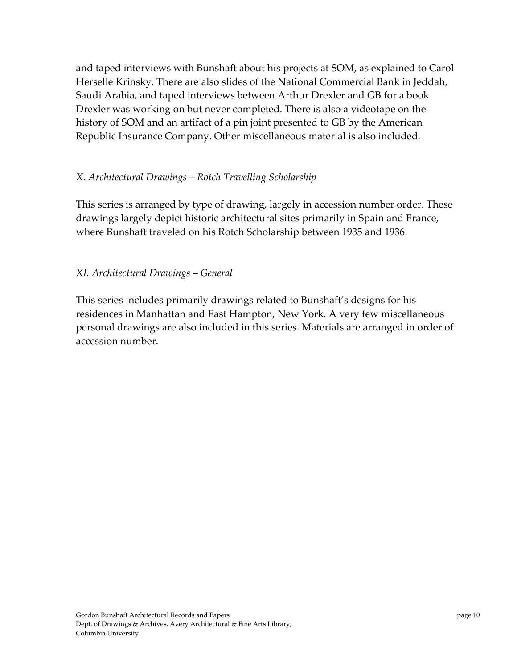and taped interviews with Bunshaft about his projects at SOM, as explained to Carol Herselle Krinsky. There are also slides of the National Commercial Bank in Jeddah, Saudi Arabia, and taped interviews between Arthur Drexler and GB for a book Drexler was working on but never completed. There is also a videotape on the history of SOM and an artifact of a pin joint presented to GB by the American Republic Insurance Company. Other miscellaneous material is also included.

## *X. Architectural Drawings – Rotch Travelling Scholarship*

This series is arranged by type of drawing, largely in accession number order. These drawings largely depict historic architectural sites primarily in Spain and France, where Bunshaft traveled on his Rotch Scholarship between 1935 and 1936.

## *XI. Architectural Drawings – General*

This series includes primarily drawings related to Bunshaft's designs for his residences in Manhattan and East Hampton, New York. A very few miscellaneous personal drawings are also included in this series. Materials are arranged in order of accession number.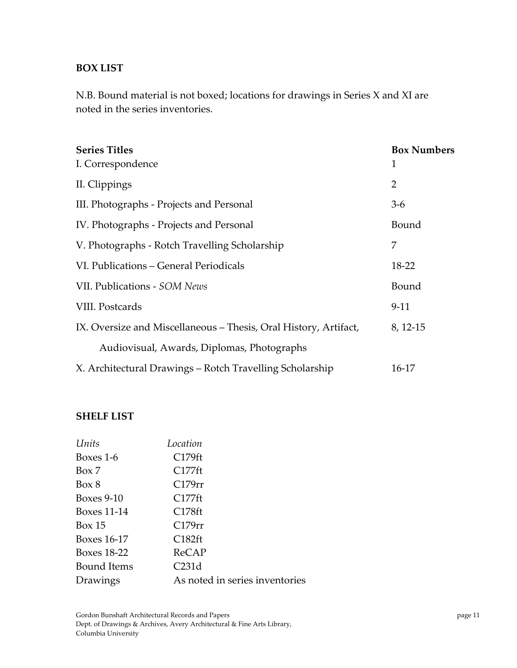#### **BOX LIST**

N.B. Bound material is not boxed; locations for drawings in Series X and XI are noted in the series inventories.

| <b>Series Titles</b><br>I. Correspondence                        | <b>Box Numbers</b><br>1 |
|------------------------------------------------------------------|-------------------------|
| II. Clippings                                                    | $\overline{2}$          |
| III. Photographs - Projects and Personal                         | $3-6$                   |
| IV. Photographs - Projects and Personal                          | Bound                   |
| V. Photographs - Rotch Travelling Scholarship                    | 7                       |
| VI. Publications - General Periodicals                           | 18-22                   |
| VII. Publications - SOM News                                     | Bound                   |
| VIII. Postcards                                                  | $9-11$                  |
| IX. Oversize and Miscellaneous – Thesis, Oral History, Artifact, | 8, 12-15                |
| Audiovisual, Awards, Diplomas, Photographs                       |                         |
| X. Architectural Drawings – Rotch Travelling Scholarship         | 16-17                   |

#### **SHELF LIST**

| Units             | Location                       |
|-------------------|--------------------------------|
| Boxes 1-6         | C179ft                         |
| Box 7             | C177ft                         |
| Box 8             | C179rr                         |
| <b>Boxes 9-10</b> | C177ft                         |
| Boxes 11-14       | C178ft                         |
| Box 15            | C179rr                         |
| Boxes 16-17       | C182ft                         |
| Boxes 18-22       | ReCAP                          |
| Bound Items       | C231d                          |
| Drawings          | As noted in series inventories |
|                   |                                |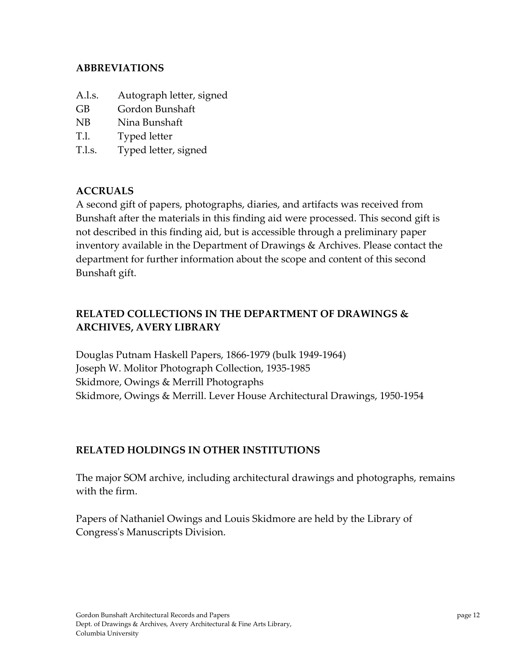#### **ABBREVIATIONS**

- A.l.s. Autograph letter, signed
- GB Gordon Bunshaft
- NB Nina Bunshaft
- T.l. Typed letter
- T.l.s. Typed letter, signed

## **ACCRUALS**

A second gift of papers, photographs, diaries, and artifacts was received from Bunshaft after the materials in this finding aid were processed. This second gift is not described in this finding aid, but is accessible through a preliminary paper inventory available in the Department of Drawings & Archives. Please contact the department for further information about the scope and content of this second Bunshaft gift.

# **RELATED COLLECTIONS IN THE DEPARTMENT OF DRAWINGS & ARCHIVES, AVERY LIBRARY**

Douglas Putnam Haskell Papers, 1866‐1979 (bulk 1949‐1964) Joseph W. Molitor Photograph Collection, 1935‐1985 Skidmore, Owings & Merrill Photographs Skidmore, Owings & Merrill. Lever House Architectural Drawings, 1950‐1954

## **RELATED HOLDINGS IN OTHER INSTITUTIONS**

The major SOM archive, including architectural drawings and photographs, remains with the firm.

Papers of Nathaniel Owings and Louis Skidmore are held by the Library of Congressʹs Manuscripts Division.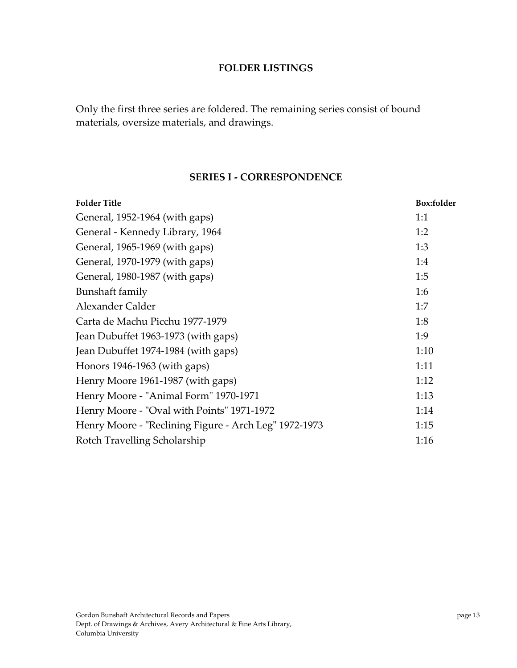#### **FOLDER LISTINGS**

Only the first three series are foldered. The remaining series consist of bound materials, oversize materials, and drawings.

#### **SERIES I ‐ CORRESPONDENCE**

| <b>Folder Title</b>                                   | <b>Box:folder</b> |
|-------------------------------------------------------|-------------------|
| General, 1952-1964 (with gaps)                        | 1:1               |
| General - Kennedy Library, 1964                       | 1:2               |
| General, 1965-1969 (with gaps)                        | 1:3               |
| General, 1970-1979 (with gaps)                        | 1:4               |
| General, 1980-1987 (with gaps)                        | 1:5               |
| Bunshaft family                                       | 1:6               |
| Alexander Calder                                      | 1:7               |
| Carta de Machu Picchu 1977-1979                       | 1:8               |
| Jean Dubuffet 1963-1973 (with gaps)                   | 1:9               |
| Jean Dubuffet 1974-1984 (with gaps)                   | 1:10              |
| Honors 1946-1963 (with gaps)                          | 1:11              |
| Henry Moore 1961-1987 (with gaps)                     | 1:12              |
| Henry Moore - "Animal Form" 1970-1971                 | 1:13              |
| Henry Moore - "Oval with Points" 1971-1972            | 1:14              |
| Henry Moore - "Reclining Figure - Arch Leg" 1972-1973 | 1:15              |
| Rotch Travelling Scholarship                          | 1:16              |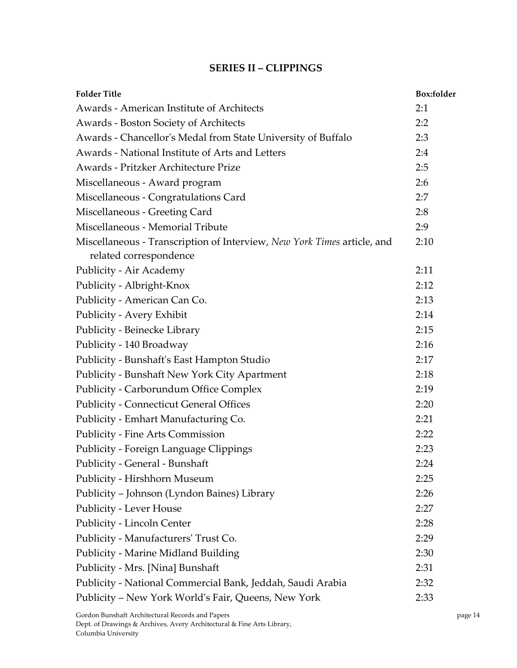#### **SERIES II – CLIPPINGS**

| <b>Folder Title</b>                                                                               | Box:folder |
|---------------------------------------------------------------------------------------------------|------------|
| <b>Awards - American Institute of Architects</b>                                                  | 2:1        |
| Awards - Boston Society of Architects                                                             | 2:2        |
| Awards - Chancellor's Medal from State University of Buffalo                                      | 2:3        |
| Awards - National Institute of Arts and Letters                                                   | 2:4        |
| Awards - Pritzker Architecture Prize                                                              | 2:5        |
| Miscellaneous - Award program                                                                     | 2:6        |
| Miscellaneous - Congratulations Card                                                              | 2:7        |
| Miscellaneous - Greeting Card                                                                     | 2:8        |
| Miscellaneous - Memorial Tribute                                                                  | 2:9        |
| Miscellaneous - Transcription of Interview, New York Times article, and<br>related correspondence | 2:10       |
| Publicity - Air Academy                                                                           | 2:11       |
| Publicity - Albright-Knox                                                                         | 2:12       |
| Publicity - American Can Co.                                                                      | 2:13       |
| Publicity - Avery Exhibit                                                                         | 2:14       |
| Publicity - Beinecke Library                                                                      | 2:15       |
| Publicity - 140 Broadway                                                                          | 2:16       |
| Publicity - Bunshaft's East Hampton Studio                                                        | 2:17       |
| Publicity - Bunshaft New York City Apartment                                                      | 2:18       |
| Publicity - Carborundum Office Complex                                                            | 2:19       |
| <b>Publicity - Connecticut General Offices</b>                                                    | 2:20       |
| Publicity - Emhart Manufacturing Co.                                                              | 2:21       |
| Publicity - Fine Arts Commission                                                                  | 2:22       |
| <b>Publicity - Foreign Language Clippings</b>                                                     | 2:23       |
| Publicity - General - Bunshaft                                                                    | 2:24       |
| Publicity - Hirshhorn Museum                                                                      | 2:25       |
| Publicity - Johnson (Lyndon Baines) Library                                                       | 2:26       |
| Publicity - Lever House                                                                           | 2:27       |
| Publicity - Lincoln Center                                                                        | 2:28       |
| Publicity - Manufacturers' Trust Co.                                                              | 2:29       |
| <b>Publicity - Marine Midland Building</b>                                                        | 2:30       |
| Publicity - Mrs. [Nina] Bunshaft                                                                  | 2:31       |
| Publicity - National Commercial Bank, Jeddah, Saudi Arabia                                        | 2:32       |
| Publicity - New York World's Fair, Queens, New York                                               | 2:33       |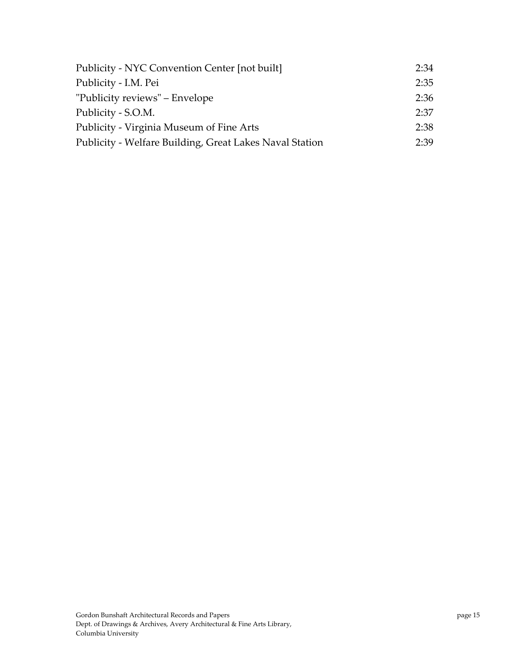| Publicity - NYC Convention Center [not built]           | 2:34 |
|---------------------------------------------------------|------|
| Publicity - I.M. Pei                                    | 2:35 |
| "Publicity reviews" – Envelope                          | 2:36 |
| Publicity - S.O.M.                                      | 2:37 |
| Publicity - Virginia Museum of Fine Arts                | 2:38 |
| Publicity - Welfare Building, Great Lakes Naval Station | 2:39 |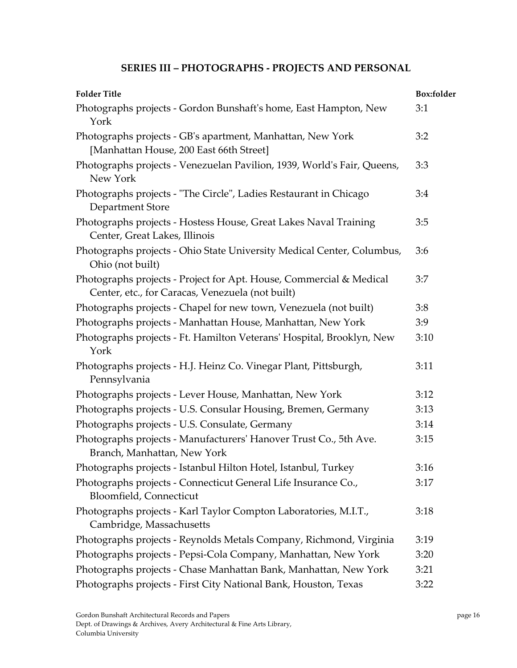## **SERIES III – PHOTOGRAPHS ‐ PROJECTS AND PERSONAL**

| <b>Folder Title</b>                                                                                                     | Box:folder |
|-------------------------------------------------------------------------------------------------------------------------|------------|
| Photographs projects - Gordon Bunshaft's home, East Hampton, New<br>York                                                | 3:1        |
| Photographs projects - GB's apartment, Manhattan, New York<br>[Manhattan House, 200 East 66th Street]                   | 3:2        |
| Photographs projects - Venezuelan Pavilion, 1939, World's Fair, Queens,<br>New York                                     | 3:3        |
| Photographs projects - "The Circle", Ladies Restaurant in Chicago<br>Department Store                                   | 3:4        |
| Photographs projects - Hostess House, Great Lakes Naval Training<br>Center, Great Lakes, Illinois                       | 3:5        |
| Photographs projects - Ohio State University Medical Center, Columbus,<br>Ohio (not built)                              | 3:6        |
| Photographs projects - Project for Apt. House, Commercial & Medical<br>Center, etc., for Caracas, Venezuela (not built) | 3:7        |
| Photographs projects - Chapel for new town, Venezuela (not built)                                                       | 3:8        |
| Photographs projects - Manhattan House, Manhattan, New York                                                             | 3:9        |
| Photographs projects - Ft. Hamilton Veterans' Hospital, Brooklyn, New<br>York                                           | 3:10       |
| Photographs projects - H.J. Heinz Co. Vinegar Plant, Pittsburgh,<br>Pennsylvania                                        | 3:11       |
| Photographs projects - Lever House, Manhattan, New York                                                                 | 3:12       |
| Photographs projects - U.S. Consular Housing, Bremen, Germany                                                           | 3:13       |
| Photographs projects - U.S. Consulate, Germany                                                                          | 3:14       |
| Photographs projects - Manufacturers' Hanover Trust Co., 5th Ave.<br>Branch, Manhattan, New York                        | 3:15       |
| Photographs projects - Istanbul Hilton Hotel, Istanbul, Turkey                                                          | 3:16       |
| Photographs projects - Connecticut General Life Insurance Co.,<br>Bloomfield, Connecticut                               | 3:17       |
| Photographs projects - Karl Taylor Compton Laboratories, M.I.T.,<br>Cambridge, Massachusetts                            | 3:18       |
| Photographs projects - Reynolds Metals Company, Richmond, Virginia                                                      | 3:19       |
| Photographs projects - Pepsi-Cola Company, Manhattan, New York                                                          | 3:20       |
| Photographs projects - Chase Manhattan Bank, Manhattan, New York                                                        | 3:21       |
| Photographs projects - First City National Bank, Houston, Texas                                                         | 3:22       |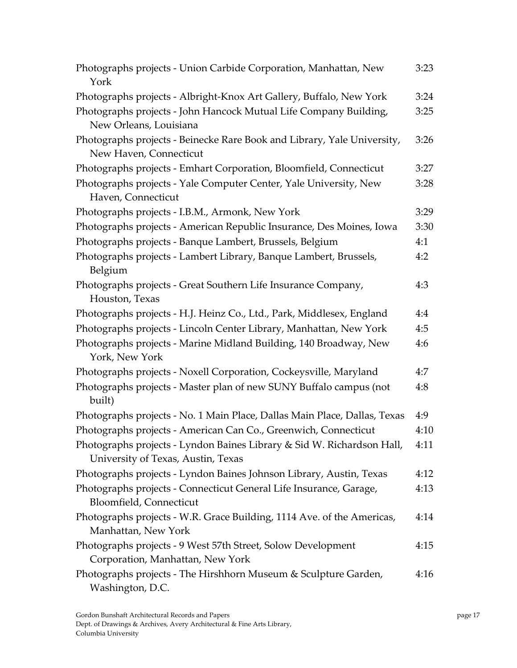| Photographs projects - Union Carbide Corporation, Manhattan, New<br>York                                     | 3:23 |
|--------------------------------------------------------------------------------------------------------------|------|
| Photographs projects - Albright-Knox Art Gallery, Buffalo, New York                                          | 3:24 |
| Photographs projects - John Hancock Mutual Life Company Building,<br>New Orleans, Louisiana                  | 3:25 |
| Photographs projects - Beinecke Rare Book and Library, Yale University,<br>New Haven, Connecticut            | 3:26 |
| Photographs projects - Emhart Corporation, Bloomfield, Connecticut                                           | 3:27 |
| Photographs projects - Yale Computer Center, Yale University, New<br>Haven, Connecticut                      | 3:28 |
| Photographs projects - I.B.M., Armonk, New York                                                              | 3:29 |
| Photographs projects - American Republic Insurance, Des Moines, Iowa                                         | 3:30 |
| Photographs projects - Banque Lambert, Brussels, Belgium                                                     | 4:1  |
| Photographs projects - Lambert Library, Banque Lambert, Brussels,<br>Belgium                                 | 4:2  |
| Photographs projects - Great Southern Life Insurance Company,<br>Houston, Texas                              | 4:3  |
| Photographs projects - H.J. Heinz Co., Ltd., Park, Middlesex, England                                        | 4:4  |
| Photographs projects - Lincoln Center Library, Manhattan, New York                                           | 4:5  |
| Photographs projects - Marine Midland Building, 140 Broadway, New<br>York, New York                          | 4:6  |
| Photographs projects - Noxell Corporation, Cockeysville, Maryland                                            | 4:7  |
| Photographs projects - Master plan of new SUNY Buffalo campus (not<br>built)                                 | 4:8  |
| Photographs projects - No. 1 Main Place, Dallas Main Place, Dallas, Texas                                    | 4:9  |
| Photographs projects - American Can Co., Greenwich, Connecticut                                              | 4:10 |
| Photographs projects - Lyndon Baines Library & Sid W. Richardson Hall,<br>University of Texas, Austin, Texas | 4:11 |
| Photographs projects - Lyndon Baines Johnson Library, Austin, Texas                                          | 4:12 |
| Photographs projects - Connecticut General Life Insurance, Garage,<br>Bloomfield, Connecticut                | 4:13 |
| Photographs projects - W.R. Grace Building, 1114 Ave. of the Americas,<br>Manhattan, New York                | 4:14 |
| Photographs projects - 9 West 57th Street, Solow Development<br>Corporation, Manhattan, New York             | 4:15 |
| Photographs projects - The Hirshhorn Museum & Sculpture Garden,<br>Washington, D.C.                          | 4:16 |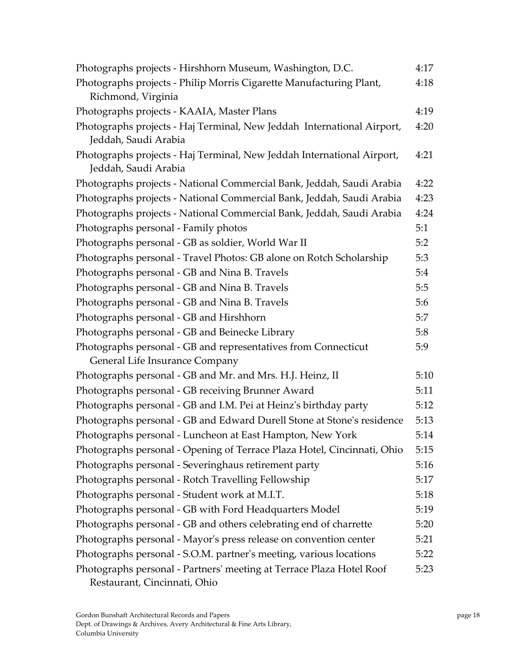| Photographs projects - Hirshhorn Museum, Washington, D.C.                                            | 4:17 |
|------------------------------------------------------------------------------------------------------|------|
| Photographs projects - Philip Morris Cigarette Manufacturing Plant,                                  | 4:18 |
| Richmond, Virginia                                                                                   |      |
| Photographs projects - KAAIA, Master Plans                                                           | 4:19 |
| Photographs projects - Haj Terminal, New Jeddah International Airport,                               | 4:20 |
| Jeddah, Saudi Arabia                                                                                 |      |
| Photographs projects - Haj Terminal, New Jeddah International Airport,<br>Jeddah, Saudi Arabia       | 4:21 |
| Photographs projects - National Commercial Bank, Jeddah, Saudi Arabia                                | 4:22 |
| Photographs projects - National Commercial Bank, Jeddah, Saudi Arabia                                | 4:23 |
| Photographs projects - National Commercial Bank, Jeddah, Saudi Arabia                                | 4:24 |
| Photographs personal - Family photos                                                                 | 5:1  |
| Photographs personal - GB as soldier, World War II                                                   | 5:2  |
| Photographs personal - Travel Photos: GB alone on Rotch Scholarship                                  | 5:3  |
| Photographs personal - GB and Nina B. Travels                                                        | 5:4  |
| Photographs personal - GB and Nina B. Travels                                                        | 5:5  |
| Photographs personal - GB and Nina B. Travels                                                        | 5:6  |
| Photographs personal - GB and Hirshhorn                                                              | 5:7  |
| Photographs personal - GB and Beinecke Library                                                       | 5:8  |
| Photographs personal - GB and representatives from Connecticut                                       | 5:9  |
| General Life Insurance Company                                                                       |      |
| Photographs personal - GB and Mr. and Mrs. H.J. Heinz, II                                            | 5:10 |
| Photographs personal - GB receiving Brunner Award                                                    | 5:11 |
| Photographs personal - GB and I.M. Pei at Heinz's birthday party                                     | 5:12 |
| Photographs personal - GB and Edward Durell Stone at Stone's residence                               | 5:13 |
| Photographs personal - Luncheon at East Hampton, New York                                            | 5:14 |
| Photographs personal - Opening of Terrace Plaza Hotel, Cincinnati, Ohio                              | 5:15 |
| Photographs personal - Severinghaus retirement party                                                 | 5:16 |
| Photographs personal - Rotch Travelling Fellowship                                                   | 5:17 |
| Photographs personal - Student work at M.I.T.                                                        | 5:18 |
| Photographs personal - GB with Ford Headquarters Model                                               | 5:19 |
| Photographs personal - GB and others celebrating end of charrette                                    | 5:20 |
| Photographs personal - Mayor's press release on convention center                                    | 5:21 |
| Photographs personal - S.O.M. partner's meeting, various locations                                   | 5:22 |
| Photographs personal - Partners' meeting at Terrace Plaza Hotel Roof<br>Restaurant, Cincinnati, Ohio | 5:23 |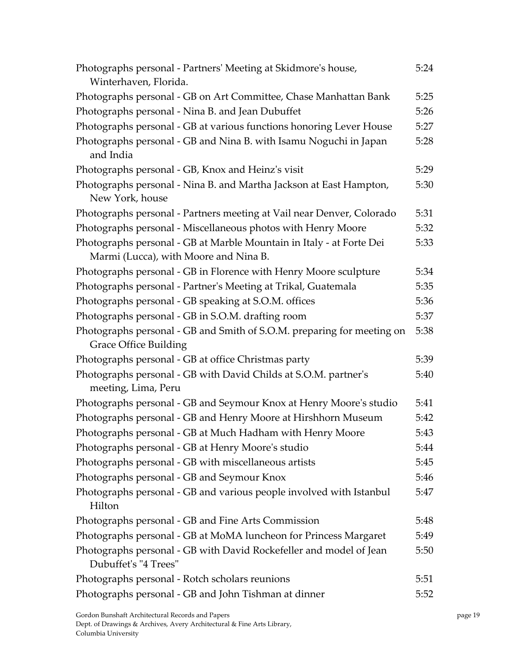| Photographs personal - Partners' Meeting at Skidmore's house,<br>Winterhaven, Florida.                        | 5:24 |
|---------------------------------------------------------------------------------------------------------------|------|
| Photographs personal - GB on Art Committee, Chase Manhattan Bank                                              | 5:25 |
| Photographs personal - Nina B. and Jean Dubuffet                                                              | 5:26 |
| Photographs personal - GB at various functions honoring Lever House                                           | 5:27 |
| Photographs personal - GB and Nina B. with Isamu Noguchi in Japan<br>and India                                | 5:28 |
| Photographs personal - GB, Knox and Heinz's visit                                                             | 5:29 |
| Photographs personal - Nina B. and Martha Jackson at East Hampton,<br>New York, house                         | 5:30 |
| Photographs personal - Partners meeting at Vail near Denver, Colorado                                         | 5:31 |
| Photographs personal - Miscellaneous photos with Henry Moore                                                  | 5:32 |
| Photographs personal - GB at Marble Mountain in Italy - at Forte Dei<br>Marmi (Lucca), with Moore and Nina B. | 5:33 |
| Photographs personal - GB in Florence with Henry Moore sculpture                                              | 5:34 |
| Photographs personal - Partner's Meeting at Trikal, Guatemala                                                 | 5:35 |
| Photographs personal - GB speaking at S.O.M. offices                                                          | 5:36 |
| Photographs personal - GB in S.O.M. drafting room                                                             | 5:37 |
| Photographs personal - GB and Smith of S.O.M. preparing for meeting on<br><b>Grace Office Building</b>        | 5:38 |
| Photographs personal - GB at office Christmas party                                                           | 5:39 |
| Photographs personal - GB with David Childs at S.O.M. partner's<br>meeting, Lima, Peru                        | 5:40 |
| Photographs personal - GB and Seymour Knox at Henry Moore's studio                                            | 5:41 |
| Photographs personal - GB and Henry Moore at Hirshhorn Museum                                                 | 5:42 |
| Photographs personal - GB at Much Hadham with Henry Moore                                                     | 5:43 |
| Photographs personal - GB at Henry Moore's studio                                                             | 5:44 |
| Photographs personal - GB with miscellaneous artists                                                          | 5:45 |
| Photographs personal - GB and Seymour Knox                                                                    | 5:46 |
| Photographs personal - GB and various people involved with Istanbul<br>Hilton                                 | 5:47 |
| Photographs personal - GB and Fine Arts Commission                                                            | 5:48 |
| Photographs personal - GB at MoMA luncheon for Princess Margaret                                              | 5:49 |
| Photographs personal - GB with David Rockefeller and model of Jean<br>Dubuffet's "4 Trees"                    | 5:50 |
| Photographs personal - Rotch scholars reunions                                                                | 5:51 |
| Photographs personal - GB and John Tishman at dinner                                                          | 5:52 |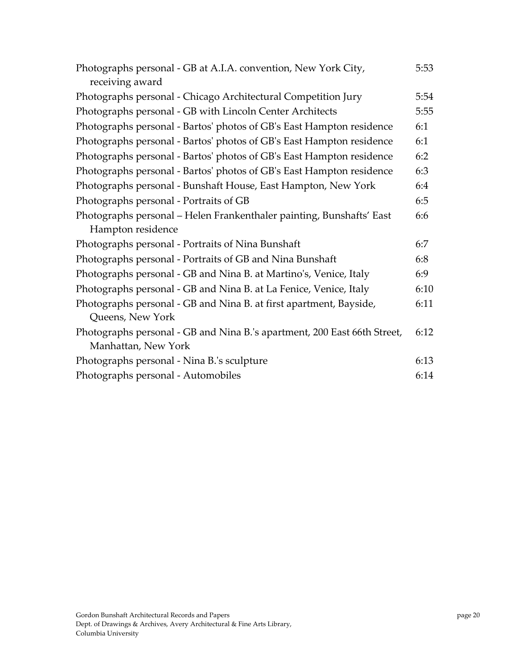| Photographs personal - GB at A.I.A. convention, New York City,<br>receiving award | 5:53 |
|-----------------------------------------------------------------------------------|------|
| Photographs personal - Chicago Architectural Competition Jury                     | 5:54 |
| Photographs personal - GB with Lincoln Center Architects                          | 5:55 |
| Photographs personal - Bartos' photos of GB's East Hampton residence              | 6:1  |
| Photographs personal - Bartos' photos of GB's East Hampton residence              | 6:1  |
| Photographs personal - Bartos' photos of GB's East Hampton residence              | 6:2  |
| Photographs personal - Bartos' photos of GB's East Hampton residence              | 6:3  |
| Photographs personal - Bunshaft House, East Hampton, New York                     | 6:4  |
| Photographs personal - Portraits of GB                                            | 6:5  |
| Photographs personal - Helen Frankenthaler painting, Bunshafts' East              | 6:6  |
| Hampton residence                                                                 |      |
| Photographs personal - Portraits of Nina Bunshaft                                 | 6:7  |
| Photographs personal - Portraits of GB and Nina Bunshaft                          | 6:8  |
| Photographs personal - GB and Nina B. at Martino's, Venice, Italy                 | 6:9  |
| Photographs personal - GB and Nina B. at La Fenice, Venice, Italy                 | 6:10 |
| Photographs personal - GB and Nina B. at first apartment, Bayside,                | 6:11 |
| Queens, New York                                                                  |      |
| Photographs personal - GB and Nina B.'s apartment, 200 East 66th Street,          | 6:12 |
| Manhattan, New York                                                               |      |
| Photographs personal - Nina B.'s sculpture                                        | 6:13 |
| Photographs personal - Automobiles                                                | 6:14 |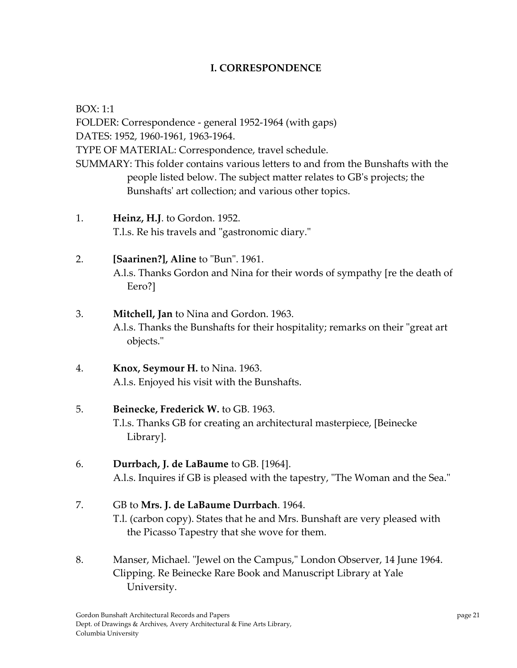## **I. CORRESPONDENCE**

BOX: 1:1

FOLDER: Correspondence ‐ general 1952‐1964 (with gaps) DATES: 1952, 1960‐1961, 1963‐1964. TYPE OF MATERIAL: Correspondence, travel schedule. SUMMARY: This folder contains various letters to and from the Bunshafts with the people listed below. The subject matter relates to GBʹs projects; the Bunshafts' art collection; and various other topics.

1. **Heinz, H.J**. to Gordon. 1952. T.l.s. Re his travels and "gastronomic diary."

# 2. **[Saarinen?], Aline** to "Bun". 1961. A.l.s. Thanks Gordon and Nina for their words of sympathy [re the death of Eero?]

# 3. **Mitchell, Jan** to Nina and Gordon. 1963. A.l.s. Thanks the Bunshafts for their hospitality; remarks on their "great art" objects.ʺ

4. **Knox, Seymour H.** to Nina. 1963. A.l.s. Enjoyed his visit with the Bunshafts.

# 5. **Beinecke, Frederick W.** to GB. 1963.

T.l.s. Thanks GB for creating an architectural masterpiece, [Beinecke Library].

## 6. **Durrbach, J. de LaBaume** to GB. [1964]. A.l.s. Inquires if GB is pleased with the tapestry, "The Woman and the Sea."

## 7. GB to **Mrs. J. de LaBaume Durrbach**. 1964. T.l. (carbon copy). States that he and Mrs. Bunshaft are very pleased with the Picasso Tapestry that she wove for them.

8. Manser, Michael. "Jewel on the Campus," London Observer, 14 June 1964. Clipping. Re Beinecke Rare Book and Manuscript Library at Yale University.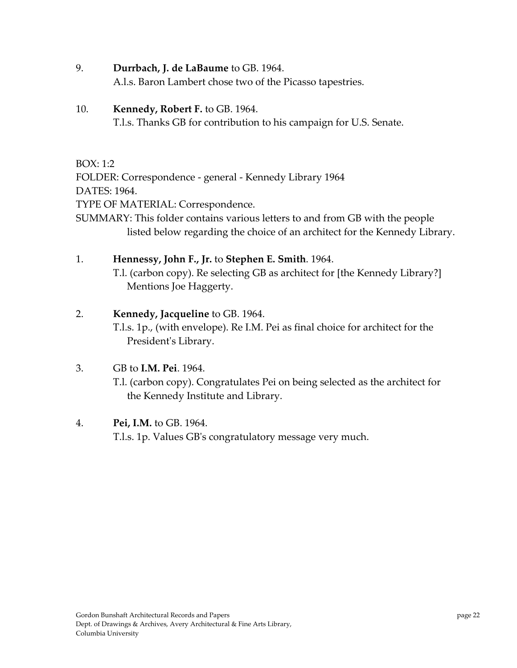9. **Durrbach, J. de LaBaume** to GB. 1964.

A.l.s. Baron Lambert chose two of the Picasso tapestries.

## 10. **Kennedy, Robert F.** to GB. 1964.

T.l.s. Thanks GB for contribution to his campaign for U.S. Senate.

## BOX: 1:2

FOLDER: Correspondence ‐ general ‐ Kennedy Library 1964 DATES: 1964.

TYPE OF MATERIAL: Correspondence.

SUMMARY: This folder contains various letters to and from GB with the people listed below regarding the choice of an architect for the Kennedy Library.

## 1. **Hennessy, John F., Jr.** to **Stephen E. Smith**. 1964.

T.l. (carbon copy). Re selecting GB as architect for [the Kennedy Library?] Mentions Joe Haggerty.

## 2. **Kennedy, Jacqueline** to GB. 1964.

T.l.s. 1p., (with envelope). Re I.M. Pei as final choice for architect for the President's Library.

# 3. GB to **I.M. Pei**. 1964.

T.l. (carbon copy). Congratulates Pei on being selected as the architect for the Kennedy Institute and Library.

## 4. **Pei, I.M.** to GB. 1964.

T.l.s. 1p. Values GBʹs congratulatory message very much.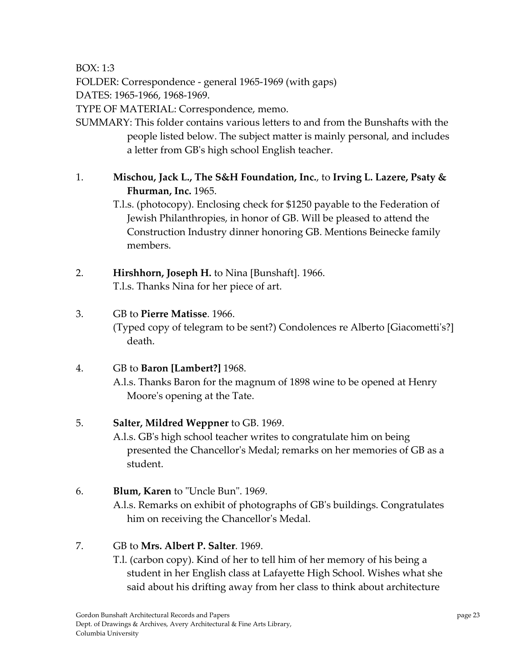BOX: 1:3

FOLDER: Correspondence ‐ general 1965‐1969 (with gaps)

DATES: 1965‐1966, 1968‐1969.

TYPE OF MATERIAL: Correspondence, memo.

SUMMARY: This folder contains various letters to and from the Bunshafts with the people listed below. The subject matter is mainly personal, and includes a letter from GBʹs high school English teacher.

# 1. **Mischou, Jack L., The S&H Foundation, Inc.**, to **Irving L. Lazere, Psaty & Fhurman, Inc.** 1965.

T.l.s. (photocopy). Enclosing check for \$1250 payable to the Federation of Jewish Philanthropies, in honor of GB. Will be pleased to attend the Construction Industry dinner honoring GB. Mentions Beinecke family members.

2. **Hirshhorn, Joseph H.** to Nina [Bunshaft]. 1966. T.l.s. Thanks Nina for her piece of art.

# 3. GB to **Pierre Matisse**. 1966.

(Typed copy of telegram to be sent?) Condolences re Alberto [Giacomettiʹs?] death.

# 4. GB to **Baron [Lambert?]** 1968.

A.l.s. Thanks Baron for the magnum of 1898 wine to be opened at Henry Moore's opening at the Tate.

## 5. **Salter, Mildred Weppner** to GB. 1969.

A.l.s. GBʹs high school teacher writes to congratulate him on being presented the Chancellorʹs Medal; remarks on her memories of GB as a student.

## 6. **Blum, Karen** to "Uncle Bun". 1969.

A.l.s. Remarks on exhibit of photographs of GBʹs buildings. Congratulates him on receiving the Chancellor's Medal.

# 7. GB to **Mrs. Albert P. Salter**. 1969.

T.l. (carbon copy). Kind of her to tell him of her memory of his being a student in her English class at Lafayette High School. Wishes what she said about his drifting away from her class to think about architecture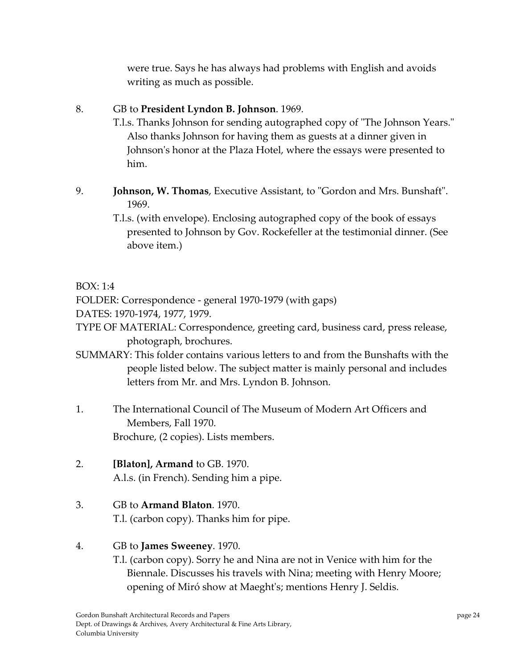were true. Says he has always had problems with English and avoids writing as much as possible.

## 8. GB to **President Lyndon B. Johnson**. 1969.

- T.l.s. Thanks Johnson for sending autographed copy of "The Johnson Years." Also thanks Johnson for having them as guests at a dinner given in Johnson's honor at the Plaza Hotel, where the essays were presented to him.
- 9. **Johnson, W. Thomas**, Executive Assistant, to "Gordon and Mrs. Bunshaft". 1969.
	- T.l.s. (with envelope). Enclosing autographed copy of the book of essays presented to Johnson by Gov. Rockefeller at the testimonial dinner. (See above item.)

## BOX: 1:4

FOLDER: Correspondence ‐ general 1970‐1979 (with gaps)

DATES: 1970‐1974, 1977, 1979.

TYPE OF MATERIAL: Correspondence, greeting card, business card, press release, photograph, brochures.

- SUMMARY: This folder contains various letters to and from the Bunshafts with the people listed below. The subject matter is mainly personal and includes letters from Mr. and Mrs. Lyndon B. Johnson.
- 1. The International Council of The Museum of Modern Art Officers and Members, Fall 1970. Brochure, (2 copies). Lists members.
- 2. **[Blaton], Armand** to GB. 1970. A.l.s. (in French). Sending him a pipe.
- 3. GB to **Armand Blaton**. 1970. T.l. (carbon copy). Thanks him for pipe.

## 4. GB to **James Sweeney**. 1970.

T.l. (carbon copy). Sorry he and Nina are not in Venice with him for the Biennale. Discusses his travels with Nina; meeting with Henry Moore; opening of Miró show at Maeghtʹs; mentions Henry J. Seldis.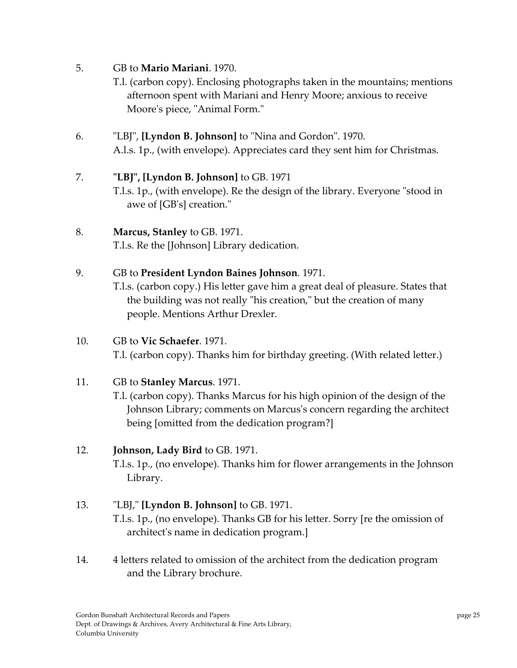- 5. GB to **Mario Mariani**. 1970.
	- T.l. (carbon copy). Enclosing photographs taken in the mountains; mentions afternoon spent with Mariani and Henry Moore; anxious to receive Moore's piece, "Animal Form."
- 6. ʺLBJʺ, **[Lyndon B. Johnson]** to ʺNina and Gordonʺ. 1970. A.l.s. 1p., (with envelope). Appreciates card they sent him for Christmas.
- 7. **ʺLBJʺ, [Lyndon B. Johnson]** to GB. 1971 T.l.s. 1p., (with envelope). Re the design of the library. Everyone "stood in awe of [GB's] creation."
- 8. **Marcus, Stanley** to GB. 1971. T.l.s. Re the [Johnson] Library dedication.
- 9. GB to **President Lyndon Baines Johnson**. 1971. T.l.s. (carbon copy.) His letter gave him a great deal of pleasure. States that the building was not really "his creation," but the creation of many people. Mentions Arthur Drexler.
- 10. GB to **Vic Schaefer**. 1971. T.l. (carbon copy). Thanks him for birthday greeting. (With related letter.)
- 11. GB to **Stanley Marcus**. 1971.
	- T.l. (carbon copy). Thanks Marcus for his high opinion of the design of the Johnson Library; comments on Marcusʹs concern regarding the architect being [omitted from the dedication program?]

# 12. **Johnson, Lady Bird** to GB. 1971.

T.l.s. 1p., (no envelope). Thanks him for flower arrangements in the Johnson Library.

# 13. ʺLBJ,ʺ **[Lyndon B. Johnson]** to GB. 1971.

T.l.s. 1p., (no envelope). Thanks GB for his letter. Sorry [re the omission of architectʹs name in dedication program.]

14. 4 letters related to omission of the architect from the dedication program and the Library brochure.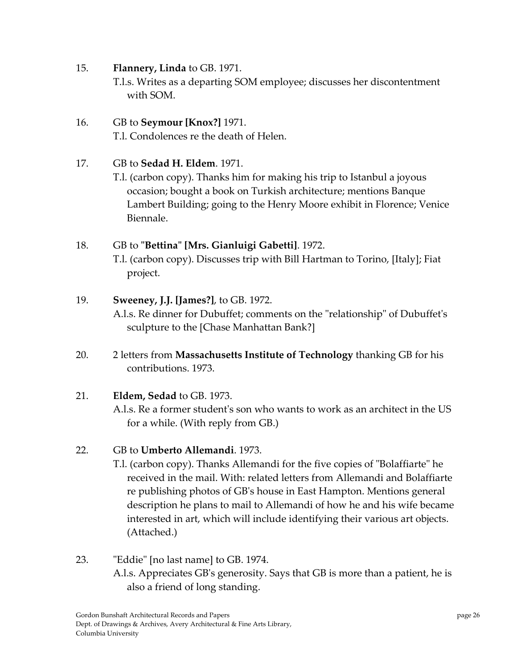- 15. **Flannery, Linda** to GB. 1971. T.l.s. Writes as a departing SOM employee; discusses her discontentment with SOM.
- 16. GB to **Seymour [Knox?]** 1971. T.l. Condolences re the death of Helen.

#### 17. GB to **Sedad H. Eldem**. 1971.

T.l. (carbon copy). Thanks him for making his trip to Istanbul a joyous occasion; bought a book on Turkish architecture; mentions Banque Lambert Building; going to the Henry Moore exhibit in Florence; Venice Biennale.

## 18. GB to **ʺBettinaʺ [Mrs. Gianluigi Gabetti]**. 1972.

T.l. (carbon copy). Discusses trip with Bill Hartman to Torino, [Italy]; Fiat project.

#### 19. **Sweeney, J.J. [James?]**, to GB. 1972.

A.l.s. Re dinner for Dubuffet; comments on the "relationship" of Dubuffet's sculpture to the [Chase Manhattan Bank?]

20. 2 letters from **Massachusetts Institute of Technology** thanking GB for his contributions. 1973.

## 21. **Eldem, Sedad** to GB. 1973.

A.l.s. Re a former studentʹs son who wants to work as an architect in the US for a while. (With reply from GB.)

## 22. GB to **Umberto Allemandi**. 1973.

T.l. (carbon copy). Thanks Allemandi for the five copies of "Bolaffiarte" he received in the mail. With: related letters from Allemandi and Bolaffiarte re publishing photos of GBʹs house in East Hampton. Mentions general description he plans to mail to Allemandi of how he and his wife became interested in art, which will include identifying their various art objects. (Attached.)

## 23. ʺEddieʺ [no last name] to GB. 1974. A.l.s. Appreciates GBʹs generosity. Says that GB is more than a patient, he is also a friend of long standing.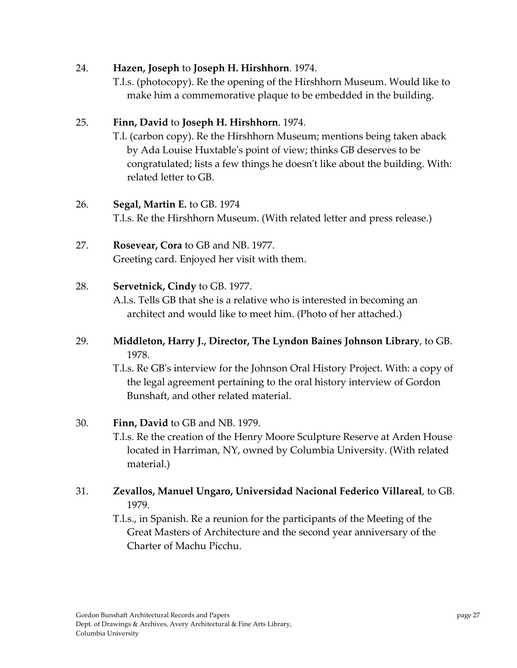#### 24. **Hazen, Joseph** to **Joseph H. Hirshhorn**. 1974.

T.l.s. (photocopy). Re the opening of the Hirshhorn Museum. Would like to make him a commemorative plaque to be embedded in the building.

#### 25. **Finn, David** to **Joseph H. Hirshhorn**. 1974.

T.l. (carbon copy). Re the Hirshhorn Museum; mentions being taken aback by Ada Louise Huxtableʹs point of view; thinks GB deserves to be congratulated; lists a few things he doesn't like about the building. With: related letter to GB.

#### 26. **Segal, Martin E.** to GB. 1974

T.l.s. Re the Hirshhorn Museum. (With related letter and press release.)

# 27. **Rosevear, Cora** to GB and NB. 1977.

Greeting card. Enjoyed her visit with them.

#### 28. **Servetnick, Cindy** to GB. 1977.

A.l.s. Tells GB that she is a relative who is interested in becoming an architect and would like to meet him. (Photo of her attached.)

## 29. **Middleton, Harry J., Director, The Lyndon Baines Johnson Library**, to GB. 1978.

T.l.s. Re GBʹs interview for the Johnson Oral History Project. With: a copy of the legal agreement pertaining to the oral history interview of Gordon Bunshaft, and other related material.

#### 30. **Finn, David** to GB and NB. 1979.

T.l.s. Re the creation of the Henry Moore Sculpture Reserve at Arden House located in Harriman, NY, owned by Columbia University. (With related material.)

## 31. **Zevallos, Manuel Ungaro, Universidad Nacional Federico Villareal**, to GB. 1979.

T.l.s., in Spanish. Re a reunion for the participants of the Meeting of the Great Masters of Architecture and the second year anniversary of the Charter of Machu Picchu.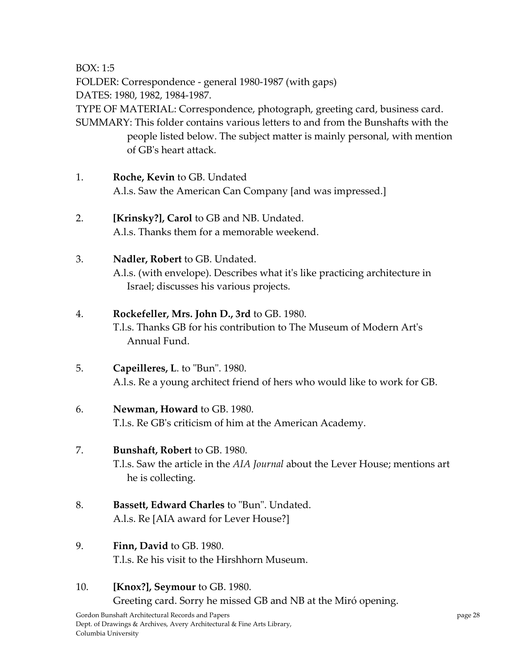BOX: 1:5

FOLDER: Correspondence ‐ general 1980‐1987 (with gaps)

DATES: 1980, 1982, 1984‐1987.

TYPE OF MATERIAL: Correspondence, photograph, greeting card, business card. SUMMARY: This folder contains various letters to and from the Bunshafts with the

people listed below. The subject matter is mainly personal, with mention of GBʹs heart attack.

- 1. **Roche, Kevin** to GB. Undated A.l.s. Saw the American Can Company [and was impressed.]
- 2. **[Krinsky?], Carol** to GB and NB. Undated. A.l.s. Thanks them for a memorable weekend.
- 3. **Nadler, Robert** to GB. Undated. A.l.s. (with envelope). Describes what itʹs like practicing architecture in Israel; discusses his various projects.

# 4. **Rockefeller, Mrs. John D., 3rd** to GB. 1980.

T.l.s. Thanks GB for his contribution to The Museum of Modern Artʹs Annual Fund.

5. **Capeilleres, L. to "Bun". 1980.** A.l.s. Re a young architect friend of hers who would like to work for GB.

# 6. **Newman, Howard** to GB. 1980.

T.l.s. Re GBʹs criticism of him at the American Academy.

## 7. **Bunshaft, Robert** to GB. 1980.

T.l.s. Saw the article in the *AIA Journal* about the Lever House; mentions art he is collecting.

- 8. **Bassett, Edward Charles** to "Bun". Undated. A.l.s. Re [AIA award for Lever House?]
- 9. **Finn, David** to GB. 1980. T.l.s. Re his visit to the Hirshhorn Museum.
- 10. **[Knox?], Seymour** to GB. 1980. Greeting card. Sorry he missed GB and NB at the Miró opening.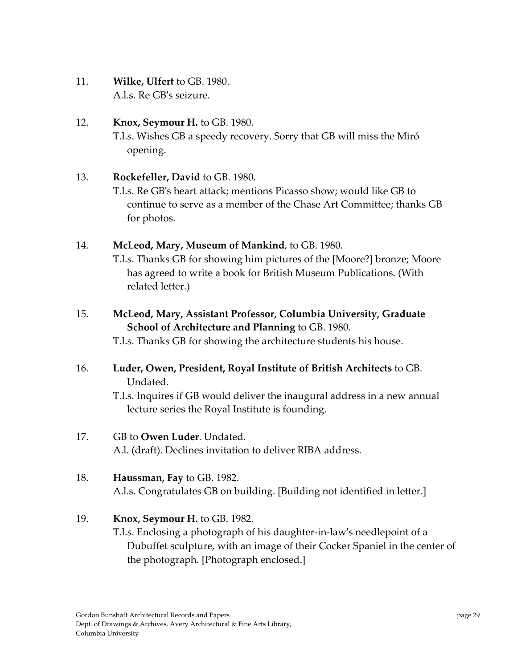11. **Wilke, Ulfert** to GB. 1980. A.l.s. Re GBʹs seizure.

# 12. **Knox, Seymour H.** to GB. 1980. T.l.s. Wishes GB a speedy recovery. Sorry that GB will miss the Miró opening.

# 13. **Rockefeller, David** to GB. 1980.

T.l.s. Re GBʹs heart attack; mentions Picasso show; would like GB to continue to serve as a member of the Chase Art Committee; thanks GB for photos.

#### 14. **McLeod, Mary, Museum of Mankind**, to GB. 1980.

T.l.s. Thanks GB for showing him pictures of the [Moore?] bronze; Moore has agreed to write a book for British Museum Publications. (With related letter.)

# 15. **McLeod, Mary, Assistant Professor, Columbia University, Graduate School of Architecture and Planning** to GB. 1980.

T.l.s. Thanks GB for showing the architecture students his house.

## 16. **Luder, Owen, President, Royal Institute of British Architects** to GB. Undated.

T.l.s. Inquires if GB would deliver the inaugural address in a new annual lecture series the Royal Institute is founding.

#### 17. GB to **Owen Luder**. Undated.

A.l. (draft). Declines invitation to deliver RIBA address.

## 18. **Haussman, Fay** to GB. 1982.

A.l.s. Congratulates GB on building. [Building not identified in letter.]

## 19. **Knox, Seymour H.** to GB. 1982.

T.l.s. Enclosing a photograph of his daughter‐in‐lawʹs needlepoint of a Dubuffet sculpture, with an image of their Cocker Spaniel in the center of the photograph. [Photograph enclosed.]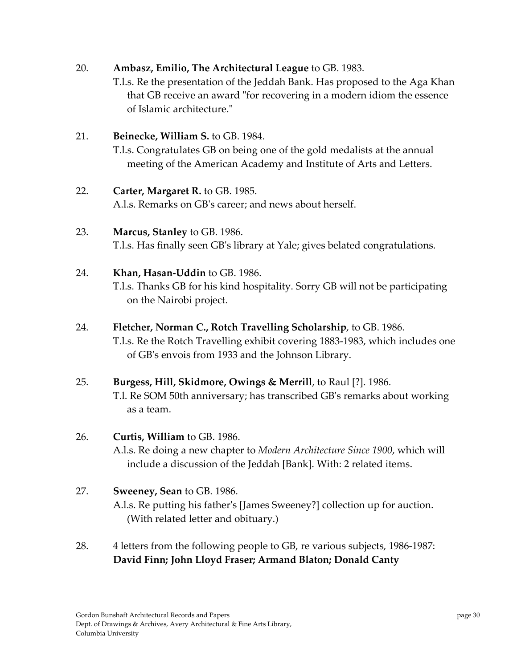## 20. **Ambasz, Emilio, The Architectural League** to GB. 1983.

T.l.s. Re the presentation of the Jeddah Bank. Has proposed to the Aga Khan that GB receive an award "for recovering in a modern idiom the essence of Islamic architecture."

#### 21. **Beinecke, William S.** to GB. 1984.

T.l.s. Congratulates GB on being one of the gold medalists at the annual meeting of the American Academy and Institute of Arts and Letters.

#### 22. **Carter, Margaret R.** to GB. 1985.

A.l.s. Remarks on GBʹs career; and news about herself.

# 23. **Marcus, Stanley** to GB. 1986. T.l.s. Has finally seen GBʹs library at Yale; gives belated congratulations.

#### 24. **Khan, Hasan‐Uddin** to GB. 1986.

T.l.s. Thanks GB for his kind hospitality. Sorry GB will not be participating on the Nairobi project.

#### 24. **Fletcher, Norman C., Rotch Travelling Scholarship**, to GB. 1986.

T.l.s. Re the Rotch Travelling exhibit covering 1883‐1983, which includes one of GBʹs envois from 1933 and the Johnson Library.

## 25. **Burgess, Hill, Skidmore, Owings & Merrill**, to Raul [?]. 1986.

T.l. Re SOM 50th anniversary; has transcribed GBʹs remarks about working as a team.

#### 26. **Curtis, William** to GB. 1986.

A.l.s. Re doing a new chapter to *Modern Architecture Since 1900*, which will include a discussion of the Jeddah [Bank]. With: 2 related items.

#### 27. **Sweeney, Sean** to GB. 1986.

A.l.s. Re putting his fatherʹs [James Sweeney?] collection up for auction. (With related letter and obituary.)

28. 4 letters from the following people to GB, re various subjects, 1986‐1987: **David Finn; John Lloyd Fraser; Armand Blaton; Donald Canty**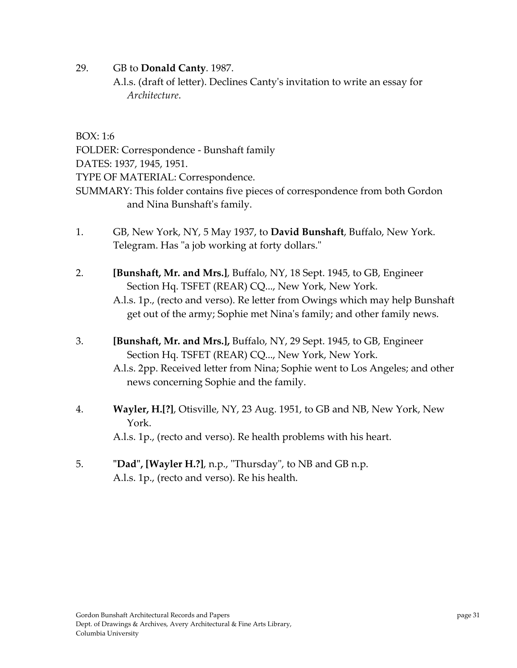- 29. GB to **Donald Canty**. 1987.
	- A.l.s. (draft of letter). Declines Cantyʹs invitation to write an essay for *Architecture*.

BOX: 1:6

FOLDER: Correspondence ‐ Bunshaft family

DATES: 1937, 1945, 1951.

TYPE OF MATERIAL: Correspondence.

- SUMMARY: This folder contains five pieces of correspondence from both Gordon and Nina Bunshaftʹs family.
- 1. GB, New York, NY, 5 May 1937, to **David Bunshaft**, Buffalo, New York. Telegram. Has "a job working at forty dollars."
- 2. **[Bunshaft, Mr. and Mrs.]**, Buffalo, NY, 18 Sept. 1945, to GB, Engineer Section Hq. TSFET (REAR) CQ..., New York, New York. A.l.s. 1p., (recto and verso). Re letter from Owings which may help Bunshaft get out of the army; Sophie met Ninaʹs family; and other family news.
- 3. **[Bunshaft, Mr. and Mrs.],** Buffalo, NY, 29 Sept. 1945, to GB, Engineer Section Hq. TSFET (REAR) CQ..., New York, New York.
	- A.l.s. 2pp. Received letter from Nina; Sophie went to Los Angeles; and other news concerning Sophie and the family.
- 4. **Wayler, H.[?]**, Otisville, NY, 23 Aug. 1951, to GB and NB, New York, New York. A.l.s. 1p., (recto and verso). Re health problems with his heart.
- 5. **ʺDadʺ, [Wayler H.?]**, n.p., ʺThursdayʺ, to NB and GB n.p. A.l.s. 1p., (recto and verso). Re his health.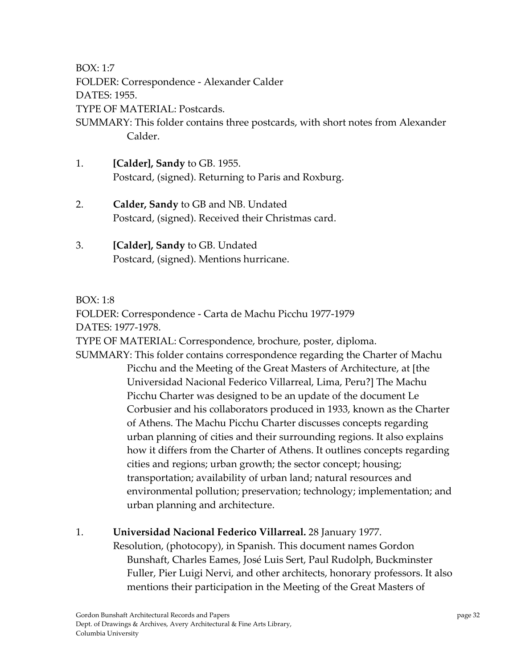BOX: 1:7

FOLDER: Correspondence ‐ Alexander Calder DATES: 1955. TYPE OF MATERIAL: Postcards. SUMMARY: This folder contains three postcards, with short notes from Alexander Calder.

- 1. **[Calder], Sandy** to GB. 1955. Postcard, (signed). Returning to Paris and Roxburg.
- 2. **Calder, Sandy** to GB and NB. Undated Postcard, (signed). Received their Christmas card.
- 3. **[Calder], Sandy** to GB. Undated Postcard, (signed). Mentions hurricane.

#### BOX: 1:8

FOLDER: Correspondence ‐ Carta de Machu Picchu 1977‐1979 DATES: 1977‐1978.

TYPE OF MATERIAL: Correspondence, brochure, poster, diploma.

SUMMARY: This folder contains correspondence regarding the Charter of Machu Picchu and the Meeting of the Great Masters of Architecture, at [the Universidad Nacional Federico Villarreal, Lima, Peru?] The Machu Picchu Charter was designed to be an update of the document Le Corbusier and his collaborators produced in 1933, known as the Charter of Athens. The Machu Picchu Charter discusses concepts regarding urban planning of cities and their surrounding regions. It also explains how it differs from the Charter of Athens. It outlines concepts regarding cities and regions; urban growth; the sector concept; housing; transportation; availability of urban land; natural resources and environmental pollution; preservation; technology; implementation; and urban planning and architecture.

1. **Universidad Nacional Federico Villarreal.** 28 January 1977.

Resolution, (photocopy), in Spanish. This document names Gordon Bunshaft, Charles Eames, José Luis Sert, Paul Rudolph, Buckminster Fuller, Pier Luigi Nervi, and other architects, honorary professors. It also mentions their participation in the Meeting of the Great Masters of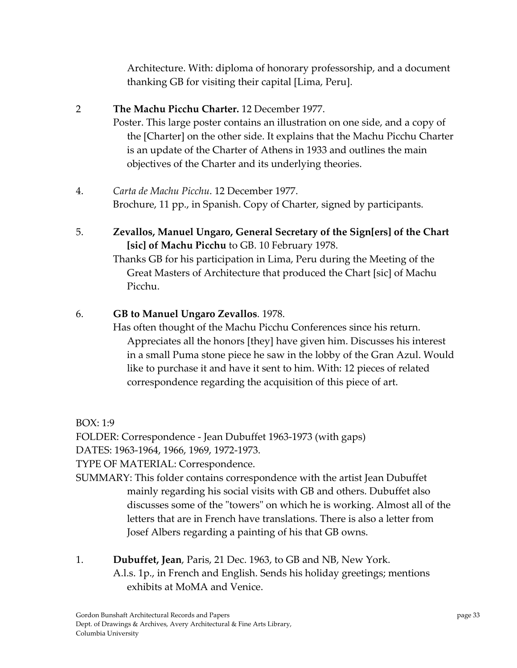Architecture. With: diploma of honorary professorship, and a document thanking GB for visiting their capital [Lima, Peru].

## 2 **The Machu Picchu Charter.** 12 December 1977.

Poster. This large poster contains an illustration on one side, and a copy of the [Charter] on the other side. It explains that the Machu Picchu Charter is an update of the Charter of Athens in 1933 and outlines the main objectives of the Charter and its underlying theories.

- 4. *Carta de Machu Picchu*. 12 December 1977. Brochure, 11 pp., in Spanish. Copy of Charter, signed by participants.
- 5. **Zevallos, Manuel Ungaro, General Secretary of the Sign[ers] of the Chart [sic] of Machu Picchu** to GB. 10 February 1978.

Thanks GB for his participation in Lima, Peru during the Meeting of the Great Masters of Architecture that produced the Chart [sic] of Machu Picchu.

## 6. **GB to Manuel Ungaro Zevallos**. 1978.

Has often thought of the Machu Picchu Conferences since his return. Appreciates all the honors [they] have given him. Discusses his interest in a small Puma stone piece he saw in the lobby of the Gran Azul. Would like to purchase it and have it sent to him. With: 12 pieces of related correspondence regarding the acquisition of this piece of art.

BOX: 1:9

FOLDER: Correspondence ‐ Jean Dubuffet 1963‐1973 (with gaps)

DATES: 1963‐1964, 1966, 1969, 1972‐1973.

TYPE OF MATERIAL: Correspondence.

- SUMMARY: This folder contains correspondence with the artist Jean Dubuffet mainly regarding his social visits with GB and others. Dubuffet also discusses some of the "towers" on which he is working. Almost all of the letters that are in French have translations. There is also a letter from Josef Albers regarding a painting of his that GB owns.
- 1. **Dubuffet, Jean**, Paris, 21 Dec. 1963, to GB and NB, New York. A.l.s. 1p., in French and English. Sends his holiday greetings; mentions exhibits at MoMA and Venice.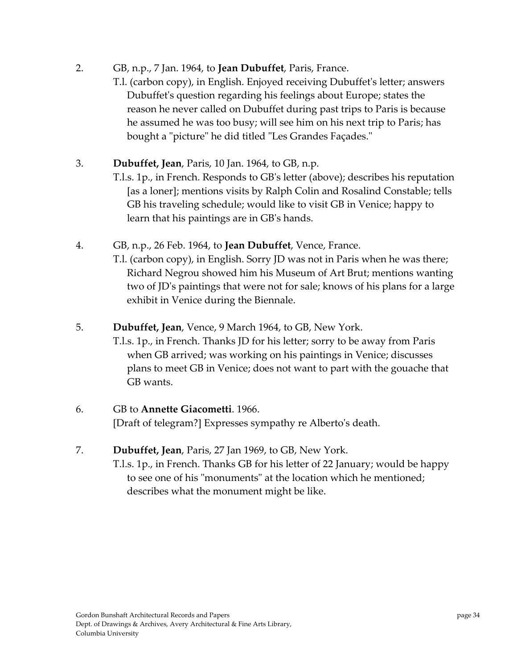- 2. GB, n.p., 7 Jan. 1964, to **Jean Dubuffet**, Paris, France.
	- T.l. (carbon copy), in English. Enjoyed receiving Dubuffetʹs letter; answers Dubuffetʹs question regarding his feelings about Europe; states the reason he never called on Dubuffet during past trips to Paris is because he assumed he was too busy; will see him on his next trip to Paris; has bought a "picture" he did titled "Les Grandes Façades."
- 3. **Dubuffet, Jean**, Paris, 10 Jan. 1964, to GB, n.p.
	- T.l.s. 1p., in French. Responds to GBʹs letter (above); describes his reputation [as a loner]; mentions visits by Ralph Colin and Rosalind Constable; tells GB his traveling schedule; would like to visit GB in Venice; happy to learn that his paintings are in GBʹs hands.
- 4. GB, n.p., 26 Feb. 1964, to **Jean Dubuffet**, Vence, France.
	- T.l. (carbon copy), in English. Sorry JD was not in Paris when he was there; Richard Negrou showed him his Museum of Art Brut; mentions wanting two of JDʹs paintings that were not for sale; knows of his plans for a large exhibit in Venice during the Biennale.
- 5. **Dubuffet, Jean**, Vence, 9 March 1964, to GB, New York.
	- T.l.s. 1p., in French. Thanks JD for his letter; sorry to be away from Paris when GB arrived; was working on his paintings in Venice; discusses plans to meet GB in Venice; does not want to part with the gouache that GB wants.

#### 6. GB to **Annette Giacometti**. 1966.

[Draft of telegram?] Expresses sympathy re Albertoʹs death.

7. **Dubuffet, Jean**, Paris, 27 Jan 1969, to GB, New York. T.l.s. 1p., in French. Thanks GB for his letter of 22 January; would be happy to see one of his "monuments" at the location which he mentioned; describes what the monument might be like.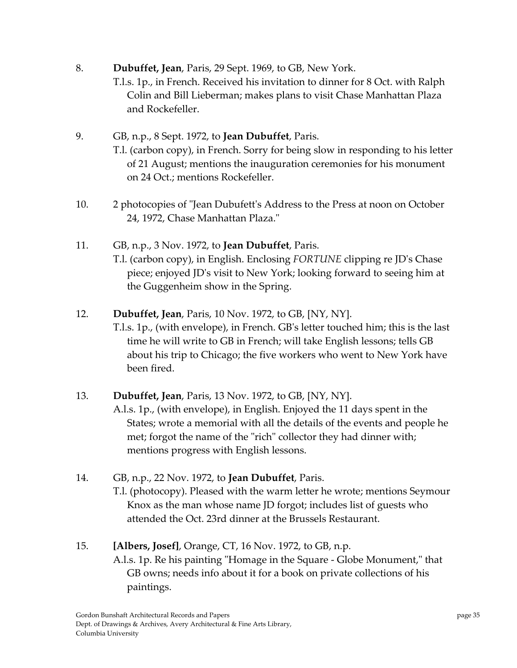- 8. **Dubuffet, Jean**, Paris, 29 Sept. 1969, to GB, New York.
	- T.l.s. 1p., in French. Received his invitation to dinner for 8 Oct. with Ralph Colin and Bill Lieberman; makes plans to visit Chase Manhattan Plaza and Rockefeller.
- 9. GB, n.p., 8 Sept. 1972, to **Jean Dubuffet**, Paris. T.l. (carbon copy), in French. Sorry for being slow in responding to his letter of 21 August; mentions the inauguration ceremonies for his monument on 24 Oct.; mentions Rockefeller.
- 10. 2 photocopies of "Jean Dubufett's Address to the Press at noon on October 24, 1972, Chase Manhattan Plaza."
- 11. GB, n.p., 3 Nov. 1972, to **Jean Dubuffet**, Paris.
	- T.l. (carbon copy), in English. Enclosing *FORTUNE* clipping re JDʹs Chase piece; enjoyed JDʹs visit to New York; looking forward to seeing him at the Guggenheim show in the Spring.
- 12. **Dubuffet, Jean**, Paris, 10 Nov. 1972, to GB, [NY, NY].
	- T.l.s. 1p., (with envelope), in French. GBʹs letter touched him; this is the last time he will write to GB in French; will take English lessons; tells GB about his trip to Chicago; the five workers who went to New York have been fired.

## 13. **Dubuffet, Jean**, Paris, 13 Nov. 1972, to GB, [NY, NY].

A.l.s. 1p., (with envelope), in English. Enjoyed the 11 days spent in the States; wrote a memorial with all the details of the events and people he met; forgot the name of the "rich" collector they had dinner with; mentions progress with English lessons.

14. GB, n.p., 22 Nov. 1972, to **Jean Dubuffet**, Paris. T.l. (photocopy). Pleased with the warm letter he wrote; mentions Seymour Knox as the man whose name JD forgot; includes list of guests who attended the Oct. 23rd dinner at the Brussels Restaurant.

## 15. **[Albers, Josef]**, Orange, CT, 16 Nov. 1972, to GB, n.p.

A.l.s. 1p. Re his painting "Homage in the Square - Globe Monument," that GB owns; needs info about it for a book on private collections of his paintings.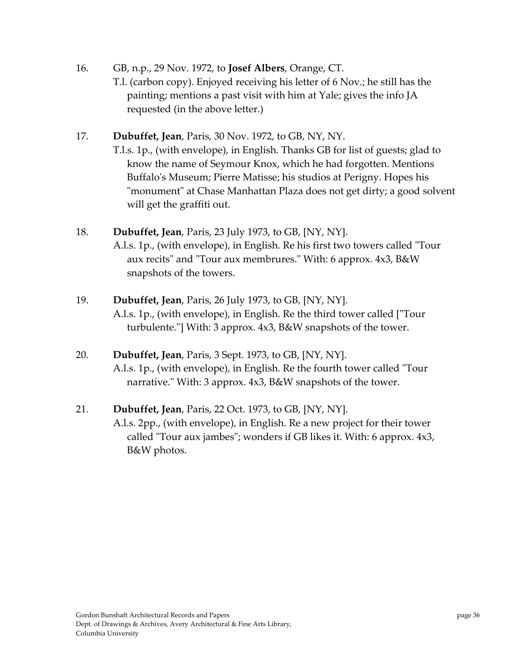- 16. GB, n.p., 29 Nov. 1972, to **Josef Albers**, Orange, CT. T.l. (carbon copy). Enjoyed receiving his letter of 6 Nov.; he still has the painting; mentions a past visit with him at Yale; gives the info JA requested (in the above letter.)
- 17. **Dubuffet, Jean**, Paris, 30 Nov. 1972, to GB, NY, NY. T.l.s. 1p., (with envelope), in English. Thanks GB for list of guests; glad to know the name of Seymour Knox, which he had forgotten. Mentions Buffaloʹs Museum; Pierre Matisse; his studios at Perigny. Hopes his "monument" at Chase Manhattan Plaza does not get dirty; a good solvent will get the graffiti out.
- 18. **Dubuffet, Jean**, Paris, 23 July 1973, to GB, [NY, NY]. A.l.s. 1p., (with envelope), in English. Re his first two towers called "Tour aux recits" and "Tour aux membrures." With: 6 approx. 4x3, B&W snapshots of the towers.
- 19. **Dubuffet, Jean**, Paris, 26 July 1973, to GB, [NY, NY]. A.l.s. 1p., (with envelope), in English. Re the third tower called ["Tour" turbulente."] With: 3 approx. 4x3, B&W snapshots of the tower.
- 20. **Dubuffet, Jean**, Paris, 3 Sept. 1973, to GB, [NY, NY]. A.l.s. 1p., (with envelope), in English. Re the fourth tower called "Tour" narrative." With: 3 approx. 4x3, B&W snapshots of the tower.
- 21. **Dubuffet, Jean**, Paris, 22 Oct. 1973, to GB, [NY, NY].

A.l.s. 2pp., (with envelope), in English. Re a new project for their tower called "Tour aux jambes"; wonders if GB likes it. With: 6 approx. 4x3, B&W photos.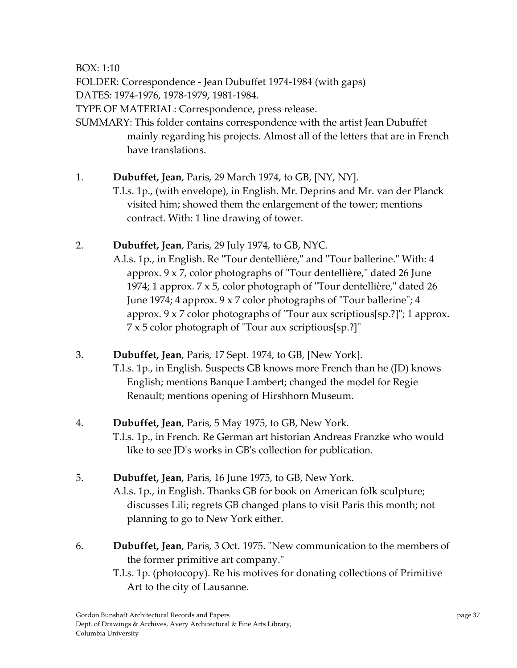BOX: 1:10

FOLDER: Correspondence ‐ Jean Dubuffet 1974‐1984 (with gaps)

DATES: 1974‐1976, 1978‐1979, 1981‐1984.

TYPE OF MATERIAL: Correspondence, press release.

- SUMMARY: This folder contains correspondence with the artist Jean Dubuffet mainly regarding his projects. Almost all of the letters that are in French have translations.
- 1. **Dubuffet, Jean**, Paris, 29 March 1974, to GB, [NY, NY]. T.l.s. 1p., (with envelope), in English. Mr. Deprins and Mr. van der Planck visited him; showed them the enlargement of the tower; mentions contract. With: 1 line drawing of tower.
- 2. **Dubuffet, Jean**, Paris, 29 July 1974, to GB, NYC.
	- A.l.s. 1p., in English. Re "Tour dentellière," and "Tour ballerine." With: 4 approx.  $9 \times 7$ , color photographs of "Tour dentellière," dated 26 June 1974; 1 approx.  $7 \times 5$ , color photograph of "Tour dentellière," dated 26 June 1974; 4 approx.  $9 \times 7$  color photographs of "Tour ballerine"; 4 approx.  $9 \times 7$  color photographs of "Tour aux scriptious[sp.?]"; 1 approx.  $7 \times 5$  color photograph of "Tour aux scriptious[sp.?]"
- 3. **Dubuffet, Jean**, Paris, 17 Sept. 1974, to GB, [New York]. T.l.s. 1p., in English. Suspects GB knows more French than he (JD) knows English; mentions Banque Lambert; changed the model for Regie

Renault; mentions opening of Hirshhorn Museum.

- 4. **Dubuffet, Jean**, Paris, 5 May 1975, to GB, New York. T.l.s. 1p., in French. Re German art historian Andreas Franzke who would like to see JDʹs works in GBʹs collection for publication.
- 5. **Dubuffet, Jean**, Paris, 16 June 1975, to GB, New York. A.l.s. 1p., in English. Thanks GB for book on American folk sculpture; discusses Lili; regrets GB changed plans to visit Paris this month; not planning to go to New York either.
- 6. **Dubuffet, Jean**, Paris, 3 Oct. 1975. ʺNew communication to the members of the former primitive art company."
	- T.l.s. 1p. (photocopy). Re his motives for donating collections of Primitive Art to the city of Lausanne.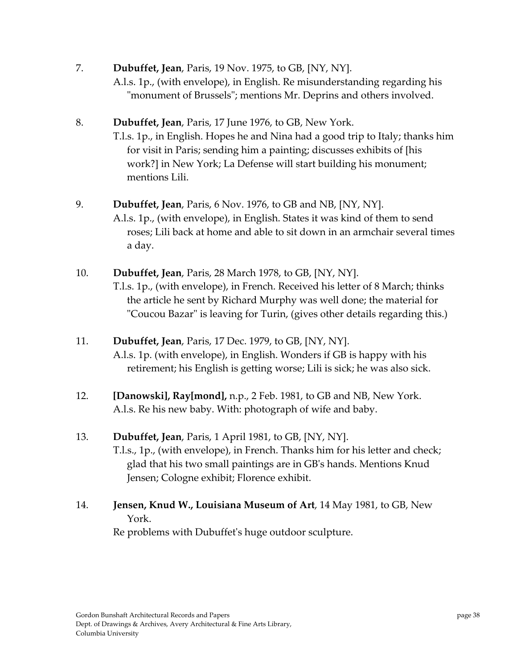- 7. **Dubuffet, Jean**, Paris, 19 Nov. 1975, to GB, [NY, NY]. A.l.s. 1p., (with envelope), in English. Re misunderstanding regarding his "monument of Brussels"; mentions Mr. Deprins and others involved.
- 8. **Dubuffet, Jean**, Paris, 17 June 1976, to GB, New York. T.l.s. 1p., in English. Hopes he and Nina had a good trip to Italy; thanks him for visit in Paris; sending him a painting; discusses exhibits of [his work?] in New York; La Defense will start building his monument; mentions Lili.
- 9. **Dubuffet, Jean**, Paris, 6 Nov. 1976, to GB and NB, [NY, NY]. A.l.s. 1p., (with envelope), in English. States it was kind of them to send roses; Lili back at home and able to sit down in an armchair several times a day.
- 10. **Dubuffet, Jean**, Paris, 28 March 1978, to GB, [NY, NY]. T.l.s. 1p., (with envelope), in French. Received his letter of 8 March; thinks the article he sent by Richard Murphy was well done; the material for ʺCoucou Bazarʺ is leaving for Turin, (gives other details regarding this.)
- 11. **Dubuffet, Jean**, Paris, 17 Dec. 1979, to GB, [NY, NY]. A.l.s. 1p. (with envelope), in English. Wonders if GB is happy with his retirement; his English is getting worse; Lili is sick; he was also sick.
- 12. **[Danowski], Ray[mond],** n.p., 2 Feb. 1981, to GB and NB, New York. A.l.s. Re his new baby. With: photograph of wife and baby.
- 13. **Dubuffet, Jean**, Paris, 1 April 1981, to GB, [NY, NY]. T.l.s., 1p., (with envelope), in French. Thanks him for his letter and check; glad that his two small paintings are in GBʹs hands. Mentions Knud Jensen; Cologne exhibit; Florence exhibit.
- 14. **Jensen, Knud W., Louisiana Museum of Art**, 14 May 1981, to GB, New York.

Re problems with Dubuffetʹs huge outdoor sculpture.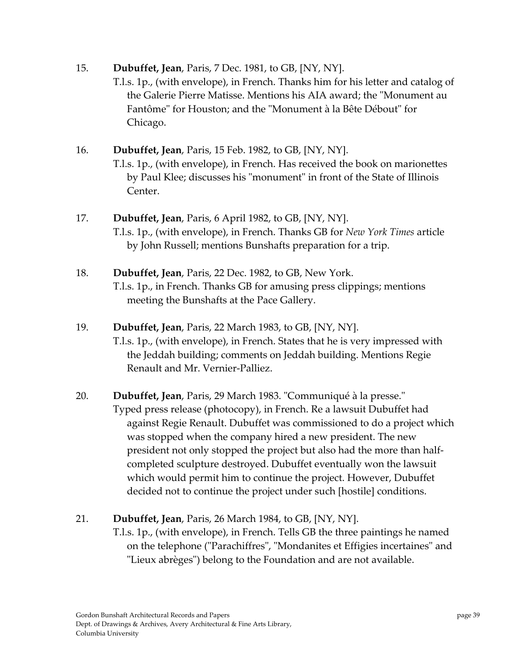- 15. **Dubuffet, Jean**, Paris, 7 Dec. 1981, to GB, [NY, NY]. T.l.s. 1p., (with envelope), in French. Thanks him for his letter and catalog of the Galerie Pierre Matisse. Mentions his AIA award; the "Monument au Fantôme" for Houston; and the "Monument à la Bête Débout" for Chicago.
- 16. **Dubuffet, Jean**, Paris, 15 Feb. 1982, to GB, [NY, NY]. T.l.s. 1p., (with envelope), in French. Has received the book on marionettes by Paul Klee; discusses his "monument" in front of the State of Illinois Center.
- 17. **Dubuffet, Jean**, Paris, 6 April 1982, to GB, [NY, NY]. T.l.s. 1p., (with envelope), in French. Thanks GB for *New York Times* article by John Russell; mentions Bunshafts preparation for a trip.
- 18. **Dubuffet, Jean**, Paris, 22 Dec. 1982, to GB, New York. T.l.s. 1p., in French. Thanks GB for amusing press clippings; mentions meeting the Bunshafts at the Pace Gallery.
- 19. **Dubuffet, Jean**, Paris, 22 March 1983, to GB, [NY, NY]. T.l.s. 1p., (with envelope), in French. States that he is very impressed with the Jeddah building; comments on Jeddah building. Mentions Regie Renault and Mr. Vernier‐Palliez.
- 20. **Dubuffet, Jean**, Paris, 29 March 1983. "Communiqué à la presse." Typed press release (photocopy), in French. Re a lawsuit Dubuffet had against Regie Renault. Dubuffet was commissioned to do a project which was stopped when the company hired a new president. The new president not only stopped the project but also had the more than half‐ completed sculpture destroyed. Dubuffet eventually won the lawsuit which would permit him to continue the project. However, Dubuffet decided not to continue the project under such [hostile] conditions.
- 21. **Dubuffet, Jean**, Paris, 26 March 1984, to GB, [NY, NY].
	- T.l.s. 1p., (with envelope), in French. Tells GB the three paintings he named on the telephone ("Parachiffres", "Mondanites et Effigies incertaines" and ʺLieux abrègesʺ) belong to the Foundation and are not available.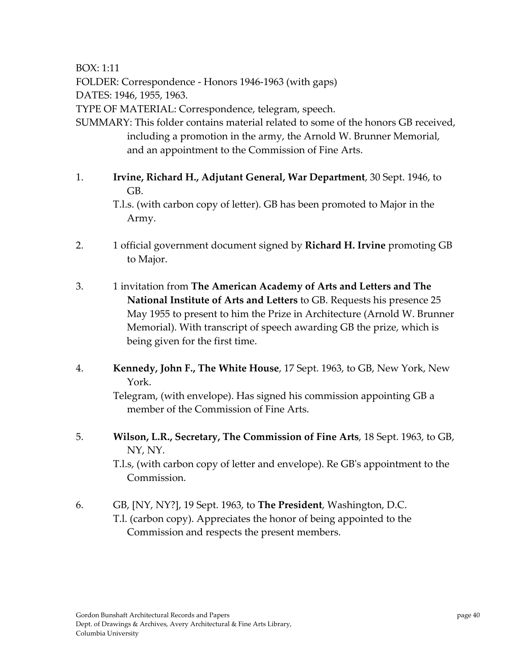BOX: 1:11

FOLDER: Correspondence ‐ Honors 1946‐1963 (with gaps)

DATES: 1946, 1955, 1963.

TYPE OF MATERIAL: Correspondence, telegram, speech.

SUMMARY: This folder contains material related to some of the honors GB received, including a promotion in the army, the Arnold W. Brunner Memorial, and an appointment to the Commission of Fine Arts.

1. **Irvine, Richard H., Adjutant General, War Department**, 30 Sept. 1946, to GB.

T.l.s. (with carbon copy of letter). GB has been promoted to Major in the Army.

- 2. 1 official government document signed by **Richard H. Irvine** promoting GB to Major.
- 3. 1 invitation from **The American Academy of Arts and Letters and The National Institute of Arts and Letters** to GB. Requests his presence 25 May 1955 to present to him the Prize in Architecture (Arnold W. Brunner Memorial). With transcript of speech awarding GB the prize, which is being given for the first time.
- 4. **Kennedy, John F., The White House**, 17 Sept. 1963, to GB, New York, New York.

Telegram, (with envelope). Has signed his commission appointing GB a member of the Commission of Fine Arts.

5. **Wilson, L.R., Secretary, The Commission of Fine Arts**, 18 Sept. 1963, to GB, NY, NY.

T.l.s, (with carbon copy of letter and envelope). Re GBʹs appointment to the Commission.

6. GB, [NY, NY?], 19 Sept. 1963, to **The President**, Washington, D.C. T.l. (carbon copy). Appreciates the honor of being appointed to the Commission and respects the present members.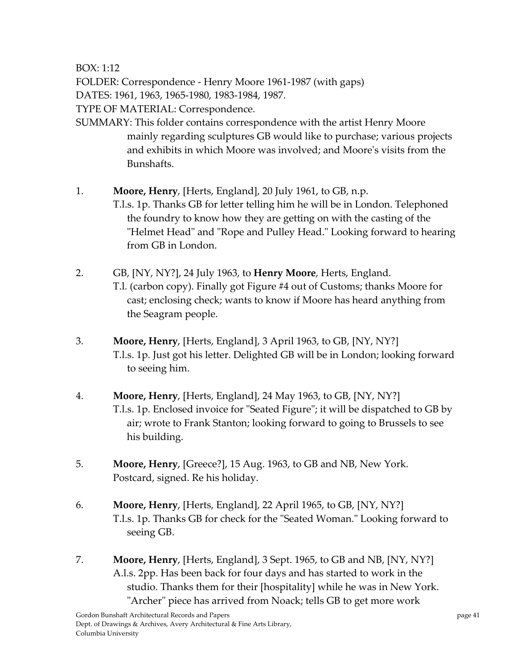BOX: 1:12

FOLDER: Correspondence ‐ Henry Moore 1961‐1987 (with gaps)

DATES: 1961, 1963, 1965‐1980, 1983‐1984, 1987.

TYPE OF MATERIAL: Correspondence.

SUMMARY: This folder contains correspondence with the artist Henry Moore mainly regarding sculptures GB would like to purchase; various projects and exhibits in which Moore was involved; and Mooreʹs visits from the Bunshafts.

1. **Moore, Henry**, [Herts, England], 20 July 1961, to GB, n.p.

- T.l.s. 1p. Thanks GB for letter telling him he will be in London. Telephoned the foundry to know how they are getting on with the casting of the "Helmet Head" and "Rope and Pulley Head." Looking forward to hearing from GB in London.
- 2. GB, [NY, NY?], 24 July 1963, to **Henry Moore**, Herts, England. T.l. (carbon copy). Finally got Figure #4 out of Customs; thanks Moore for cast; enclosing check; wants to know if Moore has heard anything from the Seagram people.
- 3. **Moore, Henry**, [Herts, England], 3 April 1963, to GB, [NY, NY?] T.l.s. 1p. Just got his letter. Delighted GB will be in London; looking forward to seeing him.
- 4. **Moore, Henry**, [Herts, England], 24 May 1963, to GB, [NY, NY?] T.l.s. 1p. Enclosed invoice for "Seated Figure"; it will be dispatched to GB by air; wrote to Frank Stanton; looking forward to going to Brussels to see his building.
- 5. **Moore, Henry**, [Greece?], 15 Aug. 1963, to GB and NB, New York. Postcard, signed. Re his holiday.
- 6. **Moore, Henry**, [Herts, England], 22 April 1965, to GB, [NY, NY?] T.l.s. 1p. Thanks GB for check for the "Seated Woman." Looking forward to seeing GB.
- 7. **Moore, Henry**, [Herts, England], 3 Sept. 1965, to GB and NB, [NY, NY?] A.l.s. 2pp. Has been back for four days and has started to work in the studio. Thanks them for their [hospitality] while he was in New York. "Archer" piece has arrived from Noack; tells GB to get more work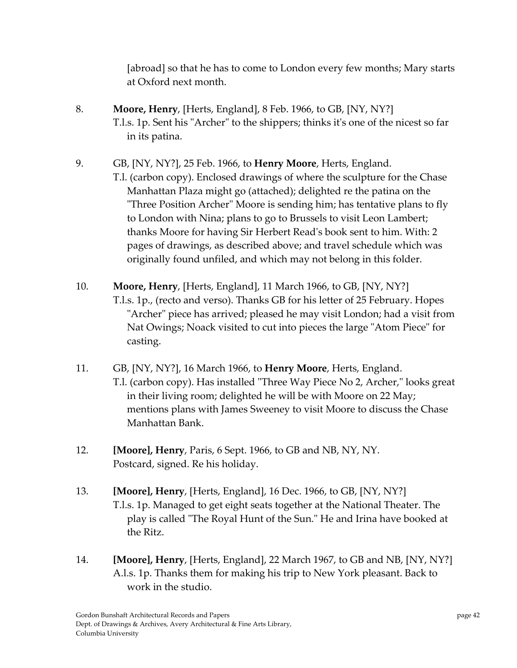[abroad] so that he has to come to London every few months; Mary starts at Oxford next month.

- 8. **Moore, Henry**, [Herts, England], 8 Feb. 1966, to GB, [NY, NY?] T.l.s. 1p. Sent his "Archer" to the shippers; thinks it's one of the nicest so far in its patina.
- 9. GB, [NY, NY?], 25 Feb. 1966, to **Henry Moore**, Herts, England.

T.l. (carbon copy). Enclosed drawings of where the sculpture for the Chase Manhattan Plaza might go (attached); delighted re the patina on the "Three Position Archer" Moore is sending him; has tentative plans to fly to London with Nina; plans to go to Brussels to visit Leon Lambert; thanks Moore for having Sir Herbert Readʹs book sent to him. With: 2 pages of drawings, as described above; and travel schedule which was originally found unfiled, and which may not belong in this folder.

- 10. **Moore, Henry**, [Herts, England], 11 March 1966, to GB, [NY, NY?] T.l.s. 1p., (recto and verso). Thanks GB for his letter of 25 February. Hopes "Archer" piece has arrived; pleased he may visit London; had a visit from Nat Owings; Noack visited to cut into pieces the large "Atom Piece" for casting.
- 11. GB, [NY, NY?], 16 March 1966, to **Henry Moore**, Herts, England. T.l. (carbon copy). Has installed "Three Way Piece No 2, Archer," looks great in their living room; delighted he will be with Moore on 22 May; mentions plans with James Sweeney to visit Moore to discuss the Chase Manhattan Bank.
- 12. **[Moore], Henry**, Paris, 6 Sept. 1966, to GB and NB, NY, NY. Postcard, signed. Re his holiday.
- 13. **[Moore], Henry**, [Herts, England], 16 Dec. 1966, to GB, [NY, NY?] T.l.s. 1p. Managed to get eight seats together at the National Theater. The play is called "The Royal Hunt of the Sun." He and Irina have booked at the Ritz.
- 14. **[Moore], Henry**, [Herts, England], 22 March 1967, to GB and NB, [NY, NY?] A.l.s. 1p. Thanks them for making his trip to New York pleasant. Back to work in the studio.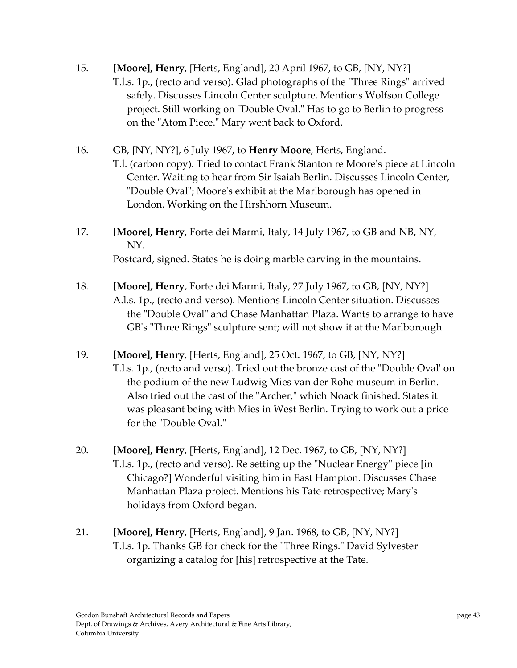- 15. **[Moore], Henry**, [Herts, England], 20 April 1967, to GB, [NY, NY?] T.l.s. 1p., (recto and verso). Glad photographs of the "Three Rings" arrived safely. Discusses Lincoln Center sculpture. Mentions Wolfson College project. Still working on "Double Oval." Has to go to Berlin to progress on the "Atom Piece." Mary went back to Oxford.
- 16. GB, [NY, NY?], 6 July 1967, to **Henry Moore**, Herts, England. T.l. (carbon copy). Tried to contact Frank Stanton re Mooreʹs piece at Lincoln Center. Waiting to hear from Sir Isaiah Berlin. Discusses Lincoln Center, ʺDouble Ovalʺ; Mooreʹs exhibit at the Marlborough has opened in London. Working on the Hirshhorn Museum.
- 17. **[Moore], Henry**, Forte dei Marmi, Italy, 14 July 1967, to GB and NB, NY, NY. Postcard, signed. States he is doing marble carving in the mountains.
- 18. **[Moore], Henry**, Forte dei Marmi, Italy, 27 July 1967, to GB, [NY, NY?] A.l.s. 1p., (recto and verso). Mentions Lincoln Center situation. Discusses the "Double Oval" and Chase Manhattan Plaza. Wants to arrange to have GB's "Three Rings" sculpture sent; will not show it at the Marlborough.
- 19. **[Moore], Henry**, [Herts, England], 25 Oct. 1967, to GB, [NY, NY?] T.l.s. 1p., (recto and verso). Tried out the bronze cast of the "Double Oval' on the podium of the new Ludwig Mies van der Rohe museum in Berlin. Also tried out the cast of the "Archer," which Noack finished. States it was pleasant being with Mies in West Berlin. Trying to work out a price for the "Double Oval."
- 20. **[Moore], Henry**, [Herts, England], 12 Dec. 1967, to GB, [NY, NY?] T.l.s. 1p., (recto and verso). Re setting up the "Nuclear Energy" piece [in] Chicago?] Wonderful visiting him in East Hampton. Discusses Chase Manhattan Plaza project. Mentions his Tate retrospective; Maryʹs holidays from Oxford began.
- 21. **[Moore], Henry**, [Herts, England], 9 Jan. 1968, to GB, [NY, NY?] T.l.s. 1p. Thanks GB for check for the "Three Rings." David Sylvester organizing a catalog for [his] retrospective at the Tate.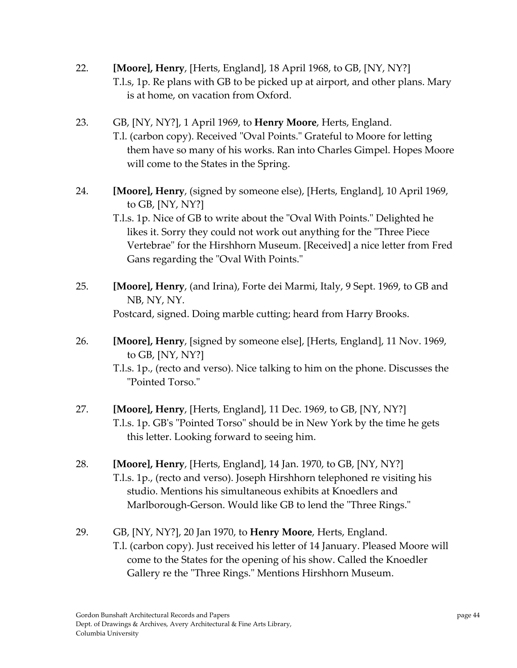- 22. **[Moore], Henry**, [Herts, England], 18 April 1968, to GB, [NY, NY?] T.l.s, 1p. Re plans with GB to be picked up at airport, and other plans. Mary is at home, on vacation from Oxford.
- 23. GB, [NY, NY?], 1 April 1969, to **Henry Moore**, Herts, England. T.l. (carbon copy). Received "Oval Points." Grateful to Moore for letting them have so many of his works. Ran into Charles Gimpel. Hopes Moore will come to the States in the Spring.
- 24. **[Moore], Henry**, (signed by someone else), [Herts, England], 10 April 1969, to GB, [NY, NY?]

T.l.s. 1p. Nice of GB to write about the "Oval With Points." Delighted he likes it. Sorry they could not work out anything for the "Three Piece" Vertebrae" for the Hirshhorn Museum. [Received] a nice letter from Fred Gans regarding the "Oval With Points."

- 25. **[Moore], Henry**, (and Irina), Forte dei Marmi, Italy, 9 Sept. 1969, to GB and NB, NY, NY. Postcard, signed. Doing marble cutting; heard from Harry Brooks.
- 26. **[Moore], Henry**, [signed by someone else], [Herts, England], 11 Nov. 1969, to GB, [NY, NY?]

T.l.s. 1p., (recto and verso). Nice talking to him on the phone. Discusses the "Pointed Torso."

- 27. **[Moore], Henry**, [Herts, England], 11 Dec. 1969, to GB, [NY, NY?] T.l.s. 1p. GB's "Pointed Torso" should be in New York by the time he gets this letter. Looking forward to seeing him.
- 28. **[Moore], Henry**, [Herts, England], 14 Jan. 1970, to GB, [NY, NY?] T.l.s. 1p., (recto and verso). Joseph Hirshhorn telephoned re visiting his studio. Mentions his simultaneous exhibits at Knoedlers and Marlborough-Gerson. Would like GB to lend the "Three Rings."
- 29. GB, [NY, NY?], 20 Jan 1970, to **Henry Moore**, Herts, England. T.l. (carbon copy). Just received his letter of 14 January. Pleased Moore will come to the States for the opening of his show. Called the Knoedler Gallery re the "Three Rings." Mentions Hirshhorn Museum.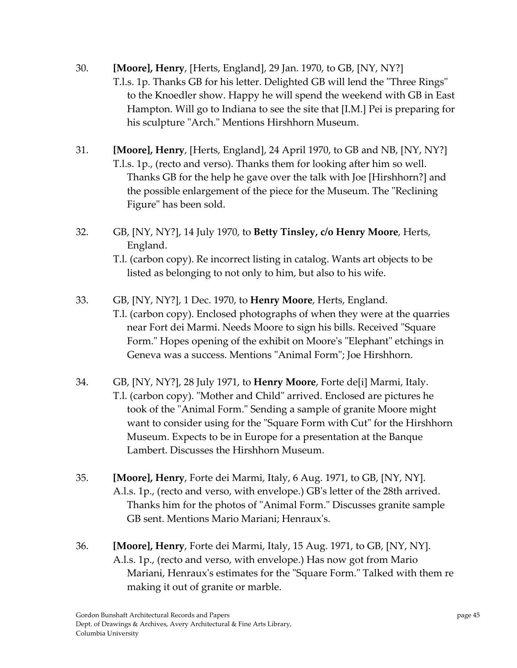- 30. **[Moore], Henry**, [Herts, England], 29 Jan. 1970, to GB, [NY, NY?] T.l.s. 1p. Thanks GB for his letter. Delighted GB will lend the "Three Rings" to the Knoedler show. Happy he will spend the weekend with GB in East Hampton. Will go to Indiana to see the site that [I.M.] Pei is preparing for his sculpture "Arch." Mentions Hirshhorn Museum.
- 31. **[Moore], Henry**, [Herts, England], 24 April 1970, to GB and NB, [NY, NY?] T.l.s. 1p., (recto and verso). Thanks them for looking after him so well. Thanks GB for the help he gave over the talk with Joe [Hirshhorn?] and the possible enlargement of the piece for the Museum. The "Reclining" Figure" has been sold.
- 32. GB, [NY, NY?], 14 July 1970, to **Betty Tinsley, c/o Henry Moore**, Herts, England.

T.l. (carbon copy). Re incorrect listing in catalog. Wants art objects to be listed as belonging to not only to him, but also to his wife.

- 33. GB, [NY, NY?], 1 Dec. 1970, to **Henry Moore**, Herts, England.
	- T.l. (carbon copy). Enclosed photographs of when they were at the quarries near Fort dei Marmi. Needs Moore to sign his bills. Received "Square Form." Hopes opening of the exhibit on Moore's "Elephant" etchings in Geneva was a success. Mentions "Animal Form"; Joe Hirshhorn.
- 34. GB, [NY, NY?], 28 July 1971, to **Henry Moore**, Forte de[i] Marmi, Italy. T.l. (carbon copy). "Mother and Child" arrived. Enclosed are pictures he took of the "Animal Form." Sending a sample of granite Moore might want to consider using for the "Square Form with Cut" for the Hirshhorn Museum. Expects to be in Europe for a presentation at the Banque Lambert. Discusses the Hirshhorn Museum.
- 35. **[Moore], Henry**, Forte dei Marmi, Italy, 6 Aug. 1971, to GB, [NY, NY]. A.l.s. 1p., (recto and verso, with envelope.) GBʹs letter of the 28th arrived. Thanks him for the photos of "Animal Form." Discusses granite sample GB sent. Mentions Mario Mariani; Henrauxʹs.
- 36. **[Moore], Henry**, Forte dei Marmi, Italy, 15 Aug. 1971, to GB, [NY, NY]. A.l.s. 1p., (recto and verso, with envelope.) Has now got from Mario Mariani, Henraux's estimates for the "Square Form." Talked with them re making it out of granite or marble.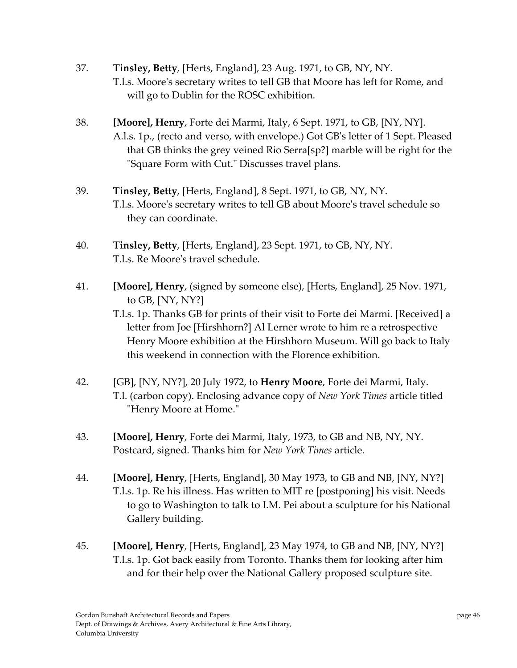- 37. **Tinsley, Betty**, [Herts, England], 23 Aug. 1971, to GB, NY, NY. T.l.s. Mooreʹs secretary writes to tell GB that Moore has left for Rome, and will go to Dublin for the ROSC exhibition.
- 38. **[Moore], Henry**, Forte dei Marmi, Italy, 6 Sept. 1971, to GB, [NY, NY]. A.l.s. 1p., (recto and verso, with envelope.) Got GBʹs letter of 1 Sept. Pleased that GB thinks the grey veined Rio Serra[sp?] marble will be right for the ʺSquare Form with Cut.ʺ Discusses travel plans.
- 39. **Tinsley, Betty**, [Herts, England], 8 Sept. 1971, to GB, NY, NY. T.l.s. Mooreʹs secretary writes to tell GB about Mooreʹs travel schedule so they can coordinate.
- 40. **Tinsley, Betty**, [Herts, England], 23 Sept. 1971, to GB, NY, NY. T.l.s. Re Mooreʹs travel schedule.
- 41. **[Moore], Henry**, (signed by someone else), [Herts, England], 25 Nov. 1971, to GB, [NY, NY?]

T.l.s. 1p. Thanks GB for prints of their visit to Forte dei Marmi. [Received] a letter from Joe [Hirshhorn?] Al Lerner wrote to him re a retrospective Henry Moore exhibition at the Hirshhorn Museum. Will go back to Italy this weekend in connection with the Florence exhibition.

- 42. [GB], [NY, NY?], 20 July 1972, to **Henry Moore**, Forte dei Marmi, Italy. T.l. (carbon copy). Enclosing advance copy of *New York Times* article titled "Henry Moore at Home."
- 43. **[Moore], Henry**, Forte dei Marmi, Italy, 1973, to GB and NB, NY, NY. Postcard, signed. Thanks him for *New York Times* article.
- 44. **[Moore], Henry**, [Herts, England], 30 May 1973, to GB and NB, [NY, NY?] T.l.s. 1p. Re his illness. Has written to MIT re [postponing] his visit. Needs to go to Washington to talk to I.M. Pei about a sculpture for his National Gallery building.
- 45. **[Moore], Henry**, [Herts, England], 23 May 1974, to GB and NB, [NY, NY?] T.l.s. 1p. Got back easily from Toronto. Thanks them for looking after him and for their help over the National Gallery proposed sculpture site.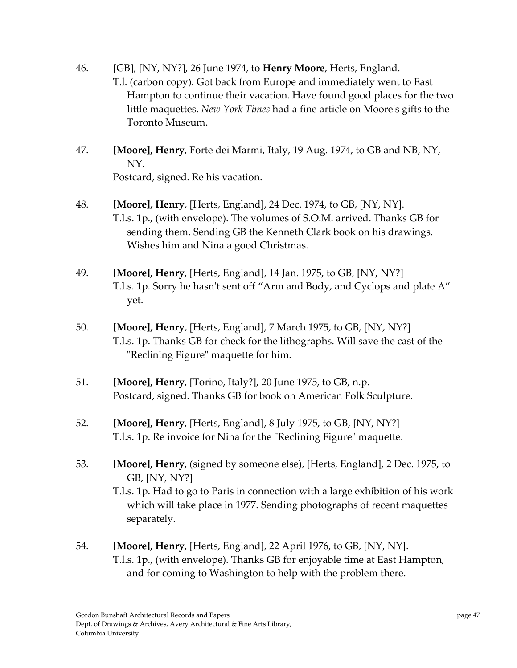- 46. [GB], [NY, NY?], 26 June 1974, to **Henry Moore**, Herts, England. T.l. (carbon copy). Got back from Europe and immediately went to East Hampton to continue their vacation. Have found good places for the two little maquettes. *New York Times* had a fine article on Mooreʹs gifts to the Toronto Museum.
- 47. **[Moore], Henry**, Forte dei Marmi, Italy, 19 Aug. 1974, to GB and NB, NY, NY. Postcard, signed. Re his vacation.
- 48. **[Moore], Henry**, [Herts, England], 24 Dec. 1974, to GB, [NY, NY]. T.l.s. 1p., (with envelope). The volumes of S.O.M. arrived. Thanks GB for sending them. Sending GB the Kenneth Clark book on his drawings. Wishes him and Nina a good Christmas.
- 49. **[Moore], Henry**, [Herts, England], 14 Jan. 1975, to GB, [NY, NY?] T.l.s. 1p. Sorry he hasn't sent off "Arm and Body, and Cyclops and plate A" yet.
- 50. **[Moore], Henry**, [Herts, England], 7 March 1975, to GB, [NY, NY?] T.l.s. 1p. Thanks GB for check for the lithographs. Will save the cast of the "Reclining Figure" maquette for him.
- 51. **[Moore], Henry**, [Torino, Italy?], 20 June 1975, to GB, n.p. Postcard, signed. Thanks GB for book on American Folk Sculpture.
- 52. **[Moore], Henry**, [Herts, England], 8 July 1975, to GB, [NY, NY?] T.l.s. 1p. Re invoice for Nina for the "Reclining Figure" maquette.
- 53. **[Moore], Henry**, (signed by someone else), [Herts, England], 2 Dec. 1975, to GB, [NY, NY?]

T.l.s. 1p. Had to go to Paris in connection with a large exhibition of his work which will take place in 1977. Sending photographs of recent maquettes separately.

54. **[Moore], Henry**, [Herts, England], 22 April 1976, to GB, [NY, NY]. T.l.s. 1p., (with envelope). Thanks GB for enjoyable time at East Hampton, and for coming to Washington to help with the problem there.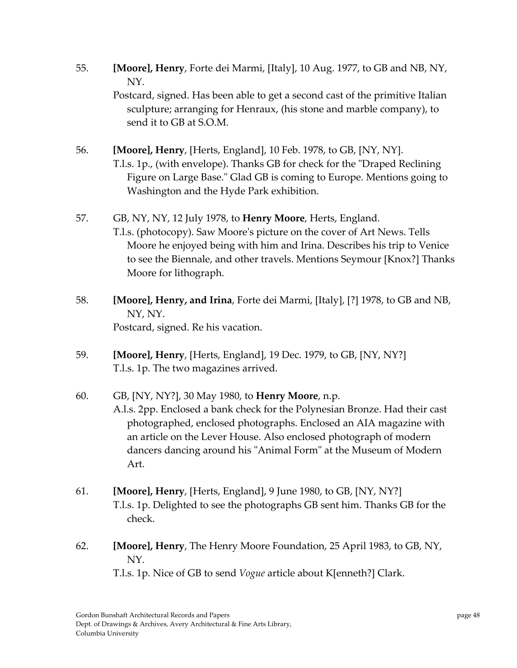55. **[Moore], Henry**, Forte dei Marmi, [Italy], 10 Aug. 1977, to GB and NB, NY, NY.

Postcard, signed. Has been able to get a second cast of the primitive Italian sculpture; arranging for Henraux, (his stone and marble company), to send it to GB at S.O.M.

- 56. **[Moore], Henry**, [Herts, England], 10 Feb. 1978, to GB, [NY, NY]. T.l.s. 1p., (with envelope). Thanks GB for check for the "Draped Reclining Figure on Large Base." Glad GB is coming to Europe. Mentions going to Washington and the Hyde Park exhibition.
- 57. GB, NY, NY, 12 July 1978, to **Henry Moore**, Herts, England. T.l.s. (photocopy). Saw Mooreʹs picture on the cover of Art News. Tells Moore he enjoyed being with him and Irina. Describes his trip to Venice to see the Biennale, and other travels. Mentions Seymour [Knox?] Thanks Moore for lithograph.
- 58. **[Moore], Henry, and Irina**, Forte dei Marmi, [Italy], [?] 1978, to GB and NB, NY, NY. Postcard, signed. Re his vacation.
- 59. **[Moore], Henry**, [Herts, England], 19 Dec. 1979, to GB, [NY, NY?] T.l.s. 1p. The two magazines arrived.
- 60. GB, [NY, NY?], 30 May 1980, to **Henry Moore**, n.p. A.l.s. 2pp. Enclosed a bank check for the Polynesian Bronze. Had their cast photographed, enclosed photographs. Enclosed an AIA magazine with an article on the Lever House. Also enclosed photograph of modern dancers dancing around his "Animal Form" at the Museum of Modern
- 61. **[Moore], Henry**, [Herts, England], 9 June 1980, to GB, [NY, NY?] T.l.s. 1p. Delighted to see the photographs GB sent him. Thanks GB for the check.
- 62. **[Moore], Henry**, The Henry Moore Foundation, 25 April 1983, to GB, NY, NY.

T.l.s. 1p. Nice of GB to send *Vogue* article about K[enneth?] Clark.

Art.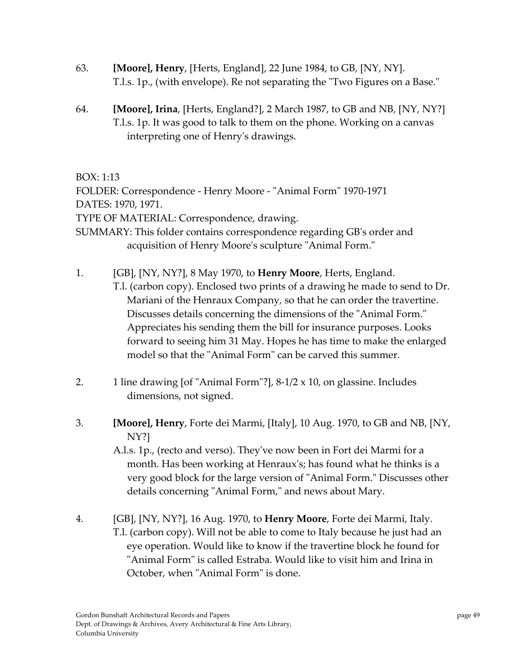- 63. **[Moore], Henry**, [Herts, England], 22 June 1984, to GB, [NY, NY]. T.l.s. 1p., (with envelope). Re not separating the "Two Figures on a Base."
- 64. **[Moore], Irina**, [Herts, England?], 2 March 1987, to GB and NB, [NY, NY?] T.l.s. 1p. It was good to talk to them on the phone. Working on a canvas interpreting one of Henryʹs drawings.

BOX: 1:13

FOLDER: Correspondence - Henry Moore - "Animal Form" 1970-1971 DATES: 1970, 1971. TYPE OF MATERIAL: Correspondence, drawing.

SUMMARY: This folder contains correspondence regarding GBʹs order and acquisition of Henry Moore's sculpture "Animal Form."

1. [GB], [NY, NY?], 8 May 1970, to **Henry Moore**, Herts, England. T.l. (carbon copy). Enclosed two prints of a drawing he made to send to Dr. Mariani of the Henraux Company, so that he can order the travertine. Discusses details concerning the dimensions of the "Animal Form." Appreciates his sending them the bill for insurance purposes. Looks forward to seeing him 31 May. Hopes he has time to make the enlarged

model so that the "Animal Form" can be carved this summer.

- 2. 1 line drawing [of "Animal Form"?],  $8-1/2 \times 10$ , on glassine. Includes dimensions, not signed.
- 3. **[Moore], Henry**, Forte dei Marmi, [Italy], 10 Aug. 1970, to GB and NB, [NY, NY?]

A.l.s. 1p., (recto and verso). Theyʹve now been in Fort dei Marmi for a month. Has been working at Henraux's; has found what he thinks is a very good block for the large version of "Animal Form." Discusses other details concerning "Animal Form," and news about Mary.

4. [GB], [NY, NY?], 16 Aug. 1970, to **Henry Moore**, Forte dei Marmi, Italy. T.l. (carbon copy). Will not be able to come to Italy because he just had an eye operation. Would like to know if the travertine block he found for "Animal Form" is called Estraba. Would like to visit him and Irina in October, when "Animal Form" is done.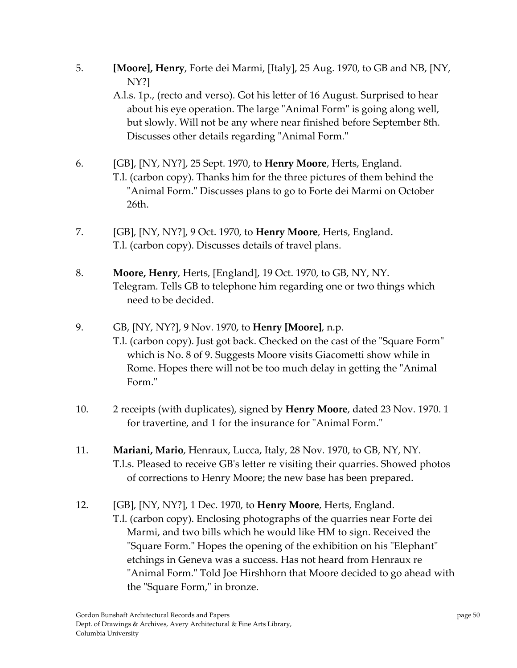5. **[Moore], Henry**, Forte dei Marmi, [Italy], 25 Aug. 1970, to GB and NB, [NY, NY?]

A.l.s. 1p., (recto and verso). Got his letter of 16 August. Surprised to hear about his eye operation. The large "Animal Form" is going along well, but slowly. Will not be any where near finished before September 8th. Discusses other details regarding "Animal Form."

- 6. [GB], [NY, NY?], 25 Sept. 1970, to **Henry Moore**, Herts, England. T.l. (carbon copy). Thanks him for the three pictures of them behind the "Animal Form." Discusses plans to go to Forte dei Marmi on October 26th.
- 7. [GB], [NY, NY?], 9 Oct. 1970, to **Henry Moore**, Herts, England. T.l. (carbon copy). Discusses details of travel plans.
- 8. **Moore, Henry**, Herts, [England], 19 Oct. 1970, to GB, NY, NY. Telegram. Tells GB to telephone him regarding one or two things which need to be decided.
- 9. GB, [NY, NY?], 9 Nov. 1970, to **Henry [Moore]**, n.p.
	- T.l. (carbon copy). Just got back. Checked on the cast of the "Square Form" which is No. 8 of 9. Suggests Moore visits Giacometti show while in Rome. Hopes there will not be too much delay in getting the "Animal" Form."
- 10. 2 receipts (with duplicates), signed by **Henry Moore**, dated 23 Nov. 1970. 1 for travertine, and 1 for the insurance for "Animal Form."
- 11. **Mariani, Mario**, Henraux, Lucca, Italy, 28 Nov. 1970, to GB, NY, NY. T.l.s. Pleased to receive GBʹs letter re visiting their quarries. Showed photos of corrections to Henry Moore; the new base has been prepared.
- 12. [GB], [NY, NY?], 1 Dec. 1970, to **Henry Moore**, Herts, England.

T.l. (carbon copy). Enclosing photographs of the quarries near Forte dei Marmi, and two bills which he would like HM to sign. Received the "Square Form." Hopes the opening of the exhibition on his "Elephant" etchings in Geneva was a success. Has not heard from Henraux re "Animal Form." Told Joe Hirshhorn that Moore decided to go ahead with the "Square Form," in bronze.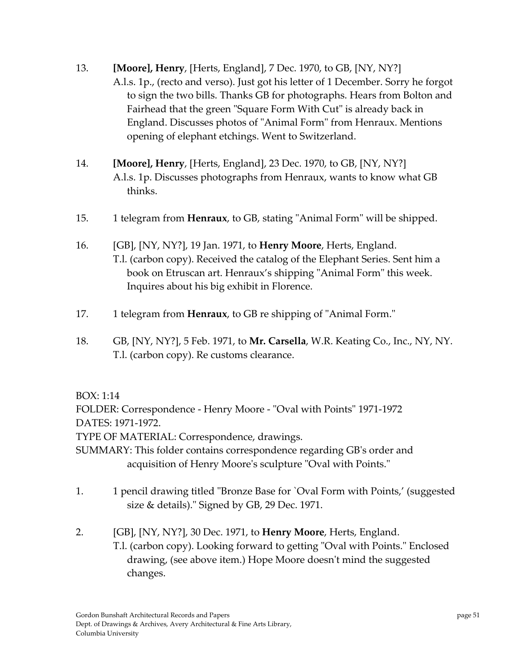- 13. **[Moore], Henry**, [Herts, England], 7 Dec. 1970, to GB, [NY, NY?] A.l.s. 1p., (recto and verso). Just got his letter of 1 December. Sorry he forgot to sign the two bills. Thanks GB for photographs. Hears from Bolton and Fairhead that the green "Square Form With Cut" is already back in England. Discusses photos of "Animal Form" from Henraux. Mentions opening of elephant etchings. Went to Switzerland.
- 14. **[Moore], Henry**, [Herts, England], 23 Dec. 1970, to GB, [NY, NY?] A.l.s. 1p. Discusses photographs from Henraux, wants to know what GB thinks.
- 15. 1 telegram from **Henraux**, to GB, stating "Animal Form" will be shipped.
- 16. [GB], [NY, NY?], 19 Jan. 1971, to **Henry Moore**, Herts, England. T.l. (carbon copy). Received the catalog of the Elephant Series. Sent him a book on Etruscan art. Henraux's shipping "Animal Form" this week. Inquires about his big exhibit in Florence.
- 17. 1 telegram from **Henraux**, to GB re shipping of "Animal Form."
- 18. GB, [NY, NY?], 5 Feb. 1971, to **Mr. Carsella**, W.R. Keating Co., Inc., NY, NY. T.l. (carbon copy). Re customs clearance.

## BOX: 1:14

FOLDER: Correspondence - Henry Moore - "Oval with Points" 1971-1972 DATES: 1971‐1972. TYPE OF MATERIAL: Correspondence, drawings. SUMMARY: This folder contains correspondence regarding GBʹs order and acquisition of Henry Moore's sculpture "Oval with Points."

- 1. 1 pencil drawing titled "Bronze Base for `Oval Form with Points,' (suggested size & details)." Signed by GB, 29 Dec. 1971.
- 2. [GB], [NY, NY?], 30 Dec. 1971, to **Henry Moore**, Herts, England. T.l. (carbon copy). Looking forward to getting "Oval with Points." Enclosed drawing, (see above item.) Hope Moore doesnʹt mind the suggested changes.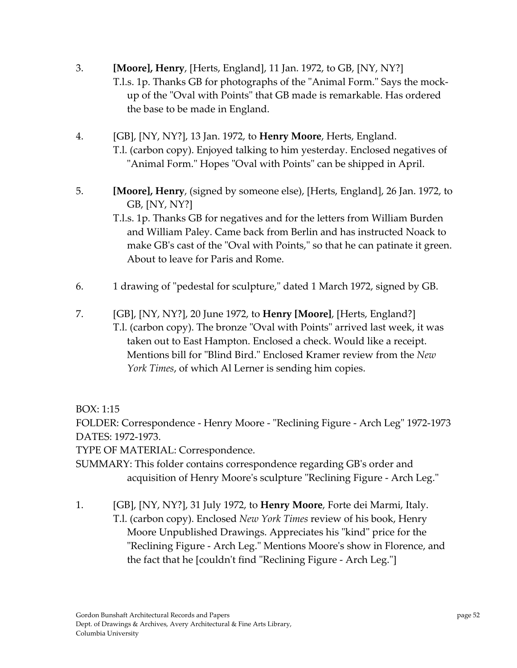- 3. **[Moore], Henry**, [Herts, England], 11 Jan. 1972, to GB, [NY, NY?] T.l.s. 1p. Thanks GB for photographs of the "Animal Form." Says the mockup of the "Oval with Points" that GB made is remarkable. Has ordered the base to be made in England.
- 4. [GB], [NY, NY?], 13 Jan. 1972, to **Henry Moore**, Herts, England. T.l. (carbon copy). Enjoyed talking to him yesterday. Enclosed negatives of "Animal Form." Hopes "Oval with Points" can be shipped in April.
- 5. **[Moore], Henry**, (signed by someone else), [Herts, England], 26 Jan. 1972, to GB, [NY, NY?]

T.l.s. 1p. Thanks GB for negatives and for the letters from William Burden and William Paley. Came back from Berlin and has instructed Noack to make GB's cast of the "Oval with Points," so that he can patinate it green. About to leave for Paris and Rome.

- 6. 1 drawing of "pedestal for sculpture," dated 1 March 1972, signed by GB.
- 7. [GB], [NY, NY?], 20 June 1972, to **Henry [Moore]**, [Herts, England?] T.l. (carbon copy). The bronze "Oval with Points" arrived last week, it was taken out to East Hampton. Enclosed a check. Would like a receipt. Mentions bill for "Blind Bird." Enclosed Kramer review from the *New York Times*, of which Al Lerner is sending him copies.

BOX: 1:15

FOLDER: Correspondence - Henry Moore - "Reclining Figure - Arch Leg" 1972-1973 DATES: 1972‐1973.

TYPE OF MATERIAL: Correspondence.

SUMMARY: This folder contains correspondence regarding GBʹs order and acquisition of Henry Moore's sculpture "Reclining Figure - Arch Leg."

1. [GB], [NY, NY?], 31 July 1972, to **Henry Moore**, Forte dei Marmi, Italy. T.l. (carbon copy). Enclosed *New York Times* review of his book, Henry Moore Unpublished Drawings. Appreciates his "kind" price for the "Reclining Figure - Arch Leg." Mentions Moore's show in Florence, and the fact that he [couldn't find "Reclining Figure - Arch Leg."]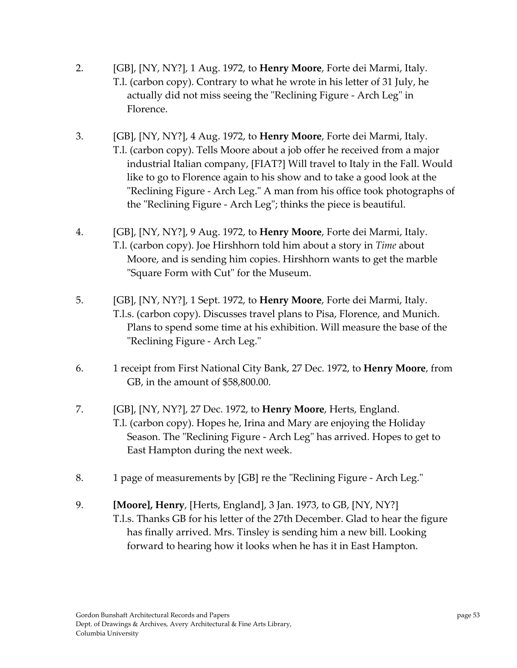- 2. [GB], [NY, NY?], 1 Aug. 1972, to **Henry Moore**, Forte dei Marmi, Italy. T.l. (carbon copy). Contrary to what he wrote in his letter of 31 July, he actually did not miss seeing the "Reclining Figure - Arch Leg" in Florence.
- 3. [GB], [NY, NY?], 4 Aug. 1972, to **Henry Moore**, Forte dei Marmi, Italy. T.l. (carbon copy). Tells Moore about a job offer he received from a major industrial Italian company, [FIAT?] Will travel to Italy in the Fall. Would like to go to Florence again to his show and to take a good look at the "Reclining Figure - Arch Leg." A man from his office took photographs of the "Reclining Figure - Arch Leg"; thinks the piece is beautiful.
- 4. [GB], [NY, NY?], 9 Aug. 1972, to **Henry Moore**, Forte dei Marmi, Italy. T.l. (carbon copy). Joe Hirshhorn told him about a story in *Time* about Moore, and is sending him copies. Hirshhorn wants to get the marble "Square Form with Cut" for the Museum.
- 5. [GB], [NY, NY?], 1 Sept. 1972, to **Henry Moore**, Forte dei Marmi, Italy. T.l.s. (carbon copy). Discusses travel plans to Pisa, Florence, and Munich. Plans to spend some time at his exhibition. Will measure the base of the "Reclining Figure - Arch Leg."
- 6. 1 receipt from First National City Bank, 27 Dec. 1972, to **Henry Moore**, from GB, in the amount of \$58,800.00.
- 7. [GB], [NY, NY?], 27 Dec. 1972, to **Henry Moore**, Herts, England. T.l. (carbon copy). Hopes he, Irina and Mary are enjoying the Holiday Season. The "Reclining Figure - Arch Leg" has arrived. Hopes to get to East Hampton during the next week.
- 8. 1 page of measurements by [GB] re the "Reclining Figure Arch Leg."
- 9. **[Moore], Henry**, [Herts, England], 3 Jan. 1973, to GB, [NY, NY?] T.l.s. Thanks GB for his letter of the 27th December. Glad to hear the figure has finally arrived. Mrs. Tinsley is sending him a new bill. Looking forward to hearing how it looks when he has it in East Hampton.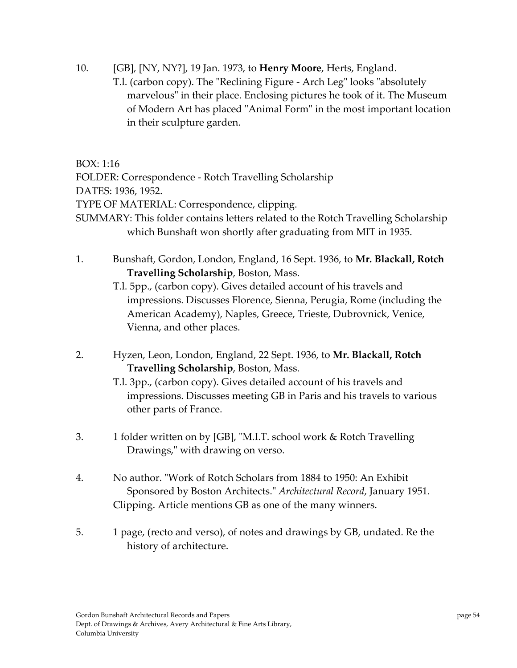10. [GB], [NY, NY?], 19 Jan. 1973, to **Henry Moore**, Herts, England.

T.l. (carbon copy). The "Reclining Figure - Arch Leg" looks "absolutely marvelous" in their place. Enclosing pictures he took of it. The Museum of Modern Art has placed "Animal Form" in the most important location in their sculpture garden.

BOX: 1:16

FOLDER: Correspondence ‐ Rotch Travelling Scholarship

DATES: 1936, 1952.

TYPE OF MATERIAL: Correspondence, clipping.

- SUMMARY: This folder contains letters related to the Rotch Travelling Scholarship which Bunshaft won shortly after graduating from MIT in 1935.
- 1. Bunshaft, Gordon, London, England, 16 Sept. 1936, to **Mr. Blackall, Rotch Travelling Scholarship**, Boston, Mass.
	- T.l. 5pp., (carbon copy). Gives detailed account of his travels and impressions. Discusses Florence, Sienna, Perugia, Rome (including the American Academy), Naples, Greece, Trieste, Dubrovnick, Venice, Vienna, and other places.
- 2. Hyzen, Leon, London, England, 22 Sept. 1936, to **Mr. Blackall, Rotch Travelling Scholarship**, Boston, Mass.
	- T.l. 3pp., (carbon copy). Gives detailed account of his travels and impressions. Discusses meeting GB in Paris and his travels to various other parts of France.
- 3. 1 folder written on by [GB], "M.I.T. school work & Rotch Travelling Drawings," with drawing on verso.
- 4. No author. ʺWork of Rotch Scholars from 1884 to 1950: An Exhibit Sponsored by Boston Architects.ʺ *Architectural Record*, January 1951. Clipping. Article mentions GB as one of the many winners.
- 5. 1 page, (recto and verso), of notes and drawings by GB, undated. Re the history of architecture.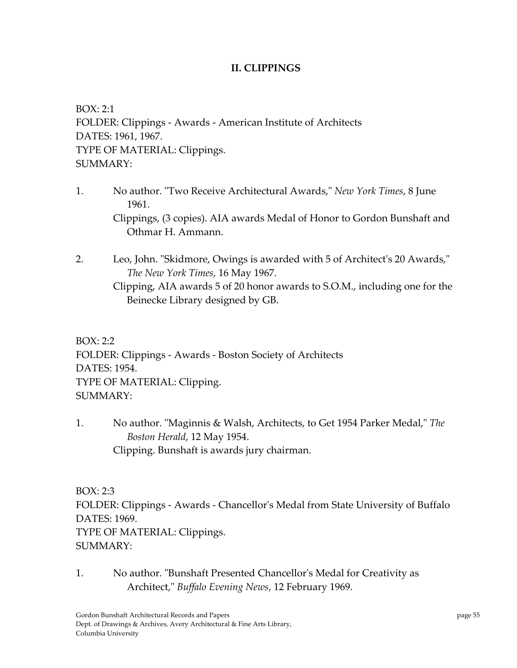## **II. CLIPPINGS**

BOX: 2:1 FOLDER: Clippings ‐ Awards ‐ American Institute of Architects DATES: 1961, 1967. TYPE OF MATERIAL: Clippings. SUMMARY:

- 1. No author. ʺTwo Receive Architectural Awards,ʺ *New York Times*, 8 June 1961. Clippings, (3 copies). AIA awards Medal of Honor to Gordon Bunshaft and Othmar H. Ammann.
- 2. Leo, John. "Skidmore, Owings is awarded with 5 of Architect's 20 Awards," *The New York Times*, 16 May 1967. Clipping, AIA awards 5 of 20 honor awards to S.O.M., including one for the Beinecke Library designed by GB.

BOX: 2:2 FOLDER: Clippings ‐ Awards ‐ Boston Society of Architects DATES: 1954. TYPE OF MATERIAL: Clipping. SUMMARY:

1. No author. "Maginnis & Walsh, Architects, to Get 1954 Parker Medal," The *Boston Herald*, 12 May 1954. Clipping. Bunshaft is awards jury chairman.

BOX: 2:3 FOLDER: Clippings ‐ Awards ‐ Chancellorʹs Medal from State University of Buffalo DATES: 1969. TYPE OF MATERIAL: Clippings.  $SIIMMARY·$ 

1. No author. "Bunshaft Presented Chancellor's Medal for Creativity as Architect,ʺ *Buffalo Evening News*, 12 February 1969.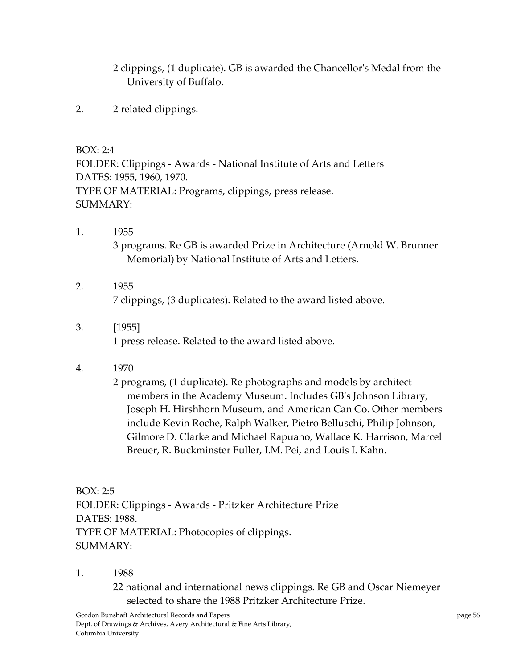2 clippings, (1 duplicate). GB is awarded the Chancellorʹs Medal from the University of Buffalo.

2. 2 related clippings.

BOX: 2:4

FOLDER: Clippings ‐ Awards ‐ National Institute of Arts and Letters DATES: 1955, 1960, 1970. TYPE OF MATERIAL: Programs, clippings, press release. SUMMARY:

- 1. 1955 3 programs. Re GB is awarded Prize in Architecture (Arnold W. Brunner Memorial) by National Institute of Arts and Letters.
- 2. 1955 7 clippings, (3 duplicates). Related to the award listed above.
- 3. [1955] 1 press release. Related to the award listed above.
- 4. 1970

2 programs, (1 duplicate). Re photographs and models by architect members in the Academy Museum. Includes GBʹs Johnson Library, Joseph H. Hirshhorn Museum, and American Can Co. Other members include Kevin Roche, Ralph Walker, Pietro Belluschi, Philip Johnson, Gilmore D. Clarke and Michael Rapuano, Wallace K. Harrison, Marcel Breuer, R. Buckminster Fuller, I.M. Pei, and Louis I. Kahn.

BOX: 2:5 FOLDER: Clippings ‐ Awards ‐ Pritzker Architecture Prize DATES: 1988. TYPE OF MATERIAL: Photocopies of clippings.  $SIIMMARY·$ 

1. 1988

22 national and international news clippings. Re GB and Oscar Niemeyer selected to share the 1988 Pritzker Architecture Prize.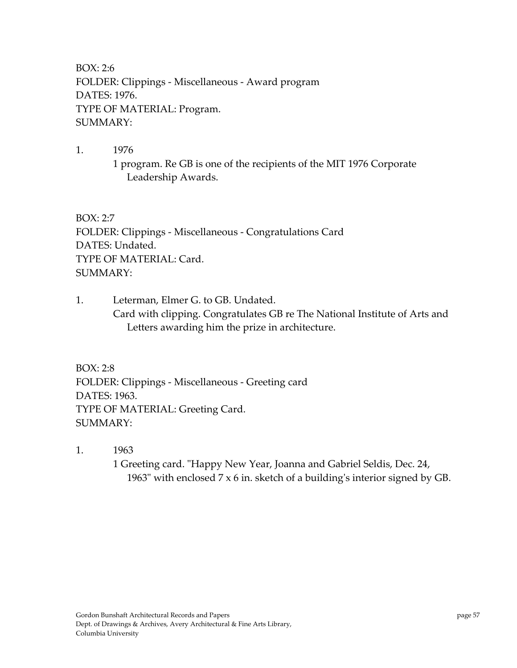BOX: 2:6 FOLDER: Clippings ‐ Miscellaneous ‐ Award program DATES: 1976. TYPE OF MATERIAL: Program. SUMMARY:

1. 1976 1 program. Re GB is one of the recipients of the MIT 1976 Corporate Leadership Awards.

BOX: 2:7 FOLDER: Clippings ‐ Miscellaneous ‐ Congratulations Card DATES: Undated. TYPE OF MATERIAL: Card. SUMMARY:

1. Leterman, Elmer G. to GB. Undated. Card with clipping. Congratulates GB re The National Institute of Arts and Letters awarding him the prize in architecture.

BOX: 2:8 FOLDER: Clippings ‐ Miscellaneous ‐ Greeting card DATES: 1963. TYPE OF MATERIAL: Greeting Card. SUMMARY:

1. 1963

1 Greeting card. "Happy New Year, Joanna and Gabriel Seldis, Dec. 24, 1963" with enclosed  $7 \times 6$  in. sketch of a building's interior signed by GB.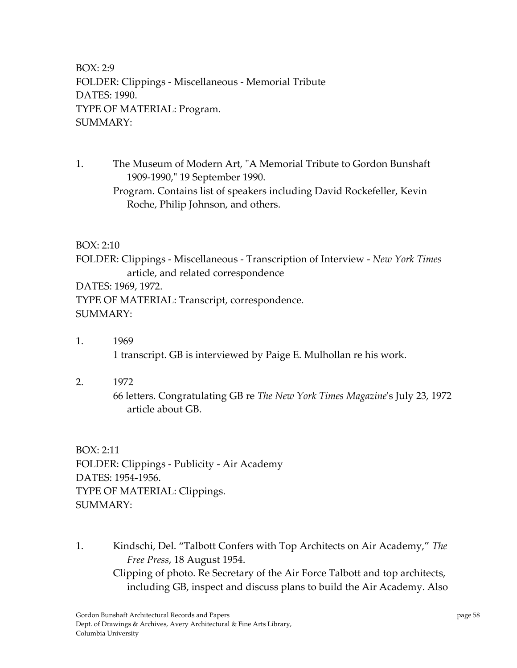BOX: 2:9 FOLDER: Clippings ‐ Miscellaneous ‐ Memorial Tribute DATES: 1990. TYPE OF MATERIAL: Program. SUMMARY:

1. The Museum of Modern Art, "A Memorial Tribute to Gordon Bunshaft 1909-1990," 19 September 1990. Program. Contains list of speakers including David Rockefeller, Kevin Roche, Philip Johnson, and others.

## BOX: 2:10

FOLDER: Clippings ‐ Miscellaneous ‐ Transcription of Interview ‐ *New York Times* article, and related correspondence DATES: 1969, 1972.

TYPE OF MATERIAL: Transcript, correspondence. SUMMARY:

- 1. 1969 1 transcript. GB is interviewed by Paige E. Mulhollan re his work.
- 2. 1972 66 letters. Congratulating GB re *The New York Times Magazine*ʹs July 23, 1972 article about GB.

BOX: 2:11 FOLDER: Clippings ‐ Publicity ‐ Air Academy DATES: 1954‐1956. TYPE OF MATERIAL: Clippings. SUMMARY:

1. Kindschi, Del. "Talbott Confers with Top Architects on Air Academy," *The Free Press*, 18 August 1954. Clipping of photo. Re Secretary of the Air Force Talbott and top architects, including GB, inspect and discuss plans to build the Air Academy. Also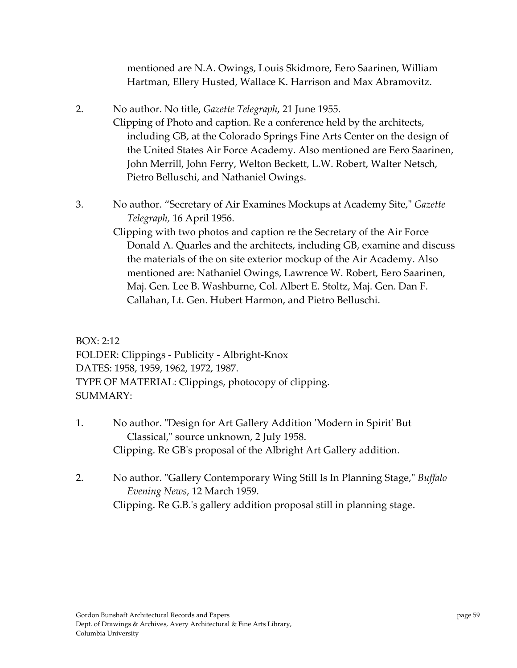mentioned are N.A. Owings, Louis Skidmore, Eero Saarinen, William Hartman, Ellery Husted, Wallace K. Harrison and Max Abramovitz.

- 2. No author. No title, *Gazette Telegraph*, 21 June 1955. Clipping of Photo and caption. Re a conference held by the architects, including GB, at the Colorado Springs Fine Arts Center on the design of the United States Air Force Academy. Also mentioned are Eero Saarinen, John Merrill, John Ferry, Welton Beckett, L.W. Robert, Walter Netsch, Pietro Belluschi, and Nathaniel Owings.
- 3. No author. "Secretary of Air Examines Mockups at Academy Site," Gazette *Telegraph,* 16 April 1956.
	- Clipping with two photos and caption re the Secretary of the Air Force Donald A. Quarles and the architects, including GB, examine and discuss the materials of the on site exterior mockup of the Air Academy. Also mentioned are: Nathaniel Owings, Lawrence W. Robert, Eero Saarinen, Maj. Gen. Lee B. Washburne, Col. Albert E. Stoltz, Maj. Gen. Dan F. Callahan, Lt. Gen. Hubert Harmon, and Pietro Belluschi.

BOX: 2:12 FOLDER: Clippings ‐ Publicity ‐ Albright‐Knox DATES: 1958, 1959, 1962, 1972, 1987. TYPE OF MATERIAL: Clippings, photocopy of clipping. SUMMARY:

- 1. No author. "Design for Art Gallery Addition 'Modern in Spirit' But Classical," source unknown, 2 July 1958. Clipping. Re GBʹs proposal of the Albright Art Gallery addition.
- 2. No author. "Gallery Contemporary Wing Still Is In Planning Stage," *Buffalo Evening News*, 12 March 1959. Clipping. Re G.B.ʹs gallery addition proposal still in planning stage.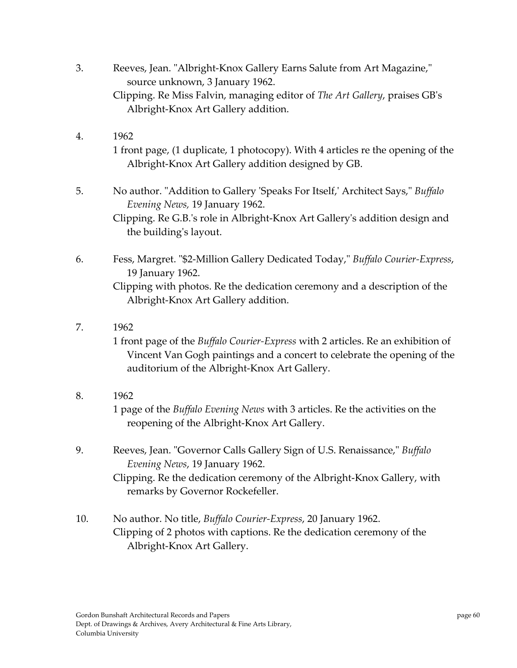- 3. Reeves, Jean. "Albright-Knox Gallery Earns Salute from Art Magazine," source unknown, 3 January 1962. Clipping. Re Miss Falvin, managing editor of *The Art Gallery*, praises GBʹs Albright‐Knox Art Gallery addition.
- 4. 1962 1 front page, (1 duplicate, 1 photocopy). With 4 articles re the opening of the Albright‐Knox Art Gallery addition designed by GB.
- 5. No author. "Addition to Gallery 'Speaks For Itself,' Architect Says," Buffalo *Evening News,* 19 January 1962. Clipping. Re G.B.ʹs role in Albright‐Knox Art Galleryʹs addition design and the buildingʹs layout.
- 6. Fess, Margret. ʺ\$2‐Million Gallery Dedicated Today,ʺ *Buffalo Courier‐Express*, 19 January 1962. Clipping with photos. Re the dedication ceremony and a description of the Albright‐Knox Art Gallery addition.
- 7. 1962

1 front page of the *Buffalo Courier‐Express* with 2 articles. Re an exhibition of Vincent Van Gogh paintings and a concert to celebrate the opening of the auditorium of the Albright‐Knox Art Gallery.

8. 1962

1 page of the *Buffalo Evening News* with 3 articles. Re the activities on the reopening of the Albright‐Knox Art Gallery.

- 9. Reeves, Jean. "Governor Calls Gallery Sign of U.S. Renaissance," Buffalo *Evening News*, 19 January 1962. Clipping. Re the dedication ceremony of the Albright‐Knox Gallery, with remarks by Governor Rockefeller.
- 10. No author. No title, *Buffalo Courier‐Express*, 20 January 1962. Clipping of 2 photos with captions. Re the dedication ceremony of the Albright‐Knox Art Gallery.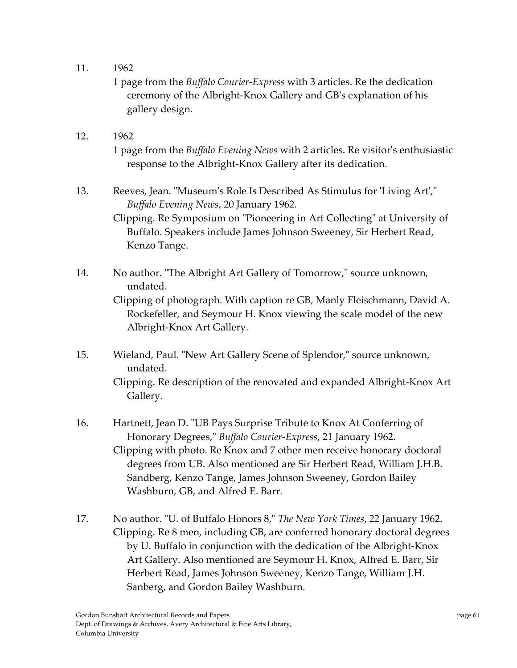11. 1962

1 page from the *Buffalo Courier‐Express* with 3 articles. Re the dedication ceremony of the Albright‐Knox Gallery and GBʹs explanation of his gallery design.

- 12. 1962 1 page from the *Buffalo Evening News* with 2 articles. Re visitorʹs enthusiastic response to the Albright‐Knox Gallery after its dedication.
- 13. Reeves, Jean. "Museum's Role Is Described As Stimulus for 'Living Art'," *Buffalo Evening News*, 20 January 1962. Clipping. Re Symposium on "Pioneering in Art Collecting" at University of Buffalo. Speakers include James Johnson Sweeney, Sir Herbert Read, Kenzo Tange.
- 14. No author. "The Albright Art Gallery of Tomorrow," source unknown, undated. Clipping of photograph. With caption re GB, Manly Fleischmann, David A. Rockefeller, and Seymour H. Knox viewing the scale model of the new Albright‐Knox Art Gallery.
- 15. Wieland, Paul. "New Art Gallery Scene of Splendor," source unknown, undated. Clipping. Re description of the renovated and expanded Albright‐Knox Art Gallery.
- 16. Hartnett, Jean D. "UB Pays Surprise Tribute to Knox At Conferring of Honorary Degrees,ʺ *Buffalo Courier‐Express*, 21 January 1962. Clipping with photo. Re Knox and 7 other men receive honorary doctoral degrees from UB. Also mentioned are Sir Herbert Read, William J.H.B. Sandberg, Kenzo Tange, James Johnson Sweeney, Gordon Bailey Washburn, GB, and Alfred E. Barr.
- 17. No author. ʺU. of Buffalo Honors 8,ʺ *The New York Times*, 22 January 1962. Clipping. Re 8 men, including GB, are conferred honorary doctoral degrees by U. Buffalo in conjunction with the dedication of the Albright‐Knox Art Gallery. Also mentioned are Seymour H. Knox, Alfred E. Barr, Sir Herbert Read, James Johnson Sweeney, Kenzo Tange, William J.H. Sanberg, and Gordon Bailey Washburn.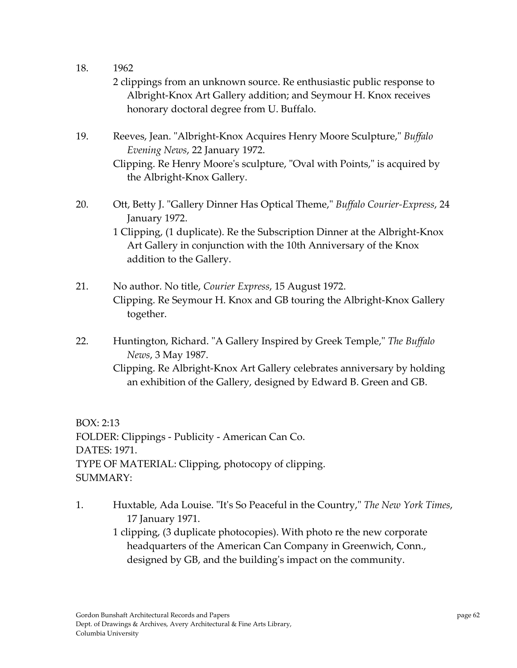- 18. 1962
	- 2 clippings from an unknown source. Re enthusiastic public response to Albright‐Knox Art Gallery addition; and Seymour H. Knox receives honorary doctoral degree from U. Buffalo.
- 19. Reeves, Jean. "Albright-Knox Acquires Henry Moore Sculpture," Buffalo *Evening News*, 22 January 1972.

20. Ott, Betty J. "Gallery Dinner Has Optical Theme," Buffalo Courier-Express, 24 January 1972.

> 1 Clipping, (1 duplicate). Re the Subscription Dinner at the Albright‐Knox Art Gallery in conjunction with the 10th Anniversary of the Knox addition to the Gallery.

- 21. No author. No title, *Courier Express*, 15 August 1972. Clipping. Re Seymour H. Knox and GB touring the Albright‐Knox Gallery together.
- 22. Huntington, Richard. "A Gallery Inspired by Greek Temple," The Buffalo *News*, 3 May 1987.
	- Clipping. Re Albright‐Knox Art Gallery celebrates anniversary by holding an exhibition of the Gallery, designed by Edward B. Green and GB.

BOX: 2:13 FOLDER: Clippings ‐ Publicity ‐ American Can Co. DATES: 1971. TYPE OF MATERIAL: Clipping, photocopy of clipping. SUMMARY:

1. Huxtable, Ada Louise. ʺItʹs So Peaceful in the Country,ʺ *The New York Times*, 17 January 1971.

1 clipping, (3 duplicate photocopies). With photo re the new corporate headquarters of the American Can Company in Greenwich, Conn., designed by GB, and the buildingʹs impact on the community.

Clipping. Re Henry Moore's sculpture, "Oval with Points," is acquired by the Albright‐Knox Gallery.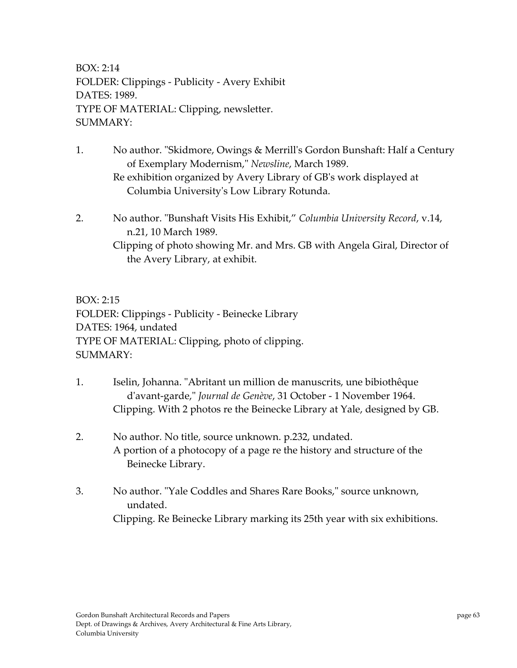BOX: 2:14 FOLDER: Clippings ‐ Publicity ‐ Avery Exhibit DATES: 1989. TYPE OF MATERIAL: Clipping, newsletter. SUMMARY:

- 1. No author. "Skidmore, Owings & Merrill's Gordon Bunshaft: Half a Century of Exemplary Modernism,ʺ *Newsline*, March 1989. Re exhibition organized by Avery Library of GBʹs work displayed at Columbia Universityʹs Low Library Rotunda.
- 2. No author. ʺBunshaft Visits His Exhibit," *Columbia University Record*, v.14, n.21, 10 March 1989.

Clipping of photo showing Mr. and Mrs. GB with Angela Giral, Director of the Avery Library, at exhibit.

BOX: 2:15 FOLDER: Clippings ‐ Publicity ‐ Beinecke Library DATES: 1964, undated TYPE OF MATERIAL: Clipping, photo of clipping. SUMMARY:

- 1. Iselin, Johanna. "Abritant un million de manuscrits, une bibiothêque dʹavant‐garde,ʺ *Journal de Genève*, 31 October ‐ 1 November 1964. Clipping. With 2 photos re the Beinecke Library at Yale, designed by GB.
- 2. No author. No title, source unknown. p.232, undated. A portion of a photocopy of a page re the history and structure of the Beinecke Library.
- 3. No author. "Yale Coddles and Shares Rare Books," source unknown, undated. Clipping. Re Beinecke Library marking its 25th year with six exhibitions.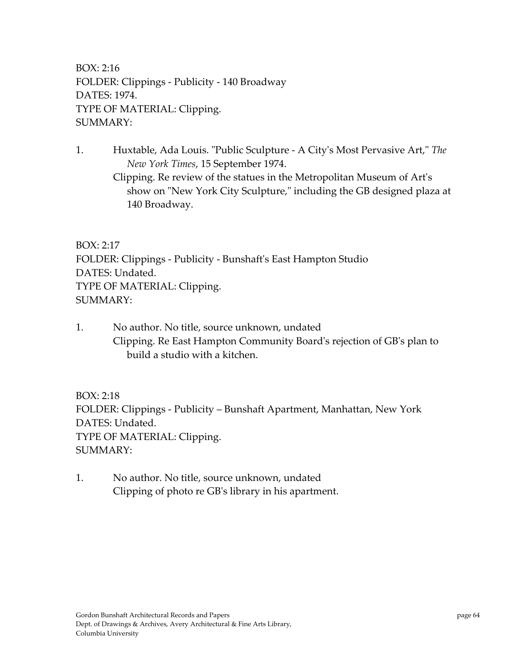BOX: 2:16 FOLDER: Clippings ‐ Publicity ‐ 140 Broadway DATES: 1974. TYPE OF MATERIAL: Clipping. SUMMARY:

1. Huxtable, Ada Louis. "Public Sculpture - A City's Most Pervasive Art," The *New York Times*, 15 September 1974. Clipping. Re review of the statues in the Metropolitan Museum of Artʹs show on "New York City Sculpture," including the GB designed plaza at 140 Broadway.

BOX: 2:17 FOLDER: Clippings ‐ Publicity ‐ Bunshaftʹs East Hampton Studio DATES: Undated. TYPE OF MATERIAL: Clipping. SUMMARY:

1. No author. No title, source unknown, undated Clipping. Re East Hampton Community Boardʹs rejection of GBʹs plan to build a studio with a kitchen.

BOX: 2:18 FOLDER: Clippings ‐ Publicity – Bunshaft Apartment, Manhattan, New York DATES: Undated. TYPE OF MATERIAL: Clipping. SUMMARY:

1. No author. No title, source unknown, undated Clipping of photo re GBʹs library in his apartment.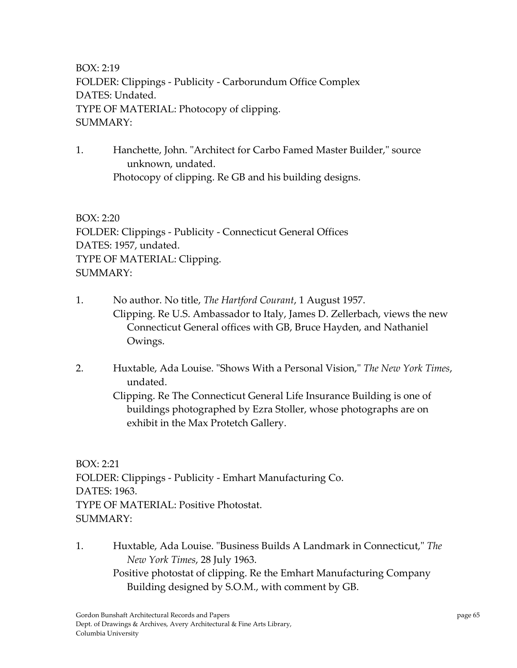BOX: 2:19 FOLDER: Clippings ‐ Publicity ‐ Carborundum Office Complex DATES: Undated. TYPE OF MATERIAL: Photocopy of clipping. SUMMARY:

1. Hanchette, John. "Architect for Carbo Famed Master Builder," source unknown, undated. Photocopy of clipping. Re GB and his building designs.

BOX: 2:20 FOLDER: Clippings ‐ Publicity ‐ Connecticut General Offices DATES: 1957, undated. TYPE OF MATERIAL: Clipping. SUMMARY:

- 1. No author. No title, *The Hartford Courant*, 1 August 1957. Clipping. Re U.S. Ambassador to Italy, James D. Zellerbach, views the new Connecticut General offices with GB, Bruce Hayden, and Nathaniel Owings.
- 2. Huxtable, Ada Louise. ʺShows With a Personal Vision,ʺ *The New York Times*, undated.

Clipping. Re The Connecticut General Life Insurance Building is one of buildings photographed by Ezra Stoller, whose photographs are on exhibit in the Max Protetch Gallery.

BOX: 2:21 FOLDER: Clippings ‐ Publicity ‐ Emhart Manufacturing Co. DATES: 1963. TYPE OF MATERIAL: Positive Photostat. SUMMARY:

1. Huxtable, Ada Louise. "Business Builds A Landmark in Connecticut," The *New York Times*, 28 July 1963. Positive photostat of clipping. Re the Emhart Manufacturing Company Building designed by S.O.M., with comment by GB.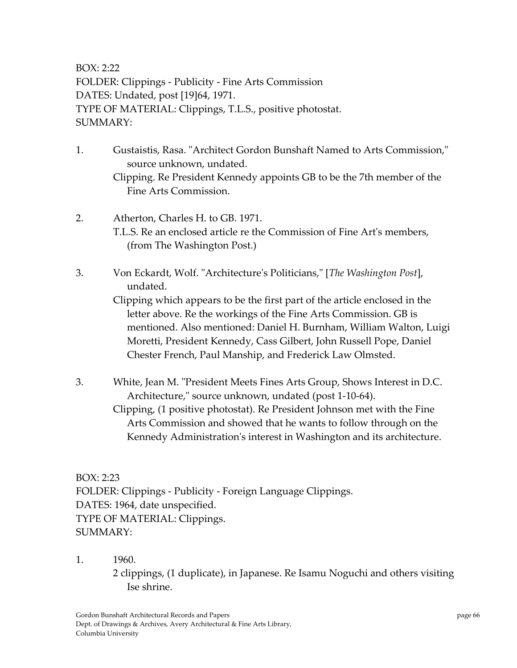BOX: 2:22 FOLDER: Clippings ‐ Publicity ‐ Fine Arts Commission DATES: Undated, post [19]64, 1971. TYPE OF MATERIAL: Clippings, T.L.S., positive photostat. SUMMARY:

- 1. Gustaistis, Rasa. "Architect Gordon Bunshaft Named to Arts Commission," source unknown, undated. Clipping. Re President Kennedy appoints GB to be the 7th member of the Fine Arts Commission.
- 2. Atherton, Charles H. to GB. 1971. T.L.S. Re an enclosed article re the Commission of Fine Artʹs members, (from The Washington Post.)
- 3. Von Eckardt, Wolf. ʺArchitectureʹs Politicians,ʺ [*The Washington Post*], undated.

Clipping which appears to be the first part of the article enclosed in the letter above. Re the workings of the Fine Arts Commission. GB is mentioned. Also mentioned: Daniel H. Burnham, William Walton, Luigi Moretti, President Kennedy, Cass Gilbert, John Russell Pope, Daniel Chester French, Paul Manship, and Frederick Law Olmsted.

3. White, Jean M. "President Meets Fines Arts Group, Shows Interest in D.C. Architecture," source unknown, undated (post 1-10-64). Clipping, (1 positive photostat). Re President Johnson met with the Fine

Arts Commission and showed that he wants to follow through on the Kennedy Administration's interest in Washington and its architecture.

BOX: 2:23 FOLDER: Clippings ‐ Publicity ‐ Foreign Language Clippings. DATES: 1964, date unspecified. TYPE OF MATERIAL: Clippings. SUMMARY:

1. 1960.

2 clippings, (1 duplicate), in Japanese. Re Isamu Noguchi and others visiting Ise shrine.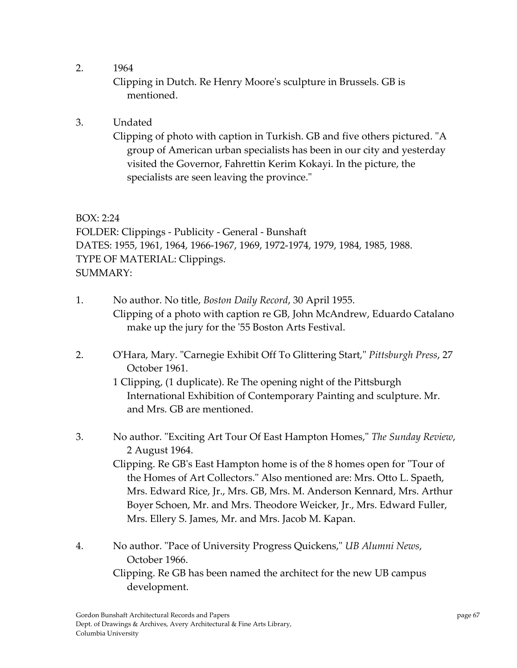2. 1964

Clipping in Dutch. Re Henry Mooreʹs sculpture in Brussels. GB is mentioned.

3. Undated

Clipping of photo with caption in Turkish. GB and five others pictured. "A group of American urban specialists has been in our city and yesterday visited the Governor, Fahrettin Kerim Kokayi. In the picture, the specialists are seen leaving the province."

BOX: 2:24 FOLDER: Clippings ‐ Publicity ‐ General ‐ Bunshaft DATES: 1955, 1961, 1964, 1966‐1967, 1969, 1972‐1974, 1979, 1984, 1985, 1988. TYPE OF MATERIAL: Clippings. SUMMARY:

- 1. No author. No title, *Boston Daily Record*, 30 April 1955. Clipping of a photo with caption re GB, John McAndrew, Eduardo Catalano make up the jury for the '55 Boston Arts Festival.
- 2. O'Hara, Mary. "Carnegie Exhibit Off To Glittering Start," Pittsburgh Press, 27 October 1961.

1 Clipping, (1 duplicate). Re The opening night of the Pittsburgh International Exhibition of Contemporary Painting and sculpture. Mr. and Mrs. GB are mentioned.

3. No author. ʺExciting Art Tour Of East Hampton Homes,ʺ *The Sunday Review*, 2 August 1964.

Clipping. Re GB's East Hampton home is of the 8 homes open for "Tour of the Homes of Art Collectors." Also mentioned are: Mrs. Otto L. Spaeth, Mrs. Edward Rice, Jr., Mrs. GB, Mrs. M. Anderson Kennard, Mrs. Arthur Boyer Schoen, Mr. and Mrs. Theodore Weicker, Jr., Mrs. Edward Fuller, Mrs. Ellery S. James, Mr. and Mrs. Jacob M. Kapan.

4. No author. ʺPace of University Progress Quickens,ʺ *UB Alumni News*, October 1966. Clipping. Re GB has been named the architect for the new UB campus development.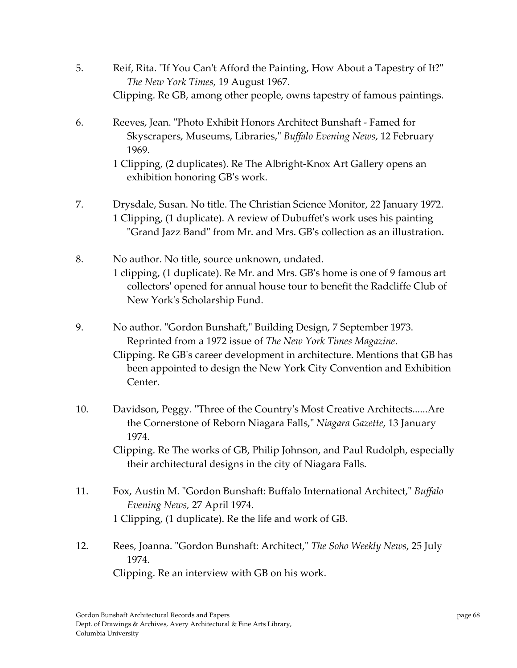- 5. Reif, Rita. "If You Can't Afford the Painting, How About a Tapestry of It?" *The New York Times*, 19 August 1967. Clipping. Re GB, among other people, owns tapestry of famous paintings.
- 6. Reeves, Jean. ʺPhoto Exhibit Honors Architect Bunshaft ‐ Famed for Skyscrapers, Museums, Libraries,ʺ *Buffalo Evening News*, 12 February 1969.

1 Clipping, (2 duplicates). Re The Albright‐Knox Art Gallery opens an exhibition honoring GBʹs work.

- 7. Drysdale, Susan. No title. The Christian Science Monitor, 22 January 1972. 1 Clipping, (1 duplicate). A review of Dubuffetʹs work uses his painting "Grand Jazz Band" from Mr. and Mrs. GB's collection as an illustration.
- 8. No author. No title, source unknown, undated. 1 clipping, (1 duplicate). Re Mr. and Mrs. GBʹs home is one of 9 famous art collectorsʹ opened for annual house tour to benefit the Radcliffe Club of New Yorkʹs Scholarship Fund.
- 9. No author. "Gordon Bunshaft," Building Design, 7 September 1973. Reprinted from a 1972 issue of *The New York Times Magazine*.

Clipping. Re GBʹs career development in architecture. Mentions that GB has been appointed to design the New York City Convention and Exhibition Center.

10. Davidson, Peggy. "Three of the Country's Most Creative Architects......Are the Cornerstone of Reborn Niagara Falls," Niagara Gazette, 13 January 1974.

Clipping. Re The works of GB, Philip Johnson, and Paul Rudolph, especially their architectural designs in the city of Niagara Falls.

- 11. Fox, Austin M. "Gordon Bunshaft: Buffalo International Architect," Buffalo *Evening News,* 27 April 1974. 1 Clipping, (1 duplicate). Re the life and work of GB.
- 12. Rees, Joanna. ʺGordon Bunshaft: Architect,ʺ *The Soho Weekly News*, 25 July 1974.

Clipping. Re an interview with GB on his work.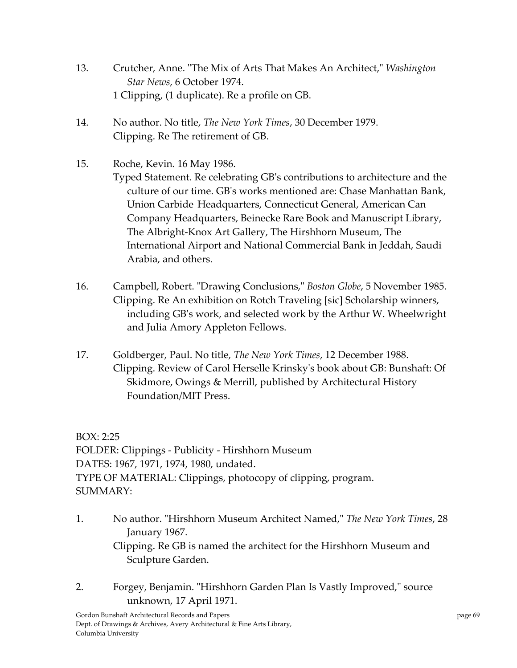- 13. Crutcher, Anne. "The Mix of Arts That Makes An Architect," *Washington Star News*, 6 October 1974. 1 Clipping, (1 duplicate). Re a profile on GB.
- 14. No author. No title, *The New York Times*, 30 December 1979. Clipping. Re The retirement of GB.
- 15. Roche, Kevin. 16 May 1986. Typed Statement. Re celebrating GBʹs contributions to architecture and the culture of our time. GBʹs works mentioned are: Chase Manhattan Bank, Union Carbide Headquarters, Connecticut General, American Can Company Headquarters, Beinecke Rare Book and Manuscript Library, The Albright‐Knox Art Gallery, The Hirshhorn Museum, The International Airport and National Commercial Bank in Jeddah, Saudi Arabia, and others.
- 16. Campbell, Robert. "Drawing Conclusions," Boston Globe, 5 November 1985. Clipping. Re An exhibition on Rotch Traveling [sic] Scholarship winners, including GBʹs work, and selected work by the Arthur W. Wheelwright and Julia Amory Appleton Fellows.
- 17. Goldberger, Paul. No title, *The New York Times*, 12 December 1988. Clipping. Review of Carol Herselle Krinskyʹs book about GB: Bunshaft: Of Skidmore, Owings & Merrill, published by Architectural History Foundation/MIT Press.

BOX: 2:25 FOLDER: Clippings ‐ Publicity ‐ Hirshhorn Museum DATES: 1967, 1971, 1974, 1980, undated. TYPE OF MATERIAL: Clippings, photocopy of clipping, program. SUMMARY:

- 1. No author. ʺHirshhorn Museum Architect Named,ʺ *The New York Times*, 28 January 1967. Clipping. Re GB is named the architect for the Hirshhorn Museum and Sculpture Garden.
- 2. Forgey, Benjamin. "Hirshhorn Garden Plan Is Vastly Improved," source unknown, 17 April 1971.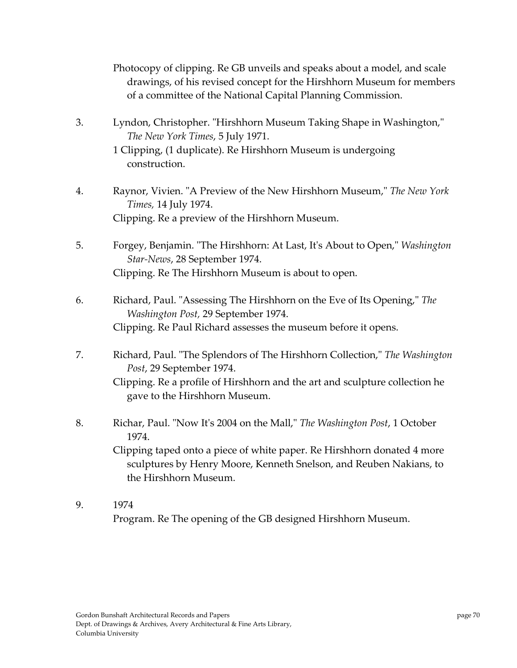Photocopy of clipping. Re GB unveils and speaks about a model, and scale drawings, of his revised concept for the Hirshhorn Museum for members of a committee of the National Capital Planning Commission.

3. Lyndon, Christopher. "Hirshhorn Museum Taking Shape in Washington," *The New York Times*, 5 July 1971.

- 4. Raynor, Vivien. ʺA Preview of the New Hirshhorn Museum,ʺ *The New York Times,* 14 July 1974. Clipping. Re a preview of the Hirshhorn Museum.
- 5. Forgey, Benjamin. "The Hirshhorn: At Last, It's About to Open," *Washington Star‐News*, 28 September 1974. Clipping. Re The Hirshhorn Museum is about to open.
- 6. Richard, Paul. ʺAssessing The Hirshhorn on the Eve of Its Opening,ʺ *The Washington Post,* 29 September 1974. Clipping. Re Paul Richard assesses the museum before it opens.
- 7. Richard, Paul. ʺThe Splendors of The Hirshhorn Collection,ʺ *The Washington Post*, 29 September 1974. Clipping. Re a profile of Hirshhorn and the art and sculpture collection he
	- gave to the Hirshhorn Museum.
- 8. Richar, Paul. ʺNow Itʹs 2004 on the Mall,ʺ *The Washington Post*, 1 October 1974.

Clipping taped onto a piece of white paper. Re Hirshhorn donated 4 more sculptures by Henry Moore, Kenneth Snelson, and Reuben Nakians, to the Hirshhorn Museum.

9. 1974 Program. Re The opening of the GB designed Hirshhorn Museum.

<sup>1</sup> Clipping, (1 duplicate). Re Hirshhorn Museum is undergoing construction.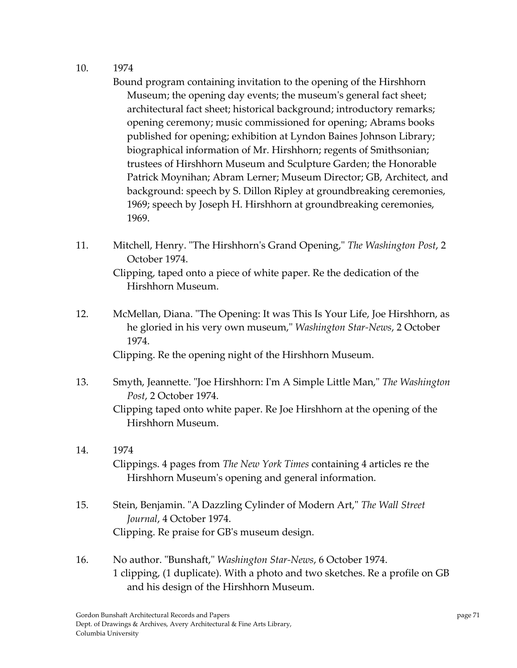10. 1974

Bound program containing invitation to the opening of the Hirshhorn Museum; the opening day events; the museum's general fact sheet; architectural fact sheet; historical background; introductory remarks; opening ceremony; music commissioned for opening; Abrams books published for opening; exhibition at Lyndon Baines Johnson Library; biographical information of Mr. Hirshhorn; regents of Smithsonian; trustees of Hirshhorn Museum and Sculpture Garden; the Honorable Patrick Moynihan; Abram Lerner; Museum Director; GB, Architect, and background: speech by S. Dillon Ripley at groundbreaking ceremonies, 1969; speech by Joseph H. Hirshhorn at groundbreaking ceremonies, 1969.

- 11. Mitchell, Henry. ʺThe Hirshhornʹs Grand Opening,ʺ *The Washington Post*, 2 October 1974. Clipping, taped onto a piece of white paper. Re the dedication of the Hirshhorn Museum.
- 12. McMellan, Diana. "The Opening: It was This Is Your Life, Joe Hirshhorn, as he gloried in his very own museum,ʺ *Washington Star‐News*, 2 October 1974.

Clipping. Re the opening night of the Hirshhorn Museum.

- 13. Smyth, Jeannette. ʺJoe Hirshhorn: Iʹm A Simple Little Man,ʺ *The Washington Post*, 2 October 1974. Clipping taped onto white paper. Re Joe Hirshhorn at the opening of the Hirshhorn Museum.
- 14. 1974 Clippings. 4 pages from *The New York Times* containing 4 articles re the Hirshhorn Museumʹs opening and general information.
- 15. Stein, Benjamin. "A Dazzling Cylinder of Modern Art," The Wall Street *Journal*, 4 October 1974. Clipping. Re praise for GBʹs museum design.
- 16. No author. ʺBunshaft,ʺ *Washington Star‐News*, 6 October 1974. 1 clipping, (1 duplicate). With a photo and two sketches. Re a profile on GB and his design of the Hirshhorn Museum.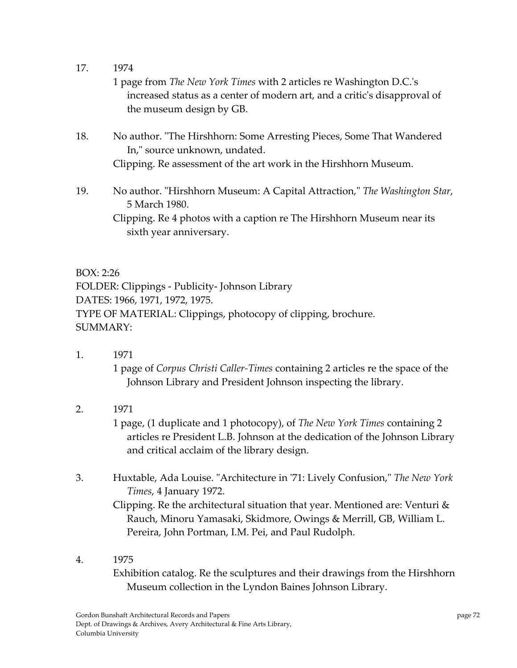17. 1974

1 page from *The New York Times* with 2 articles re Washington D.C.ʹs increased status as a center of modern art, and a criticʹs disapproval of the museum design by GB.

- 18. No author. "The Hirshhorn: Some Arresting Pieces, Some That Wandered In," source unknown, undated. Clipping. Re assessment of the art work in the Hirshhorn Museum.
- 19. No author. "Hirshhorn Museum: A Capital Attraction," The Washington Star, 5 March 1980. Clipping. Re 4 photos with a caption re The Hirshhorn Museum near its sixth year anniversary.

BOX: 2:26 FOLDER: Clippings ‐ Publicity‐ Johnson Library DATES: 1966, 1971, 1972, 1975. TYPE OF MATERIAL: Clippings, photocopy of clipping, brochure. SUMMARY:

1. 1971

1 page of *Corpus Christi Caller‐Times* containing 2 articles re the space of the Johnson Library and President Johnson inspecting the library.

2. 1971

1 page, (1 duplicate and 1 photocopy), of *The New York Times* containing 2 articles re President L.B. Johnson at the dedication of the Johnson Library and critical acclaim of the library design.

3. Huxtable, Ada Louise. ʺArchitecture in ʹ71: Lively Confusion,ʺ *The New York Times*, 4 January 1972.

Clipping. Re the architectural situation that year. Mentioned are: Venturi & Rauch, Minoru Yamasaki, Skidmore, Owings & Merrill, GB, William L. Pereira, John Portman, I.M. Pei, and Paul Rudolph.

4. 1975

Exhibition catalog. Re the sculptures and their drawings from the Hirshhorn Museum collection in the Lyndon Baines Johnson Library.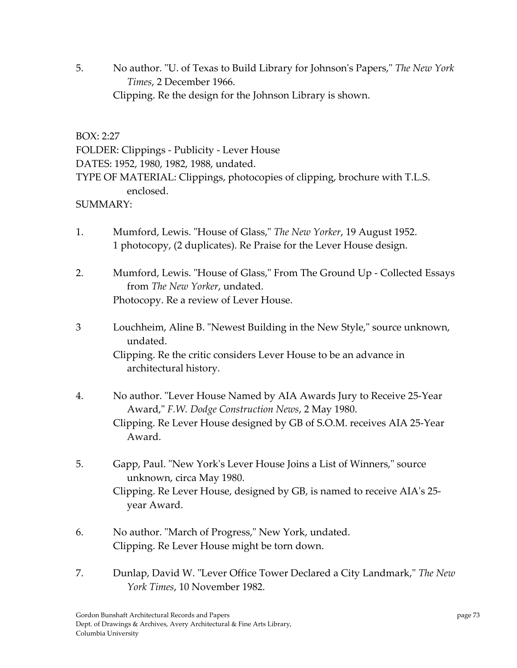5. No author. ʺU. of Texas to Build Library for Johnsonʹs Papers,ʺ *The New York Times*, 2 December 1966. Clipping. Re the design for the Johnson Library is shown.

BOX: 2:27

FOLDER: Clippings ‐ Publicity ‐ Lever House DATES: 1952, 1980, 1982, 1988, undated. TYPE OF MATERIAL: Clippings, photocopies of clipping, brochure with T.L.S. enclosed.

#### SUMMARY:

1. Mumford, Lewis. "House of Glass," The New Yorker, 19 August 1952. 1 photocopy, (2 duplicates). Re Praise for the Lever House design.

2. Mumford, Lewis. "House of Glass," From The Ground Up - Collected Essays from *The New Yorker*, undated. Photocopy. Re a review of Lever House.

- 3 Louchheim, Aline B. "Newest Building in the New Style," source unknown, undated. Clipping. Re the critic considers Lever House to be an advance in architectural history.
- 4. No author. "Lever House Named by AIA Awards Jury to Receive 25-Year Award,ʺ *F.W. Dodge Construction News*, 2 May 1980. Clipping. Re Lever House designed by GB of S.O.M. receives AIA 25‐Year Award.
- 5. Gapp, Paul. "New York's Lever House Joins a List of Winners," source unknown, circa May 1980. Clipping. Re Lever House, designed by GB, is named to receive AIAʹs 25‐ year Award.
- 6. No author. "March of Progress," New York, undated. Clipping. Re Lever House might be torn down.
- 7. Dunlap, David W. "Lever Office Tower Declared a City Landmark," The New *York Times*, 10 November 1982.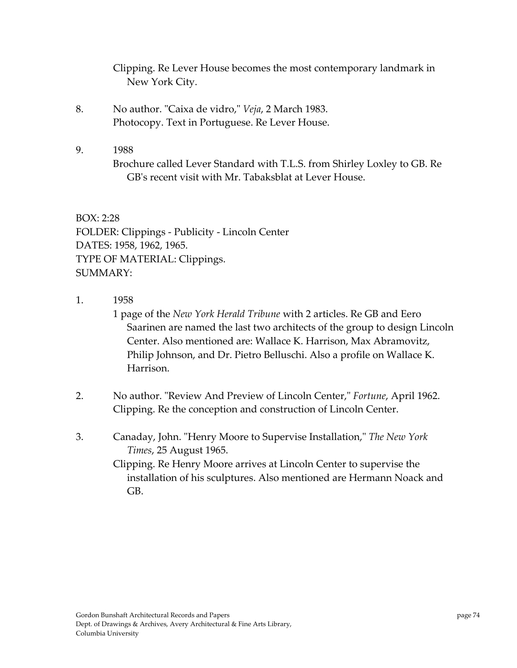Clipping. Re Lever House becomes the most contemporary landmark in New York City.

- 8. No author. "Caixa de vidro," *Veja*, 2 March 1983. Photocopy. Text in Portuguese. Re Lever House.
- 9. 1988 Brochure called Lever Standard with T.L.S. from Shirley Loxley to GB. Re GB's recent visit with Mr. Tabaksblat at Lever House.

BOX: 2:28 FOLDER: Clippings ‐ Publicity ‐ Lincoln Center DATES: 1958, 1962, 1965. TYPE OF MATERIAL: Clippings. SUMMARY:

1. 1958

1 page of the *New York Herald Tribune* with 2 articles. Re GB and Eero Saarinen are named the last two architects of the group to design Lincoln Center. Also mentioned are: Wallace K. Harrison, Max Abramovitz, Philip Johnson, and Dr. Pietro Belluschi. Also a profile on Wallace K. Harrison.

- 2. No author. "Review And Preview of Lincoln Center," *Fortune*, April 1962. Clipping. Re the conception and construction of Lincoln Center.
- 3. Canaday, John. ʺHenry Moore to Supervise Installation,ʺ *The New York Times*, 25 August 1965.

Clipping. Re Henry Moore arrives at Lincoln Center to supervise the installation of his sculptures. Also mentioned are Hermann Noack and GB.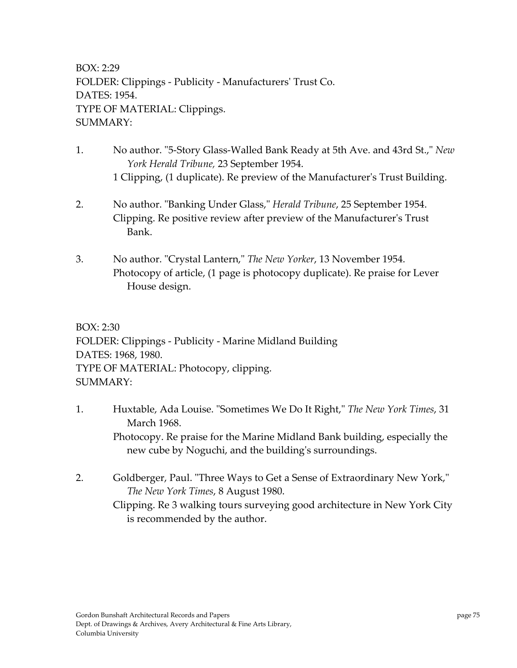BOX: 2:29 FOLDER: Clippings ‐ Publicity ‐ Manufacturersʹ Trust Co. DATES: 1954. TYPE OF MATERIAL: Clippings. SUMMARY:

- 1. No author. "5-Story Glass-Walled Bank Ready at 5th Ave. and 43rd St.," *New York Herald Tribune,* 23 September 1954. 1 Clipping, (1 duplicate). Re preview of the Manufacturerʹs Trust Building.
- 2. No author. "Banking Under Glass," *Herald Tribune*, 25 September 1954. Clipping. Re positive review after preview of the Manufacturerʹs Trust Bank.
- 3. No author. "Crystal Lantern," The New Yorker, 13 November 1954. Photocopy of article, (1 page is photocopy duplicate). Re praise for Lever House design.

BOX: 2:30 FOLDER: Clippings ‐ Publicity ‐ Marine Midland Building DATES: 1968, 1980. TYPE OF MATERIAL: Photocopy, clipping. SUMMARY:

- 1. Huxtable, Ada Louise. ʺSometimes We Do It Right,ʺ *The New York Times*, 31 March 1968. Photocopy. Re praise for the Marine Midland Bank building, especially the new cube by Noguchi, and the buildingʹs surroundings.
- 2. Goldberger, Paul. "Three Ways to Get a Sense of Extraordinary New York," *The New York Times*, 8 August 1980.

Clipping. Re 3 walking tours surveying good architecture in New York City is recommended by the author.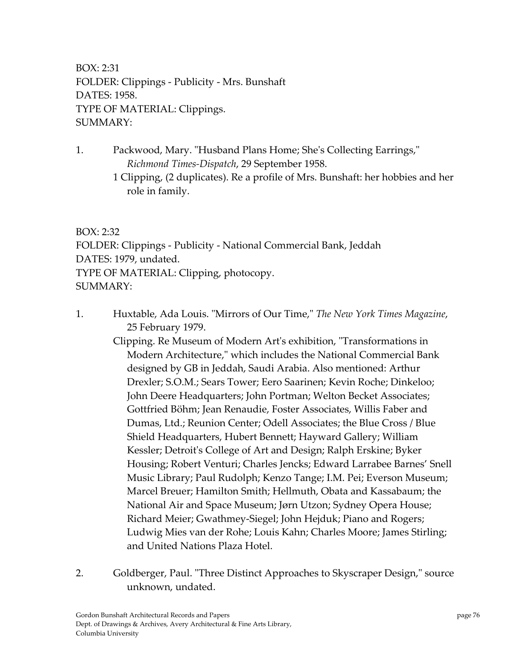BOX: 2:31 FOLDER: Clippings ‐ Publicity ‐ Mrs. Bunshaft DATES: 1958. TYPE OF MATERIAL: Clippings. SUMMARY:

- 1. Packwood, Mary. "Husband Plans Home; She's Collecting Earrings," *Richmond Times‐Dispatch*, 29 September 1958.
	- 1 Clipping, (2 duplicates). Re a profile of Mrs. Bunshaft: her hobbies and her role in family.

#### BOX: 2:32

FOLDER: Clippings ‐ Publicity ‐ National Commercial Bank, Jeddah DATES: 1979, undated. TYPE OF MATERIAL: Clipping, photocopy. SUMMARY:

1. Huxtable, Ada Louis. ʺMirrors of Our Time,ʺ *The New York Times Magazine*, 25 February 1979.

Clipping. Re Museum of Modern Art's exhibition, "Transformations in Modern Architecture," which includes the National Commercial Bank designed by GB in Jeddah, Saudi Arabia. Also mentioned: Arthur Drexler; S.O.M.; Sears Tower; Eero Saarinen; Kevin Roche; Dinkeloo; John Deere Headquarters; John Portman; Welton Becket Associates; Gottfried Böhm; Jean Renaudie, Foster Associates, Willis Faber and Dumas, Ltd.; Reunion Center; Odell Associates; the Blue Cross / Blue Shield Headquarters, Hubert Bennett; Hayward Gallery; William Kessler; Detroitʹs College of Art and Design; Ralph Erskine; Byker Housing; Robert Venturi; Charles Jencks; Edward Larrabee Barnes' Snell Music Library; Paul Rudolph; Kenzo Tange; I.M. Pei; Everson Museum; Marcel Breuer; Hamilton Smith; Hellmuth, Obata and Kassabaum; the National Air and Space Museum; Jørn Utzon; Sydney Opera House; Richard Meier; Gwathmey‐Siegel; John Hejduk; Piano and Rogers; Ludwig Mies van der Rohe; Louis Kahn; Charles Moore; James Stirling; and United Nations Plaza Hotel.

2. Goldberger, Paul. "Three Distinct Approaches to Skyscraper Design," source unknown, undated.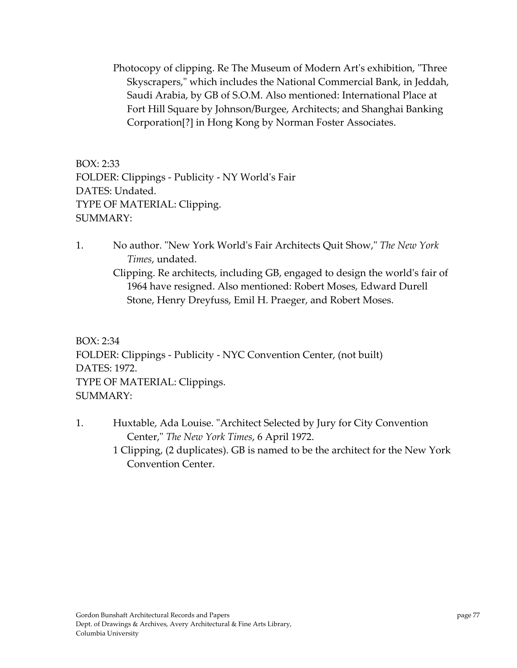Photocopy of clipping. Re The Museum of Modern Art's exhibition, "Three Skyscrapers," which includes the National Commercial Bank, in Jeddah, Saudi Arabia, by GB of S.O.M. Also mentioned: International Place at Fort Hill Square by Johnson/Burgee, Architects; and Shanghai Banking Corporation[?] in Hong Kong by Norman Foster Associates.

BOX: 2:33 FOLDER: Clippings ‐ Publicity ‐ NY Worldʹs Fair DATES: Undated. TYPE OF MATERIAL: Clipping. SUMMARY:

1. No author. ʺNew York Worldʹs Fair Architects Quit Show,ʺ *The New York Times*, undated.

Clipping. Re architects, including GB, engaged to design the worldʹs fair of 1964 have resigned. Also mentioned: Robert Moses, Edward Durell Stone, Henry Dreyfuss, Emil H. Praeger, and Robert Moses.

BOX: 2:34 FOLDER: Clippings ‐ Publicity ‐ NYC Convention Center, (not built) DATES: 1972. TYPE OF MATERIAL: Clippings. SUMMARY:

1. Huxtable, Ada Louise. "Architect Selected by Jury for City Convention Center,ʺ *The New York Times*, 6 April 1972. 1 Clipping, (2 duplicates). GB is named to be the architect for the New York Convention Center.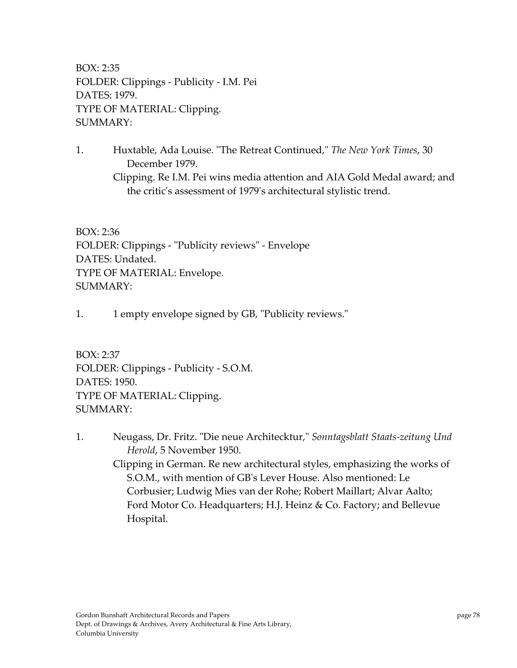BOX: 2:35 FOLDER: Clippings ‐ Publicity ‐ I.M. Pei DATES: 1979. TYPE OF MATERIAL: Clipping. SUMMARY:

1. Huxtable, Ada Louise. ʺThe Retreat Continued,ʺ *The New York Times*, 30 December 1979. Clipping. Re I.M. Pei wins media attention and AIA Gold Medal award; and the critic's assessment of 1979's architectural stylistic trend.

BOX: 2:36 FOLDER: Clippings - "Publicity reviews" - Envelope DATES: Undated. TYPE OF MATERIAL: Envelope. SUMMARY:

1. 1 empty envelope signed by GB, "Publicity reviews."

BOX: 2:37 FOLDER: Clippings ‐ Publicity ‐ S.O.M. DATES: 1950. TYPE OF MATERIAL: Clipping. SUMMARY:

1. Neugass, Dr. Fritz. ʺDie neue Architecktur,ʺ *Sonntagsblatt Staats‐zeitung Und Herold*, 5 November 1950. Clipping in German. Re new architectural styles, emphasizing the works of S.O.M., with mention of GBʹs Lever House. Also mentioned: Le Corbusier; Ludwig Mies van der Rohe; Robert Maillart; Alvar Aalto; Ford Motor Co. Headquarters; H.J. Heinz & Co. Factory; and Bellevue Hospital.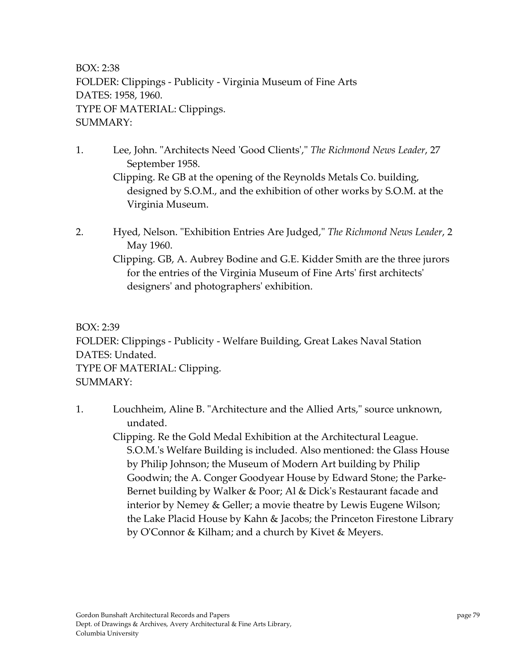BOX: 2:38 FOLDER: Clippings ‐ Publicity ‐ Virginia Museum of Fine Arts DATES: 1958, 1960. TYPE OF MATERIAL: Clippings. SUMMARY:

1. Lee, John. ʺArchitects Need ʹGood Clientsʹ,ʺ *The Richmond News Leader*, 27 September 1958.

Clipping. Re GB at the opening of the Reynolds Metals Co. building, designed by S.O.M., and the exhibition of other works by S.O.M. at the Virginia Museum.

2. Hyed, Nelson. ʺExhibition Entries Are Judged,ʺ *The Richmond News Leader*, 2 May 1960.

Clipping. GB, A. Aubrey Bodine and G.E. Kidder Smith are the three jurors for the entries of the Virginia Museum of Fine Artsʹ first architectsʹ designersʹ and photographersʹ exhibition.

BOX: 2:39 FOLDER: Clippings ‐ Publicity ‐ Welfare Building, Great Lakes Naval Station DATES: Undated. TYPE OF MATERIAL: Clipping. SUMMARY:

1. Louchheim, Aline B. "Architecture and the Allied Arts," source unknown, undated.

Clipping. Re the Gold Medal Exhibition at the Architectural League. S.O.M.ʹs Welfare Building is included. Also mentioned: the Glass House by Philip Johnson; the Museum of Modern Art building by Philip Goodwin; the A. Conger Goodyear House by Edward Stone; the Parke‐ Bernet building by Walker & Poor; Al & Dick's Restaurant facade and interior by Nemey & Geller; a movie theatre by Lewis Eugene Wilson; the Lake Placid House by Kahn & Jacobs; the Princeton Firestone Library by OʹConnor & Kilham; and a church by Kivet & Meyers.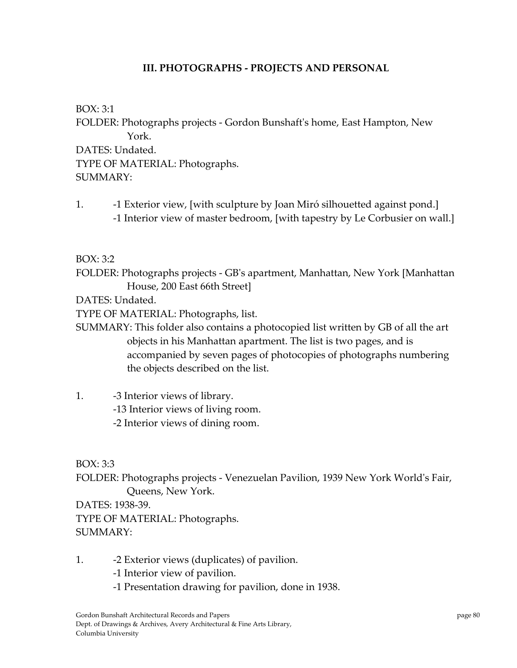### **III. PHOTOGRAPHS ‐ PROJECTS AND PERSONAL**

BOX: 3:1 FOLDER: Photographs projects ‐ Gordon Bunshaftʹs home, East Hampton, New York. DATES: Undated. TYPE OF MATERIAL: Photographs. SUMMARY:

1. **-1 Exterior view, [with sculpture by Joan Miró silhouetted against pond.]** ‐1 Interior view of master bedroom, [with tapestry by Le Corbusier on wall.]

BOX: 3:2

FOLDER: Photographs projects ‐ GBʹs apartment, Manhattan, New York [Manhattan House, 200 East 66th Street]

DATES: Undated.

TYPE OF MATERIAL: Photographs, list.

- SUMMARY: This folder also contains a photocopied list written by GB of all the art objects in his Manhattan apartment. The list is two pages, and is accompanied by seven pages of photocopies of photographs numbering the objects described on the list.
- 1. -3 Interior views of library. ‐13 Interior views of living room. ‐2 Interior views of dining room.

BOX: 3:3

FOLDER: Photographs projects ‐ Venezuelan Pavilion, 1939 New York Worldʹs Fair, Queens, New York.

DATES: 1938‐39. TYPE OF MATERIAL: Photographs. SUMMARY:

- 1. **–2 Exterior views (duplicates) of pavilion.** 
	- ‐1 Interior view of pavilion.
	- ‐1 Presentation drawing for pavilion, done in 1938.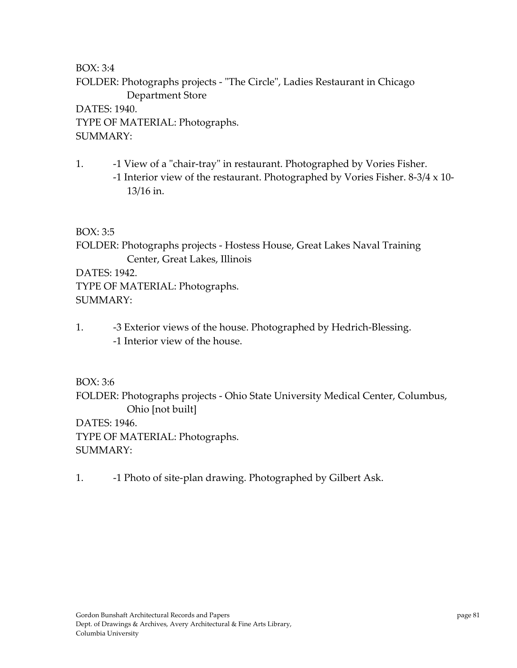FOLDER: Photographs projects - "The Circle", Ladies Restaurant in Chicago Department Store

DATES: 1940. TYPE OF MATERIAL: Photographs. SUMMARY:

1. **-1 View of a "chair-tray" in restaurant. Photographed by Vories Fisher.**  ‐1 Interior view of the restaurant. Photographed by Vories Fisher. 8‐3/4 x 10‐ 13/16 in.

BOX: 3:5

FOLDER: Photographs projects ‐ Hostess House, Great Lakes Naval Training Center, Great Lakes, Illinois

DATES: 1942.

TYPE OF MATERIAL: Photographs. SUMMARY:

1. ‐3 Exterior views of the house. Photographed by Hedrich‐Blessing. ‐1 Interior view of the house.

BOX: 3:6

FOLDER: Photographs projects ‐ Ohio State University Medical Center, Columbus, Ohio [not built]

DATES: 1946.

TYPE OF MATERIAL: Photographs.

SUMMARY:

1. **-1 Photo of site-plan drawing. Photographed by Gilbert Ask.**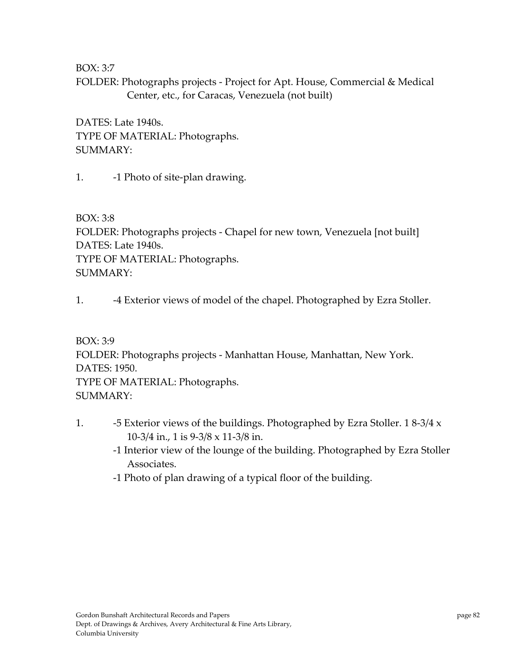FOLDER: Photographs projects - Project for Apt. House, Commercial & Medical Center, etc., for Caracas, Venezuela (not built)

DATES: Late 1940s. TYPE OF MATERIAL: Photographs. SUMMARY:

1. **-1 Photo of site-plan drawing.** 

BOX: 3:8 FOLDER: Photographs projects ‐ Chapel for new town, Venezuela [not built] DATES: Late 1940s. TYPE OF MATERIAL: Photographs. SUMMARY:

1. **-4 Exterior views of model of the chapel. Photographed by Ezra Stoller.** 

BOX: 3:9 FOLDER: Photographs projects ‐ Manhattan House, Manhattan, New York. DATES: 1950. TYPE OF MATERIAL: Photographs. SUMMARY:

- 1. **-5 Exterior views of the buildings. Photographed by Ezra Stoller.** 18-3/4 x 10‐3/4 in., 1 is 9‐3/8 x 11‐3/8 in.
	- ‐1 Interior view of the lounge of the building. Photographed by Ezra Stoller Associates.
	- ‐1 Photo of plan drawing of a typical floor of the building.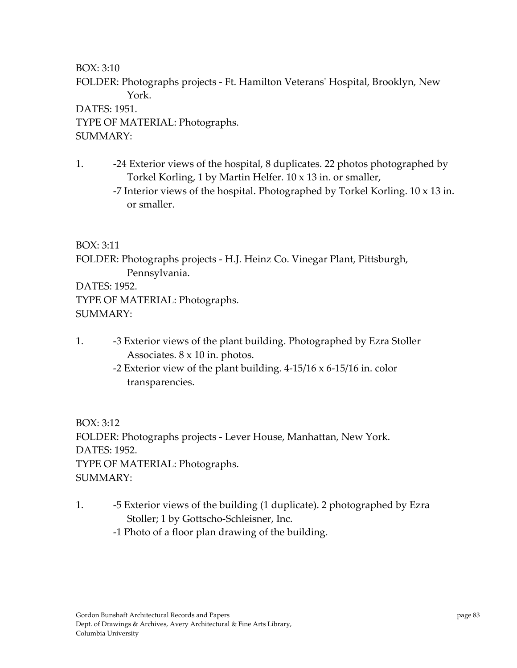FOLDER: Photographs projects ‐ Ft. Hamilton Veteransʹ Hospital, Brooklyn, New York.

DATES: 1951. TYPE OF MATERIAL: Photographs. SUMMARY:

- 1. -24 Exterior views of the hospital, 8 duplicates. 22 photos photographed by Torkel Korling, 1 by Martin Helfer. 10 x 13 in. or smaller,
	- ‐7 Interior views of the hospital. Photographed by Torkel Korling. 10 x 13 in. or smaller.

BOX: 3:11

FOLDER: Photographs projects ‐ H.J. Heinz Co. Vinegar Plant, Pittsburgh, Pennsylvania.

DATES: 1952. TYPE OF MATERIAL: Photographs. SUMMARY:

- 1. **••** -3 Exterior views of the plant building. Photographed by Ezra Stoller Associates. 8 x 10 in. photos.
	- -2 Exterior view of the plant building.  $4-15/16 \times 6-15/16$  in. color transparencies.

BOX: 3:12 FOLDER: Photographs projects ‐ Lever House, Manhattan, New York. DATES: 1952. TYPE OF MATERIAL: Photographs. SUMMARY:

- 1. ‐5 Exterior views of the building (1 duplicate). 2 photographed by Ezra Stoller; 1 by Gottscho‐Schleisner, Inc.
	- ‐1 Photo of a floor plan drawing of the building.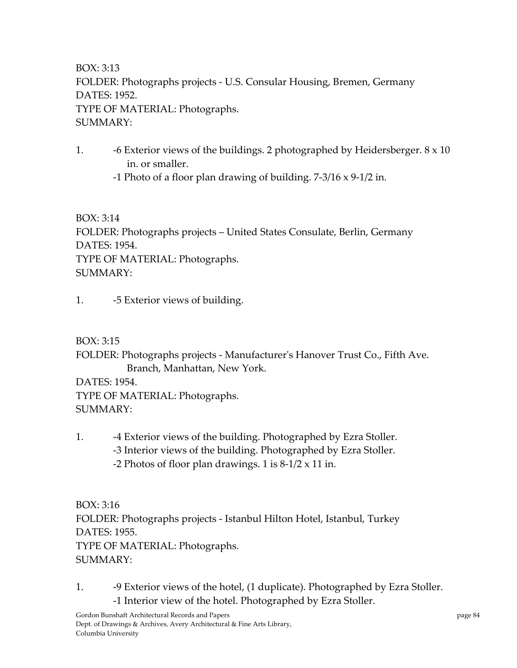BOX: 3:13 FOLDER: Photographs projects ‐ U.S. Consular Housing, Bremen, Germany DATES: 1952. TYPE OF MATERIAL: Photographs. SUMMARY:

1.  $\overline{\phantom{a}}$  -6 Exterior views of the buildings. 2 photographed by Heidersberger.  $8 \times 10$ in. or smaller.

‐1 Photo of a floor plan drawing of building. 7‐3/16 x 9‐1/2 in.

BOX: 3:14 FOLDER: Photographs projects – United States Consulate, Berlin, Germany DATES: 1954. TYPE OF MATERIAL: Photographs. SUMMARY:

1. -5 Exterior views of building.

BOX: 3:15

FOLDER: Photographs projects ‐ Manufacturerʹs Hanover Trust Co., Fifth Ave. Branch, Manhattan, New York.

DATES: 1954. TYPE OF MATERIAL: Photographs. SUMMARY:

1. **–4 Exterior views of the building. Photographed by Ezra Stoller.**  ‐3 Interior views of the building. Photographed by Ezra Stoller. -2 Photos of floor plan drawings. 1 is  $8-1/2 \times 11$  in.

BOX: 3:16 FOLDER: Photographs projects ‐ Istanbul Hilton Hotel, Istanbul, Turkey DATES: 1955. TYPE OF MATERIAL: Photographs. SUMMARY:

1. **-9 Exterior views of the hotel, (1 duplicate). Photographed by Ezra Stoller.** ‐1 Interior view of the hotel. Photographed by Ezra Stoller.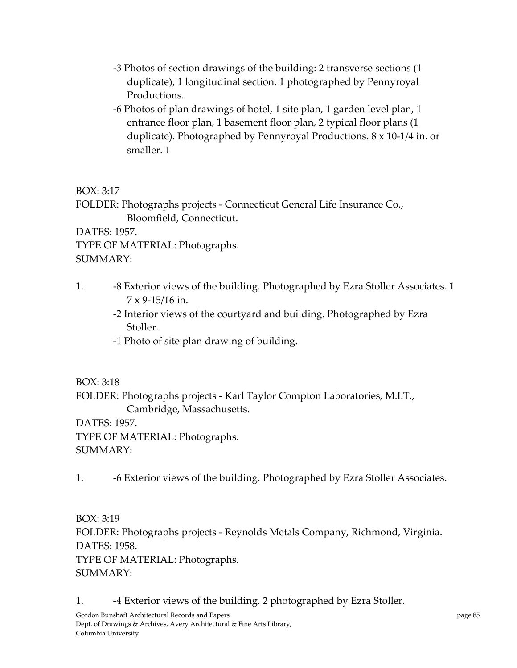- ‐3 Photos of section drawings of the building: 2 transverse sections (1 duplicate), 1 longitudinal section. 1 photographed by Pennyroyal Productions.
- ‐6 Photos of plan drawings of hotel, 1 site plan, 1 garden level plan, 1 entrance floor plan, 1 basement floor plan, 2 typical floor plans (1 duplicate). Photographed by Pennyroyal Productions. 8 x 10‐1/4 in. or smaller. 1

FOLDER: Photographs projects ‐ Connecticut General Life Insurance Co., Bloomfield, Connecticut.

DATES: 1957. TYPE OF MATERIAL: Photographs. SUMMARY:

- 1. -8 Exterior views of the building. Photographed by Ezra Stoller Associates. 1  $7 \times 9 - 15/16$  in.
	- ‐2 Interior views of the courtyard and building. Photographed by Ezra Stoller.
	- ‐1 Photo of site plan drawing of building.

BOX: 3:18

FOLDER: Photographs projects ‐ Karl Taylor Compton Laboratories, M.I.T., Cambridge, Massachusetts.

DATES: 1957.

TYPE OF MATERIAL: Photographs.

SUMMARY:

1. **-6 Exterior views of the building. Photographed by Ezra Stoller Associates.** 

BOX: 3:19 FOLDER: Photographs projects ‐ Reynolds Metals Company, Richmond, Virginia. DATES: 1958. TYPE OF MATERIAL: Photographs.

SUMMARY:

1. **••** -4 Exterior views of the building. 2 photographed by Ezra Stoller.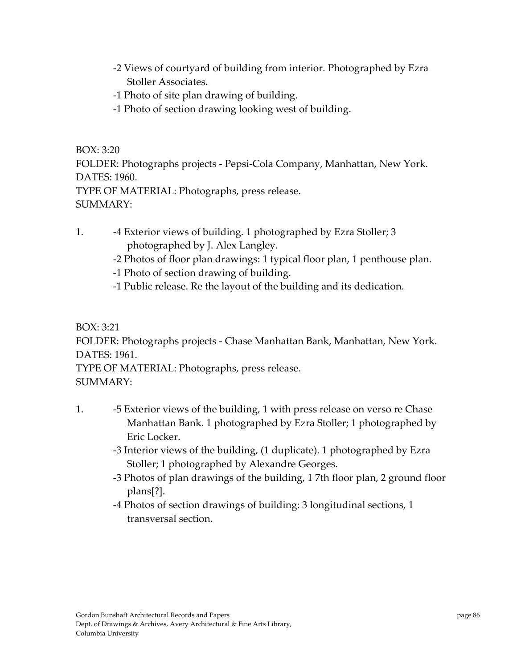- ‐2 Views of courtyard of building from interior. Photographed by Ezra Stoller Associates.
- ‐1 Photo of site plan drawing of building.
- ‐1 Photo of section drawing looking west of building.

FOLDER: Photographs projects ‐ Pepsi‐Cola Company, Manhattan, New York. DATES: 1960.

TYPE OF MATERIAL: Photographs, press release. SUMMARY:

- 1. **-4 Exterior views of building. 1 photographed by Ezra Stoller; 3** photographed by J. Alex Langley.
	- ‐2 Photos of floor plan drawings: 1 typical floor plan, 1 penthouse plan.
	- ‐1 Photo of section drawing of building.
	- ‐1 Public release. Re the layout of the building and its dedication.

BOX: 3:21

FOLDER: Photographs projects ‐ Chase Manhattan Bank, Manhattan, New York. DATES: 1961.

TYPE OF MATERIAL: Photographs, press release. SUMMARY:

- 1. **-5 Exterior views of the building, 1 with press release on verso re Chase** Manhattan Bank. 1 photographed by Ezra Stoller; 1 photographed by Eric Locker.
	- ‐3 Interior views of the building, (1 duplicate). 1 photographed by Ezra Stoller; 1 photographed by Alexandre Georges.
	- ‐3 Photos of plan drawings of the building, 1 7th floor plan, 2 ground floor plans[?].
	- ‐4 Photos of section drawings of building: 3 longitudinal sections, 1 transversal section.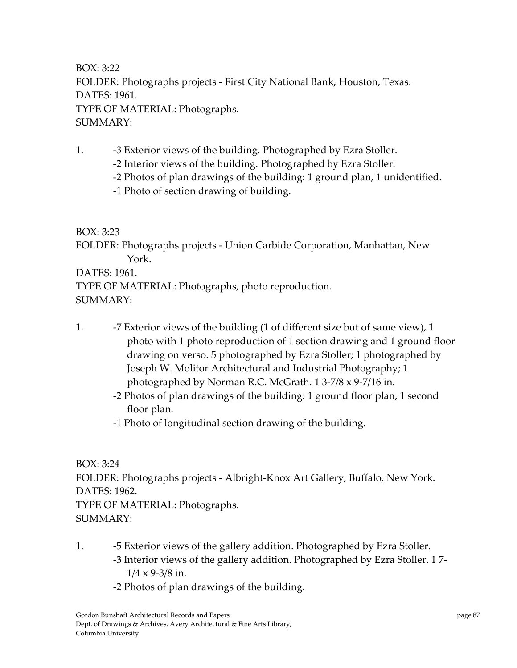BOX: 3:22 FOLDER: Photographs projects ‐ First City National Bank, Houston, Texas. DATES: 1961. TYPE OF MATERIAL: Photographs. SUMMARY:

1. **-3 Exterior views of the building. Photographed by Ezra Stoller.** 

‐2 Interior views of the building. Photographed by Ezra Stoller.

‐2 Photos of plan drawings of the building: 1 ground plan, 1 unidentified.

‐1 Photo of section drawing of building.

BOX: 3:23

FOLDER: Photographs projects ‐ Union Carbide Corporation, Manhattan, New York.

DATES: 1961.

TYPE OF MATERIAL: Photographs, photo reproduction. SUMMARY:

- 1.  **7 Exterior views of the building (1 of different size but of same view), 1** photo with 1 photo reproduction of 1 section drawing and 1 ground floor drawing on verso. 5 photographed by Ezra Stoller; 1 photographed by Joseph W. Molitor Architectural and Industrial Photography; 1 photographed by Norman R.C. McGrath. 1 3‐7/8 x 9‐7/16 in.
	- ‐2 Photos of plan drawings of the building: 1 ground floor plan, 1 second floor plan.
	- ‐1 Photo of longitudinal section drawing of the building.

BOX: 3:24

FOLDER: Photographs projects ‐ Albright‐Knox Art Gallery, Buffalo, New York. DATES: 1962.

TYPE OF MATERIAL: Photographs. SUMMARY:

- 1. **-5 Exterior views of the gallery addition. Photographed by Ezra Stoller.**  ‐3 Interior views of the gallery addition. Photographed by Ezra Stoller. 1 7‐  $1/4 \times 9 - 3/8$  in.
	- ‐2 Photos of plan drawings of the building.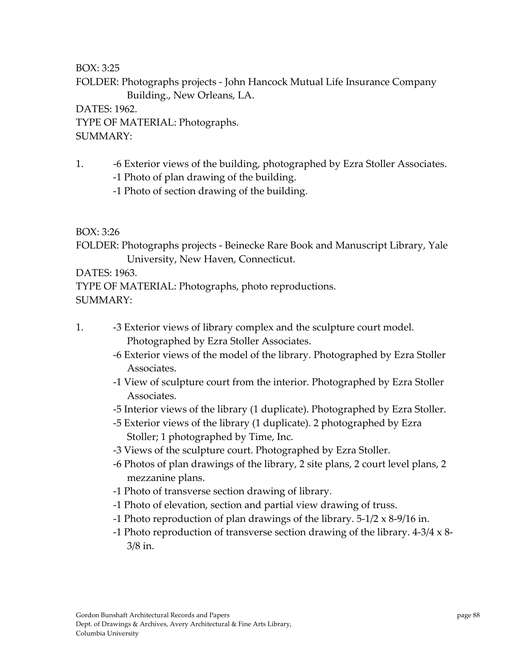FOLDER: Photographs projects ‐ John Hancock Mutual Life Insurance Company Building., New Orleans, LA.

DATES: 1962. TYPE OF MATERIAL: Photographs. SUMMARY:

- 1. **-6 Exterior views of the building, photographed by Ezra Stoller Associates.** 
	- ‐1 Photo of plan drawing of the building.
	- ‐1 Photo of section drawing of the building.

BOX: 3:26

FOLDER: Photographs projects ‐ Beinecke Rare Book and Manuscript Library, Yale University, New Haven, Connecticut.

DATES: 1963.

TYPE OF MATERIAL: Photographs, photo reproductions.

SUMMARY:

- 1. **••** -3 Exterior views of library complex and the sculpture court model. Photographed by Ezra Stoller Associates.
	- ‐6 Exterior views of the model of the library. Photographed by Ezra Stoller Associates.
	- ‐1 View of sculpture court from the interior. Photographed by Ezra Stoller Associates.
	- ‐5 Interior views of the library (1 duplicate). Photographed by Ezra Stoller.
	- ‐5 Exterior views of the library (1 duplicate). 2 photographed by Ezra Stoller; 1 photographed by Time, Inc.
	- ‐3 Views of the sculpture court. Photographed by Ezra Stoller.
	- ‐6 Photos of plan drawings of the library, 2 site plans, 2 court level plans, 2 mezzanine plans.
	- ‐1 Photo of transverse section drawing of library.
	- ‐1 Photo of elevation, section and partial view drawing of truss.
	- -1 Photo reproduction of plan drawings of the library.  $5-1/2 \times 8-9/16$  in.
	- ‐1 Photo reproduction of transverse section drawing of the library. 4‐3/4 x 8‐ 3/8 in.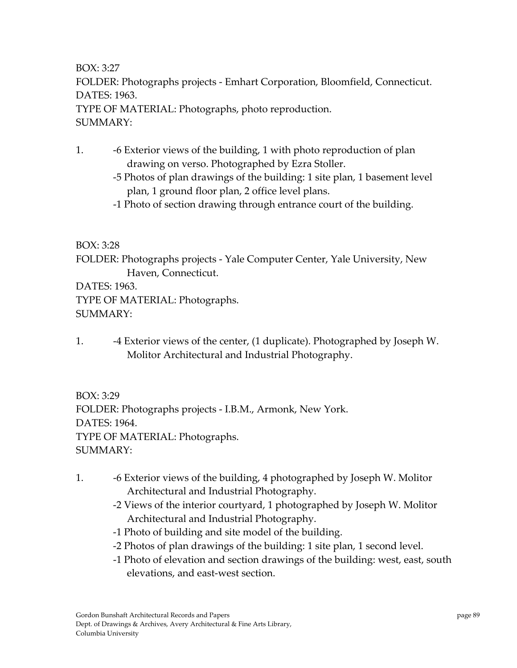BOX: 3:27 FOLDER: Photographs projects ‐ Emhart Corporation, Bloomfield, Connecticut. DATES: 1963. TYPE OF MATERIAL: Photographs, photo reproduction. SUMMARY:

- 1. ‐6 Exterior views of the building, 1 with photo reproduction of plan drawing on verso. Photographed by Ezra Stoller.
	- ‐5 Photos of plan drawings of the building: 1 site plan, 1 basement level plan, 1 ground floor plan, 2 office level plans.
	- ‐1 Photo of section drawing through entrance court of the building.

#### BOX: 3:28

FOLDER: Photographs projects ‐ Yale Computer Center, Yale University, New Haven, Connecticut.

DATES: 1963.

TYPE OF MATERIAL: Photographs.

SUMMARY:

1. **–4 Exterior views of the center, (1 duplicate). Photographed by Joseph W.** Molitor Architectural and Industrial Photography.

BOX: 3:29 FOLDER: Photographs projects ‐ I.B.M., Armonk, New York. DATES: 1964. TYPE OF MATERIAL: Photographs. SUMMARY:

- 1. ‐6 Exterior views of the building, 4 photographed by Joseph W. Molitor Architectural and Industrial Photography.
	- ‐2 Views of the interior courtyard, 1 photographed by Joseph W. Molitor Architectural and Industrial Photography.
	- ‐1 Photo of building and site model of the building.
	- ‐2 Photos of plan drawings of the building: 1 site plan, 1 second level.
	- ‐1 Photo of elevation and section drawings of the building: west, east, south elevations, and east‐west section.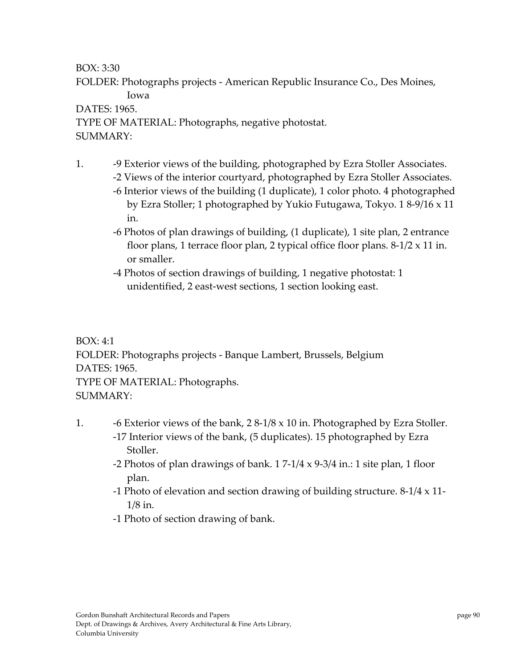FOLDER: Photographs projects ‐ American Republic Insurance Co., Des Moines, Iowa

#### DATES: 1965.

TYPE OF MATERIAL: Photographs, negative photostat. SUMMARY:

- 1. **-9 Exterior views of the building, photographed by Ezra Stoller Associates.** 
	- ‐2 Views of the interior courtyard, photographed by Ezra Stoller Associates. ‐6 Interior views of the building (1 duplicate), 1 color photo. 4 photographed by Ezra Stoller; 1 photographed by Yukio Futugawa, Tokyo. 1 8‐9/16 x 11 in.
	- ‐6 Photos of plan drawings of building, (1 duplicate), 1 site plan, 2 entrance floor plans, 1 terrace floor plan, 2 typical office floor plans.  $8-1/2 \times 11$  in. or smaller.
	- ‐4 Photos of section drawings of building, 1 negative photostat: 1 unidentified, 2 east‐west sections, 1 section looking east.

BOX: 4:1 FOLDER: Photographs projects ‐ Banque Lambert, Brussels, Belgium DATES: 1965. TYPE OF MATERIAL: Photographs. SUMMARY:

- 1. **-6 Exterior views of the bank, 2 8-1/8 x 10 in. Photographed by Ezra Stoller.**  ‐17 Interior views of the bank, (5 duplicates). 15 photographed by Ezra Stoller.
	- -2 Photos of plan drawings of bank.  $17-1/4 \times 9-3/4$  in.: 1 site plan, 1 floor plan.
	- ‐1 Photo of elevation and section drawing of building structure. 8‐1/4 x 11‐ 1/8 in.
	- ‐1 Photo of section drawing of bank.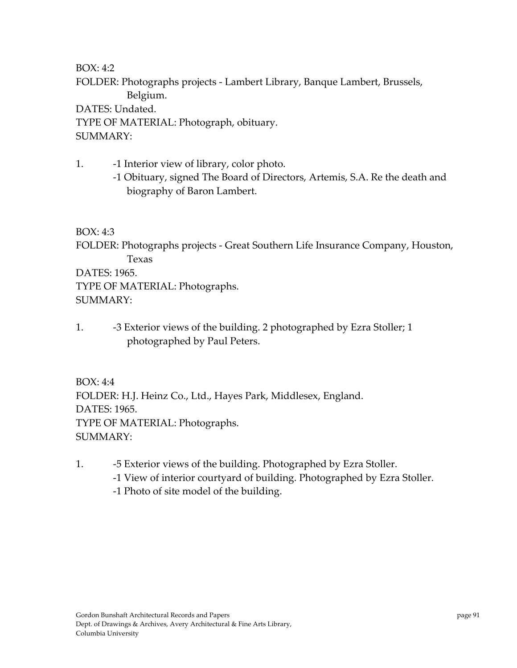FOLDER: Photographs projects ‐ Lambert Library, Banque Lambert, Brussels, Belgium.

DATES: Undated.

TYPE OF MATERIAL: Photograph, obituary. SUMMARY:

- 1. **-1** Interior view of library, color photo.
	- ‐1 Obituary, signed The Board of Directors, Artemis, S.A. Re the death and biography of Baron Lambert.

## BOX: 4:3

FOLDER: Photographs projects ‐ Great Southern Life Insurance Company, Houston, Texas

DATES: 1965. TYPE OF MATERIAL: Photographs. SUMMARY:

1. **-3 Exterior views of the building. 2 photographed by Ezra Stoller; 1** photographed by Paul Peters.

BOX: 4:4 FOLDER: H.J. Heinz Co., Ltd., Hayes Park, Middlesex, England. DATES: 1965. TYPE OF MATERIAL: Photographs. SUMMARY:

- 1. **-5 Exterior views of the building. Photographed by Ezra Stoller.** 
	- ‐1 View of interior courtyard of building. Photographed by Ezra Stoller.
	- ‐1 Photo of site model of the building.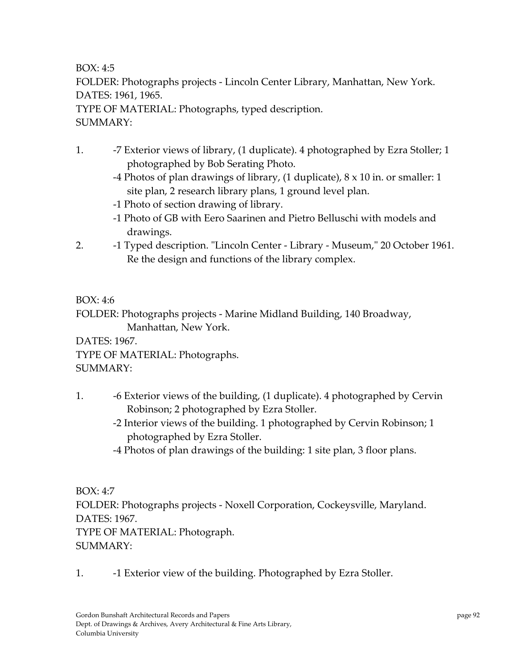FOLDER: Photographs projects ‐ Lincoln Center Library, Manhattan, New York. DATES: 1961, 1965.

TYPE OF MATERIAL: Photographs, typed description. SUMMARY:

- 1. **-7 Exterior views of library, (1 duplicate).** 4 photographed by Ezra Stoller; 1 photographed by Bob Serating Photo.
	- ‐4 Photos of plan drawings of library, (1 duplicate), 8 x 10 in. or smaller: 1 site plan, 2 research library plans, 1 ground level plan.
	- ‐1 Photo of section drawing of library.
	- ‐1 Photo of GB with Eero Saarinen and Pietro Belluschi with models and drawings.
- 2. **-1 Typed description.** "Lincoln Center Library Museum," 20 October 1961. Re the design and functions of the library complex.

BOX: 4:6

FOLDER: Photographs projects ‐ Marine Midland Building, 140 Broadway, Manhattan, New York.

DATES: 1967.

TYPE OF MATERIAL: Photographs.

SUMMARY:

- 1. **-6 Exterior views of the building, (1 duplicate). 4 photographed by Cervin** Robinson; 2 photographed by Ezra Stoller.
	- ‐2 Interior views of the building. 1 photographed by Cervin Robinson; 1 photographed by Ezra Stoller.
	- ‐4 Photos of plan drawings of the building: 1 site plan, 3 floor plans.

BOX: 4:7

FOLDER: Photographs projects ‐ Noxell Corporation, Cockeysville, Maryland. DATES: 1967.

TYPE OF MATERIAL: Photograph.  $SIIMMARY·$ 

1. **••** -1 Exterior view of the building. Photographed by Ezra Stoller.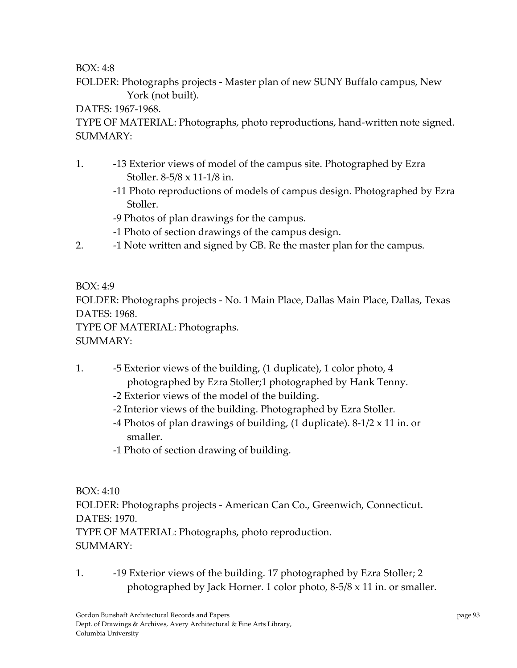FOLDER: Photographs projects ‐ Master plan of new SUNY Buffalo campus, New York (not built).

### DATES: 1967-1968.

TYPE OF MATERIAL: Photographs, photo reproductions, hand‐written note signed. SUMMARY:

- 1. ‐13 Exterior views of model of the campus site. Photographed by Ezra Stoller. 8‐5/8 x 11‐1/8 in.
	- ‐11 Photo reproductions of models of campus design. Photographed by Ezra Stoller.
	- ‐9 Photos of plan drawings for the campus.
	- ‐1 Photo of section drawings of the campus design.
- 2. **••** -1 Note written and signed by GB. Re the master plan for the campus.

## BOX: 4:9

FOLDER: Photographs projects ‐ No. 1 Main Place, Dallas Main Place, Dallas, Texas DATES: 1968.

TYPE OF MATERIAL: Photographs.

# SUMMARY:

- 1. ‐5 Exterior views of the building, (1 duplicate), 1 color photo, 4 photographed by Ezra Stoller;1 photographed by Hank Tenny.
	- ‐2 Exterior views of the model of the building.
	- ‐2 Interior views of the building. Photographed by Ezra Stoller.
	- -4 Photos of plan drawings of building,  $(1 \text{ duplicate})$ . 8-1/2 x 11 in. or smaller.
	- ‐1 Photo of section drawing of building.

BOX: 4:10

FOLDER: Photographs projects ‐ American Can Co., Greenwich, Connecticut. DATES: 1970.

TYPE OF MATERIAL: Photographs, photo reproduction.  $SIIMMARY·$ 

1. -19 Exterior views of the building. 17 photographed by Ezra Stoller; 2 photographed by Jack Horner. 1 color photo, 8‐5/8 x 11 in. or smaller.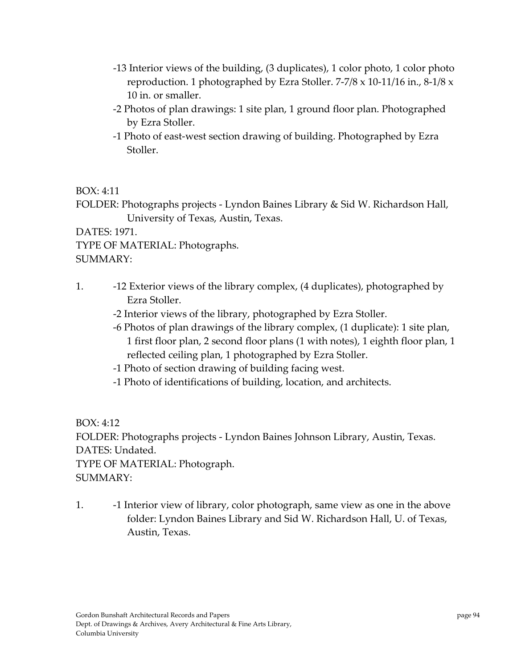- ‐13 Interior views of the building, (3 duplicates), 1 color photo, 1 color photo reproduction. 1 photographed by Ezra Stoller. 7‐7/8 x 10‐11/16 in., 8‐1/8 x 10 in. or smaller.
- ‐2 Photos of plan drawings: 1 site plan, 1 ground floor plan. Photographed by Ezra Stoller.
- ‐1 Photo of east‐west section drawing of building. Photographed by Ezra Stoller.

FOLDER: Photographs projects ‐ Lyndon Baines Library & Sid W. Richardson Hall, University of Texas, Austin, Texas.

DATES: 1971.

TYPE OF MATERIAL: Photographs.

SUMMARY:

- 1. ‐12 Exterior views of the library complex, (4 duplicates), photographed by Ezra Stoller.
	- ‐2 Interior views of the library, photographed by Ezra Stoller.
	- ‐6 Photos of plan drawings of the library complex, (1 duplicate): 1 site plan, 1 first floor plan, 2 second floor plans (1 with notes), 1 eighth floor plan, 1 reflected ceiling plan, 1 photographed by Ezra Stoller.
	- ‐1 Photo of section drawing of building facing west.
	- ‐1 Photo of identifications of building, location, and architects.

BOX: 4:12 FOLDER: Photographs projects ‐ Lyndon Baines Johnson Library, Austin, Texas. DATES: Undated. TYPE OF MATERIAL: Photograph. SUMMARY:

1. **••** -1 Interior view of library, color photograph, same view as one in the above folder: Lyndon Baines Library and Sid W. Richardson Hall, U. of Texas, Austin, Texas.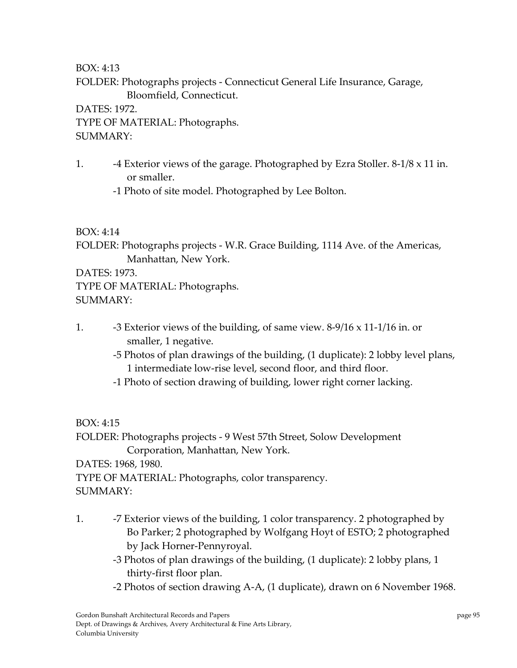FOLDER: Photographs projects ‐ Connecticut General Life Insurance, Garage, Bloomfield, Connecticut.

DATES: 1972.

TYPE OF MATERIAL: Photographs. SUMMARY:

1.  $-4$  Exterior views of the garage. Photographed by Ezra Stoller.  $8-1/8 \times 11$  in. or smaller.

‐1 Photo of site model. Photographed by Lee Bolton.

## BOX: 4:14

FOLDER: Photographs projects ‐ W.R. Grace Building, 1114 Ave. of the Americas, Manhattan, New York.

DATES: 1973.

TYPE OF MATERIAL: Photographs.

SUMMARY:

- 1.  $-3$  Exterior views of the building, of same view.  $8-9/16 \times 11-1/16$  in. or smaller, 1 negative.
	- ‐5 Photos of plan drawings of the building, (1 duplicate): 2 lobby level plans, 1 intermediate low‐rise level, second floor, and third floor.
	- ‐1 Photo of section drawing of building, lower right corner lacking.

BOX: 4:15

FOLDER: Photographs projects ‐ 9 West 57th Street, Solow Development Corporation, Manhattan, New York.

DATES: 1968, 1980.

TYPE OF MATERIAL: Photographs, color transparency.

SUMMARY:

- 1. **••** -7 Exterior views of the building, 1 color transparency. 2 photographed by Bo Parker; 2 photographed by Wolfgang Hoyt of ESTO; 2 photographed by Jack Horner‐Pennyroyal.
	- ‐3 Photos of plan drawings of the building, (1 duplicate): 2 lobby plans, 1 thirty‐first floor plan.
	- ‐2 Photos of section drawing A‐A, (1 duplicate), drawn on 6 November 1968.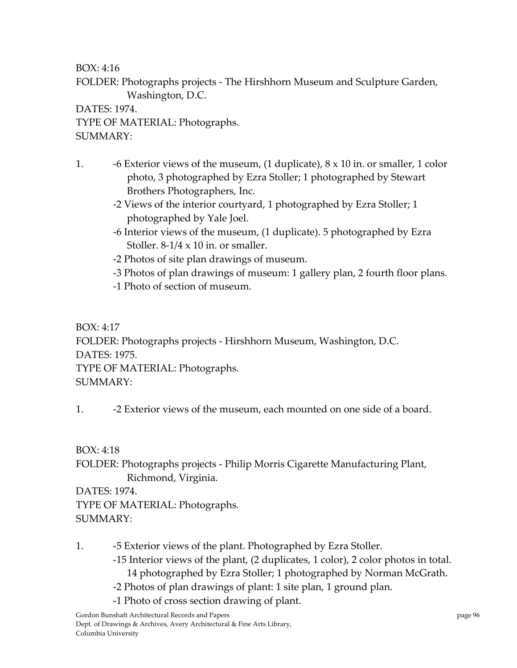FOLDER: Photographs projects ‐ The Hirshhorn Museum and Sculpture Garden, Washington, D.C.

DATES: 1974. TYPE OF MATERIAL: Photographs. SUMMARY:

- 1.  $\sim$  -6 Exterior views of the museum, (1 duplicate),  $8 \times 10$  in. or smaller, 1 color photo, 3 photographed by Ezra Stoller; 1 photographed by Stewart Brothers Photographers, Inc.
	- ‐2 Views of the interior courtyard, 1 photographed by Ezra Stoller; 1 photographed by Yale Joel.
	- ‐6 Interior views of the museum, (1 duplicate). 5 photographed by Ezra Stoller.  $8-1/4 \times 10$  in. or smaller.
	- ‐2 Photos of site plan drawings of museum.
	- ‐3 Photos of plan drawings of museum: 1 gallery plan, 2 fourth floor plans.
	- ‐1 Photo of section of museum.

BOX: 4:17 FOLDER: Photographs projects ‐ Hirshhorn Museum, Washington, D.C. DATES: 1975. TYPE OF MATERIAL: Photographs. SUMMARY:

1. **-2** Exterior views of the museum, each mounted on one side of a board.

BOX: 4:18

FOLDER: Photographs projects ‐ Philip Morris Cigarette Manufacturing Plant, Richmond, Virginia.

DATES: 1974.

TYPE OF MATERIAL: Photographs. SUMMARY:

- 1. **-5 Exterior views of the plant. Photographed by Ezra Stoller.** 
	- ‐15 Interior views of the plant, (2 duplicates, 1 color), 2 color photos in total.

14 photographed by Ezra Stoller; 1 photographed by Norman McGrath.

- ‐2 Photos of plan drawings of plant: 1 site plan, 1 ground plan.
- ‐1 Photo of cross section drawing of plant.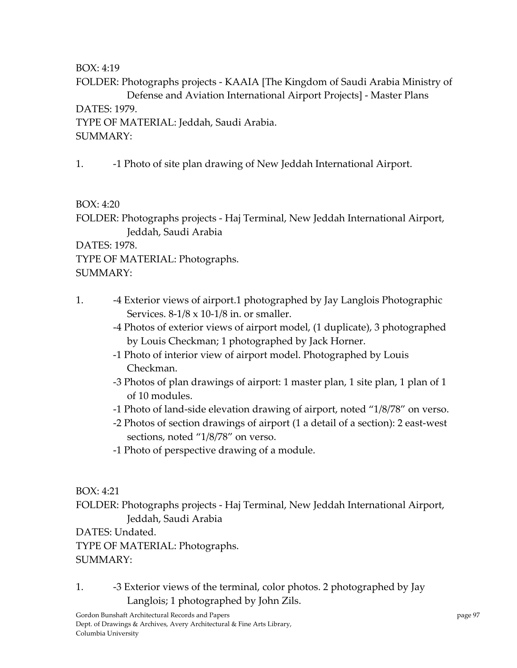FOLDER: Photographs projects ‐ KAAIA [The Kingdom of Saudi Arabia Ministry of Defense and Aviation International Airport Projects] ‐ Master Plans

DATES: 1979.

TYPE OF MATERIAL: Jeddah, Saudi Arabia. SUMMARY:

1. ‐1 Photo of site plan drawing of New Jeddah International Airport.

BOX: 4:20

FOLDER: Photographs projects ‐ Haj Terminal, New Jeddah International Airport, Jeddah, Saudi Arabia

DATES: 1978.

TYPE OF MATERIAL: Photographs.

SUMMARY:

- 1. ‐4 Exterior views of airport.1 photographed by Jay Langlois Photographic Services.  $8-1/8 \times 10-1/8$  in. or smaller.
	- ‐4 Photos of exterior views of airport model, (1 duplicate), 3 photographed by Louis Checkman; 1 photographed by Jack Horner.
	- ‐1 Photo of interior view of airport model. Photographed by Louis Checkman.
	- ‐3 Photos of plan drawings of airport: 1 master plan, 1 site plan, 1 plan of 1 of 10 modules.
	- ‐1 Photo of land‐side elevation drawing of airport, noted "1/8/78" on verso.
	- ‐2 Photos of section drawings of airport (1 a detail of a section): 2 east‐west sections, noted "1/8/78" on verso.
	- ‐1 Photo of perspective drawing of a module.

BOX: 4:21

FOLDER: Photographs projects ‐ Haj Terminal, New Jeddah International Airport, Jeddah, Saudi Arabia

DATES: Undated.

TYPE OF MATERIAL: Photographs.

# SUMMARY:

1. **-3 Exterior views of the terminal, color photos. 2 photographed by Jay** Langlois; 1 photographed by John Zils.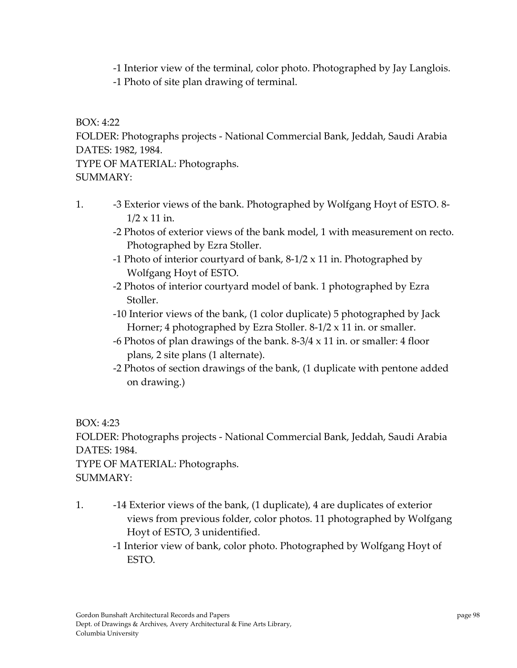‐1 Interior view of the terminal, color photo. Photographed by Jay Langlois.

‐1 Photo of site plan drawing of terminal.

BOX: 4:22

FOLDER: Photographs projects ‐ National Commercial Bank, Jeddah, Saudi Arabia DATES: 1982, 1984.

TYPE OF MATERIAL: Photographs. SUMMARY:

- 1. **••** -3 Exterior views of the bank. Photographed by Wolfgang Hoyt of ESTO. 8-1/2 x 11 in.
	- ‐2 Photos of exterior views of the bank model, 1 with measurement on recto. Photographed by Ezra Stoller.
	- ‐1 Photo of interior courtyard of bank, 8‐1/2 x 11 in. Photographed by Wolfgang Hoyt of ESTO.
	- ‐2 Photos of interior courtyard model of bank. 1 photographed by Ezra Stoller.
	- ‐10 Interior views of the bank, (1 color duplicate) 5 photographed by Jack Horner; 4 photographed by Ezra Stoller. 8‐1/2 x 11 in. or smaller.
	- -6 Photos of plan drawings of the bank.  $8-3/4 \times 11$  in. or smaller: 4 floor plans, 2 site plans (1 alternate).
	- ‐2 Photos of section drawings of the bank, (1 duplicate with pentone added on drawing.)

BOX: 4:23

FOLDER: Photographs projects ‐ National Commercial Bank, Jeddah, Saudi Arabia DATES: 1984.

TYPE OF MATERIAL: Photographs. SUMMARY:

- 1. ‐14 Exterior views of the bank, (1 duplicate), 4 are duplicates of exterior views from previous folder, color photos. 11 photographed by Wolfgang Hoyt of ESTO, 3 unidentified.
	- ‐1 Interior view of bank, color photo. Photographed by Wolfgang Hoyt of ESTO.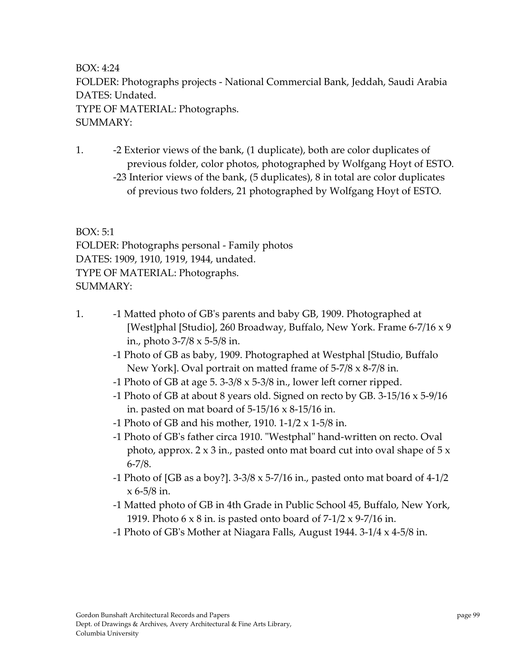BOX: 4:24 FOLDER: Photographs projects ‐ National Commercial Bank, Jeddah, Saudi Arabia DATES: Undated. TYPE OF MATERIAL: Photographs. SUMMARY:

1. ‐2 Exterior views of the bank, (1 duplicate), both are color duplicates of previous folder, color photos, photographed by Wolfgang Hoyt of ESTO. ‐23 Interior views of the bank, (5 duplicates), 8 in total are color duplicates of previous two folders, 21 photographed by Wolfgang Hoyt of ESTO.

BOX: 5:1

FOLDER: Photographs personal ‐ Family photos DATES: 1909, 1910, 1919, 1944, undated. TYPE OF MATERIAL: Photographs. SUMMARY:

- 1. ‐1 Matted photo of GBʹs parents and baby GB, 1909. Photographed at [West]phal [Studio], 260 Broadway, Buffalo, New York. Frame 6‐7/16 x 9 in., photo 3‐7/8 x 5‐5/8 in.
	- ‐1 Photo of GB as baby, 1909. Photographed at Westphal [Studio, Buffalo New York]. Oval portrait on matted frame of 5‐7/8 x 8‐7/8 in.
	- ‐1 Photo of GB at age 5. 3‐3/8 x 5‐3/8 in., lower left corner ripped.
	- -1 Photo of GB at about 8 years old. Signed on recto by GB.  $3\n-15/16 \times 5\n-9/16$ in. pasted on mat board of  $5-15/16 \times 8-15/16$  in.
	- -1 Photo of GB and his mother, 1910. 1-1/2  $\times$  1-5/8 in.
	- -1 Photo of GB's father circa 1910. "Westphal" hand-written on recto. Oval photo, approx.  $2 \times 3$  in., pasted onto mat board cut into oval shape of  $5 \times$  $6 - 7/8.$
	- -1 Photo of [GB as a boy?].  $3-3/8 \times 5-7/16$  in., pasted onto mat board of  $4-1/2$  $x 6 - 5/8$  in.
	- ‐1 Matted photo of GB in 4th Grade in Public School 45, Buffalo, New York, 1919. Photo  $6 \times 8$  in. is pasted onto board of  $7-1/2 \times 9-7/16$  in.
	- ‐1 Photo of GBʹs Mother at Niagara Falls, August 1944. 3‐1/4 x 4‐5/8 in.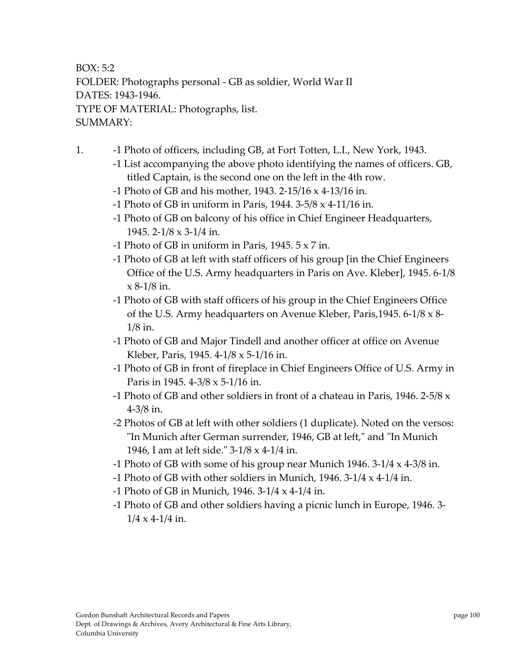BOX: 5:2 FOLDER: Photographs personal ‐ GB as soldier, World War II DATES: 1943‐1946. TYPE OF MATERIAL: Photographs, list. SUMMARY:

- 1. ‐1 Photo of officers, including GB, at Fort Totten, L.I., New York, 1943.
	- ‐1 List accompanying the above photo identifying the names of officers. GB, titled Captain, is the second one on the left in the 4th row.
	- ‐1 Photo of GB and his mother, 1943. 2‐15/16 x 4‐13/16 in.
	- -1 Photo of GB in uniform in Paris,  $1944. 3-5/8 \times 4-11/16$  in.
	- ‐1 Photo of GB on balcony of his office in Chief Engineer Headquarters, 1945. 2‐1/8 x 3‐1/4 in.
	- -1 Photo of GB in uniform in Paris, 1945.  $5 \times 7$  in.
	- ‐1 Photo of GB at left with staff officers of his group [in the Chief Engineers Office of the U.S. Army headquarters in Paris on Ave. Kleber], 1945. 6‐1/8  $x 8-1/8$  in.
	- ‐1 Photo of GB with staff officers of his group in the Chief Engineers Office of the U.S. Army headquarters on Avenue Kleber, Paris,1945. 6‐1/8 x 8‐ 1/8 in.
	- ‐1 Photo of GB and Major Tindell and another officer at office on Avenue Kleber, Paris, 1945. 4‐1/8 x 5‐1/16 in.
	- ‐1 Photo of GB in front of fireplace in Chief Engineers Office of U.S. Army in Paris in 1945. 4‐3/8 x 5‐1/16 in.
	- -1 Photo of GB and other soldiers in front of a chateau in Paris, 1946. 2-5/8  $x$ 4‐3/8 in.
	- ‐2 Photos of GB at left with other soldiers (1 duplicate). Noted on the versos: "In Munich after German surrender, 1946, GB at left," and "In Munich 1946, I am at left side." 3-1/8 x 4-1/4 in.
	- -1 Photo of GB with some of his group near Munich 1946.  $3-1/4 \times 4-3/8$  in.
	- -1 Photo of GB with other soldiers in Munich,  $1946. 3-1/4 \times 4-1/4$  in.
	- ‐1 Photo of GB in Munich, 1946. 3‐1/4 x 4‐1/4 in.
	- ‐1 Photo of GB and other soldiers having a picnic lunch in Europe, 1946. 3‐  $1/4 \times 4 - 1/4$  in.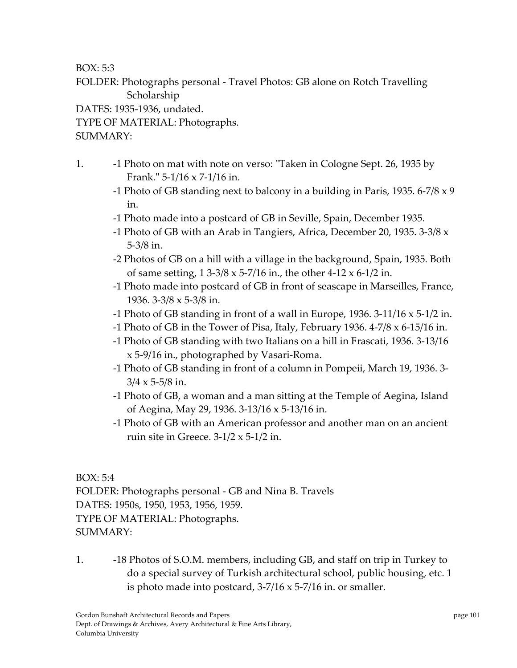BOX: 5:3

FOLDER: Photographs personal ‐ Travel Photos: GB alone on Rotch Travelling Scholarship

DATES: 1935‐1936, undated.

TYPE OF MATERIAL: Photographs.

SUMMARY:

- 1. **-1 Photo on mat with note on verso: "Taken in Cologne Sept. 26, 1935 by** Frank."  $5-1/16 \times 7-1/16$  in.
	- -1 Photo of GB standing next to balcony in a building in Paris, 1935. 6-7/8  $\times$  9 in.
	- ‐1 Photo made into a postcard of GB in Seville, Spain, December 1935.
	- ‐1 Photo of GB with an Arab in Tangiers, Africa, December 20, 1935. 3‐3/8 x 5‐3/8 in.
	- ‐2 Photos of GB on a hill with a village in the background, Spain, 1935. Both of same setting, 1 3‐3/8 x 5‐7/16 in., the other 4‐12 x 6‐1/2 in.
	- ‐1 Photo made into postcard of GB in front of seascape in Marseilles, France, 1936. 3‐3/8 x 5‐3/8 in.
	- ‐1 Photo of GB standing in front of a wall in Europe, 1936. 3‐11/16 x 5‐1/2 in.
	- ‐1 Photo of GB in the Tower of Pisa, Italy, February 1936. 4‐7/8 x 6‐15/16 in.
	- ‐1 Photo of GB standing with two Italians on a hill in Frascati, 1936. 3‐13/16 x 5‐9/16 in., photographed by Vasari‐Roma.
	- ‐1 Photo of GB standing in front of a column in Pompeii, March 19, 1936. 3‐  $3/4 \times 5 - 5/8$  in.
	- ‐1 Photo of GB, a woman and a man sitting at the Temple of Aegina, Island of Aegina, May 29, 1936. 3‐13/16 x 5‐13/16 in.
	- ‐1 Photo of GB with an American professor and another man on an ancient ruin site in Greece.  $3-1/2 \times 5-1/2$  in.

BOX: 5:4 FOLDER: Photographs personal ‐ GB and Nina B. Travels DATES: 1950s, 1950, 1953, 1956, 1959. TYPE OF MATERIAL: Photographs. SUMMARY:

1. ‐18 Photos of S.O.M. members, including GB, and staff on trip in Turkey to do a special survey of Turkish architectural school, public housing, etc. 1 is photo made into postcard,  $3-7/16 \times 5-7/16$  in. or smaller.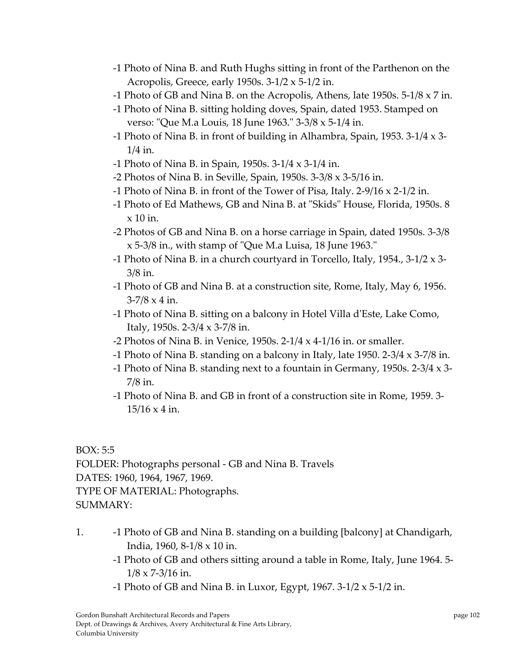- ‐1 Photo of Nina B. and Ruth Hughs sitting in front of the Parthenon on the Acropolis, Greece, early 1950s. 3‐1/2 x 5‐1/2 in.
- ‐1 Photo of GB and Nina B. on the Acropolis, Athens, late 1950s. 5‐1/8 x 7 in.
- ‐1 Photo of Nina B. sitting holding doves, Spain, dated 1953. Stamped on verso: "Que M.a Louis, 18 June 1963."  $3-3/8 \times 5-1/4$  in.
- -1 Photo of Nina B. in front of building in Alhambra, Spain, 1953. 3-1/4  $\times$  3-1/4 in.
- ‐1 Photo of Nina B. in Spain, 1950s. 3‐1/4 x 3‐1/4 in.
- ‐2 Photos of Nina B. in Seville, Spain, 1950s. 3‐3/8 x 3‐5/16 in.
- -1 Photo of Nina B. in front of the Tower of Pisa, Italy.  $2-9/16 \times 2-1/2$  in.
- -1 Photo of Ed Mathews, GB and Nina B. at "Skids" House, Florida, 1950s. 8  $x$  10 in.
- ‐2 Photos of GB and Nina B. on a horse carriage in Spain, dated 1950s. 3‐3/8  $x$  5-3/8 in., with stamp of "Que M.a Luisa, 18 June 1963."
- ‐1 Photo of Nina B. in a church courtyard in Torcello, Italy, 1954., 3‐1/2 x 3‐ 3/8 in.
- ‐1 Photo of GB and Nina B. at a construction site, Rome, Italy, May 6, 1956.  $3 - 7/8 \times 4$  in.
- ‐1 Photo of Nina B. sitting on a balcony in Hotel Villa dʹEste, Lake Como, Italy, 1950s. 2‐3/4 x 3‐7/8 in.
- -2 Photos of Nina B. in Venice, 1950s.  $2-1/4 \times 4-1/16$  in. or smaller.
- ‐1 Photo of Nina B. standing on a balcony in Italy, late 1950. 2‐3/4 x 3‐7/8 in.
- -1 Photo of Nina B. standing next to a fountain in Germany, 1950s. 2-3/4  $\times$  3-7/8 in.
- ‐1 Photo of Nina B. and GB in front of a construction site in Rome, 1959. 3‐ 15/16 x 4 in.

BOX: 5:5

FOLDER: Photographs personal ‐ GB and Nina B. Travels DATES: 1960, 1964, 1967, 1969. TYPE OF MATERIAL: Photographs. SUMMARY:

- 1. ‐1 Photo of GB and Nina B. standing on a building [balcony] at Chandigarh, India, 1960, 8‐1/8 x 10 in.
	- ‐1 Photo of GB and others sitting around a table in Rome, Italy, June 1964. 5‐  $1/8 \times 7 - 3/16$  in.
	- -1 Photo of GB and Nina B. in Luxor, Egypt,  $1967. 3-1/2 \times 5-1/2$  in.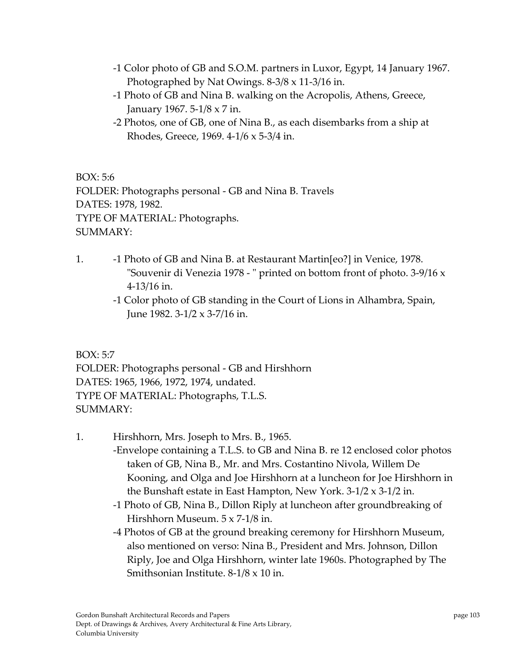- ‐1 Color photo of GB and S.O.M. partners in Luxor, Egypt, 14 January 1967. Photographed by Nat Owings. 8‐3/8 x 11‐3/16 in.
- ‐1 Photo of GB and Nina B. walking on the Acropolis, Athens, Greece, January 1967. 5‐1/8 x 7 in.
- ‐2 Photos, one of GB, one of Nina B., as each disembarks from a ship at Rhodes, Greece, 1969. 4‐1/6 x 5‐3/4 in.

BOX: 5:6 FOLDER: Photographs personal ‐ GB and Nina B. Travels DATES: 1978, 1982. TYPE OF MATERIAL: Photographs. SUMMARY:

- 1. ‐1 Photo of GB and Nina B. at Restaurant Martin[eo?] in Venice, 1978. "Souvenir di Venezia 1978 - " printed on bottom front of photo. 3-9/16 x 4‐13/16 in.
	- ‐1 Color photo of GB standing in the Court of Lions in Alhambra, Spain, June 1982. 3‐1/2 x 3‐7/16 in.

BOX: 5:7

FOLDER: Photographs personal ‐ GB and Hirshhorn DATES: 1965, 1966, 1972, 1974, undated. TYPE OF MATERIAL: Photographs, T.L.S. SUMMARY:

- 1. Hirshhorn, Mrs. Joseph to Mrs. B., 1965.
	- ‐Envelope containing a T.L.S. to GB and Nina B. re 12 enclosed color photos taken of GB, Nina B., Mr. and Mrs. Costantino Nivola, Willem De Kooning, and Olga and Joe Hirshhorn at a luncheon for Joe Hirshhorn in the Bunshaft estate in East Hampton, New York. 3‐1/2 x 3‐1/2 in.
	- ‐1 Photo of GB, Nina B., Dillon Riply at luncheon after groundbreaking of Hirshhorn Museum. 5 x 7‐1/8 in.
	- ‐4 Photos of GB at the ground breaking ceremony for Hirshhorn Museum, also mentioned on verso: Nina B., President and Mrs. Johnson, Dillon Riply, Joe and Olga Hirshhorn, winter late 1960s. Photographed by The Smithsonian Institute. 8‐1/8 x 10 in.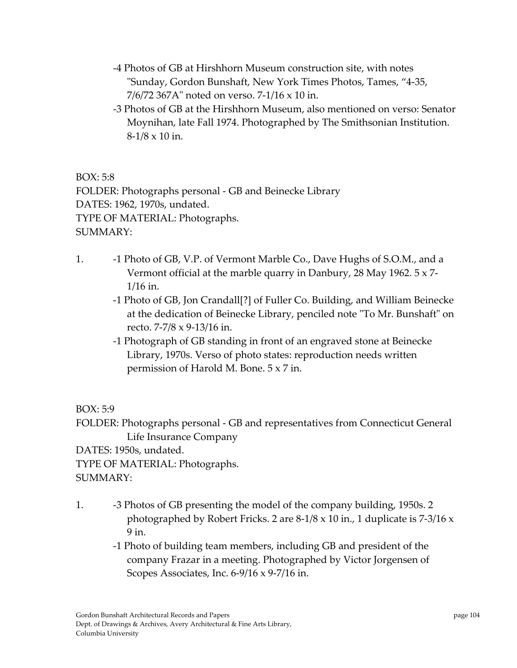- ‐4 Photos of GB at Hirshhorn Museum construction site, with notes ʺSunday, Gordon Bunshaft, New York Times Photos, Tames, "4‐35, 7/6/72 367Aʺ noted on verso. 7‐1/16 x 10 in.
- ‐3 Photos of GB at the Hirshhorn Museum, also mentioned on verso: Senator Moynihan, late Fall 1974. Photographed by The Smithsonian Institution.  $8-1/8 \times 10$  in.

BOX: 5:8 FOLDER: Photographs personal ‐ GB and Beinecke Library DATES: 1962, 1970s, undated. TYPE OF MATERIAL: Photographs. SUMMARY:

- 1. **••** -1 Photo of GB, V.P. of Vermont Marble Co., Dave Hughs of S.O.M., and a Vermont official at the marble quarry in Danbury, 28 May 1962. 5 x 7‐ 1/16 in.
	- ‐1 Photo of GB, Jon Crandall[?] of Fuller Co. Building, and William Beinecke at the dedication of Beinecke Library, penciled note "To Mr. Bunshaft" on recto. 7‐7/8 x 9‐13/16 in.
	- ‐1 Photograph of GB standing in front of an engraved stone at Beinecke Library, 1970s. Verso of photo states: reproduction needs written permission of Harold M. Bone. 5 x 7 in.

BOX: 5:9

FOLDER: Photographs personal ‐ GB and representatives from Connecticut General Life Insurance Company DATES: 1950s, undated. TYPE OF MATERIAL: Photographs. SUMMARY:

- 1. ‐3 Photos of GB presenting the model of the company building, 1950s. 2 photographed by Robert Fricks. 2 are 8‐1/8 x 10 in., 1 duplicate is 7‐3/16 x 9 in.
	- ‐1 Photo of building team members, including GB and president of the company Frazar in a meeting. Photographed by Victor Jorgensen of Scopes Associates, Inc. 6-9/16 x 9-7/16 in.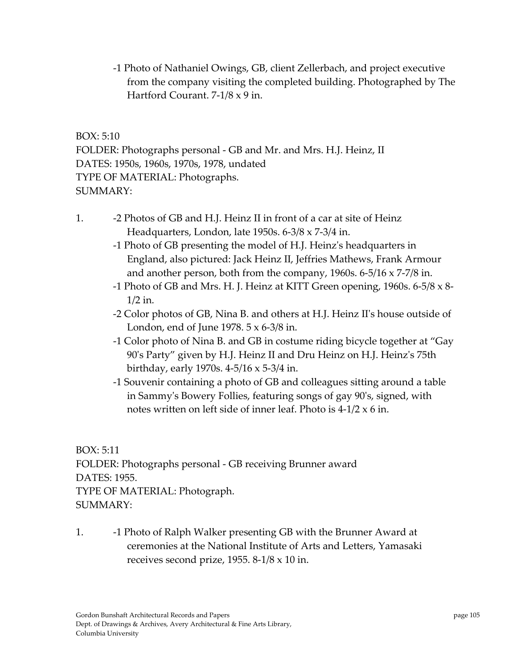‐1 Photo of Nathaniel Owings, GB, client Zellerbach, and project executive from the company visiting the completed building. Photographed by The Hartford Courant. 7‐1/8 x 9 in.

BOX: 5:10 FOLDER: Photographs personal ‐ GB and Mr. and Mrs. H.J. Heinz, II DATES: 1950s, 1960s, 1970s, 1978, undated TYPE OF MATERIAL: Photographs. SUMMARY:

- 1. **-2 Photos of GB and H.J. Heinz II in front of a car at site of Heinz** Headquarters, London, late 1950s. 6‐3/8 x 7‐3/4 in.
	- ‐1 Photo of GB presenting the model of H.J. Heinzʹs headquarters in England, also pictured: Jack Heinz II, Jeffries Mathews, Frank Armour and another person, both from the company, 1960s. 6‐5/16 x 7‐7/8 in.
	- -1 Photo of GB and Mrs. H. J. Heinz at KITT Green opening, 1960s. 6-5/8  $\times$  8-1/2 in.
	- ‐2 Color photos of GB, Nina B. and others at H.J. Heinz IIʹs house outside of London, end of June 1978. 5 x 6‐3/8 in.
	- ‐1 Color photo of Nina B. and GB in costume riding bicycle together at "Gay 90ʹs Party" given by H.J. Heinz II and Dru Heinz on H.J. Heinzʹs 75th birthday, early 1970s. 4‐5/16 x 5‐3/4 in.
	- ‐1 Souvenir containing a photo of GB and colleagues sitting around a table in Sammyʹs Bowery Follies, featuring songs of gay 90ʹs, signed, with notes written on left side of inner leaf. Photo is  $4-1/2 \times 6$  in.

BOX: 5:11 FOLDER: Photographs personal ‐ GB receiving Brunner award DATES: 1955. TYPE OF MATERIAL: Photograph. SUMMARY:

1. **••** -1 Photo of Ralph Walker presenting GB with the Brunner Award at ceremonies at the National Institute of Arts and Letters, Yamasaki receives second prize, 1955. 8‐1/8 x 10 in.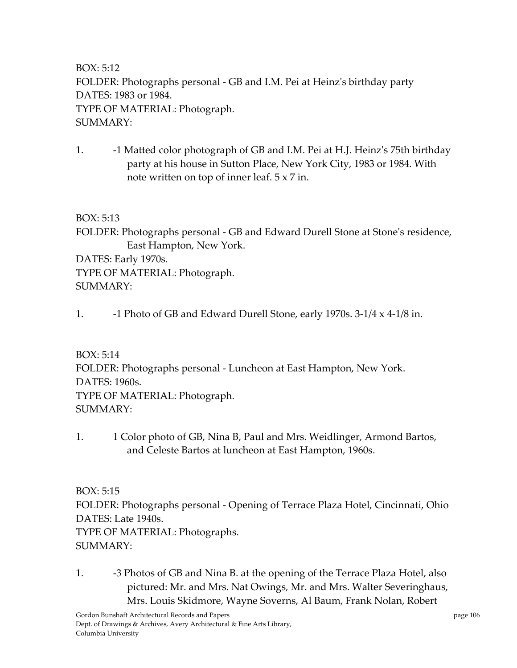BOX: 5:12 FOLDER: Photographs personal ‐ GB and I.M. Pei at Heinzʹs birthday party DATES: 1983 or 1984. TYPE OF MATERIAL: Photograph. SUMMARY:

1. **-1 Matted color photograph of GB and I.M. Pei at H.J. Heinz's 75th birthday** party at his house in Sutton Place, New York City, 1983 or 1984. With note written on top of inner leaf. 5 x 7 in.

BOX: 5:13

FOLDER: Photographs personal - GB and Edward Durell Stone at Stone's residence, East Hampton, New York. DATES: Early 1970s.

TYPE OF MATERIAL: Photograph. SUMMARY:

1.  $\blacksquare$  -1 Photo of GB and Edward Durell Stone, early 1970s. 3-1/4 x 4-1/8 in.

BOX: 5:14

FOLDER: Photographs personal ‐ Luncheon at East Hampton, New York. DATES: 1960s. TYPE OF MATERIAL: Photograph. SUMMARY:

1. 1 Color photo of GB, Nina B, Paul and Mrs. Weidlinger, Armond Bartos, and Celeste Bartos at luncheon at East Hampton, 1960s.

BOX: 5:15 FOLDER: Photographs personal ‐ Opening of Terrace Plaza Hotel, Cincinnati, Ohio DATES: Late 1940s. TYPE OF MATERIAL: Photographs.  $SIIMMARY:$ 

1. -3 Photos of GB and Nina B. at the opening of the Terrace Plaza Hotel, also pictured: Mr. and Mrs. Nat Owings, Mr. and Mrs. Walter Severinghaus, Mrs. Louis Skidmore, Wayne Soverns, Al Baum, Frank Nolan, Robert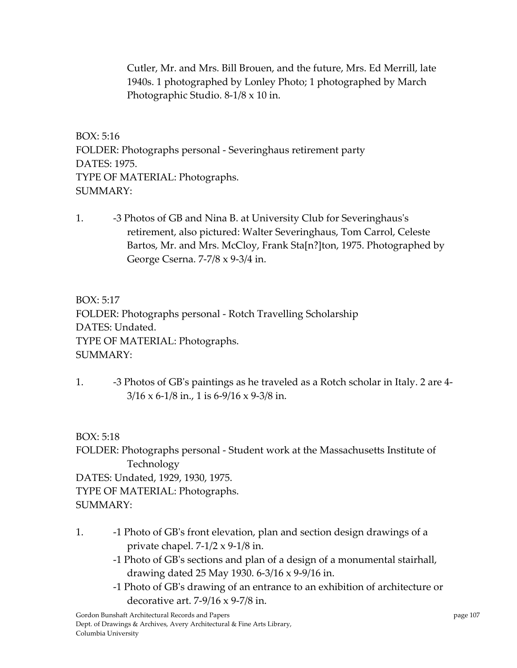Cutler, Mr. and Mrs. Bill Brouen, and the future, Mrs. Ed Merrill, late 1940s. 1 photographed by Lonley Photo; 1 photographed by March Photographic Studio. 8‐1/8 x 10 in.

BOX: 5:16 FOLDER: Photographs personal ‐ Severinghaus retirement party DATES: 1975. TYPE OF MATERIAL: Photographs. SUMMARY:

1. **-3 Photos of GB and Nina B. at University Club for Severinghaus's** retirement, also pictured: Walter Severinghaus, Tom Carrol, Celeste Bartos, Mr. and Mrs. McCloy, Frank Sta[n?]ton, 1975. Photographed by George Cserna. 7‐7/8 x 9‐3/4 in.

BOX: 5:17 FOLDER: Photographs personal ‐ Rotch Travelling Scholarship DATES: Undated. TYPE OF MATERIAL: Photographs. SUMMARY:

1. ‐3 Photos of GBʹs paintings as he traveled as a Rotch scholar in Italy. 2 are 4‐  $3/16 \times 6 - 1/8$  in., 1 is 6-9/16 x 9-3/8 in.

BOX: 5:18

FOLDER: Photographs personal ‐ Student work at the Massachusetts Institute of Technology DATES: Undated, 1929, 1930, 1975. TYPE OF MATERIAL: Photographs. SUMMARY:

- 1. ‐1 Photo of GBʹs front elevation, plan and section design drawings of a private chapel.  $7-1/2 \times 9-1/8$  in.
	- ‐1 Photo of GBʹs sections and plan of a design of a monumental stairhall, drawing dated 25 May 1930. 6‐3/16 x 9‐9/16 in.
	- ‐1 Photo of GBʹs drawing of an entrance to an exhibition of architecture or decorative art.  $7-9/16 \times 9-7/8$  in.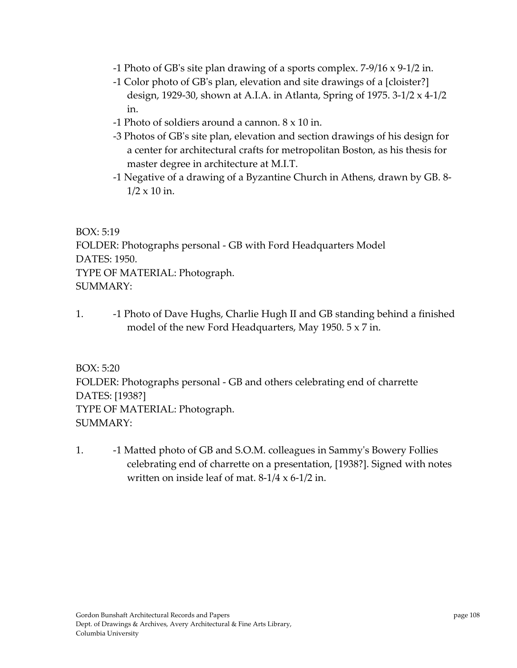- ‐1 Photo of GBʹs site plan drawing of a sports complex. 7‐9/16 x 9‐1/2 in.
- ‐1 Color photo of GBʹs plan, elevation and site drawings of a [cloister?] design, 1929‐30, shown at A.I.A. in Atlanta, Spring of 1975. 3‐1/2 x 4‐1/2 in.
- ‐1 Photo of soldiers around a cannon. 8 x 10 in.
- ‐3 Photos of GBʹs site plan, elevation and section drawings of his design for a center for architectural crafts for metropolitan Boston, as his thesis for master degree in architecture at M.I.T.
- ‐1 Negative of a drawing of a Byzantine Church in Athens, drawn by GB. 8‐  $1/2 \times 10$  in.

BOX: 5:19 FOLDER: Photographs personal ‐ GB with Ford Headquarters Model DATES: 1950. TYPE OF MATERIAL: Photograph. SUMMARY:

1. ‐1 Photo of Dave Hughs, Charlie Hugh II and GB standing behind a finished model of the new Ford Headquarters, May 1950. 5 x 7 in.

BOX: 5:20 FOLDER: Photographs personal ‐ GB and others celebrating end of charrette DATES: [1938?] TYPE OF MATERIAL: Photograph. SUMMARY:

1. ‐1 Matted photo of GB and S.O.M. colleagues in Sammyʹs Bowery Follies celebrating end of charrette on a presentation, [1938?]. Signed with notes written on inside leaf of mat.  $8-1/4 \times 6-1/2$  in.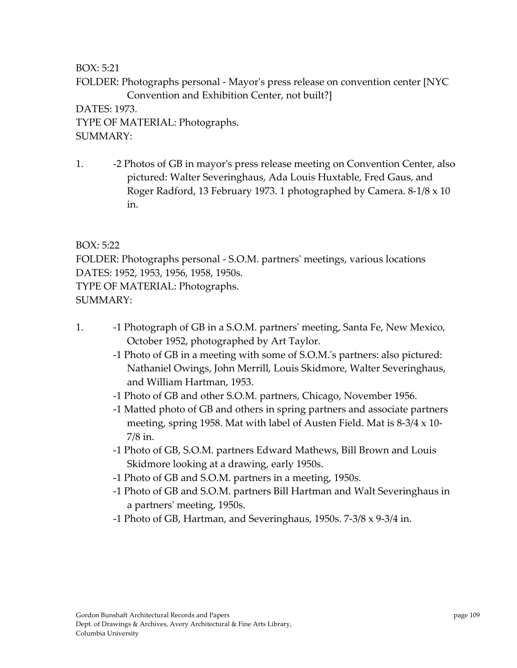BOX: 5:21

FOLDER: Photographs personal ‐ Mayorʹs press release on convention center [NYC Convention and Exhibition Center, not built?]

DATES: 1973. TYPE OF MATERIAL: Photographs. SUMMARY:

1. ‐2 Photos of GB in mayorʹs press release meeting on Convention Center, also pictured: Walter Severinghaus, Ada Louis Huxtable, Fred Gaus, and Roger Radford, 13 February 1973. 1 photographed by Camera. 8‐1/8 x 10 in.

BOX: 5:22

FOLDER: Photographs personal ‐ S.O.M. partnersʹ meetings, various locations DATES: 1952, 1953, 1956, 1958, 1950s.

TYPE OF MATERIAL: Photographs.

SUMMARY:

- 1. **••** -1 Photograph of GB in a S.O.M. partners' meeting, Santa Fe, New Mexico, October 1952, photographed by Art Taylor.
	- ‐1 Photo of GB in a meeting with some of S.O.M.ʹs partners: also pictured: Nathaniel Owings, John Merrill, Louis Skidmore, Walter Severinghaus, and William Hartman, 1953.
	- ‐1 Photo of GB and other S.O.M. partners, Chicago, November 1956.
	- ‐1 Matted photo of GB and others in spring partners and associate partners meeting, spring 1958. Mat with label of Austen Field. Mat is 8‐3/4 x 10‐ 7/8 in.
	- ‐1 Photo of GB, S.O.M. partners Edward Mathews, Bill Brown and Louis Skidmore looking at a drawing, early 1950s.
	- ‐1 Photo of GB and S.O.M. partners in a meeting, 1950s.
	- ‐1 Photo of GB and S.O.M. partners Bill Hartman and Walt Severinghaus in a partnersʹ meeting, 1950s.
	- ‐1 Photo of GB, Hartman, and Severinghaus, 1950s. 7‐3/8 x 9‐3/4 in.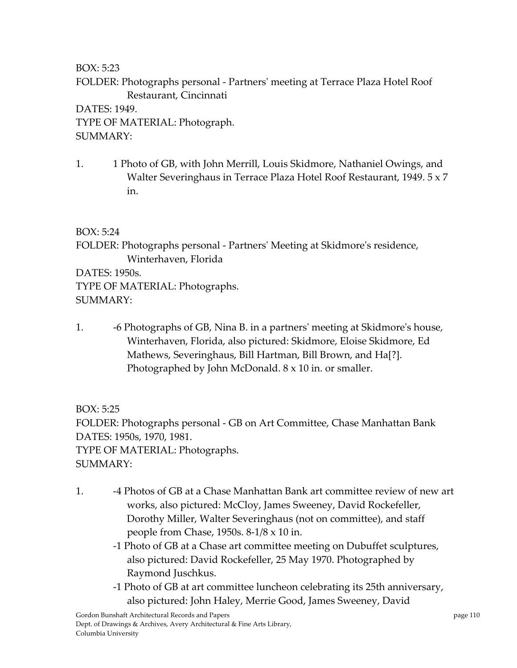BOX: 5:23

FOLDER: Photographs personal ‐ Partnersʹ meeting at Terrace Plaza Hotel Roof Restaurant, Cincinnati

DATES: 1949. TYPE OF MATERIAL: Photograph. SUMMARY:

1. 1 Photo of GB, with John Merrill, Louis Skidmore, Nathaniel Owings, and Walter Severinghaus in Terrace Plaza Hotel Roof Restaurant, 1949. 5 x 7 in.

BOX: 5:24

FOLDER: Photographs personal ‐ Partnersʹ Meeting at Skidmoreʹs residence, Winterhaven, Florida

DATES: 1950s. TYPE OF MATERIAL: Photographs. SUMMARY:

1. ‐6 Photographs of GB, Nina B. in a partnersʹ meeting at Skidmoreʹs house, Winterhaven, Florida, also pictured: Skidmore, Eloise Skidmore, Ed Mathews, Severinghaus, Bill Hartman, Bill Brown, and Ha[?]. Photographed by John McDonald. 8 x 10 in. or smaller.

BOX: 5:25 FOLDER: Photographs personal ‐ GB on Art Committee, Chase Manhattan Bank DATES: 1950s, 1970, 1981. TYPE OF MATERIAL: Photographs. SUMMARY:

- 1. ‐4 Photos of GB at a Chase Manhattan Bank art committee review of new art works, also pictured: McCloy, James Sweeney, David Rockefeller, Dorothy Miller, Walter Severinghaus (not on committee), and staff people from Chase, 1950s. 8‐1/8 x 10 in.
	- ‐1 Photo of GB at a Chase art committee meeting on Dubuffet sculptures, also pictured: David Rockefeller, 25 May 1970. Photographed by Raymond Juschkus.
	- ‐1 Photo of GB at art committee luncheon celebrating its 25th anniversary, also pictured: John Haley, Merrie Good, James Sweeney, David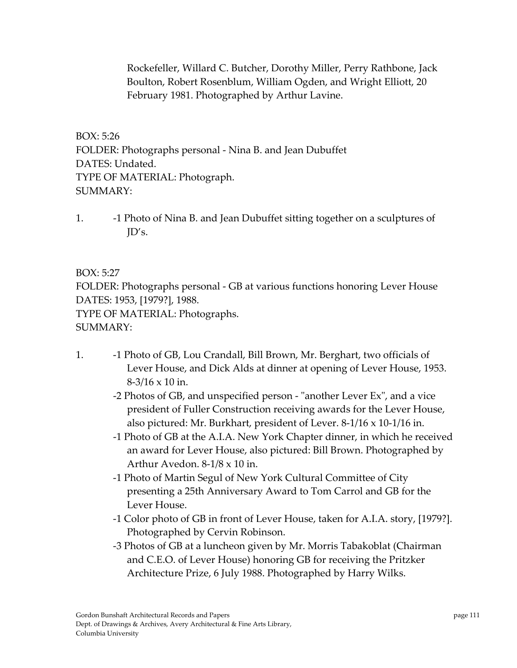Rockefeller, Willard C. Butcher, Dorothy Miller, Perry Rathbone, Jack Boulton, Robert Rosenblum, William Ogden, and Wright Elliott, 20 February 1981. Photographed by Arthur Lavine.

BOX: 5:26 FOLDER: Photographs personal ‐ Nina B. and Jean Dubuffet DATES: Undated. TYPE OF MATERIAL: Photograph. SUMMARY:

1. ‐1 Photo of Nina B. and Jean Dubuffet sitting together on a sculptures of JD's.

BOX: 5:27 FOLDER: Photographs personal ‐ GB at various functions honoring Lever House DATES: 1953, [1979?], 1988. TYPE OF MATERIAL: Photographs. SUMMARY:

- 1. ‐1 Photo of GB, Lou Crandall, Bill Brown, Mr. Berghart, two officials of Lever House, and Dick Alds at dinner at opening of Lever House, 1953. 8‐3/16 x 10 in.
	- -2 Photos of GB, and unspecified person "another Lever Ex", and a vice president of Fuller Construction receiving awards for the Lever House, also pictured: Mr. Burkhart, president of Lever. 8‐1/16 x 10‐1/16 in.
	- ‐1 Photo of GB at the A.I.A. New York Chapter dinner, in which he received an award for Lever House, also pictured: Bill Brown. Photographed by Arthur Avedon. 8‐1/8 x 10 in.
	- ‐1 Photo of Martin Segul of New York Cultural Committee of City presenting a 25th Anniversary Award to Tom Carrol and GB for the Lever House.
	- ‐1 Color photo of GB in front of Lever House, taken for A.I.A. story, [1979?]. Photographed by Cervin Robinson.
	- ‐3 Photos of GB at a luncheon given by Mr. Morris Tabakoblat (Chairman and C.E.O. of Lever House) honoring GB for receiving the Pritzker Architecture Prize, 6 July 1988. Photographed by Harry Wilks.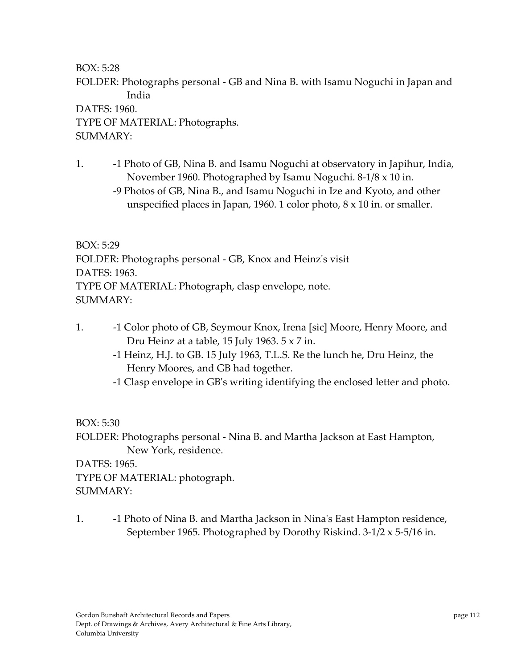BOX: 5:28

FOLDER: Photographs personal ‐ GB and Nina B. with Isamu Noguchi in Japan and India

DATES: 1960. TYPE OF MATERIAL: Photographs. SUMMARY:

- 1. **-1 Photo of GB, Nina B. and Isamu Noguchi at observatory in Japihur, India,** November 1960. Photographed by Isamu Noguchi. 8‐1/8 x 10 in.
	- ‐9 Photos of GB, Nina B., and Isamu Noguchi in Ize and Kyoto, and other unspecified places in Japan, 1960. 1 color photo, 8 x 10 in. or smaller.

BOX: 5:29 FOLDER: Photographs personal ‐ GB, Knox and Heinzʹs visit DATES: 1963. TYPE OF MATERIAL: Photograph, clasp envelope, note. SUMMARY:

- 1. ‐1 Color photo of GB, Seymour Knox, Irena [sic] Moore, Henry Moore, and Dru Heinz at a table, 15 July 1963. 5 x 7 in.
	- ‐1 Heinz, H.J. to GB. 15 July 1963, T.L.S. Re the lunch he, Dru Heinz, the Henry Moores, and GB had together.
	- ‐1 Clasp envelope in GBʹs writing identifying the enclosed letter and photo.

BOX: 5:30

FOLDER: Photographs personal ‐ Nina B. and Martha Jackson at East Hampton, New York, residence.

DATES: 1965. TYPE OF MATERIAL: photograph. SUMMARY:

1. ‐1 Photo of Nina B. and Martha Jackson in Ninaʹs East Hampton residence, September 1965. Photographed by Dorothy Riskind. 3‐1/2 x 5‐5/16 in.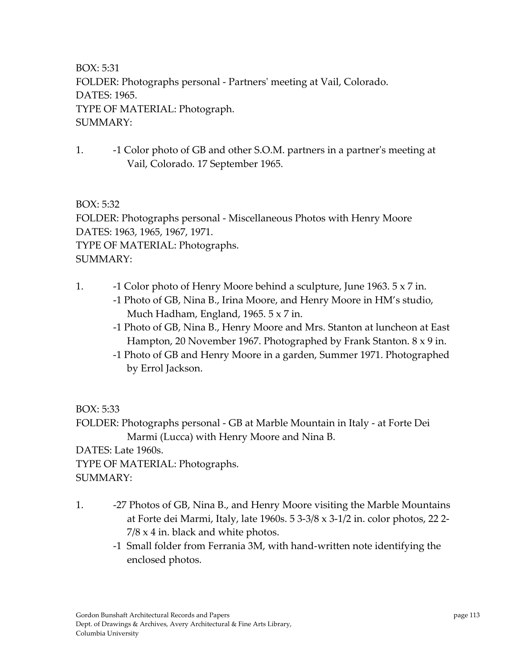BOX: 5:31 FOLDER: Photographs personal ‐ Partnersʹ meeting at Vail, Colorado. DATES: 1965. TYPE OF MATERIAL: Photograph. SUMMARY:

1. **-1 Color photo of GB and other S.O.M. partners in a partner's meeting at** Vail, Colorado. 17 September 1965.

BOX: 5:32 FOLDER: Photographs personal ‐ Miscellaneous Photos with Henry Moore DATES: 1963, 1965, 1967, 1971. TYPE OF MATERIAL: Photographs. SUMMARY:

- 1. ‐1 Color photo of Henry Moore behind a sculpture, June 1963. 5 x 7 in.
	- ‐1 Photo of GB, Nina B., Irina Moore, and Henry Moore in HM's studio, Much Hadham, England, 1965. 5 x 7 in.
	- ‐1 Photo of GB, Nina B., Henry Moore and Mrs. Stanton at luncheon at East Hampton, 20 November 1967. Photographed by Frank Stanton. 8 x 9 in.
	- ‐1 Photo of GB and Henry Moore in a garden, Summer 1971. Photographed by Errol Jackson.

BOX: 5:33

FOLDER: Photographs personal ‐ GB at Marble Mountain in Italy ‐ at Forte Dei Marmi (Lucca) with Henry Moore and Nina B.

DATES: Late 1960s.

TYPE OF MATERIAL: Photographs.

SUMMARY:

- 1.  **27 Photos of GB, Nina B., and Henry Moore visiting the Marble Mountains** at Forte dei Marmi, Italy, late 1960s. 5 3‐3/8 x 3‐1/2 in. color photos, 22 2‐  $7/8 \times 4$  in. black and white photos.
	- ‐1 Small folder from Ferrania 3M, with hand‐written note identifying the enclosed photos.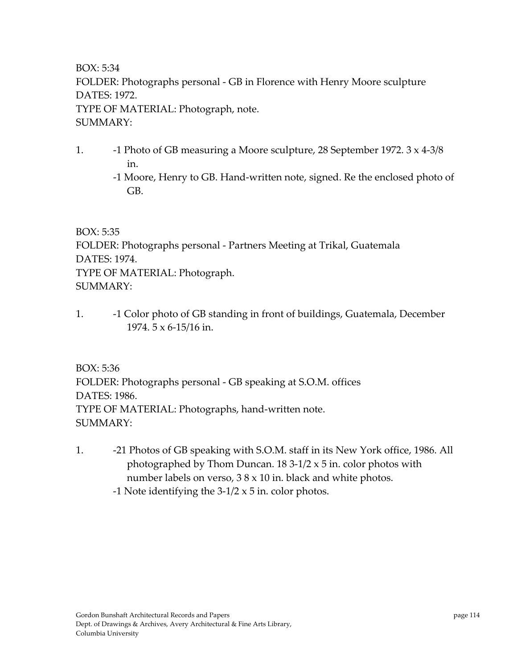BOX: 5:34 FOLDER: Photographs personal ‐ GB in Florence with Henry Moore sculpture DATES: 1972. TYPE OF MATERIAL: Photograph, note. SUMMARY:

- 1. **-1 Photo of GB measuring a Moore sculpture, 28 September 1972. 3 x 4-3/8** in.
	- ‐1 Moore, Henry to GB. Hand‐written note, signed. Re the enclosed photo of GB.

BOX: 5:35

FOLDER: Photographs personal ‐ Partners Meeting at Trikal, Guatemala DATES: 1974. TYPE OF MATERIAL: Photograph. SUMMARY:

1. **-1 Color photo of GB standing in front of buildings, Guatemala, December** 1974. 5 x 6‐15/16 in.

BOX: 5:36 FOLDER: Photographs personal ‐ GB speaking at S.O.M. offices DATES: 1986. TYPE OF MATERIAL: Photographs, hand‐written note. SUMMARY:

- 1. -21 Photos of GB speaking with S.O.M. staff in its New York office, 1986. All photographed by Thom Duncan.  $18\frac{3-1}{2} \times 5$  in. color photos with number labels on verso, 3 8 x 10 in. black and white photos.
	- -1 Note identifying the  $3-1/2 \times 5$  in. color photos.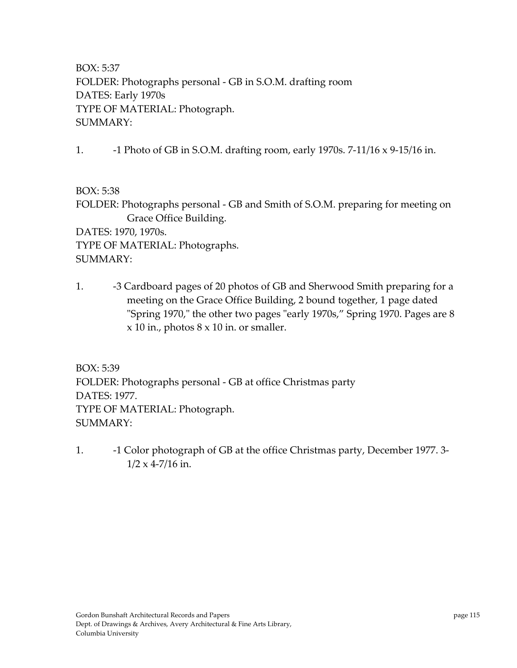BOX: 5:37 FOLDER: Photographs personal ‐ GB in S.O.M. drafting room DATES: Early 1970s TYPE OF MATERIAL: Photograph. SUMMARY:

1. ‐1 Photo of GB in S.O.M. drafting room, early 1970s. 7‐11/16 x 9‐15/16 in.

BOX: 5:38

FOLDER: Photographs personal ‐ GB and Smith of S.O.M. preparing for meeting on Grace Office Building. DATES: 1970, 1970s.

TYPE OF MATERIAL: Photographs. SUMMARY:

1. **-3 Cardboard pages of 20 photos of GB and Sherwood Smith preparing for a** meeting on the Grace Office Building, 2 bound together, 1 page dated "Spring 1970," the other two pages "early 1970s," Spring 1970. Pages are 8  $x$  10 in., photos  $8 \times 10$  in. or smaller.

BOX: 5:39 FOLDER: Photographs personal ‐ GB at office Christmas party DATES: 1977. TYPE OF MATERIAL: Photograph. SUMMARY:

1. **-1 Color photograph of GB at the office Christmas party, December 1977. 3-** $1/2 \times 4 - 7/16$  in.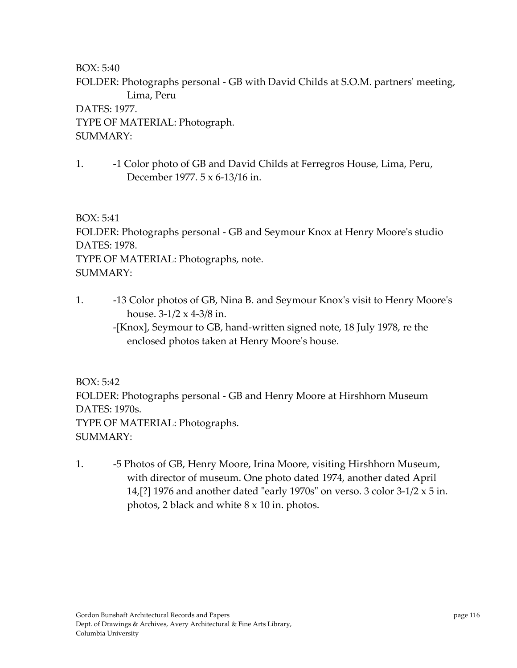BOX: 5:40

FOLDER: Photographs personal - GB with David Childs at S.O.M. partners' meeting, Lima, Peru

DATES: 1977. TYPE OF MATERIAL: Photograph. SUMMARY:

1. ‐1 Color photo of GB and David Childs at Ferregros House, Lima, Peru, December 1977. 5 x 6‐13/16 in.

BOX: 5:41

FOLDER: Photographs personal ‐ GB and Seymour Knox at Henry Mooreʹs studio DATES: 1978. TYPE OF MATERIAL: Photographs, note. SUMMARY:

- 1. ‐13 Color photos of GB, Nina B. and Seymour Knoxʹs visit to Henry Mooreʹs house.  $3-1/2 \times 4-3/8$  in.
	- ‐[Knox], Seymour to GB, hand‐written signed note, 18 July 1978, re the enclosed photos taken at Henry Mooreʹs house.

BOX: 5:42

FOLDER: Photographs personal ‐ GB and Henry Moore at Hirshhorn Museum DATES: 1970s. TYPE OF MATERIAL: Photographs. SUMMARY:

1. ‐5 Photos of GB, Henry Moore, Irina Moore, visiting Hirshhorn Museum, with director of museum. One photo dated 1974, another dated April 14,[?] 1976 and another dated "early 1970s" on verso. 3 color  $3-1/2 \times 5$  in. photos, 2 black and white 8 x 10 in. photos.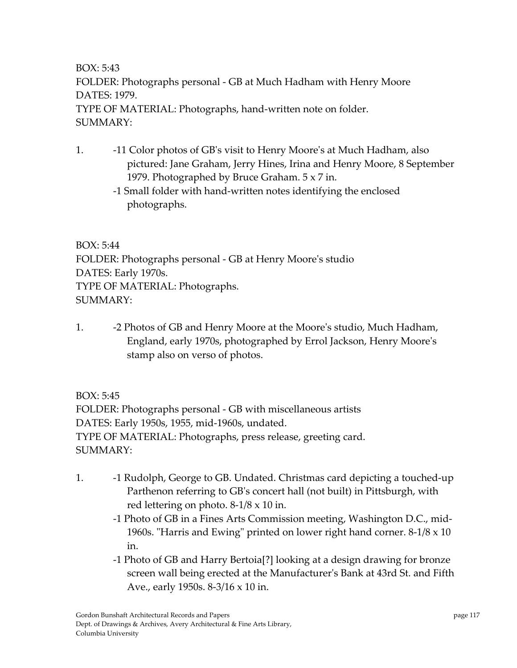BOX: 5:43 FOLDER: Photographs personal ‐ GB at Much Hadham with Henry Moore DATES: 1979. TYPE OF MATERIAL: Photographs, hand‐written note on folder. SUMMARY:

- 1. ‐11 Color photos of GBʹs visit to Henry Mooreʹs at Much Hadham, also pictured: Jane Graham, Jerry Hines, Irina and Henry Moore, 8 September 1979. Photographed by Bruce Graham. 5 x 7 in.
	- ‐1 Small folder with hand‐written notes identifying the enclosed photographs.

BOX: 5:44 FOLDER: Photographs personal ‐ GB at Henry Mooreʹs studio DATES: Early 1970s. TYPE OF MATERIAL: Photographs. SUMMARY:

1. **-2 Photos of GB and Henry Moore at the Moore's studio, Much Hadham,** England, early 1970s, photographed by Errol Jackson, Henry Mooreʹs stamp also on verso of photos.

BOX: 5:45

FOLDER: Photographs personal ‐ GB with miscellaneous artists DATES: Early 1950s, 1955, mid‐1960s, undated. TYPE OF MATERIAL: Photographs, press release, greeting card. SUMMARY:

- 1. **••** -1 Rudolph, George to GB. Undated. Christmas card depicting a touched-up Parthenon referring to GBʹs concert hall (not built) in Pittsburgh, with red lettering on photo. 8‐1/8 x 10 in.
	- ‐1 Photo of GB in a Fines Arts Commission meeting, Washington D.C., mid‐ 1960s. "Harris and Ewing" printed on lower right hand corner.  $8-1/8 \times 10$ in.
	- ‐1 Photo of GB and Harry Bertoia[?] looking at a design drawing for bronze screen wall being erected at the Manufacturerʹs Bank at 43rd St. and Fifth Ave., early 1950s. 8‐3/16 x 10 in.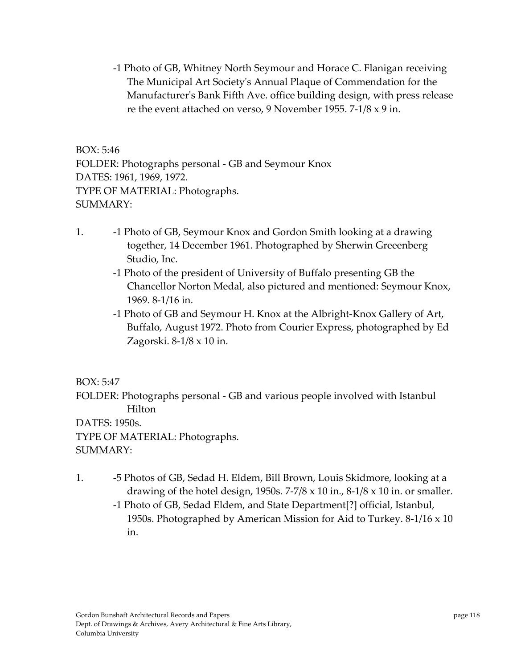‐1 Photo of GB, Whitney North Seymour and Horace C. Flanigan receiving The Municipal Art Societyʹs Annual Plaque of Commendation for the Manufacturerʹs Bank Fifth Ave. office building design, with press release re the event attached on verso, 9 November 1955. 7‐1/8 x 9 in.

BOX: 5:46 FOLDER: Photographs personal ‐ GB and Seymour Knox DATES: 1961, 1969, 1972. TYPE OF MATERIAL: Photographs. SUMMARY:

- 1. ‐1 Photo of GB, Seymour Knox and Gordon Smith looking at a drawing together, 14 December 1961. Photographed by Sherwin Greeenberg Studio, Inc.
	- ‐1 Photo of the president of University of Buffalo presenting GB the Chancellor Norton Medal, also pictured and mentioned: Seymour Knox, 1969. 8‐1/16 in.
	- ‐1 Photo of GB and Seymour H. Knox at the Albright‐Knox Gallery of Art, Buffalo, August 1972. Photo from Courier Express, photographed by Ed Zagorski. 8‐1/8 x 10 in.

# BOX: 5:47

FOLDER: Photographs personal ‐ GB and various people involved with Istanbul Hilton

DATES: 1950s. TYPE OF MATERIAL: Photographs. SUMMARY:

- 1. ‐5 Photos of GB, Sedad H. Eldem, Bill Brown, Louis Skidmore, looking at a drawing of the hotel design, 1950s.  $7-7/8 \times 10$  in.,  $8-1/8 \times 10$  in. or smaller.
	- ‐1 Photo of GB, Sedad Eldem, and State Department[?] official, Istanbul, 1950s. Photographed by American Mission for Aid to Turkey. 8‐1/16 x 10 in.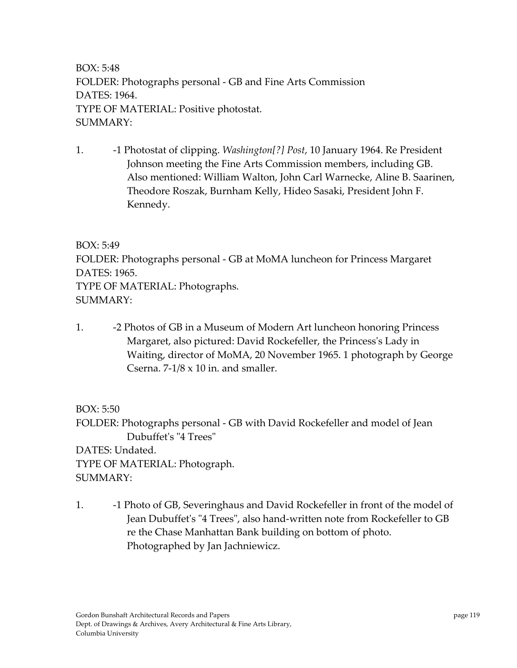BOX: 5:48 FOLDER: Photographs personal ‐ GB and Fine Arts Commission DATES: 1964. TYPE OF MATERIAL: Positive photostat. SUMMARY:

1. ‐1 Photostat of clipping. *Washington[?] Post*, 10 January 1964. Re President Johnson meeting the Fine Arts Commission members, including GB. Also mentioned: William Walton, John Carl Warnecke, Aline B. Saarinen, Theodore Roszak, Burnham Kelly, Hideo Sasaki, President John F. Kennedy.

BOX: 5:49 FOLDER: Photographs personal ‐ GB at MoMA luncheon for Princess Margaret DATES: 1965. TYPE OF MATERIAL: Photographs. SUMMARY:

1. ‐2 Photos of GB in a Museum of Modern Art luncheon honoring Princess Margaret, also pictured: David Rockefeller, the Princess's Lady in Waiting, director of MoMA, 20 November 1965. 1 photograph by George Cserna.  $7-1/8 \times 10$  in. and smaller.

BOX: 5:50 FOLDER: Photographs personal ‐ GB with David Rockefeller and model of Jean Dubuffet's "4 Trees" DATES: Undated. TYPE OF MATERIAL: Photograph. SUMMARY:

1. **••** -1 Photo of GB, Severinghaus and David Rockefeller in front of the model of Jean Dubuffet's "4 Trees", also hand-written note from Rockefeller to GB re the Chase Manhattan Bank building on bottom of photo. Photographed by Jan Jachniewicz.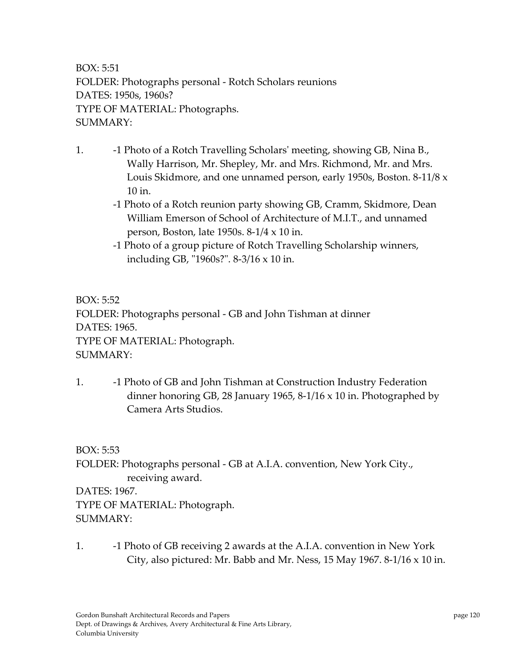BOX: 5:51 FOLDER: Photographs personal ‐ Rotch Scholars reunions DATES: 1950s, 1960s? TYPE OF MATERIAL: Photographs. SUMMARY:

- 1. ‐1 Photo of a Rotch Travelling Scholarsʹ meeting, showing GB, Nina B., Wally Harrison, Mr. Shepley, Mr. and Mrs. Richmond, Mr. and Mrs. Louis Skidmore, and one unnamed person, early 1950s, Boston. 8‐11/8 x 10 in.
	- ‐1 Photo of a Rotch reunion party showing GB, Cramm, Skidmore, Dean William Emerson of School of Architecture of M.I.T., and unnamed person, Boston, late 1950s. 8‐1/4 x 10 in.
	- ‐1 Photo of a group picture of Rotch Travelling Scholarship winners, including GB, "1960s?". 8-3/16 x 10 in.

BOX: 5:52 FOLDER: Photographs personal ‐ GB and John Tishman at dinner DATES: 1965. TYPE OF MATERIAL: Photograph. SUMMARY:

1. ‐1 Photo of GB and John Tishman at Construction Industry Federation dinner honoring GB, 28 January 1965, 8‐1/16 x 10 in. Photographed by Camera Arts Studios.

BOX: 5:53

FOLDER: Photographs personal ‐ GB at A.I.A. convention, New York City., receiving award.

DATES: 1967. TYPE OF MATERIAL: Photograph. SUMMARY:

1. **••** -1 Photo of GB receiving 2 awards at the A.I.A. convention in New York City, also pictured: Mr. Babb and Mr. Ness, 15 May 1967. 8-1/16  $\times$  10 in.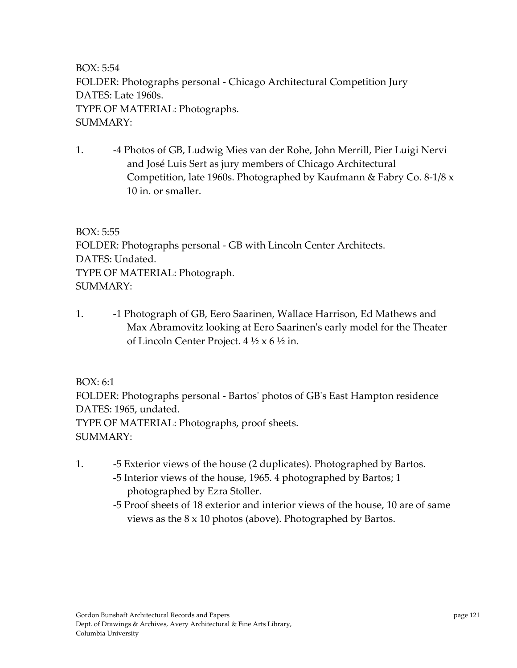BOX: 5:54 FOLDER: Photographs personal ‐ Chicago Architectural Competition Jury DATES: Late 1960s. TYPE OF MATERIAL: Photographs. SUMMARY:

1. ‐4 Photos of GB, Ludwig Mies van der Rohe, John Merrill, Pier Luigi Nervi and José Luis Sert as jury members of Chicago Architectural Competition, late 1960s. Photographed by Kaufmann & Fabry Co. 8‐1/8 x 10 in. or smaller.

BOX: 5:55 FOLDER: Photographs personal ‐ GB with Lincoln Center Architects. DATES: Undated. TYPE OF MATERIAL: Photograph. SUMMARY:

1. **••** -1 Photograph of GB, Eero Saarinen, Wallace Harrison, Ed Mathews and Max Abramovitz looking at Eero Saarinenʹs early model for the Theater of Lincoln Center Project. 4 ½ x 6 ½ in.

BOX: 6:1

FOLDER: Photographs personal ‐ Bartosʹ photos of GBʹs East Hampton residence DATES: 1965, undated. TYPE OF MATERIAL: Photographs, proof sheets. SUMMARY:

- 1. ‐5 Exterior views of the house (2 duplicates). Photographed by Bartos. ‐5 Interior views of the house, 1965. 4 photographed by Bartos; 1 photographed by Ezra Stoller.
	- ‐5 Proof sheets of 18 exterior and interior views of the house, 10 are of same views as the 8 x 10 photos (above). Photographed by Bartos.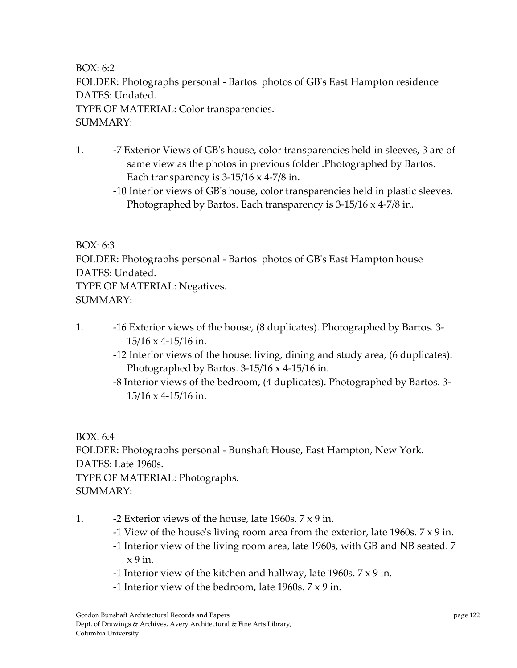BOX: 6:2 FOLDER: Photographs personal ‐ Bartosʹ photos of GBʹs East Hampton residence DATES: Undated. TYPE OF MATERIAL: Color transparencies. SUMMARY:

- 1. ‐7 Exterior Views of GBʹs house, color transparencies held in sleeves, 3 are of same view as the photos in previous folder .Photographed by Bartos. Each transparency is  $3-15/16 \times 4-7/8$  in.
	- ‐10 Interior views of GBʹs house, color transparencies held in plastic sleeves. Photographed by Bartos. Each transparency is 3‐15/16 x 4‐7/8 in.

#### BOX: 6:3

FOLDER: Photographs personal ‐ Bartosʹ photos of GBʹs East Hampton house DATES: Undated.

TYPE OF MATERIAL: Negatives.

SUMMARY:

- 1. ‐16 Exterior views of the house, (8 duplicates). Photographed by Bartos. 3‐ 15/16 x 4‐15/16 in.
	- ‐12 Interior views of the house: living, dining and study area, (6 duplicates). Photographed by Bartos.  $3-15/16 \times 4-15/16$  in.
	- ‐8 Interior views of the bedroom, (4 duplicates). Photographed by Bartos. 3‐ 15/16 x 4‐15/16 in.

BOX: 6:4 FOLDER: Photographs personal ‐ Bunshaft House, East Hampton, New York. DATES: Late 1960s. TYPE OF MATERIAL: Photographs. SUMMARY:

- 1.  $\sim$  -2 Exterior views of the house, late 1960s.  $7 \times 9$  in.
	- ‐1 View of the houseʹs living room area from the exterior, late 1960s. 7 x 9 in.
	- ‐1 Interior view of the living room area, late 1960s, with GB and NB seated. 7  $x 9$  in.
	- ‐1 Interior view of the kitchen and hallway, late 1960s. 7 x 9 in.
	- ‐1 Interior view of the bedroom, late 1960s. 7 x 9 in.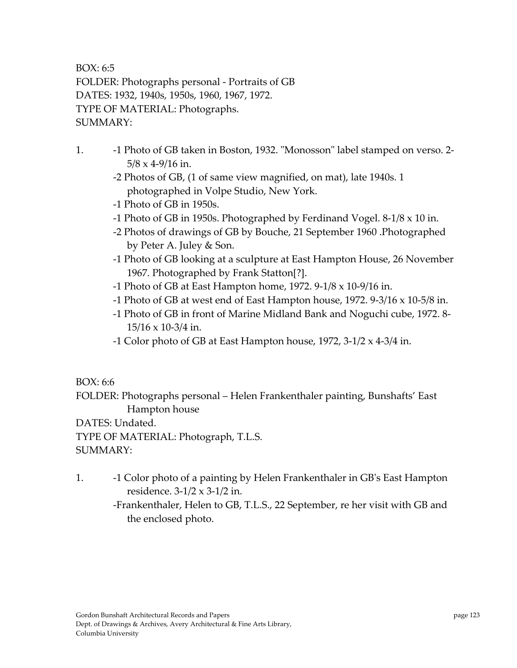BOX: 6:5 FOLDER: Photographs personal ‐ Portraits of GB DATES: 1932, 1940s, 1950s, 1960, 1967, 1972. TYPE OF MATERIAL: Photographs. SUMMARY:

- 1. **-1 Photo of GB taken in Boston, 1932. "Monosson" label stamped on verso. 2-** $5/8 \times 4 - 9/16$  in.
	- ‐2 Photos of GB, (1 of same view magnified, on mat), late 1940s. 1 photographed in Volpe Studio, New York.
	- ‐1 Photo of GB in 1950s.
	- -1 Photo of GB in 1950s. Photographed by Ferdinand Vogel.  $8-1/8 \times 10$  in.
	- ‐2 Photos of drawings of GB by Bouche, 21 September 1960 .Photographed by Peter A. Juley & Son.
	- ‐1 Photo of GB looking at a sculpture at East Hampton House, 26 November 1967. Photographed by Frank Statton[?].
	- ‐1 Photo of GB at East Hampton home, 1972. 9‐1/8 x 10‐9/16 in.
	- -1 Photo of GB at west end of East Hampton house,  $1972$ .  $9-3/16 \times 10-5/8$  in.
	- ‐1 Photo of GB in front of Marine Midland Bank and Noguchi cube, 1972. 8‐  $15/16 \times 10-3/4$  in.
	- ‐1 Color photo of GB at East Hampton house, 1972, 3‐1/2 x 4‐3/4 in.

# BOX: 6:6

FOLDER: Photographs personal – Helen Frankenthaler painting, Bunshafts' East Hampton house

DATES: Undated.

TYPE OF MATERIAL: Photograph, T.L.S. SUMMARY:

- 1. ‐1 Color photo of a painting by Helen Frankenthaler in GBʹs East Hampton residence. 3‐1/2 x 3‐1/2 in.
	- ‐Frankenthaler, Helen to GB, T.L.S., 22 September, re her visit with GB and the enclosed photo.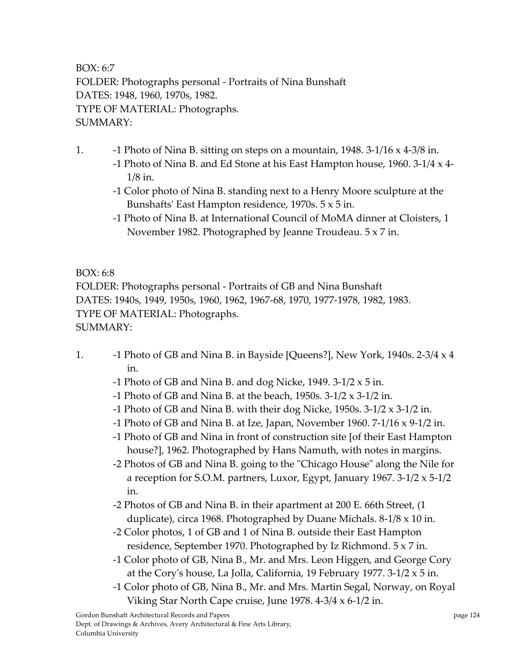BOX: 6:7 FOLDER: Photographs personal ‐ Portraits of Nina Bunshaft DATES: 1948, 1960, 1970s, 1982. TYPE OF MATERIAL: Photographs. SUMMARY:

- 1. ‐1 Photo of Nina B. sitting on steps on a mountain, 1948. 3‐1/16 x 4‐3/8 in.
	- -1 Photo of Nina B. and Ed Stone at his East Hampton house, 1960. 3-1/4  $\times$  4-1/8 in.
	- ‐1 Color photo of Nina B. standing next to a Henry Moore sculpture at the Bunshaftsʹ East Hampton residence, 1970s. 5 x 5 in.
	- ‐1 Photo of Nina B. at International Council of MoMA dinner at Cloisters, 1 November 1982. Photographed by Jeanne Troudeau. 5 x 7 in.

BOX: 6:8

FOLDER: Photographs personal ‐ Portraits of GB and Nina Bunshaft DATES: 1940s, 1949, 1950s, 1960, 1962, 1967‐68, 1970, 1977‐1978, 1982, 1983. TYPE OF MATERIAL: Photographs. SUMMARY:

- 1.  $\blacksquare$  –1 Photo of GB and Nina B. in Bayside [Queens?], New York, 1940s. 2-3/4 x 4 in.
	- -1 Photo of GB and Nina B. and dog Nicke, 1949.  $3-1/2 \times 5$  in.
	- ‐1 Photo of GB and Nina B. at the beach, 1950s. 3‐1/2 x 3‐1/2 in.
	- ‐1 Photo of GB and Nina B. with their dog Nicke, 1950s. 3‐1/2 x 3‐1/2 in.
	- -1 Photo of GB and Nina B. at Ize, Japan, November 1960. 7-1/16  $\times$  9-1/2 in.
	- ‐1 Photo of GB and Nina in front of construction site [of their East Hampton house?], 1962. Photographed by Hans Namuth, with notes in margins.
	- -2 Photos of GB and Nina B. going to the "Chicago House" along the Nile for a reception for S.O.M. partners, Luxor, Egypt, January 1967.  $3-1/2 \times 5-1/2$ in.
	- ‐2 Photos of GB and Nina B. in their apartment at 200 E. 66th Street, (1 duplicate), circa 1968. Photographed by Duane Michals. 8‐1/8 x 10 in.
	- ‐2 Color photos, 1 of GB and 1 of Nina B. outside their East Hampton residence, September 1970. Photographed by Iz Richmond. 5 x 7 in.
	- ‐1 Color photo of GB, Nina B., Mr. and Mrs. Leon Higgen, and George Cory at the Coryʹs house, La Jolla, California, 19 February 1977. 3‐1/2 x 5 in.
	- ‐1 Color photo of GB, Nina B., Mr. and Mrs. Martin Segal, Norway, on Royal Viking Star North Cape cruise, June 1978. 4‐3/4 x 6‐1/2 in.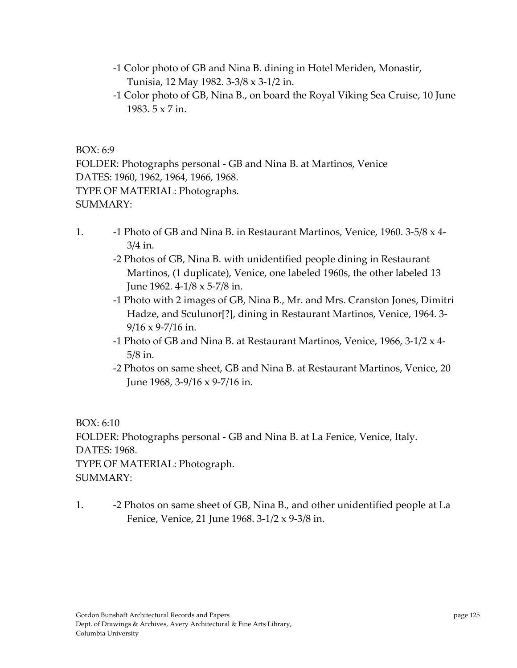- ‐1 Color photo of GB and Nina B. dining in Hotel Meriden, Monastir, Tunisia, 12 May 1982. 3‐3/8 x 3‐1/2 in.
- ‐1 Color photo of GB, Nina B., on board the Royal Viking Sea Cruise, 10 June 1983. 5 x 7 in.

BOX: 6:9

FOLDER: Photographs personal ‐ GB and Nina B. at Martinos, Venice DATES: 1960, 1962, 1964, 1966, 1968. TYPE OF MATERIAL: Photographs. SUMMARY:

- 1. **-1 Photo of GB and Nina B. in Restaurant Martinos, Venice, 1960. 3-5/8 x 4-**3/4 in.
	- ‐2 Photos of GB, Nina B. with unidentified people dining in Restaurant Martinos, (1 duplicate), Venice, one labeled 1960s, the other labeled 13 June 1962. 4‐1/8 x 5‐7/8 in.
	- ‐1 Photo with 2 images of GB, Nina B., Mr. and Mrs. Cranston Jones, Dimitri Hadze, and Sculunor[?], dining in Restaurant Martinos, Venice, 1964. 3‐  $9/16 \times 9 - 7/16$  in.
	- ‐1 Photo of GB and Nina B. at Restaurant Martinos, Venice, 1966, 3‐1/2 x 4‐ 5/8 in.
	- ‐2 Photos on same sheet, GB and Nina B. at Restaurant Martinos, Venice, 20 June 1968, 3‐9/16 x 9‐7/16 in.

BOX: 6:10 FOLDER: Photographs personal ‐ GB and Nina B. at La Fenice, Venice, Italy. DATES: 1968. TYPE OF MATERIAL: Photograph. SUMMARY:

1. **– 2 Photos on same sheet of GB, Nina B., and other unidentified people at La** Fenice, Venice, 21 June 1968. 3‐1/2 x 9‐3/8 in.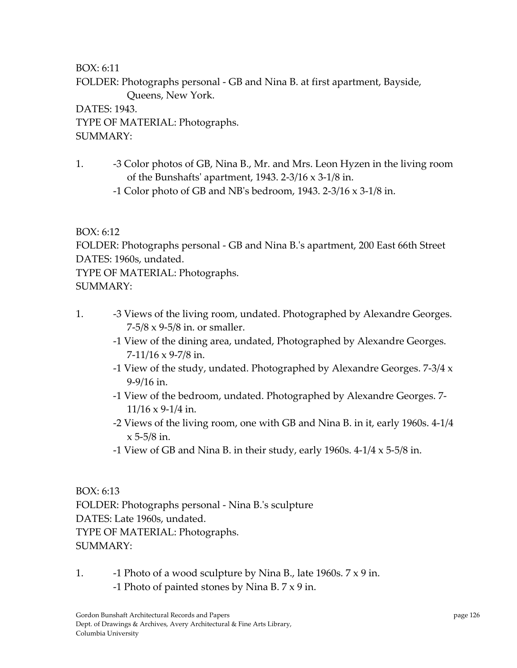BOX: 6:11

FOLDER: Photographs personal ‐ GB and Nina B. at first apartment, Bayside, Queens, New York.

DATES: 1943. TYPE OF MATERIAL: Photographs. SUMMARY:

- 1. ‐3 Color photos of GB, Nina B., Mr. and Mrs. Leon Hyzen in the living room of the Bunshafts' apartment, 1943. 2-3/16 x 3-1/8 in.
	- ‐1 Color photo of GB and NBʹs bedroom, 1943. 2‐3/16 x 3‐1/8 in.

# BOX: 6:12

FOLDER: Photographs personal ‐ GB and Nina B.ʹs apartment, 200 East 66th Street DATES: 1960s, undated.

TYPE OF MATERIAL: Photographs. SUMMARY:

- 1. **-3 Views of the living room, undated. Photographed by Alexandre Georges.** 7‐5/8 x 9‐5/8 in. or smaller.
	- ‐1 View of the dining area, undated, Photographed by Alexandre Georges.  $7-11/16 \times 9-7/8$  in.
	- ‐1 View of the study, undated. Photographed by Alexandre Georges. 7‐3/4 x 9‐9/16 in.
	- ‐1 View of the bedroom, undated. Photographed by Alexandre Georges. 7‐  $11/16 \times 9 - 1/4$  in.
	- ‐2 Views of the living room, one with GB and Nina B. in it, early 1960s. 4‐1/4  $x$  5-5/8 in.
	- -1 View of GB and Nina B. in their study, early 1960s.  $4-1/4 \times 5-5/8$  in.

BOX: 6:13 FOLDER: Photographs personal ‐ Nina B.ʹs sculpture DATES: Late 1960s, undated. TYPE OF MATERIAL: Photographs.  $SIIMMARY·$ 

1.  $\blacksquare$  -1 Photo of a wood sculpture by Nina B., late 1960s.  $7 \times 9$  in. ‐1 Photo of painted stones by Nina B. 7 x 9 in.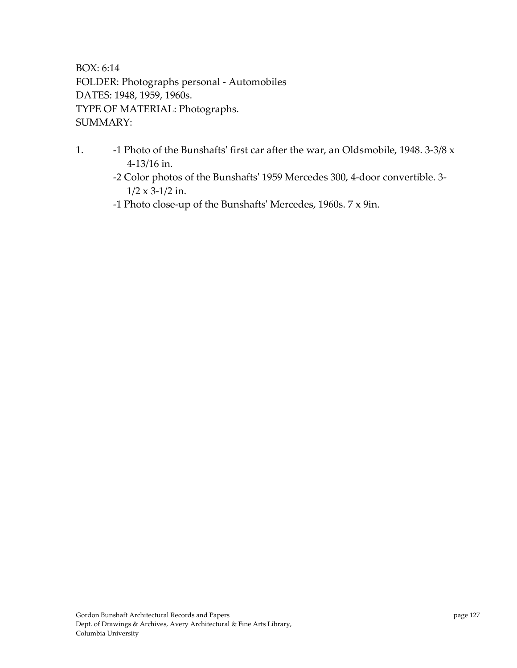BOX: 6:14 FOLDER: Photographs personal ‐ Automobiles DATES: 1948, 1959, 1960s. TYPE OF MATERIAL: Photographs. SUMMARY:

- 1. **-1 Photo of the Bunshafts' first car after the war, an Oldsmobile, 1948. 3-3/8 x** 4‐13/16 in.
	- ‐2 Color photos of the Bunshaftsʹ 1959 Mercedes 300, 4‐door convertible. 3‐  $1/2 \times 3 - 1/2$  in.
	- ‐1 Photo close‐up of the Bunshaftsʹ Mercedes, 1960s. 7 x 9in.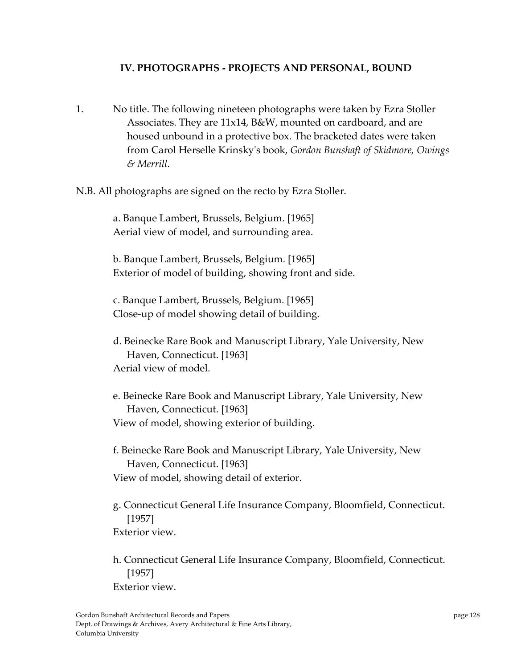#### **IV. PHOTOGRAPHS ‐ PROJECTS AND PERSONAL, BOUND**

- 1. No title. The following nineteen photographs were taken by Ezra Stoller Associates. They are 11x14, B&W, mounted on cardboard, and are housed unbound in a protective box. The bracketed dates were taken from Carol Herselle Krinskyʹs book, *Gordon Bunshaft of Skidmore, Owings & Merrill*.
- N.B. All photographs are signed on the recto by Ezra Stoller.

a. Banque Lambert, Brussels, Belgium. [1965] Aerial view of model, and surrounding area.

b. Banque Lambert, Brussels, Belgium. [1965] Exterior of model of building, showing front and side.

c. Banque Lambert, Brussels, Belgium. [1965] Close‐up of model showing detail of building.

d. Beinecke Rare Book and Manuscript Library, Yale University, New Haven, Connecticut. [1963] Aerial view of model.

e. Beinecke Rare Book and Manuscript Library, Yale University, New Haven, Connecticut. [1963] View of model, showing exterior of building.

f. Beinecke Rare Book and Manuscript Library, Yale University, New Haven, Connecticut. [1963] View of model, showing detail of exterior.

g. Connecticut General Life Insurance Company, Bloomfield, Connecticut. [1957] Exterior view.

h. Connecticut General Life Insurance Company, Bloomfield, Connecticut. [1957] Exterior view.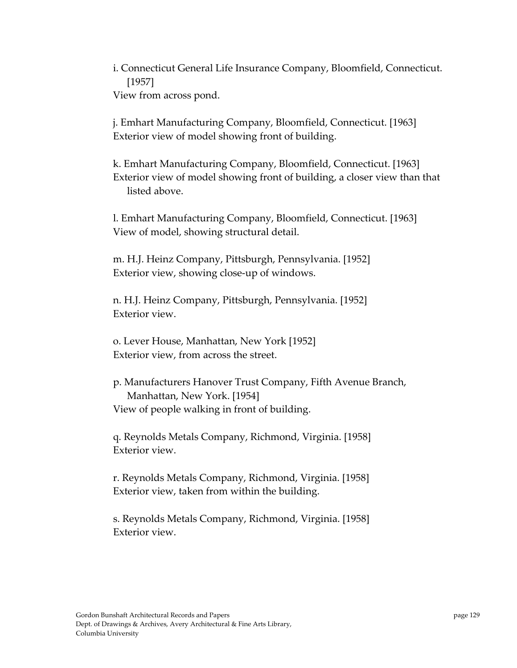i. Connecticut General Life Insurance Company, Bloomfield, Connecticut. [1957] View from across pond.

j. Emhart Manufacturing Company, Bloomfield, Connecticut. [1963] Exterior view of model showing front of building.

k. Emhart Manufacturing Company, Bloomfield, Connecticut. [1963] Exterior view of model showing front of building, a closer view than that listed above.

l. Emhart Manufacturing Company, Bloomfield, Connecticut. [1963] View of model, showing structural detail.

m. H.J. Heinz Company, Pittsburgh, Pennsylvania. [1952] Exterior view, showing close‐up of windows.

n. H.J. Heinz Company, Pittsburgh, Pennsylvania. [1952] Exterior view.

o. Lever House, Manhattan, New York [1952] Exterior view, from across the street.

p. Manufacturers Hanover Trust Company, Fifth Avenue Branch, Manhattan, New York. [1954] View of people walking in front of building.

q. Reynolds Metals Company, Richmond, Virginia. [1958] Exterior view.

r. Reynolds Metals Company, Richmond, Virginia. [1958] Exterior view, taken from within the building.

s. Reynolds Metals Company, Richmond, Virginia. [1958] Exterior view.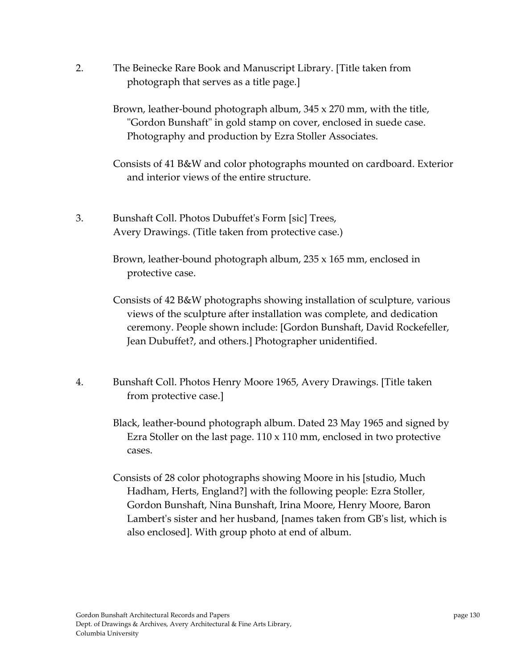2. The Beinecke Rare Book and Manuscript Library. [Title taken from photograph that serves as a title page.]

> Brown, leather‐bound photograph album, 345 x 270 mm, with the title, "Gordon Bunshaft" in gold stamp on cover, enclosed in suede case. Photography and production by Ezra Stoller Associates.

Consists of 41 B&W and color photographs mounted on cardboard. Exterior and interior views of the entire structure.

3. Bunshaft Coll. Photos Dubuffetʹs Form [sic] Trees, Avery Drawings. (Title taken from protective case.)

> Brown, leather-bound photograph album, 235 x 165 mm, enclosed in protective case.

Consists of 42 B&W photographs showing installation of sculpture, various views of the sculpture after installation was complete, and dedication ceremony. People shown include: [Gordon Bunshaft, David Rockefeller, Jean Dubuffet?, and others.] Photographer unidentified.

4. Bunshaft Coll. Photos Henry Moore 1965, Avery Drawings. [Title taken from protective case.]

> Black, leather‐bound photograph album. Dated 23 May 1965 and signed by Ezra Stoller on the last page. 110 x 110 mm, enclosed in two protective cases.

> Consists of 28 color photographs showing Moore in his [studio, Much Hadham, Herts, England?] with the following people: Ezra Stoller, Gordon Bunshaft, Nina Bunshaft, Irina Moore, Henry Moore, Baron Lambert's sister and her husband, [names taken from GB's list, which is also enclosed]. With group photo at end of album.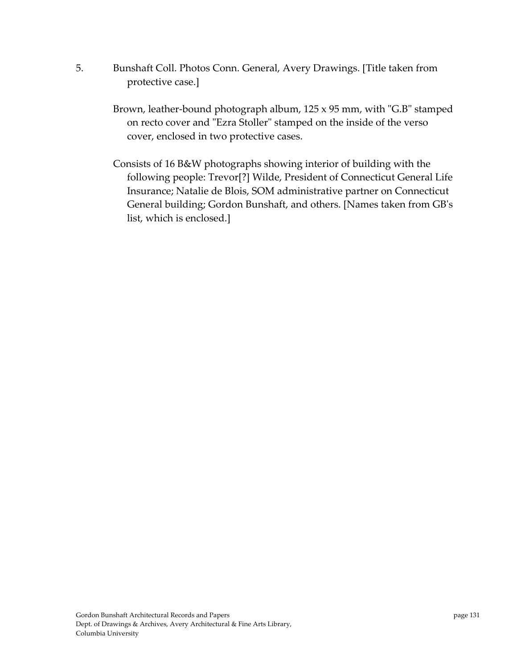- 5. Bunshaft Coll. Photos Conn. General, Avery Drawings. [Title taken from protective case.]
	- Brown, leather-bound photograph album,  $125 \times 95$  mm, with "G.B" stamped on recto cover and "Ezra Stoller" stamped on the inside of the verso cover, enclosed in two protective cases.
	- Consists of 16 B&W photographs showing interior of building with the following people: Trevor[?] Wilde, President of Connecticut General Life Insurance; Natalie de Blois, SOM administrative partner on Connecticut General building; Gordon Bunshaft, and others. [Names taken from GBʹs list, which is enclosed.]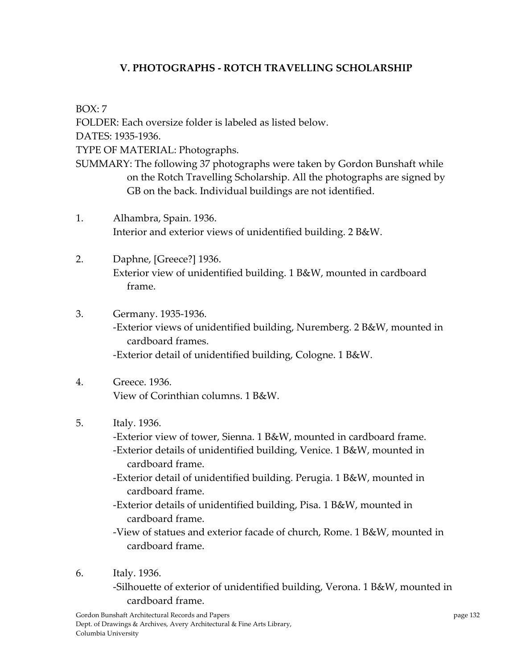# **V. PHOTOGRAPHS ‐ ROTCH TRAVELLING SCHOLARSHIP**

 $BOX: 7$ FOLDER: Each oversize folder is labeled as listed below. DATES: 1935‐1936. TYPE OF MATERIAL: Photographs. SUMMARY: The following 37 photographs were taken by Gordon Bunshaft while on the Rotch Travelling Scholarship. All the photographs are signed by GB on the back. Individual buildings are not identified.

- 1. Alhambra, Spain. 1936. Interior and exterior views of unidentified building. 2 B&W.
- 2. Daphne, [Greece?] 1936. Exterior view of unidentified building. 1 B&W, mounted in cardboard frame.
- 3. Germany. 1935‐1936. ‐Exterior views of unidentified building, Nuremberg. 2 B&W, mounted in cardboard frames. ‐Exterior detail of unidentified building, Cologne. 1 B&W.
- 4. Greece. 1936. View of Corinthian columns. 1 B&W.
- 5. Italy. 1936.
	- ‐Exterior view of tower, Sienna. 1 B&W, mounted in cardboard frame.
	- ‐Exterior details of unidentified building, Venice. 1 B&W, mounted in cardboard frame.
	- ‐Exterior detail of unidentified building. Perugia. 1 B&W, mounted in cardboard frame.
	- ‐Exterior details of unidentified building, Pisa. 1 B&W, mounted in cardboard frame.
	- ‐View of statues and exterior facade of church, Rome. 1 B&W, mounted in cardboard frame.
- 6. Italy. 1936.

 ‐Silhouette of exterior of unidentified building, Verona. 1 B&W, mounted in cardboard frame.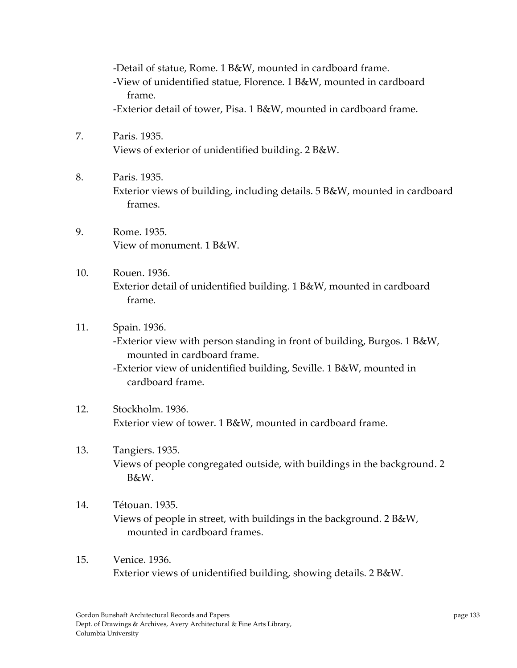‐Detail of statue, Rome. 1 B&W, mounted in cardboard frame. ‐View of unidentified statue, Florence. 1 B&W, mounted in cardboard frame. ‐Exterior detail of tower, Pisa. 1 B&W, mounted in cardboard frame.

- 7. Paris. 1935. Views of exterior of unidentified building. 2 B&W.
- 8. Paris. 1935. Exterior views of building, including details. 5 B&W, mounted in cardboard frames.
- 9. Rome. 1935. View of monument. 1 B&W.
- 10. Rouen. 1936. Exterior detail of unidentified building. 1 B&W, mounted in cardboard frame.
- 11. Spain. 1936. ‐Exterior view with person standing in front of building, Burgos. 1 B&W, mounted in cardboard frame. ‐Exterior view of unidentified building, Seville. 1 B&W, mounted in cardboard frame.
- 12. Stockholm. 1936. Exterior view of tower. 1 B&W, mounted in cardboard frame.
- 13. Tangiers. 1935. Views of people congregated outside, with buildings in the background. 2 B&W.
- 14. Tétouan. 1935. Views of people in street, with buildings in the background. 2 B&W, mounted in cardboard frames.
- 15. Venice. 1936. Exterior views of unidentified building, showing details. 2 B&W.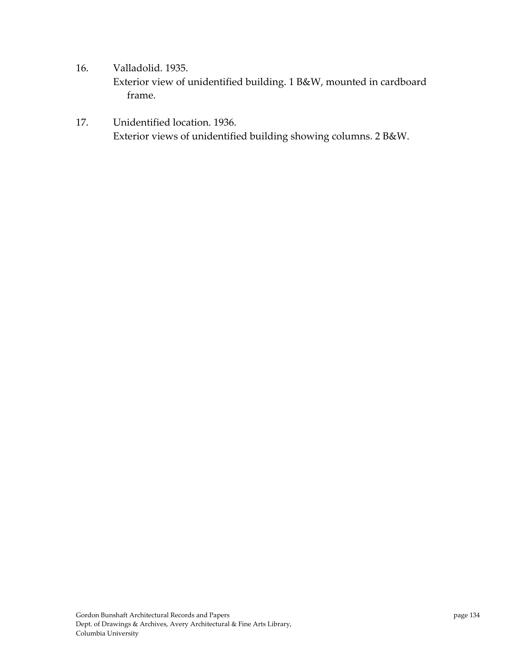- 16. Valladolid. 1935. Exterior view of unidentified building. 1 B&W, mounted in cardboard frame.
- 17. Unidentified location. 1936. Exterior views of unidentified building showing columns. 2 B&W.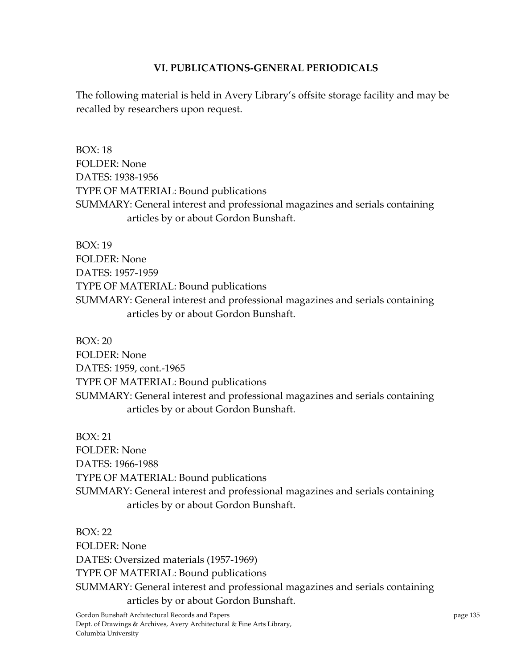#### **VI. PUBLICATIONS‐GENERAL PERIODICALS**

The following material is held in Avery Library's offsite storage facility and may be recalled by researchers upon request.

 $BOX \cdot 18$ FOLDER: None DATES: 1938‐1956 TYPE OF MATERIAL: Bound publications SUMMARY: General interest and professional magazines and serials containing articles by or about Gordon Bunshaft.

BOX: 19 FOLDER: None DATES: 1957‐1959 TYPE OF MATERIAL: Bound publications SUMMARY: General interest and professional magazines and serials containing articles by or about Gordon Bunshaft.

BOX: 20 FOLDER: None DATES: 1959, cont.‐1965 TYPE OF MATERIAL: Bound publications SUMMARY: General interest and professional magazines and serials containing articles by or about Gordon Bunshaft.

BOX: 21 FOLDER: None DATES: 1966‐1988 TYPE OF MATERIAL: Bound publications SUMMARY: General interest and professional magazines and serials containing articles by or about Gordon Bunshaft.

BOX: 22 FOLDER: None DATES: Oversized materials (1957‐1969) TYPE OF MATERIAL: Bound publications SUMMARY: General interest and professional magazines and serials containing articles by or about Gordon Bunshaft.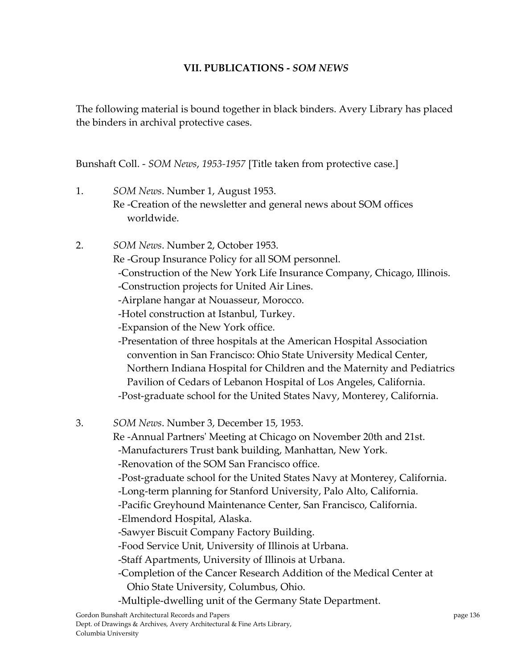#### **VII. PUBLICATIONS ‐** *SOM NEWS*

The following material is bound together in black binders. Avery Library has placed the binders in archival protective cases.

Bunshaft Coll. ‐ *SOM News*, *1953‐1957* [Title taken from protective case.]

- 1. *SOM News*. Number 1, August 1953. Re ‐Creation of the newsletter and general news about SOM offices worldwide.
- 2. *SOM News*. Number 2, October 1953. Re ‐Group Insurance Policy for all SOM personnel.
	- ‐Construction of the New York Life Insurance Company, Chicago, Illinois.
	- ‐Construction projects for United Air Lines.
	- ‐Airplane hangar at Nouasseur, Morocco.
	- ‐Hotel construction at Istanbul, Turkey.
	- ‐Expansion of the New York office.

 ‐Presentation of three hospitals at the American Hospital Association convention in San Francisco: Ohio State University Medical Center, Northern Indiana Hospital for Children and the Maternity and Pediatrics Pavilion of Cedars of Lebanon Hospital of Los Angeles, California. ‐Post‐graduate school for the United States Navy, Monterey, California.

- 3. *SOM News*. Number 3, December 15, 1953.
	- Re ‐Annual Partnersʹ Meeting at Chicago on November 20th and 21st.
	- ‐Manufacturers Trust bank building, Manhattan, New York.
	- ‐Renovation of the SOM San Francisco office.
	- ‐Post‐graduate school for the United States Navy at Monterey, California.
	- ‐Long‐term planning for Stanford University, Palo Alto, California.
	- ‐Pacific Greyhound Maintenance Center, San Francisco, California.
	- ‐Elmendord Hospital, Alaska.
	- ‐Sawyer Biscuit Company Factory Building.
	- ‐Food Service Unit, University of Illinois at Urbana.
	- ‐Staff Apartments, University of Illinois at Urbana.
	- ‐Completion of the Cancer Research Addition of the Medical Center at Ohio State University, Columbus, Ohio.
	- ‐Multiple‐dwelling unit of the Germany State Department.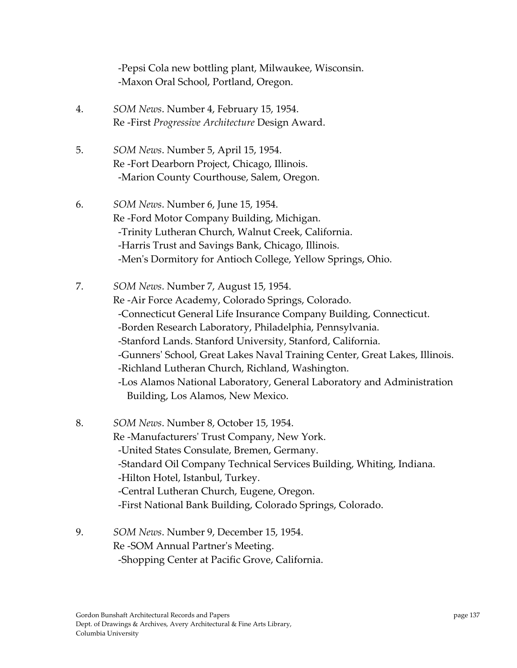‐Pepsi Cola new bottling plant, Milwaukee, Wisconsin. ‐Maxon Oral School, Portland, Oregon.

- 4. *SOM News*. Number 4, February 15, 1954. Re ‐First *Progressive Architecture* Design Award.
- 5. *SOM News*. Number 5, April 15, 1954. Re ‐Fort Dearborn Project, Chicago, Illinois. ‐Marion County Courthouse, Salem, Oregon.
- 6. *SOM News*. Number 6, June 15, 1954. Re ‐Ford Motor Company Building, Michigan. ‐Trinity Lutheran Church, Walnut Creek, California. ‐Harris Trust and Savings Bank, Chicago, Illinois. ‐Menʹs Dormitory for Antioch College, Yellow Springs, Ohio.
- 7. *SOM News*. Number 7, August 15, 1954. Re ‐Air Force Academy, Colorado Springs, Colorado. ‐Connecticut General Life Insurance Company Building, Connecticut. ‐Borden Research Laboratory, Philadelphia, Pennsylvania. ‐Stanford Lands. Stanford University, Stanford, California. ‐Gunnersʹ School, Great Lakes Naval Training Center, Great Lakes, Illinois. ‐Richland Lutheran Church, Richland, Washington. ‐Los Alamos National Laboratory, General Laboratory and Administration Building, Los Alamos, New Mexico.
- 8. *SOM News*. Number 8, October 15, 1954. Re ‐Manufacturersʹ Trust Company, New York. ‐United States Consulate, Bremen, Germany. ‐Standard Oil Company Technical Services Building, Whiting, Indiana. ‐Hilton Hotel, Istanbul, Turkey. ‐Central Lutheran Church, Eugene, Oregon. ‐First National Bank Building, Colorado Springs, Colorado.
- 9. *SOM News*. Number 9, December 15, 1954. Re ‐SOM Annual Partnerʹs Meeting. ‐Shopping Center at Pacific Grove, California.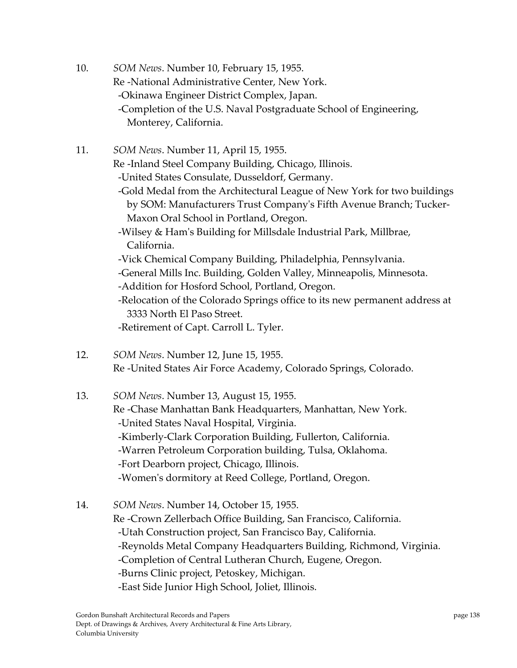- 10. *SOM News*. Number 10, February 15, 1955. Re ‐National Administrative Center, New York. ‐Okinawa Engineer District Complex, Japan. ‐Completion of the U.S. Naval Postgraduate School of Engineering, Monterey, California.
- 11. *SOM News*. Number 11, April 15, 1955. Re ‐Inland Steel Company Building, Chicago, Illinois. ‐United States Consulate, Dusseldorf, Germany. ‐Gold Medal from the Architectural League of New York for two buildings by SOM: Manufacturers Trust Companyʹs Fifth Avenue Branch; Tucker‐ Maxon Oral School in Portland, Oregon. ‐Wilsey & Hamʹs Building for Millsdale Industrial Park, Millbrae, California. ‐Vick Chemical Company Building, Philadelphia, Pennsylvania. ‐General Mills Inc. Building, Golden Valley, Minneapolis, Minnesota. ‐Addition for Hosford School, Portland, Oregon. ‐Relocation of the Colorado Springs office to its new permanent address at 3333 North El Paso Street. ‐Retirement of Capt. Carroll L. Tyler.
- 12. *SOM News*. Number 12, June 15, 1955. Re ‐United States Air Force Academy, Colorado Springs, Colorado.

13. *SOM News*. Number 13, August 15, 1955. Re ‐Chase Manhattan Bank Headquarters, Manhattan, New York. ‐United States Naval Hospital, Virginia. ‐Kimberly‐Clark Corporation Building, Fullerton, California. ‐Warren Petroleum Corporation building, Tulsa, Oklahoma. ‐Fort Dearborn project, Chicago, Illinois. ‐Womenʹs dormitory at Reed College, Portland, Oregon.

14. *SOM News*. Number 14, October 15, 1955. Re ‐Crown Zellerbach Office Building, San Francisco, California. ‐Utah Construction project, San Francisco Bay, California. ‐Reynolds Metal Company Headquarters Building, Richmond, Virginia. ‐Completion of Central Lutheran Church, Eugene, Oregon. ‐Burns Clinic project, Petoskey, Michigan. ‐East Side Junior High School, Joliet, Illinois.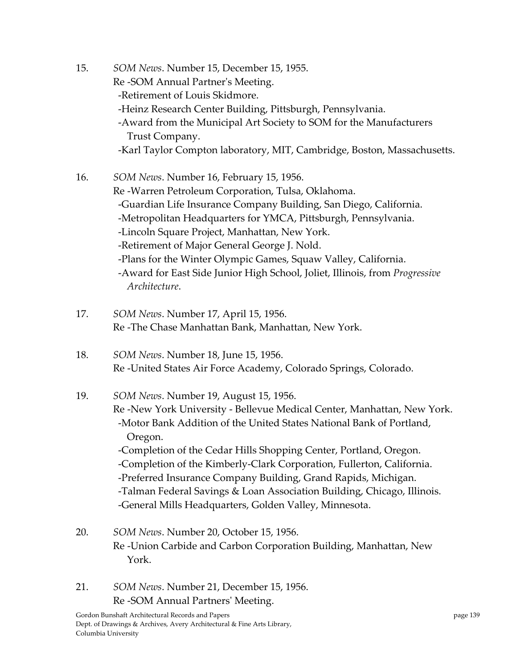- 15. *SOM News*. Number 15, December 15, 1955. Re ‐SOM Annual Partnerʹs Meeting. ‐Retirement of Louis Skidmore. ‐Heinz Research Center Building, Pittsburgh, Pennsylvania. ‐Award from the Municipal Art Society to SOM for the Manufacturers Trust Company. ‐Karl Taylor Compton laboratory, MIT, Cambridge, Boston, Massachusetts.
- 16. *SOM News*. Number 16, February 15, 1956. Re ‐Warren Petroleum Corporation, Tulsa, Oklahoma. ‐Guardian Life Insurance Company Building, San Diego, California. ‐Metropolitan Headquarters for YMCA, Pittsburgh, Pennsylvania. ‐Lincoln Square Project, Manhattan, New York. ‐Retirement of Major General George J. Nold. ‐Plans for the Winter Olympic Games, Squaw Valley, California. ‐Award for East Side Junior High School, Joliet, Illinois, from *Progressive Architecture*.
- 17. *SOM News*. Number 17, April 15, 1956. Re ‐The Chase Manhattan Bank, Manhattan, New York.
- 18. *SOM News*. Number 18, June 15, 1956. Re ‐United States Air Force Academy, Colorado Springs, Colorado.

# 19. *SOM News*. Number 19, August 15, 1956. Re ‐New York University ‐ Bellevue Medical Center, Manhattan, New York. ‐Motor Bank Addition of the United States National Bank of Portland, Oregon. ‐Completion of the Cedar Hills Shopping Center, Portland, Oregon. ‐Completion of the Kimberly‐Clark Corporation, Fullerton, California. ‐Preferred Insurance Company Building, Grand Rapids, Michigan. ‐Talman Federal Savings & Loan Association Building, Chicago, Illinois. ‐General Mills Headquarters, Golden Valley, Minnesota.

- 20. *SOM News*. Number 20, October 15, 1956. Re ‐Union Carbide and Carbon Corporation Building, Manhattan, New York.
- 21. *SOM News*. Number 21, December 15, 1956. Re ‐SOM Annual Partnersʹ Meeting.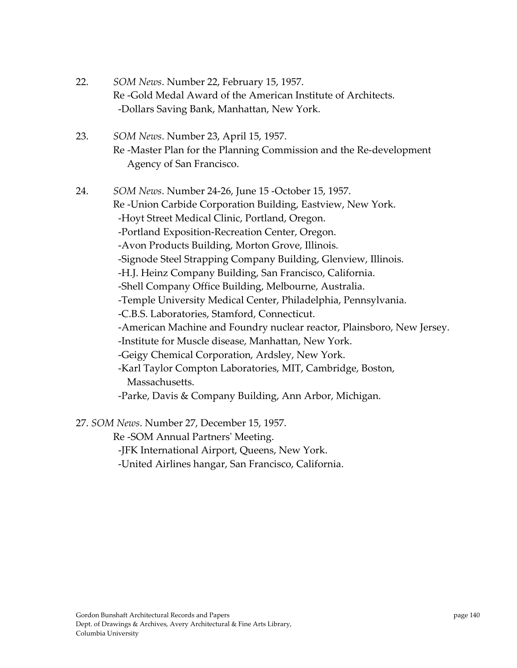- 22. *SOM News*. Number 22, February 15, 1957. Re ‐Gold Medal Award of the American Institute of Architects. ‐Dollars Saving Bank, Manhattan, New York.
- 23. *SOM News*. Number 23, April 15, 1957. Re ‐Master Plan for the Planning Commission and the Re‐development Agency of San Francisco.
- 24. *SOM News*. Number 24‐26, June 15 ‐October 15, 1957. Re ‐Union Carbide Corporation Building, Eastview, New York. ‐Hoyt Street Medical Clinic, Portland, Oregon. ‐Portland Exposition‐Recreation Center, Oregon. ‐Avon Products Building, Morton Grove, Illinois. ‐Signode Steel Strapping Company Building, Glenview, Illinois. ‐H.J. Heinz Company Building, San Francisco, California. ‐Shell Company Office Building, Melbourne, Australia. ‐Temple University Medical Center, Philadelphia, Pennsylvania. ‐C.B.S. Laboratories, Stamford, Connecticut. ‐American Machine and Foundry nuclear reactor, Plainsboro, New Jersey. ‐Institute for Muscle disease, Manhattan, New York. ‐Geigy Chemical Corporation, Ardsley, New York. ‐Karl Taylor Compton Laboratories, MIT, Cambridge, Boston, Massachusetts. ‐Parke, Davis & Company Building, Ann Arbor, Michigan.

27. *SOM News*. Number 27, December 15, 1957.

Re ‐SOM Annual Partnersʹ Meeting.

‐JFK International Airport, Queens, New York.

‐United Airlines hangar, San Francisco, California.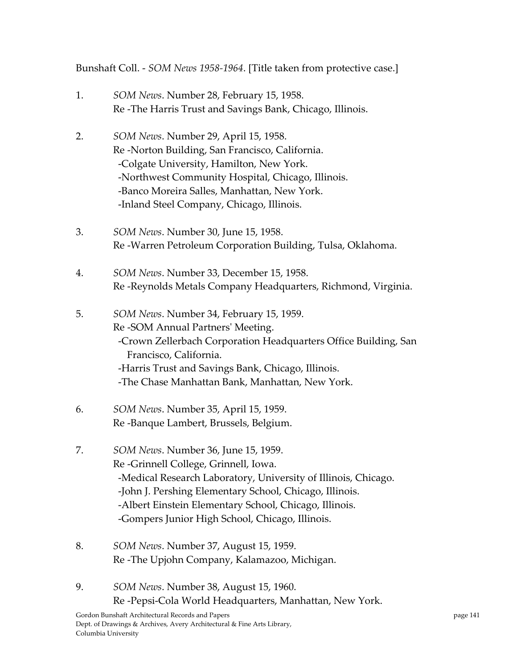Bunshaft Coll. ‐ *SOM News 1958‐1964*. [Title taken from protective case.]

- 1. *SOM News*. Number 28, February 15, 1958. Re ‐The Harris Trust and Savings Bank, Chicago, Illinois.
- 2. *SOM News*. Number 29, April 15, 1958. Re ‐Norton Building, San Francisco, California. ‐Colgate University, Hamilton, New York. ‐Northwest Community Hospital, Chicago, Illinois. ‐Banco Moreira Salles, Manhattan, New York. ‐Inland Steel Company, Chicago, Illinois.
- 3. *SOM News*. Number 30, June 15, 1958. Re ‐Warren Petroleum Corporation Building, Tulsa, Oklahoma.
- 4. *SOM News*. Number 33, December 15, 1958. Re ‐Reynolds Metals Company Headquarters, Richmond, Virginia.
- 5. *SOM News*. Number 34, February 15, 1959. Re ‐SOM Annual Partnersʹ Meeting. ‐Crown Zellerbach Corporation Headquarters Office Building, San Francisco, California. ‐Harris Trust and Savings Bank, Chicago, Illinois. ‐The Chase Manhattan Bank, Manhattan, New York.
- 6. *SOM News*. Number 35, April 15, 1959. Re ‐Banque Lambert, Brussels, Belgium.
- 7. *SOM News*. Number 36, June 15, 1959. Re ‐Grinnell College, Grinnell, Iowa. ‐Medical Research Laboratory, University of Illinois, Chicago. ‐John J. Pershing Elementary School, Chicago, Illinois. ‐Albert Einstein Elementary School, Chicago, Illinois. ‐Gompers Junior High School, Chicago, Illinois.
- 8. *SOM News*. Number 37, August 15, 1959. Re ‐The Upjohn Company, Kalamazoo, Michigan.
- 9. *SOM News*. Number 38, August 15, 1960. Re ‐Pepsi‐Cola World Headquarters, Manhattan, New York.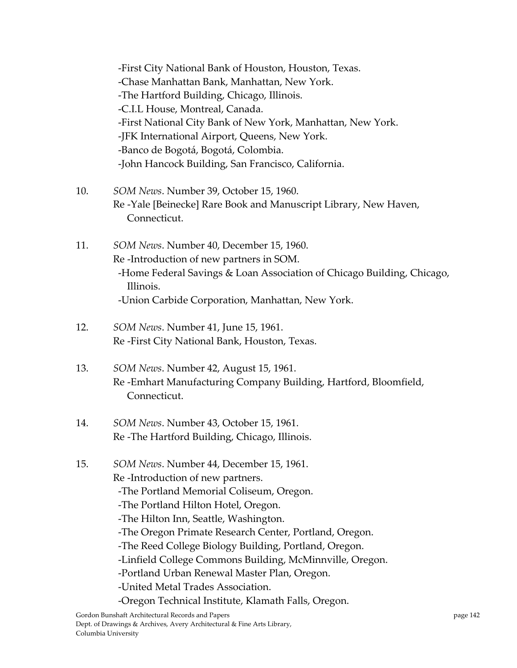‐First City National Bank of Houston, Houston, Texas. ‐Chase Manhattan Bank, Manhattan, New York. ‐The Hartford Building, Chicago, Illinois. ‐C.I.L House, Montreal, Canada. ‐First National City Bank of New York, Manhattan, New York. ‐JFK International Airport, Queens, New York. ‐Banco de Bogotá, Bogotá, Colombia. ‐John Hancock Building, San Francisco, California.

- 10. *SOM News*. Number 39, October 15, 1960. Re ‐Yale [Beinecke] Rare Book and Manuscript Library, New Haven, Connecticut.
- 11. *SOM News*. Number 40, December 15, 1960. Re ‐Introduction of new partners in SOM. ‐Home Federal Savings & Loan Association of Chicago Building, Chicago, Illinois. ‐Union Carbide Corporation, Manhattan, New York.
- 12. *SOM News*. Number 41, June 15, 1961. Re ‐First City National Bank, Houston, Texas.
- 13. *SOM News*. Number 42, August 15, 1961. Re ‐Emhart Manufacturing Company Building, Hartford, Bloomfield, Connecticut.
- 14. *SOM News*. Number 43, October 15, 1961. Re ‐The Hartford Building, Chicago, Illinois.
- 15. *SOM News*. Number 44, December 15, 1961. Re ‐Introduction of new partners. ‐The Portland Memorial Coliseum, Oregon. ‐The Portland Hilton Hotel, Oregon. ‐The Hilton Inn, Seattle, Washington. ‐The Oregon Primate Research Center, Portland, Oregon. ‐The Reed College Biology Building, Portland, Oregon. ‐Linfield College Commons Building, McMinnville, Oregon. ‐Portland Urban Renewal Master Plan, Oregon. ‐United Metal Trades Association. ‐Oregon Technical Institute, Klamath Falls, Oregon.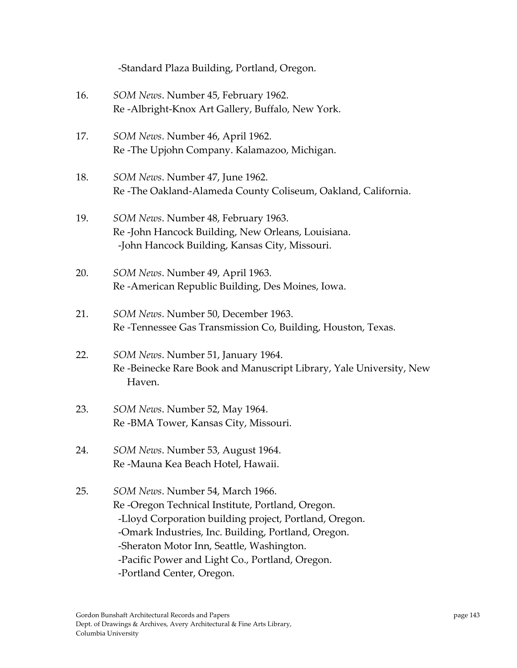|     | -Standard Plaza Building, Portland, Oregon.                                                                                                                                                                                                                                                                                        |
|-----|------------------------------------------------------------------------------------------------------------------------------------------------------------------------------------------------------------------------------------------------------------------------------------------------------------------------------------|
| 16. | SOM News. Number 45, February 1962.<br>Re-Albright-Knox Art Gallery, Buffalo, New York.                                                                                                                                                                                                                                            |
| 17. | SOM News. Number 46, April 1962.<br>Re-The Upjohn Company. Kalamazoo, Michigan.                                                                                                                                                                                                                                                    |
| 18. | SOM News. Number 47, June 1962.<br>Re-The Oakland-Alameda County Coliseum, Oakland, California.                                                                                                                                                                                                                                    |
| 19. | SOM News. Number 48, February 1963.<br>Re-John Hancock Building, New Orleans, Louisiana.<br>-John Hancock Building, Kansas City, Missouri.                                                                                                                                                                                         |
| 20. | SOM News. Number 49, April 1963.<br>Re-American Republic Building, Des Moines, Iowa.                                                                                                                                                                                                                                               |
| 21. | SOM News. Number 50, December 1963.<br>Re-Tennessee Gas Transmission Co, Building, Houston, Texas.                                                                                                                                                                                                                                 |
| 22. | SOM News. Number 51, January 1964.<br>Re-Beinecke Rare Book and Manuscript Library, Yale University, New<br>Haven.                                                                                                                                                                                                                 |
| 23. | SOM News. Number 52, May 1964.<br>Re-BMA Tower, Kansas City, Missouri.                                                                                                                                                                                                                                                             |
| 24. | SOM News. Number 53, August 1964.<br>Re -Mauna Kea Beach Hotel, Hawaii.                                                                                                                                                                                                                                                            |
| 25. | SOM News. Number 54, March 1966.<br>Re-Oregon Technical Institute, Portland, Oregon.<br>-Lloyd Corporation building project, Portland, Oregon.<br>-Omark Industries, Inc. Building, Portland, Oregon.<br>-Sheraton Motor Inn, Seattle, Washington.<br>-Pacific Power and Light Co., Portland, Oregon.<br>-Portland Center, Oregon. |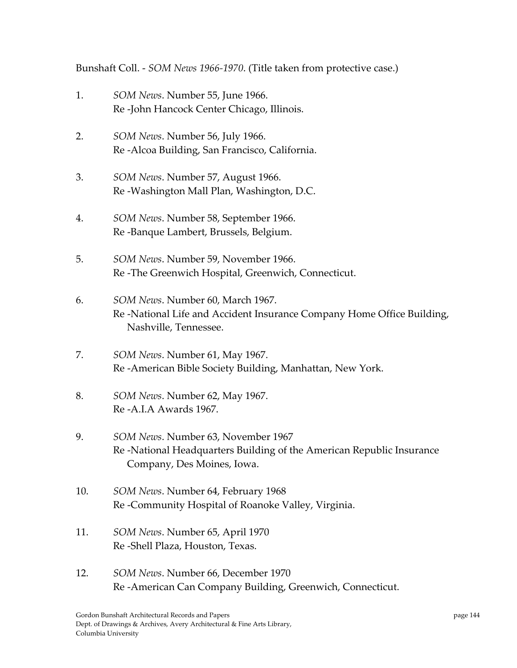Bunshaft Coll. ‐ *SOM News 1966‐1970*. (Title taken from protective case.)

- 1. *SOM News*. Number 55, June 1966. Re ‐John Hancock Center Chicago, Illinois.
- 2. *SOM News*. Number 56, July 1966. Re ‐Alcoa Building, San Francisco, California.
- 3. *SOM News*. Number 57, August 1966. Re ‐Washington Mall Plan, Washington, D.C.
- 4. *SOM News*. Number 58, September 1966. Re ‐Banque Lambert, Brussels, Belgium.
- 5. *SOM News*. Number 59, November 1966. Re ‐The Greenwich Hospital, Greenwich, Connecticut.
- 6. *SOM News*. Number 60, March 1967. Re ‐National Life and Accident Insurance Company Home Office Building, Nashville, Tennessee.
- 7. *SOM News*. Number 61, May 1967. Re ‐American Bible Society Building, Manhattan, New York.
- 8. *SOM News*. Number 62, May 1967. Re ‐A.I.A Awards 1967.
- 9. *SOM News*. Number 63, November 1967 Re ‐National Headquarters Building of the American Republic Insurance Company, Des Moines, Iowa.
- 10. *SOM News*. Number 64, February 1968 Re ‐Community Hospital of Roanoke Valley, Virginia.
- 11. *SOM News*. Number 65, April 1970 Re ‐Shell Plaza, Houston, Texas.
- 12. *SOM News*. Number 66, December 1970 Re ‐American Can Company Building, Greenwich, Connecticut.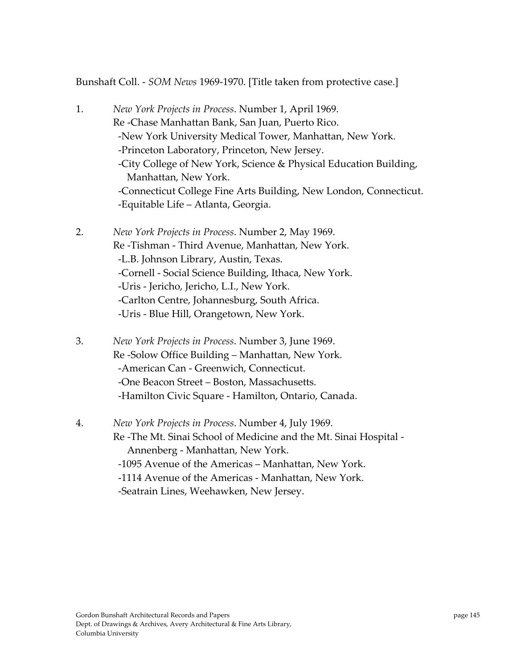Bunshaft Coll. ‐ *SOM News* 1969‐1970. [Title taken from protective case.]

- 1. *New York Projects in Process*. Number 1, April 1969. Re ‐Chase Manhattan Bank, San Juan, Puerto Rico. ‐New York University Medical Tower, Manhattan, New York. ‐Princeton Laboratory, Princeton, New Jersey. ‐City College of New York, Science & Physical Education Building, Manhattan, New York. ‐Connecticut College Fine Arts Building, New London, Connecticut. ‐Equitable Life – Atlanta, Georgia.
- 2. *New York Projects in Process*. Number 2, May 1969. Re ‐Tishman ‐ Third Avenue, Manhattan, New York. ‐L.B. Johnson Library, Austin, Texas. ‐Cornell ‐ Social Science Building, Ithaca, New York. ‐Uris ‐ Jericho, Jericho, L.I., New York. ‐Carlton Centre, Johannesburg, South Africa. ‐Uris ‐ Blue Hill, Orangetown, New York.
- 3. *New York Projects in Process*. Number 3, June 1969. Re ‐Solow Office Building – Manhattan, New York. ‐American Can ‐ Greenwich, Connecticut. ‐One Beacon Street – Boston, Massachusetts. ‐Hamilton Civic Square ‐ Hamilton, Ontario, Canada.
- 4. *New York Projects in Process*. Number 4, July 1969. Re ‐The Mt. Sinai School of Medicine and the Mt. Sinai Hospital ‐ Annenberg ‐ Manhattan, New York. ‐1095 Avenue of the Americas – Manhattan, New York. ‐1114 Avenue of the Americas ‐ Manhattan, New York. ‐Seatrain Lines, Weehawken, New Jersey.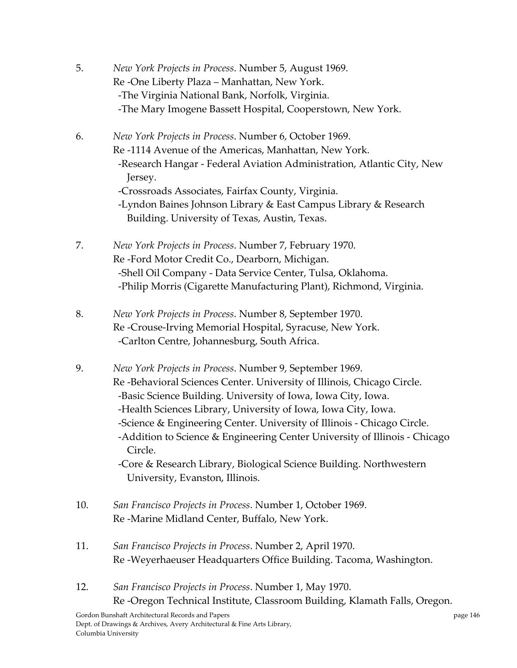- 5. *New York Projects in Process*. Number 5, August 1969. Re ‐One Liberty Plaza – Manhattan, New York. ‐The Virginia National Bank, Norfolk, Virginia. ‐The Mary Imogene Bassett Hospital, Cooperstown, New York.
- 6. *New York Projects in Process*. Number 6, October 1969. Re ‐1114 Avenue of the Americas, Manhattan, New York. ‐Research Hangar ‐ Federal Aviation Administration, Atlantic City, New Jersey. ‐Crossroads Associates, Fairfax County, Virginia. ‐Lyndon Baines Johnson Library & East Campus Library & Research Building. University of Texas, Austin, Texas.
- 7. *New York Projects in Process*. Number 7, February 1970. Re ‐Ford Motor Credit Co., Dearborn, Michigan. ‐Shell Oil Company ‐ Data Service Center, Tulsa, Oklahoma. ‐Philip Morris (Cigarette Manufacturing Plant), Richmond, Virginia.
- 8. *New York Projects in Process*. Number 8, September 1970. Re ‐Crouse‐Irving Memorial Hospital, Syracuse, New York. ‐Carlton Centre, Johannesburg, South Africa.
- 9. *New York Projects in Process*. Number 9, September 1969. Re ‐Behavioral Sciences Center. University of Illinois, Chicago Circle. ‐Basic Science Building. University of Iowa, Iowa City, Iowa. ‐Health Sciences Library, University of Iowa, Iowa City, Iowa. ‐Science & Engineering Center. University of Illinois ‐ Chicago Circle. ‐Addition to Science & Engineering Center University of Illinois ‐ Chicago Circle. ‐Core & Research Library, Biological Science Building. Northwestern University, Evanston, Illinois.
- 10. *San Francisco Projects in Process*. Number 1, October 1969. Re ‐Marine Midland Center, Buffalo, New York.
- 11. *San Francisco Projects in Process*. Number 2, April 1970. Re ‐Weyerhaeuser Headquarters Office Building. Tacoma, Washington.
- 12. *San Francisco Projects in Process*. Number 1, May 1970. Re ‐Oregon Technical Institute, Classroom Building, Klamath Falls, Oregon.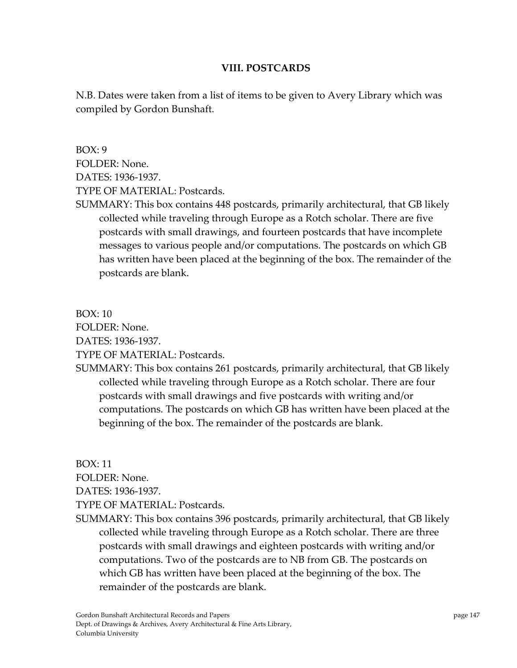## **VIII. POSTCARDS**

N.B. Dates were taken from a list of items to be given to Avery Library which was compiled by Gordon Bunshaft.

 $BOX: 9$ FOLDER: None. DATES: 1936‐1937. TYPE OF MATERIAL: Postcards.

SUMMARY: This box contains 448 postcards, primarily architectural, that GB likely collected while traveling through Europe as a Rotch scholar. There are five postcards with small drawings, and fourteen postcards that have incomplete messages to various people and/or computations. The postcards on which GB has written have been placed at the beginning of the box. The remainder of the postcards are blank.

 $BOX \cdot 10$ FOLDER: None. DATES: 1936‐1937. TYPE OF MATERIAL: Postcards.

SUMMARY: This box contains 261 postcards, primarily architectural, that GB likely collected while traveling through Europe as a Rotch scholar. There are four postcards with small drawings and five postcards with writing and/or computations. The postcards on which GB has written have been placed at the beginning of the box. The remainder of the postcards are blank.

BOX: 11 FOLDER: None. DATES: 1936‐1937. TYPE OF MATERIAL: Postcards.

SUMMARY: This box contains 396 postcards, primarily architectural, that GB likely collected while traveling through Europe as a Rotch scholar. There are three postcards with small drawings and eighteen postcards with writing and/or computations. Two of the postcards are to NB from GB. The postcards on which GB has written have been placed at the beginning of the box. The remainder of the postcards are blank.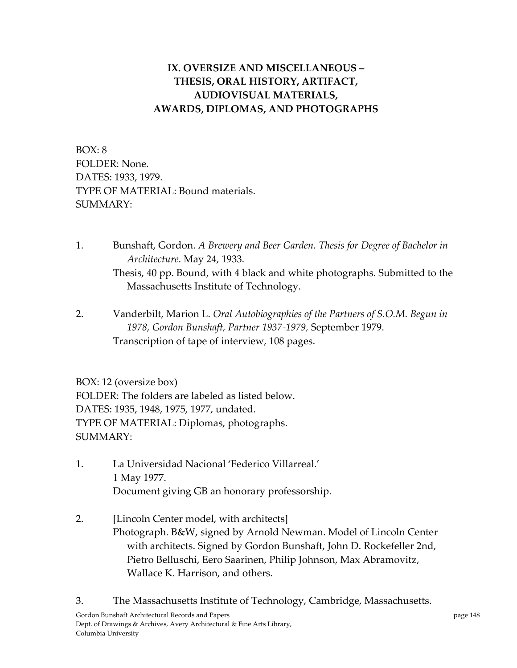## **IX. OVERSIZE AND MISCELLANEOUS – THESIS, ORAL HISTORY, ARTIFACT, AUDIOVISUAL MATERIALS, AWARDS, DIPLOMAS, AND PHOTOGRAPHS**

BOX: 8 FOLDER: None. DATES: 1933, 1979. TYPE OF MATERIAL: Bound materials. SUMMARY:

- 1. Bunshaft, Gordon. *A Brewery and Beer Garden. Thesis for Degree of Bachelor in Architecture*. May 24, 1933. Thesis, 40 pp. Bound, with 4 black and white photographs. Submitted to the Massachusetts Institute of Technology.
- 2. Vanderbilt, Marion L. *Oral Autobiographies of the Partners of S.O.M. Begun in 1978, Gordon Bunshaft, Partner 1937‐1979,* September 1979. Transcription of tape of interview, 108 pages.

BOX: 12 (oversize box) FOLDER: The folders are labeled as listed below. DATES: 1935, 1948, 1975, 1977, undated. TYPE OF MATERIAL: Diplomas, photographs. SUMMARY:

- 1. La Universidad Nacional 'Federico Villarreal.' 1 May 1977. Document giving GB an honorary professorship.
- 2. [Lincoln Center model, with architects] Photograph. B&W, signed by Arnold Newman. Model of Lincoln Center with architects. Signed by Gordon Bunshaft, John D. Rockefeller 2nd, Pietro Belluschi, Eero Saarinen, Philip Johnson, Max Abramovitz, Wallace K. Harrison, and others.

Gordon Bunshaft Architectural Records and Papers **page 148** and page 148 Dept. of Drawings & Archives, Avery Architectural & Fine Arts Library, Columbia University 3. The Massachusetts Institute of Technology, Cambridge, Massachusetts.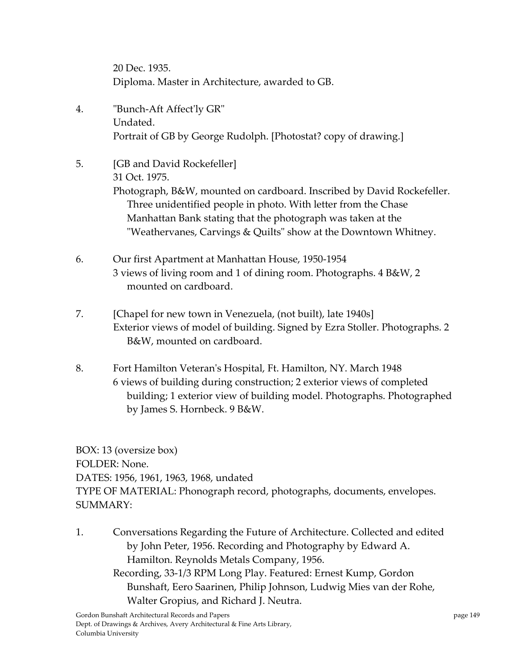20 Dec. 1935. Diploma. Master in Architecture, awarded to GB.

- 4. ʺBunch‐Aft Affectʹly GRʺ Undated. Portrait of GB by George Rudolph. [Photostat? copy of drawing.]
- 5. [GB and David Rockefeller] 31 Oct. 1975. Photograph, B&W, mounted on cardboard. Inscribed by David Rockefeller. Three unidentified people in photo. With letter from the Chase Manhattan Bank stating that the photograph was taken at the "Weathervanes, Carvings & Quilts" show at the Downtown Whitney.
- 6. Our first Apartment at Manhattan House, 1950‐1954 3 views of living room and 1 of dining room. Photographs. 4 B&W, 2 mounted on cardboard.
- 7. [Chapel for new town in Venezuela, (not built), late 1940s] Exterior views of model of building. Signed by Ezra Stoller. Photographs. 2 B&W, mounted on cardboard.
- 8. Fort Hamilton Veteran's Hospital, Ft. Hamilton, NY. March 1948 6 views of building during construction; 2 exterior views of completed building; 1 exterior view of building model. Photographs. Photographed by James S. Hornbeck. 9 B&W.

BOX: 13 (oversize box) FOLDER: None. DATES: 1956, 1961, 1963, 1968, undated TYPE OF MATERIAL: Phonograph record, photographs, documents, envelopes. SUMMARY:

1. Conversations Regarding the Future of Architecture. Collected and edited by John Peter, 1956. Recording and Photography by Edward A. Hamilton. Reynolds Metals Company, 1956. Recording, 33‐1/3 RPM Long Play. Featured: Ernest Kump, Gordon Bunshaft, Eero Saarinen, Philip Johnson, Ludwig Mies van der Rohe, Walter Gropius, and Richard J. Neutra.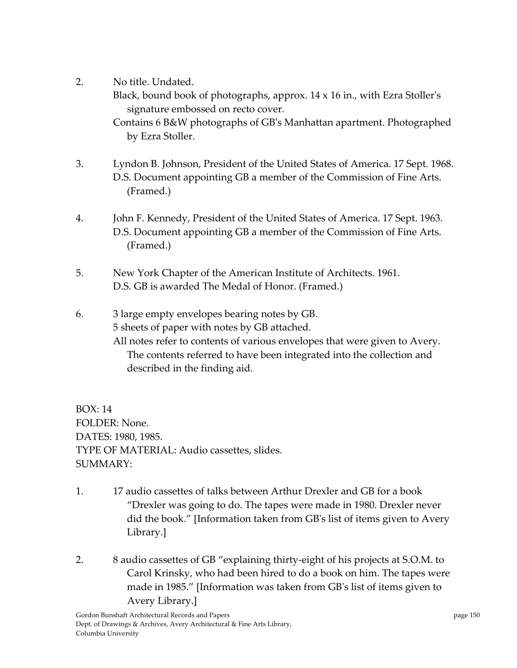2. No title. Undated.

Black, bound book of photographs, approx.  $14 \times 16$  in., with Ezra Stoller's signature embossed on recto cover.

Contains 6 B&W photographs of GBʹs Manhattan apartment. Photographed by Ezra Stoller.

- 3. Lyndon B. Johnson, President of the United States of America. 17 Sept. 1968. D.S. Document appointing GB a member of the Commission of Fine Arts. (Framed.)
- 4. John F. Kennedy, President of the United States of America. 17 Sept. 1963. D.S. Document appointing GB a member of the Commission of Fine Arts. (Framed.)
- 5. New York Chapter of the American Institute of Architects. 1961. D.S. GB is awarded The Medal of Honor. (Framed.)
- 6. 3 large empty envelopes bearing notes by GB. 5 sheets of paper with notes by GB attached. All notes refer to contents of various envelopes that were given to Avery. The contents referred to have been integrated into the collection and described in the finding aid.

BOX: 14 FOLDER: None. DATES: 1980, 1985. TYPE OF MATERIAL: Audio cassettes, slides. SUMMARY:

- 1. 17 audio cassettes of talks between Arthur Drexler and GB for a book "Drexler was going to do. The tapes were made in 1980. Drexler never did the book." [Information taken from GBʹs list of items given to Avery Library.]
- 2. 8 audio cassettes of GB "explaining thirty-eight of his projects at S.O.M. to Carol Krinsky, who had been hired to do a book on him. The tapes were made in 1985." [Information was taken from GBʹs list of items given to Avery Library.]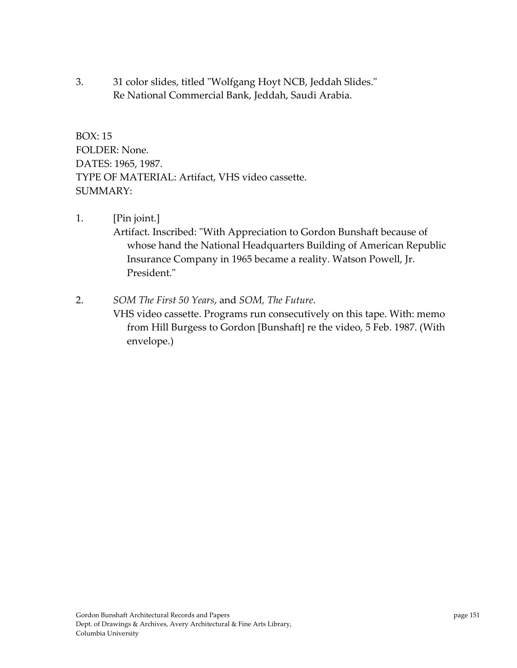3. 31 color slides, titled "Wolfgang Hoyt NCB, Jeddah Slides." Re National Commercial Bank, Jeddah, Saudi Arabia.

BOX: 15 FOLDER: None. DATES: 1965, 1987. TYPE OF MATERIAL: Artifact, VHS video cassette. SUMMARY:

1. [Pin joint.] Artifact. Inscribed: "With Appreciation to Gordon Bunshaft because of whose hand the National Headquarters Building of American Republic Insurance Company in 1965 became a reality. Watson Powell, Jr. President."

2. *SOM The First 50 Years*, and *SOM, The Future*. VHS video cassette. Programs run consecutively on this tape. With: memo from Hill Burgess to Gordon [Bunshaft] re the video, 5 Feb. 1987. (With envelope.)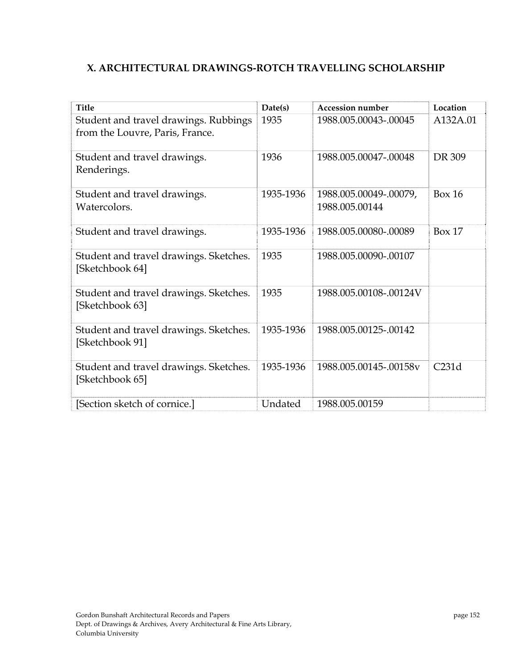## **X. ARCHITECTURAL DRAWINGS‐ROTCH TRAVELLING SCHOLARSHIP**

| <b>Title</b>                                                             | Date(s)   | <b>Accession number</b>                  | Location      |
|--------------------------------------------------------------------------|-----------|------------------------------------------|---------------|
| Student and travel drawings. Rubbings<br>from the Louvre, Paris, France. | 1935      | 1988.005.00043-.00045                    | A132A.01      |
| Student and travel drawings.<br>Renderings.                              | 1936      | 1988.005.00047-.00048                    | DR 309        |
| Student and travel drawings.<br>Watercolors.                             | 1935-1936 | 1988.005.00049-.00079,<br>1988.005.00144 | <b>Box 16</b> |
| Student and travel drawings.                                             | 1935-1936 | 1988.005.00080-.00089                    | Box 17        |
| Student and travel drawings. Sketches.<br>[Sketchbook 64]                | 1935      | 1988.005.00090-.00107                    |               |
| Student and travel drawings. Sketches.<br>[Sketchbook 63]                | 1935      | 1988.005.00108-.00124V                   |               |
| Student and travel drawings. Sketches.<br>[Sketchbook 91]                | 1935-1936 | 1988.005.00125-.00142                    |               |
| Student and travel drawings. Sketches.<br>[Sketchbook 65]                | 1935-1936 | 1988.005.00145-.00158v                   | C231d         |
| [Section sketch of cornice.]                                             | Undated   | 1988.005.00159                           |               |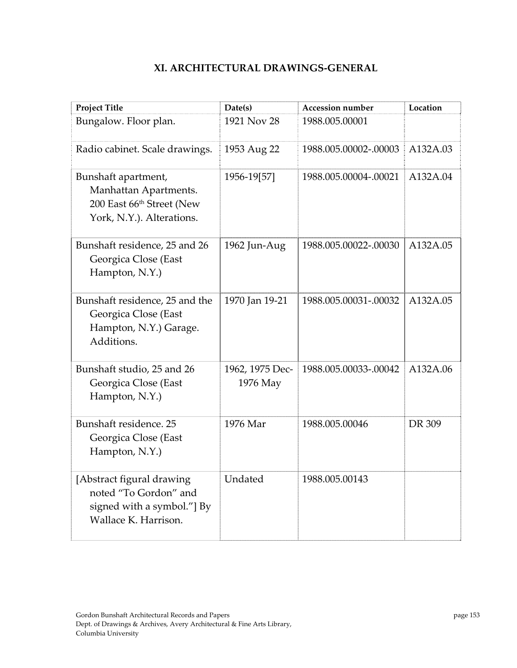| <b>Project Title</b>                                                                                   | Date(s)                     | <b>Accession number</b> | Location |
|--------------------------------------------------------------------------------------------------------|-----------------------------|-------------------------|----------|
| Bungalow. Floor plan.                                                                                  | 1921 Nov 28                 | 1988.005.00001          |          |
| Radio cabinet. Scale drawings.                                                                         | 1953 Aug 22                 | 1988.005.00002-.00003   | A132A.03 |
| Bunshaft apartment,<br>Manhattan Apartments.<br>200 East 66th Street (New<br>York, N.Y.). Alterations. | 1956-19[57]                 | 1988.005.00004-.00021   | A132A.04 |
| Bunshaft residence, 25 and 26<br>Georgica Close (East<br>Hampton, N.Y.)                                | 1962 Jun-Aug                | 1988.005.00022-.00030   | A132A.05 |
| Bunshaft residence, 25 and the<br>Georgica Close (East<br>Hampton, N.Y.) Garage.<br>Additions.         | 1970 Jan 19-21              | 1988.005.00031-.00032   | A132A.05 |
| Bunshaft studio, 25 and 26<br>Georgica Close (East<br>Hampton, N.Y.)                                   | 1962, 1975 Dec-<br>1976 May | 1988.005.00033-.00042   | A132A.06 |
| Bunshaft residence. 25<br>Georgica Close (East<br>Hampton, N.Y.)                                       | 1976 Mar                    | 1988.005.00046          | DR 309   |
| [Abstract figural drawing<br>noted "To Gordon" and                                                     | Undated                     | 1988.005.00143          |          |

## **XI. ARCHITECTURAL DRAWINGS‐GENERAL**

signed with a symbol."] By

Wallace K. Harrison.